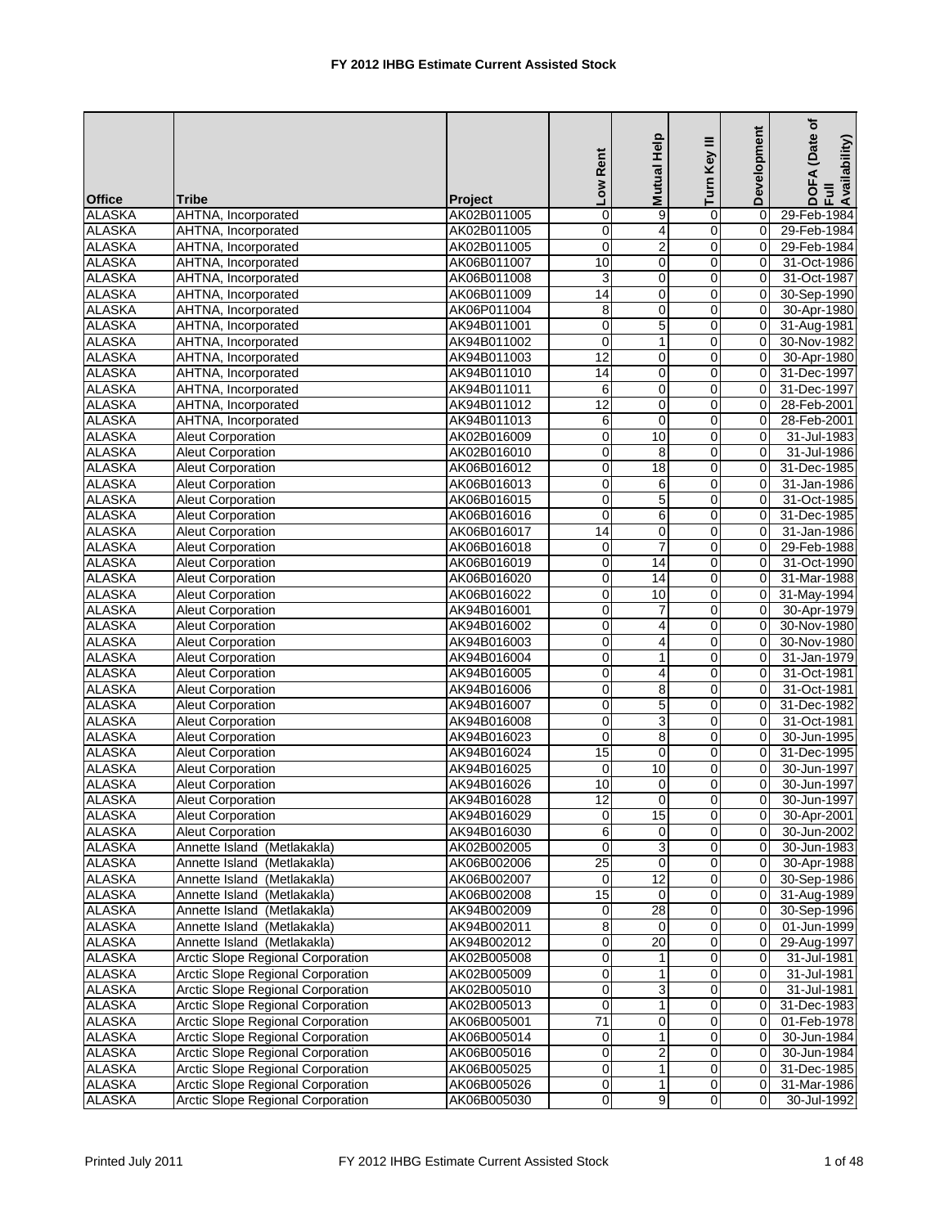|                                                           |                | Low Rent        | <b>Mutual Help</b> | Turn Key III   | Development    | (Date of<br>DOFA (Date<br>Full<br>Availability) |
|-----------------------------------------------------------|----------------|-----------------|--------------------|----------------|----------------|-------------------------------------------------|
| <b>Office</b><br><b>Tribe</b>                             | <b>Project</b> |                 |                    |                |                |                                                 |
| <b>ALASKA</b><br>AHTNA, Incorporated                      | AK02B011005    | $\pmb{0}$       | 9                  | 0              | $\mathbf 0$    | 29-Feb-1984                                     |
| <b>ALASKA</b><br>AHTNA, Incorporated                      | AK02B011005    | 0               | 4                  | 0              | $\mathbf 0$    | 29-Feb-1984                                     |
| <b>ALASKA</b><br>AHTNA, Incorporated                      | AK02B011005    | $\overline{0}$  | $\overline{2}$     | 0              | 0              | 29-Feb-1984                                     |
| <b>ALASKA</b><br>AHTNA, Incorporated                      | AK06B011007    | 10              | $\mathbf 0$        | 0              | 0              | 31-Oct-1986                                     |
| <b>ALASKA</b><br>AHTNA, Incorporated                      | AK06B011008    | 3               | $\pmb{0}$          | 0              | $\mathbf 0$    | 31-Oct-1987                                     |
| <b>ALASKA</b><br>AHTNA, Incorporated                      | AK06B011009    | 14              | $\mathbf 0$        | 0              | 0              | 30-Sep-1990                                     |
| <b>ALASKA</b><br>AHTNA, Incorporated                      | AK06P011004    | 8               | $\mathbf 0$        | 0              | 0              | 30-Apr-1980                                     |
| <b>ALASKA</b><br>AHTNA, Incorporated                      | AK94B011001    | $\mathbf 0$     | 5                  | 0              | $\Omega$       | 31-Aug-1981                                     |
| <b>ALASKA</b><br>AHTNA, Incorporated                      | AK94B011002    | $\mathbf 0$     | $\mathbf{1}$       | 0              | 0              | 30-Nov-1982                                     |
| <b>ALASKA</b><br>AHTNA, Incorporated                      | AK94B011003    | 12              | $\mathbf 0$        | $\mathbf 0$    | $\Omega$       | 30-Apr-1980                                     |
| <b>ALASKA</b><br>AHTNA, Incorporated                      | AK94B011010    | 14              | $\mathbf 0$        | 0              | 0              | 31-Dec-1997                                     |
| <b>ALASKA</b><br>AHTNA, Incorporated                      | AK94B011011    | 6               | 0                  | 0              | 0              | 31-Dec-1997                                     |
| <b>ALASKA</b><br>AHTNA, Incorporated                      | AK94B011012    | $\overline{12}$ | $\mathbf 0$        | $\overline{0}$ | 0              | 28-Feb-2001                                     |
| <b>ALASKA</b><br>AHTNA, Incorporated                      | AK94B011013    | 6               | $\mathbf 0$        | 0              | 0              | 28-Feb-2001                                     |
| <b>ALASKA</b><br><b>Aleut Corporation</b>                 | AK02B016009    | $\overline{0}$  | 10                 | $\mathbf 0$    | 0              | 31-Jul-1983                                     |
| <b>ALASKA</b><br>Aleut Corporation                        | AK02B016010    | $\mathbf 0$     | 8                  | 0              | 0              | 31-Jul-1986                                     |
| <b>ALASKA</b><br>Aleut Corporation                        | AK06B016012    | 0               | $\overline{18}$    | 0              | 0              | 31-Dec-1985                                     |
| <b>ALASKA</b><br><b>Aleut Corporation</b>                 | AK06B016013    | $\mathbf 0$     | 6                  | 0              | 0              | 31-Jan-1986                                     |
| <b>ALASKA</b><br><b>Aleut Corporation</b>                 | AK06B016015    | $\mathbf 0$     | $\overline{5}$     | 0              | 0              | 31-Oct-1985                                     |
| <b>ALASKA</b><br><b>Aleut Corporation</b>                 | AK06B016016    | $\mathbf 0$     | 6                  | $\mathsf 0$    | $\Omega$       | 31-Dec-1985                                     |
| <b>ALASKA</b><br><b>Aleut Corporation</b>                 | AK06B016017    | 14              | 0                  | 0              | 0              | 31-Jan-1986                                     |
| <b>ALASKA</b><br><b>Aleut Corporation</b>                 | AK06B016018    | $\mathbf 0$     | $\overline{7}$     | 0              | $\mathbf 0$    | 29-Feb-1988                                     |
| <b>ALASKA</b><br><b>Aleut Corporation</b>                 | AK06B016019    | $\pmb{0}$       | 14                 | 0              | 0              | 31-Oct-1990                                     |
| <b>ALASKA</b><br><b>Aleut Corporation</b>                 | AK06B016020    | $\mathbf 0$     | 14                 | 0              | 0              | 31-Mar-1988                                     |
| <b>ALASKA</b><br><b>Aleut Corporation</b>                 | AK06B016022    | $\overline{0}$  | 10                 | 0              | 0              | 31-May-1994                                     |
| <b>ALASKA</b><br><b>Aleut Corporation</b>                 | AK94B016001    | $\mathbf 0$     | 7                  | 0              | 0              | 30-Apr-1979                                     |
| <b>ALASKA</b><br><b>Aleut Corporation</b>                 | AK94B016002    | 0               | $\overline{4}$     | 0              | 0              | 30-Nov-1980                                     |
| <b>ALASKA</b><br><b>Aleut Corporation</b>                 | AK94B016003    | $\mathbf 0$     | 4                  | 0              | $\mathbf 0$    | 30-Nov-1980                                     |
| <b>ALASKA</b><br><b>Aleut Corporation</b>                 | AK94B016004    | $\mathbf 0$     | $\mathbf{1}$       | 0              | 0              | 31-Jan-1979                                     |
| <b>ALASKA</b><br><b>Aleut Corporation</b>                 | AK94B016005    | $\pmb{0}$       | 4                  | $\mathbf 0$    | $\Omega$       | 31-Oct-1981                                     |
| <b>ALASKA</b><br>Aleut Corporation                        | AK94B016006    | 0               | 8                  | 0              | Ō              | 31-Oct-1981                                     |
| <b>ALASKA</b><br><b>Aleut Corporation</b>                 | AK94B016007    | $\pmb{0}$       | $\overline{5}$     | 0              | 0              | 31-Dec-1982                                     |
| <b>ALASKA</b><br>Aleut Corporation                        | AK94B016008    | $\mathbf 0$     | 3                  | $\mathbf 0$    | 0              | 31-Oct-1981                                     |
| <b>ALASKA</b><br><b>Aleut Corporation</b>                 | AK94B016023    | 0               | 8                  | 0              | 0              | 30-Jun-1995                                     |
| <b>ALASKA</b><br>Aleut Corporation                        | AK94B016024    | 15              | 0                  | 0              | 0              | 31-Dec-1995                                     |
| <b>ALASKA</b><br>Aleut Corporation                        | AK94B016025    | $\mathbf 0$     | 10                 | $\mathsf 0$    | $\mathbf 0$    | 30-Jun-1997                                     |
| <b>ALASKA</b><br><b>Aleut Corporation</b>                 | AK94B016026    | 10              | 0                  | 0              | 0              | 30-Jun-1997                                     |
| <b>ALASKA</b><br><b>Aleut Corporation</b>                 | AK94B016028    | 12              | $\Omega$           | $\Omega$       | $\overline{0}$ | 30-Jun-1997                                     |
| <b>Aleut Corporation</b><br><b>ALASKA</b>                 | AK94B016029    | 0               | 15                 | $\overline{0}$ | 0              | 30-Apr-2001                                     |
| <b>ALASKA</b><br>Aleut Corporation                        | AK94B016030    | 6               | $\mathbf 0$        | 0              | 0              | 30-Jun-2002                                     |
| <b>ALASKA</b><br>Annette Island (Metlakakla)              | AK02B002005    | 0               | 3                  | 0              | 0              | 30-Jun-1983                                     |
| <b>ALASKA</b><br>Annette Island (Metlakakla)              | AK06B002006    | $\overline{25}$ | 0                  | $\pmb{0}$      | 0              | 30-Apr-1988                                     |
| <b>ALASKA</b><br>Annette Island (Metlakakla)              | AK06B002007    | $\mathbf 0$     | $\overline{12}$    | $\mathbf 0$    | 0              | 30-Sep-1986                                     |
| <b>ALASKA</b><br>Annette Island (Metlakakla)              | AK06B002008    | 15              | 0                  | $\mathbf 0$    | 0              | 31-Aug-1989                                     |
| <b>ALASKA</b><br>Annette Island (Metlakakla)              | AK94B002009    | 0               | 28                 | 0              | 0              | 30-Sep-1996                                     |
| <b>ALASKA</b><br>Annette Island (Metlakakla)              | AK94B002011    | $\overline{8}$  | 0                  | $\overline{0}$ | $\mathbf 0$    | 01-Jun-1999                                     |
| <b>ALASKA</b><br>Annette Island (Metlakakla)              | AK94B002012    | 0               | $\overline{20}$    | $\pmb{0}$      | $\mathbf 0$    | 29-Aug-1997                                     |
| <b>ALASKA</b><br>Arctic Slope Regional Corporation        | AK02B005008    | 0               |                    | $\mathbf 0$    | 0              | 31-Jul-1981                                     |
| <b>ALASKA</b><br>Arctic Slope Regional Corporation        | AK02B005009    | 0               | 1                  | $\pmb{0}$      | 0              | 31-Jul-1981                                     |
| <b>ALASKA</b><br>Arctic Slope Regional Corporation        | AK02B005010    | 0               | 3                  | $\mathbf 0$    | 0              | 31-Jul-1981                                     |
| <b>ALASKA</b><br>Arctic Slope Regional Corporation        | AK02B005013    | 0               | $\mathbf{1}$       | 0              | 0              | 31-Dec-1983                                     |
| <b>Arctic Slope Regional Corporation</b><br><b>ALASKA</b> | AK06B005001    | 71              | 0                  | 0              | 0              | 01-Feb-1978                                     |
| <b>ALASKA</b><br>Arctic Slope Regional Corporation        | AK06B005014    | 0               | $\mathbf{1}$       | $\mathbf 0$    | $\mathbf 0$    | 30-Jun-1984                                     |
| <b>ALASKA</b><br>Arctic Slope Regional Corporation        | AK06B005016    | 0               | $\boldsymbol{2}$   | $\mathbf 0$    | 0              | 30-Jun-1984                                     |
| <b>ALASKA</b><br><b>Arctic Slope Regional Corporation</b> | AK06B005025    | $\pmb{0}$       | 1                  | $\overline{0}$ | 0              | 31-Dec-1985                                     |
| <b>ALASKA</b><br>Arctic Slope Regional Corporation        | AK06B005026    | 0               | $\mathbf{1}$       | $\overline{0}$ | 0              | 31-Mar-1986                                     |
| <b>ALASKA</b><br>Arctic Slope Regional Corporation        | AK06B005030    | 0               | $\overline{9}$     | $\mathbf 0$    | 0              | 30-Jul-1992                                     |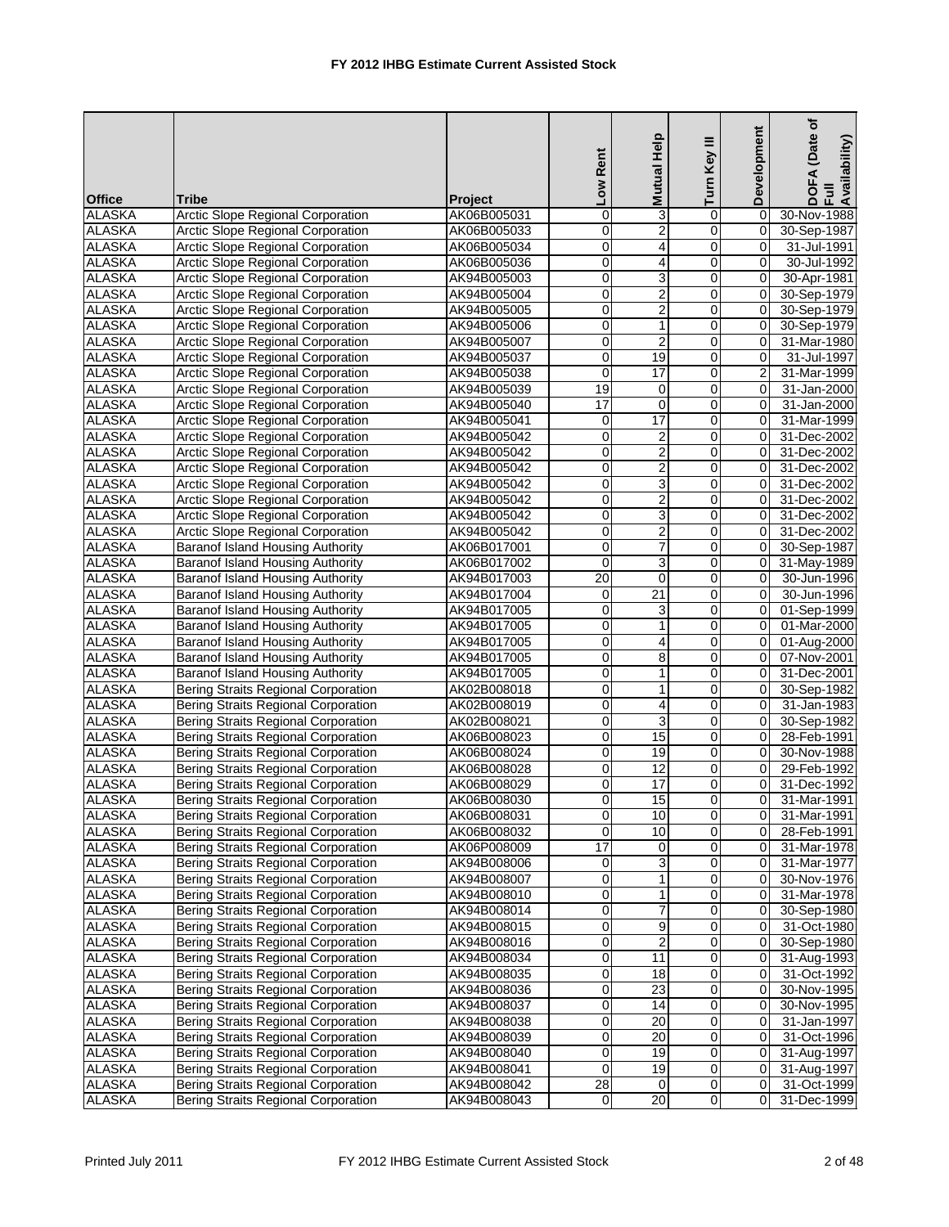| <b>Office</b> | <b>Tribe</b>                               | <b>Project</b> | Low Rent        | Mutual Help     | Turn Key III        | Development    | (Date of<br>DOFA (Date<br>Full<br>Availability) |
|---------------|--------------------------------------------|----------------|-----------------|-----------------|---------------------|----------------|-------------------------------------------------|
| <b>ALASKA</b> | <b>Arctic Slope Regional Corporation</b>   | AK06B005031    | $\mathbf 0$     | 3               | 0                   | $\mathbf 0$    | 30-Nov-1988                                     |
| <b>ALASKA</b> | <b>Arctic Slope Regional Corporation</b>   | AK06B005033    | $\overline{0}$  | $\overline{2}$  | $\mathbf 0$         | 0              | 30-Sep-1987                                     |
| <b>ALASKA</b> | <b>Arctic Slope Regional Corporation</b>   | AK06B005034    | $\mathbf 0$     | $\overline{4}$  | 0                   | 0              | 31-Jul-1991                                     |
| <b>ALASKA</b> | <b>Arctic Slope Regional Corporation</b>   | AK06B005036    | 0               | $\overline{4}$  | $\mathbf 0$         | $\overline{0}$ | 30-Jul-1992                                     |
| <b>ALASKA</b> | Arctic Slope Regional Corporation          | AK94B005003    | $\mathbf 0$     | 3               | 0                   | $\mathbf 0$    | 30-Apr-1981                                     |
| <b>ALASKA</b> | Arctic Slope Regional Corporation          | AK94B005004    | $\pmb{0}$       | $\overline{2}$  | $\mathbf 0$         | $\mathbf 0$    | 30-Sep-1979                                     |
| <b>ALASKA</b> | Arctic Slope Regional Corporation          | AK94B005005    | 0               | $\overline{2}$  | 0                   | $\Omega$       | 30-Sep-1979                                     |
| <b>ALASKA</b> | <b>Arctic Slope Regional Corporation</b>   | AK94B005006    | $\mathbf 0$     | 1               | 0                   | $\Omega$       | 30-Sep-1979                                     |
| <b>ALASKA</b> | Arctic Slope Regional Corporation          | AK94B005007    | 0               | $\overline{2}$  | $\mathbf 0$         | 0              | 31-Mar-1980                                     |
| <b>ALASKA</b> | Arctic Slope Regional Corporation          | AK94B005037    | 0               | 19              | 0                   | 0              | 31-Jul-1997                                     |
| <b>ALASKA</b> | Arctic Slope Regional Corporation          | AK94B005038    | $\mathbf 0$     | 17              | 0                   | $\overline{2}$ | 31-Mar-1999                                     |
| <b>ALASKA</b> | Arctic Slope Regional Corporation          | AK94B005039    | 19              | 0               | $\mathbf 0$         | 0              | 31-Jan-2000                                     |
| <b>ALASKA</b> | <b>Arctic Slope Regional Corporation</b>   | AK94B005040    | 17              | $\mathbf 0$     | 0                   | 0              | 31-Jan-2000                                     |
| <b>ALASKA</b> | <b>Arctic Slope Regional Corporation</b>   | AK94B005041    | 0               | 17              | 0                   | 0              | 31-Mar-1999                                     |
| <b>ALASKA</b> | Arctic Slope Regional Corporation          | AK94B005042    | 0               | 2               | 0                   | $\mathbf 0$    | 31-Dec-2002                                     |
| <b>ALASKA</b> | Arctic Slope Regional Corporation          | AK94B005042    | $\pmb{0}$       | $\overline{c}$  | $\mathsf 0$         | $\mathbf 0$    | 31-Dec-2002                                     |
| <b>ALASKA</b> | Arctic Slope Regional Corporation          | AK94B005042    | 0               | $\overline{2}$  | $\mathbf 0$         | $\Omega$       | 31-Dec-2002                                     |
| <b>ALASKA</b> | Arctic Slope Regional Corporation          | AK94B005042    | 0               | 3               | 0                   | 0              | 31-Dec-2002                                     |
| <b>ALASKA</b> | Arctic Slope Regional Corporation          | AK94B005042    | 0               | $\overline{2}$  | 0                   | 0              | 31-Dec-2002                                     |
| <b>ALASKA</b> | Arctic Slope Regional Corporation          | AK94B005042    | 0               | 3               | 0                   | 0              | 31-Dec-2002                                     |
| <b>ALASKA</b> | Arctic Slope Regional Corporation          | AK94B005042    | $\mathbf 0$     | $\overline{2}$  | 0                   | $\mathbf 0$    | 31-Dec-2002                                     |
| <b>ALASKA</b> | <b>Baranof Island Housing Authority</b>    | AK06B017001    | $\overline{0}$  | $\overline{7}$  | 0                   | 0              | 30-Sep-1987                                     |
| <b>ALASKA</b> | <b>Baranof Island Housing Authority</b>    | AK06B017002    | $\mathbf 0$     | $\overline{3}$  | 0                   | 0              | 31-May-1989                                     |
| <b>ALASKA</b> | Baranof Island Housing Authority           | AK94B017003    | 20              | $\mathbf 0$     | 0                   | 0              | 30-Jun-1996                                     |
| <b>ALASKA</b> | Baranof Island Housing Authority           | AK94B017004    | 0               | $\overline{21}$ | $\mathbf 0$         | $\mathbf 0$    | 30-Jun-1996                                     |
| <b>ALASKA</b> | Baranof Island Housing Authority           | AK94B017005    | $\mathbf 0$     | $\overline{3}$  | 0                   | $\mathbf 0$    | 01-Sep-1999                                     |
| <b>ALASKA</b> | <b>Baranof Island Housing Authority</b>    | AK94B017005    | 0               | $\mathbf{1}$    | 0                   | $\mathbf 0$    | 01-Mar-2000                                     |
| <b>ALASKA</b> | <b>Baranof Island Housing Authority</b>    | AK94B017005    | 0               | 4               | 0                   | $\mathbf 0$    | 01-Aug-2000                                     |
| <b>ALASKA</b> | <b>Baranof Island Housing Authority</b>    | AK94B017005    | $\overline{0}$  | $\overline{8}$  | 0                   | 0              | 07-Nov-2001                                     |
| <b>ALASKA</b> | <b>Baranof Island Housing Authority</b>    | AK94B017005    | $\mathbf 0$     | 1               | 0                   | $\mathbf 0$    | 31-Dec-2001                                     |
| <b>ALASKA</b> | Bering Straits Regional Corporation        | AK02B008018    | 0               | 1               | 0                   | 0              | 30-Sep-1982                                     |
| <b>ALASKA</b> | Bering Straits Regional Corporation        | AK02B008019    | 0               | 4               | 0                   | $\mathbf 0$    | 31-Jan-1983                                     |
| <b>ALASKA</b> | <b>Bering Straits Regional Corporation</b> | AK02B008021    | $\mathbf 0$     | 3               | 0                   | 0              | 30-Sep-1982                                     |
| <b>ALASKA</b> | <b>Bering Straits Regional Corporation</b> | AK06B008023    | 0               | 15              | 0                   | 0              | 28-Feb-1991                                     |
| <b>ALASKA</b> | Bering Straits Regional Corporation        | AK06B008024    | 0               | 19              | 0                   | $\mathbf 0$    | 30-Nov-1988                                     |
| <b>ALASKA</b> | <b>Bering Straits Regional Corporation</b> | AK06B008028    | $\mathbf 0$     | 12              | 0                   | 0              | 29-Feb-1992                                     |
| <b>ALASKA</b> | <b>Bering Straits Regional Corporation</b> | AK06B008029    | 0               | 17              | 0                   | 0              | 31-Dec-1992                                     |
| <b>ALASKA</b> | Bering Straits Regional Corporation        | AK06B008030    | $\Omega$        | 15              | $\Omega$            | $\overline{0}$ | 31-Mar-1991                                     |
| <b>ALASKA</b> | <b>Bering Straits Regional Corporation</b> | AK06B008031    | 0               | 10              | $\mathsf{O}\xspace$ | 0              | 31-Mar-1991                                     |
| <b>ALASKA</b> | Bering Straits Regional Corporation        | AK06B008032    | $\mathbf 0$     | 10              | 0                   | 0              | 28-Feb-1991                                     |
| <b>ALASKA</b> | Bering Straits Regional Corporation        | AK06P008009    | $\overline{17}$ | 0               | 0                   | 0              | 31-Mar-1978                                     |
| <b>ALASKA</b> | Bering Straits Regional Corporation        | AK94B008006    | $\pmb{0}$       | 3               | $\pmb{0}$           | 0              | 31-Mar-1977                                     |
| <b>ALASKA</b> | <b>Bering Straits Regional Corporation</b> | AK94B008007    | 0               | 1               | 0                   | 0              | 30-Nov-1976                                     |
| <b>ALASKA</b> | <b>Bering Straits Regional Corporation</b> | AK94B008010    | 0               | $\mathbf{1}$    | $\mathbf 0$         | 0              | 31-Mar-1978                                     |
| <b>ALASKA</b> | Bering Straits Regional Corporation        | AK94B008014    | $\mathbf 0$     | 7               | 0                   | 0              | 30-Sep-1980                                     |
| <b>ALASKA</b> | <b>Bering Straits Regional Corporation</b> | AK94B008015    | 0               | 9               | 0                   | 0              | 31-Oct-1980                                     |
| <b>ALASKA</b> | Bering Straits Regional Corporation        | AK94B008016    | 0               | $\overline{2}$  | O                   | $\mathbf 0$    | 30-Sep-1980                                     |
| <b>ALASKA</b> | Bering Straits Regional Corporation        | AK94B008034    | 0               | 11              | 0                   | $\mathbf 0$    | 31-Aug-1993                                     |
| <b>ALASKA</b> | <b>Bering Straits Regional Corporation</b> | AK94B008035    | $\overline{0}$  | $\overline{18}$ | $\pmb{0}$           | 0              | 31-Oct-1992                                     |
| <b>ALASKA</b> | <b>Bering Straits Regional Corporation</b> | AK94B008036    | 0               | 23              | 0                   | 0              | 30-Nov-1995                                     |
| <b>ALASKA</b> | Bering Straits Regional Corporation        | AK94B008037    | 0               | 14              | 0                   | 0              | 30-Nov-1995                                     |
| <b>ALASKA</b> | <b>Bering Straits Regional Corporation</b> | AK94B008038    | $\overline{0}$  | $\overline{20}$ | $\pmb{0}$           | 0              | 31-Jan-1997                                     |
| <b>ALASKA</b> | Bering Straits Regional Corporation        | AK94B008039    | $\mathbf 0$     | 20              | 0                   | 0              | 31-Oct-1996                                     |
| <b>ALASKA</b> | Bering Straits Regional Corporation        | AK94B008040    | 0               | 19              | $\pmb{0}$           | 0              | 31-Aug-1997                                     |
| <b>ALASKA</b> | Bering Straits Regional Corporation        | AK94B008041    | $\mathbf 0$     | 19              | $\overline{0}$      | 0              | 31-Aug-1997                                     |
| <b>ALASKA</b> | Bering Straits Regional Corporation        | AK94B008042    | $\overline{28}$ | 0               | 0                   | 0              | 31-Oct-1999                                     |
| <b>ALASKA</b> | <b>Bering Straits Regional Corporation</b> | AK94B008043    | $\overline{0}$  | 20              | $\mathsf{O}\xspace$ | 0              | 31-Dec-1999                                     |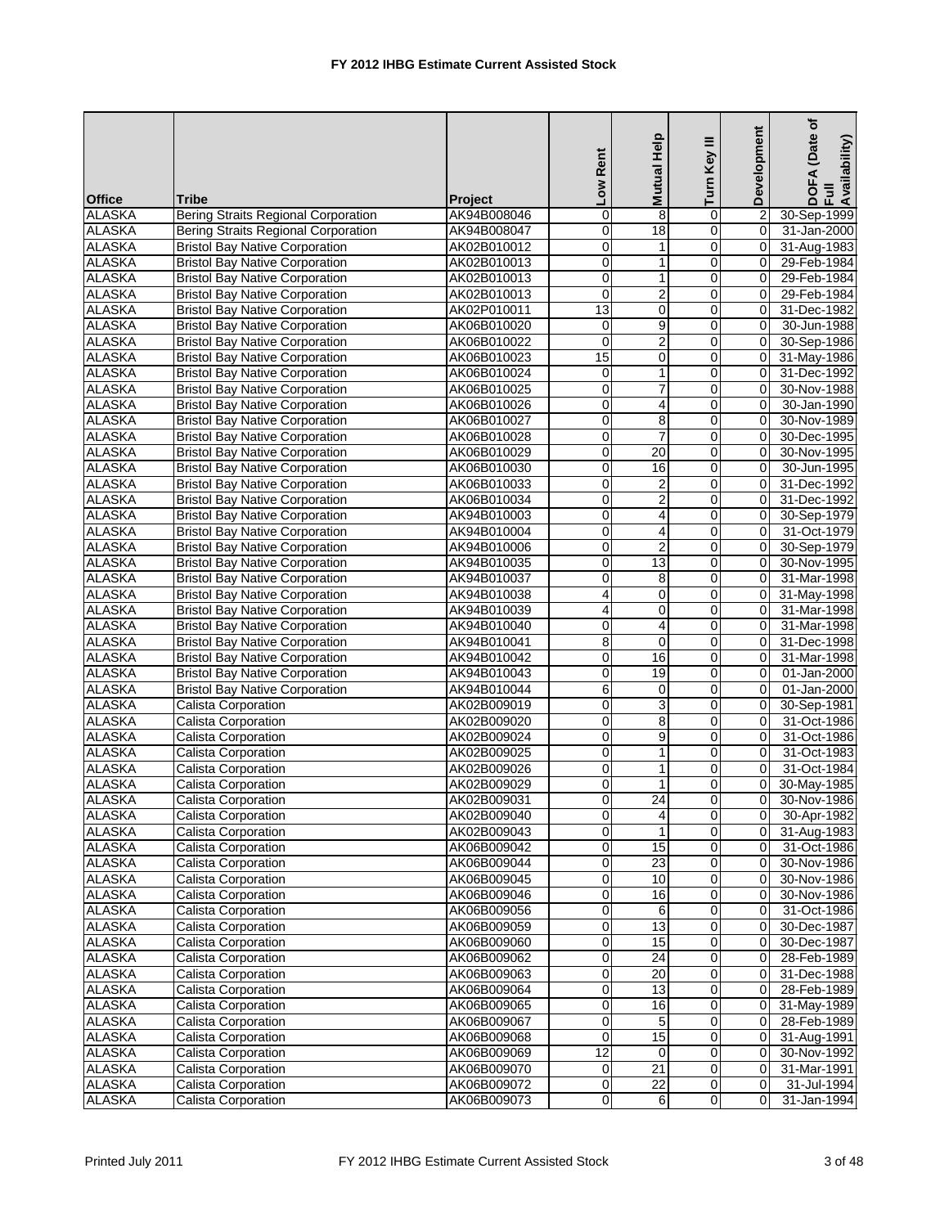|               |                                       |             | Low Rent        | Mutual Help      | Turn Key III        | Development    | (Date of<br>DOFA (Date<br>Full<br>Availability) |
|---------------|---------------------------------------|-------------|-----------------|------------------|---------------------|----------------|-------------------------------------------------|
| <b>Office</b> | <b>Tribe</b>                          | Project     |                 |                  |                     |                |                                                 |
| <b>ALASKA</b> | Bering Straits Regional Corporation   | AK94B008046 | $\mathbf 0$     | 8                | 0                   | $\overline{2}$ | 30-Sep-1999                                     |
| <b>ALASKA</b> | Bering Straits Regional Corporation   | AK94B008047 | 0               | 18               | $\overline{0}$      | 0              | 31-Jan-2000                                     |
| <b>ALASKA</b> | <b>Bristol Bay Native Corporation</b> | AK02B010012 | $\mathbf 0$     | 1                | $\mathbf 0$         | $\mathbf 0$    | 31-Aug-1983                                     |
| <b>ALASKA</b> | <b>Bristol Bay Native Corporation</b> | AK02B010013 | 0               | $\mathbf{1}$     | $\mathbf 0$         | $\Omega$       | 29-Feb-1984                                     |
| <b>ALASKA</b> | <b>Bristol Bay Native Corporation</b> | AK02B010013 | $\mathbf 0$     | $\mathbf{1}$     | 0                   | $\mathbf 0$    | 29-Feb-1984                                     |
| <b>ALASKA</b> | <b>Bristol Bay Native Corporation</b> | AK02B010013 | $\mathbf 0$     | $\overline{c}$   | 0                   | 0              | 29-Feb-1984                                     |
| <b>ALASKA</b> | <b>Bristol Bay Native Corporation</b> | AK02P010011 | $\overline{13}$ | $\mathbf 0$      | 0                   | 0              | 31-Dec-1982                                     |
| <b>ALASKA</b> | <b>Bristol Bay Native Corporation</b> | AK06B010020 | 0               | 9                | $\mathbf 0$         | 0              | 30-Jun-1988                                     |
| <b>ALASKA</b> | <b>Bristol Bay Native Corporation</b> | AK06B010022 | $\pmb{0}$       | $\overline{2}$   | 0                   | 0              | 30-Sep-1986                                     |
| <b>ALASKA</b> | <b>Bristol Bay Native Corporation</b> | AK06B010023 | 15              | $\mathbf 0$      | $\mathbf 0$         | 0              | 31-May-1986                                     |
| <b>ALASKA</b> | <b>Bristol Bay Native Corporation</b> | AK06B010024 | 0               | $\mathbf{1}$     | 0                   | 0              | 31-Dec-1992                                     |
| <b>ALASKA</b> | <b>Bristol Bay Native Corporation</b> | AK06B010025 | $\mathbf 0$     | 7                | 0                   | 0              | 30-Nov-1988                                     |
| <b>ALASKA</b> | <b>Bristol Bay Native Corporation</b> | AK06B010026 | $\mathbf 0$     | $\overline{4}$   | $\mathbf 0$         | $\mathbf 0$    | 30-Jan-1990                                     |
| <b>ALASKA</b> | <b>Bristol Bay Native Corporation</b> | AK06B010027 | 0               | 8                | 0                   | $\Omega$       | 30-Nov-1989                                     |
| <b>ALASKA</b> | <b>Bristol Bay Native Corporation</b> | AK06B010028 | $\mathbf 0$     | $\overline{7}$   | 0                   | $\Omega$       | 30-Dec-1995                                     |
|               |                                       |             |                 | 20               |                     |                |                                                 |
| <b>ALASKA</b> | <b>Bristol Bay Native Corporation</b> | AK06B010029 | 0               |                  | 0                   | 0              | 30-Nov-1995                                     |
| <b>ALASKA</b> | <b>Bristol Bay Native Corporation</b> | AK06B010030 | 0               | 16               | $\mathbf 0$         | 0              | 30-Jun-1995                                     |
| <b>ALASKA</b> | <b>Bristol Bay Native Corporation</b> | AK06B010033 | $\mathbf 0$     | $\boldsymbol{2}$ | 0                   | 0              | 31-Dec-1992                                     |
| <b>ALASKA</b> | <b>Bristol Bay Native Corporation</b> | AK06B010034 | $\mathbf 0$     | $\overline{2}$   | 0                   | 0              | 31-Dec-1992                                     |
| <b>ALASKA</b> | <b>Bristol Bay Native Corporation</b> | AK94B010003 | $\mathbf 0$     | 4                | $\mathbf 0$         | 0              | 30-Sep-1979                                     |
| <b>ALASKA</b> | <b>Bristol Bay Native Corporation</b> | AK94B010004 | 0               | $\overline{4}$   | 0                   | 0              | 31-Oct-1979                                     |
| <b>ALASKA</b> | <b>Bristol Bay Native Corporation</b> | AK94B010006 | 0               | $\overline{2}$   | 0                   | $\mathbf 0$    | 30-Sep-1979                                     |
| <b>ALASKA</b> | <b>Bristol Bay Native Corporation</b> | AK94B010035 | $\pmb{0}$       | 13               | $\mathsf 0$         | $\mathbf 0$    | 30-Nov-1995                                     |
| <b>ALASKA</b> | <b>Bristol Bay Native Corporation</b> | AK94B010037 | 0               | 8                | 0                   | $\Omega$       | 31-Mar-1998                                     |
| <b>ALASKA</b> | <b>Bristol Bay Native Corporation</b> | AK94B010038 | 4               | $\mathbf 0$      | 0                   | 0              | 31-May-1998                                     |
| <b>ALASKA</b> | <b>Bristol Bay Native Corporation</b> | AK94B010039 | 4               | $\mathbf 0$      | 0                   | 0              | 31-Mar-1998                                     |
| <b>ALASKA</b> | <b>Bristol Bay Native Corporation</b> | AK94B010040 | 0               | 4                | 0                   | 0              | 31-Mar-1998                                     |
| <b>ALASKA</b> | <b>Bristol Bay Native Corporation</b> | AK94B010041 | 8               | $\mathbf 0$      | 0                   | $\Omega$       | 31-Dec-1998                                     |
| <b>ALASKA</b> | <b>Bristol Bay Native Corporation</b> | AK94B010042 | $\pmb{0}$       | 16               | 0                   | 0              | 31-Mar-1998                                     |
| <b>ALASKA</b> | <b>Bristol Bay Native Corporation</b> | AK94B010043 | $\mathbf 0$     | 19               | 0                   | 0              | 01-Jan-2000                                     |
| <b>ALASKA</b> | <b>Bristol Bay Native Corporation</b> | AK94B010044 | 6               | 0                | 0                   | 0              | 01-Jan-2000                                     |
| <b>ALASKA</b> | <b>Calista Corporation</b>            | AK02B009019 | $\mathbf 0$     | 3                | 0                   | $\mathbf 0$    | 30-Sep-1981                                     |
| <b>ALASKA</b> | Calista Corporation                   | AK02B009020 | $\pmb{0}$       | 8                | $\mathsf{O}\xspace$ | $\mathbf 0$    | 31-Oct-1986                                     |
| <b>ALASKA</b> | Calista Corporation                   | AK02B009024 | 0               | 9                | 0                   | $\Omega$       | 31-Oct-1986                                     |
| <b>ALASKA</b> | Calista Corporation                   | AK02B009025 | 0               | 1                | 0                   | 0              | 31-Oct-1983                                     |
| <b>ALASKA</b> | Calista Corporation                   | AK02B009026 | 0               | $\mathbf{1}$     | $\mathbf 0$         | $\mathbf 0$    | 31-Oct-1984                                     |
| <b>ALASKA</b> | Calista Corporation                   | AK02B009029 | $\mathbf 0$     | $\mathbf{1}$     | 0                   | 0              | 30-May-1985                                     |
| <b>ALASKA</b> | Calista Corporation                   | AK02B009031 | $\overline{0}$  | 24               | $\Omega$            | $\Omega$       | 30-Nov-1986                                     |
| <b>ALASKA</b> | Calista Corporation                   | AK02B009040 | $\overline{0}$  | 4                | $\pmb{0}$           | 0              | 30-Apr-1982                                     |
| <b>ALASKA</b> | Calista Corporation                   | AK02B009043 | $\overline{0}$  | 1                | 0                   | 0              | 31-Aug-1983                                     |
| <b>ALASKA</b> | Calista Corporation                   | AK06B009042 | $\pmb{0}$       | 15               | 0                   | 0              | 31-Oct-1986                                     |
| <b>ALASKA</b> | Calista Corporation                   | AK06B009044 | $\pmb{0}$       | $\overline{23}$  | 0                   | 0              | 30-Nov-1986                                     |
| <b>ALASKA</b> | Calista Corporation                   | AK06B009045 | $\overline{0}$  | 10               | O                   | 0              | 30-Nov-1986                                     |
| <b>ALASKA</b> | Calista Corporation                   | AK06B009046 | 0               | 16               | 0                   | $\mathbf 0$    | 30-Nov-1986                                     |
| <b>ALASKA</b> | Calista Corporation                   | AK06B009056 | $\pmb{0}$       | 6                | 0                   | 0              | 31-Oct-1986                                     |
| <b>ALASKA</b> | Calista Corporation                   | AK06B009059 | $\overline{0}$  | 13               | O                   | 0              | 30-Dec-1987                                     |
| <b>ALASKA</b> | Calista Corporation                   | AK06B009060 |                 | 15               |                     |                |                                                 |
| <b>ALASKA</b> | Calista Corporation                   |             | $\pmb{0}$       | $\overline{24}$  | 0                   | 0              | 30-Dec-1987                                     |
|               |                                       | AK06B009062 | 0               |                  | 0                   | 0              | 28-Feb-1989                                     |
| <b>ALASKA</b> | Calista Corporation                   | AK06B009063 | $\overline{0}$  | 20               | 0                   | 0              | 31-Dec-1988                                     |
| <b>ALASKA</b> | Calista Corporation                   | AK06B009064 | $\mathbf 0$     | 13               | 0                   | $\mathbf 0$    | 28-Feb-1989                                     |
| <b>ALASKA</b> | Calista Corporation                   | AK06B009065 | $\pmb{0}$       | 16               | 0                   | 0              | 31-May-1989                                     |
| <b>ALASKA</b> | Calista Corporation                   | AK06B009067 | $\pmb{0}$       | 5                | 0                   | 0              | 28-Feb-1989                                     |
| <b>ALASKA</b> | Calista Corporation                   | AK06B009068 | $\pmb{0}$       | 15               | $\overline{0}$      | 0              | 31-Aug-1991                                     |
| <b>ALASKA</b> | Calista Corporation                   | AK06B009069 | 12              | $\mathbf 0$      | 0                   | $\mathbf 0$    | 30-Nov-1992                                     |
| <b>ALASKA</b> | Calista Corporation                   | AK06B009070 | $\pmb{0}$       | 21               | 0                   | 0              | 31-Mar-1991                                     |
| <b>ALASKA</b> | Calista Corporation                   | AK06B009072 | $\overline{0}$  | $\overline{22}$  | $\pmb{0}$           | 0              | 31-Jul-1994                                     |
| <b>ALASKA</b> | Calista Corporation                   | AK06B009073 | 0               | 6                | 0                   | 0              | 31-Jan-1994                                     |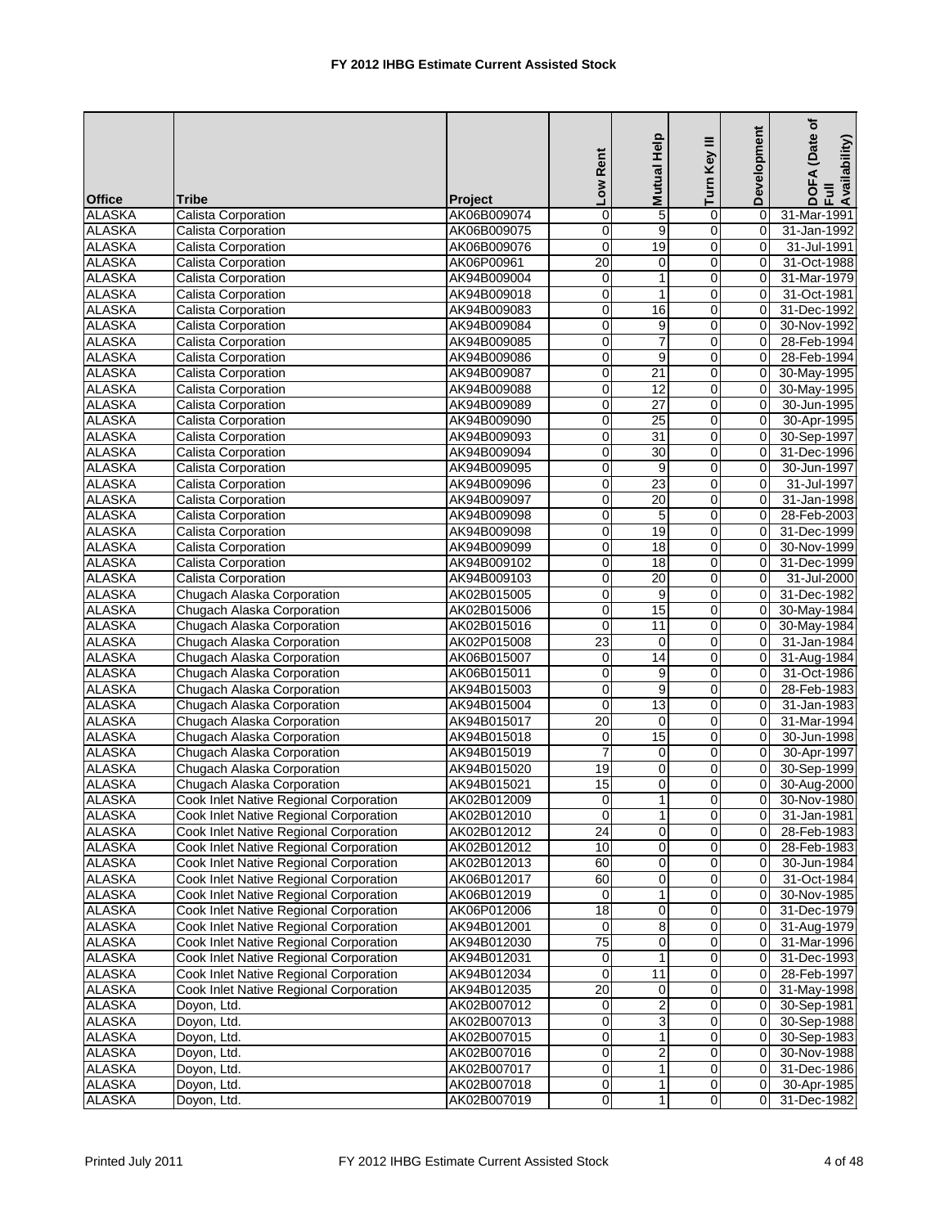| Mutual Help<br>Low Rent                                                                                  | Development<br>Turn Key III        | (Date of<br>DOFA (Date<br>Full<br>Availability) |
|----------------------------------------------------------------------------------------------------------|------------------------------------|-------------------------------------------------|
| <b>Office</b><br><b>Tribe</b><br><b>Project</b>                                                          |                                    |                                                 |
| $\pmb{0}$<br><b>ALASKA</b><br>AK06B009074<br>Calista Corporation<br>5                                    | 0<br>0                             | 31-Mar-1991                                     |
| <b>ALASKA</b><br>9<br>Calista Corporation<br>AK06B009075<br>0                                            | 0<br>$\mathbf 0$                   | 31-Jan-1992                                     |
| $\mathbf 0$<br><b>ALASKA</b><br>19<br>Calista Corporation<br>AK06B009076                                 | 0<br>$\Omega$                      | 31-Jul-1991                                     |
| <b>ALASKA</b><br>$\overline{20}$<br>Calista Corporation<br>AK06P00961<br>0                               | $\mathbf 0$<br>0                   | 31-Oct-1988                                     |
| <b>ALASKA</b><br>$\mathbf{1}$<br>Calista Corporation<br>AK94B009004<br>$\mathbf 0$                       | 0<br>0                             | 31-Mar-1979                                     |
| $\mathbf{1}$<br><b>ALASKA</b><br>$\mathbf 0$<br>Calista Corporation<br>AK94B009018                       | 0<br>0                             | 31-Oct-1981                                     |
| <b>ALASKA</b><br>0<br><b>Calista Corporation</b><br>AK94B009083<br>16                                    | 0<br>0                             | 31-Dec-1992                                     |
| <b>ALASKA</b><br>Calista Corporation<br>AK94B009084<br>$\mathbf 0$<br>9                                  | 0<br>0                             | 30-Nov-1992                                     |
| $\overline{7}$<br><b>ALASKA</b><br>0<br>Calista Corporation<br>AK94B009085                               | 0<br>0                             | 28-Feb-1994                                     |
| <b>ALASKA</b><br>$\overline{0}$<br>9<br>Calista Corporation<br>AK94B009086                               | $\mathbf 0$<br>$\mathbf 0$         | 28-Feb-1994                                     |
| <b>ALASKA</b><br>0<br>21<br>Calista Corporation<br>AK94B009087                                           | 0<br>0                             | 30-May-1995                                     |
| <b>ALASKA</b><br>$\overline{0}$<br>$\overline{12}$<br>Calista Corporation<br>AK94B009088                 | 0<br>0                             | 30-May-1995                                     |
| <b>ALASKA</b><br>$\mathbf 0$<br>$\overline{27}$<br>Calista Corporation<br>AK94B009089                    | $\overline{0}$<br>0                | 30-Jun-1995                                     |
| <b>ALASKA</b><br>0<br>Calista Corporation<br>AK94B009090<br>25                                           | $\mathbf 0$<br>0                   | 30-Apr-1995                                     |
| <b>ALASKA</b><br>AK94B009093<br>$\pmb{0}$<br>31<br>Calista Corporation                                   | 0<br>0                             | 30-Sep-1997                                     |
| <b>ALASKA</b><br>0<br>30<br>Calista Corporation<br>AK94B009094                                           | 0<br>0                             | 31-Dec-1996                                     |
| <b>ALASKA</b><br>0<br>Calista Corporation<br>AK94B009095<br>9                                            | 0<br>$\Omega$                      | 30-Jun-1997                                     |
| <b>ALASKA</b><br>Calista Corporation<br>23<br>AK94B009096<br>$\mathbf 0$                                 | 0<br>$\Omega$                      | 31-Jul-1997                                     |
| $\overline{20}$<br><b>ALASKA</b><br>0<br>Calista Corporation<br>AK94B009097                              | 0<br>0                             | 31-Jan-1998                                     |
| <b>ALASKA</b><br>0<br>5<br>Calista Corporation<br>AK94B009098                                            | 0<br>$\Omega$                      | 28-Feb-2003                                     |
| <b>ALASKA</b><br>Calista Corporation<br>AK94B009098<br>0<br>19                                           | 0<br>0                             | 31-Dec-1999                                     |
| <b>ALASKA</b><br>0<br>$\overline{18}$<br>Calista Corporation<br>AK94B009099                              | 0<br>$\mathbf 0$                   | 30-Nov-1999                                     |
| <b>ALASKA</b><br>$\pmb{0}$<br>18<br>Calista Corporation<br>AK94B009102                                   | 0<br>0                             | 31-Dec-1999                                     |
| <b>ALASKA</b><br>0<br>20<br>Calista Corporation<br>AK94B009103                                           | 0<br>0                             | 31-Jul-2000                                     |
| <b>ALASKA</b><br>$\pmb{0}$<br>Chugach Alaska Corporation<br>AK02B015005<br>9                             | 0<br>0                             | 31-Dec-1982                                     |
| <b>ALASKA</b><br>15<br>Chugach Alaska Corporation<br>$\mathbf 0$<br>AK02B015006                          | 0<br>0                             | 30-May-1984                                     |
| <b>ALASKA</b><br>11<br>Chugach Alaska Corporation<br>AK02B015016<br>0                                    | 0<br>$\mathbf 0$                   | 30-May-1984                                     |
| <b>ALASKA</b><br>Chugach Alaska Corporation<br>23<br>AK02P015008<br>0                                    | 0<br>$\mathbf 0$                   | 31-Jan-1984                                     |
| <b>ALASKA</b><br>14<br>Chugach Alaska Corporation<br>AK06B015007<br>0                                    | 0<br>0                             | 31-Aug-1984                                     |
| <b>ALASKA</b><br>$\pmb{0}$<br>AK06B015011<br>9<br>Chugach Alaska Corporation                             | $\mathsf{O}\xspace$<br>$\mathbf 0$ | 31-Oct-1986                                     |
| <b>ALASKA</b><br>Chugach Alaska Corporation<br>AK94B015003<br>0<br>9                                     | 0<br>0                             | 28-Feb-1983                                     |
| <b>ALASKA</b><br>AK94B015004<br>$\pmb{0}$<br>13<br>Chugach Alaska Corporation                            | 0<br>0                             | 31-Jan-1983                                     |
| 20<br><b>ALASKA</b><br>$\mathbf 0$<br>Chugach Alaska Corporation<br>AK94B015017                          | 0<br>0                             | 31-Mar-1994                                     |
| <b>ALASKA</b><br>15<br>Chugach Alaska Corporation<br>AK94B015018<br>0                                    | 0<br>0                             | 30-Jun-1998                                     |
| <b>ALASKA</b><br>AK94B015019<br>Chugach Alaska Corporation<br>7<br>0                                     | $\mathbf 0$<br>0                   | 30-Apr-1997                                     |
| 19<br>$\pmb{0}$<br><b>ALASKA</b><br>AK94B015020<br>Chugach Alaska Corporation                            | $\mathsf{O}\xspace$<br>$\mathbf 0$ | 30-Sep-1999                                     |
| <b>ALASKA</b><br>15<br>$\mathbf 0$<br>Chugach Alaska Corporation<br>AK94B015021                          | $\mathbf 0$<br>0                   | 30-Aug-2000                                     |
| 0<br>$\mathbf{1}$<br><b>ALASKA</b><br>AK02B012009<br>Cook Inlet Native Regional Corporation              | $\overline{0}$<br>$\Omega$         | 30-Nov-1980                                     |
| Cook Inlet Native Regional Corporation<br>$\mathbf{1}$<br><b>ALASKA</b><br>AK02B012010<br>0              | $\pmb{0}$<br>0                     | 31-Jan-1981                                     |
| <b>ALASKA</b><br>$\overline{24}$<br>$\mathbf 0$<br>Cook Inlet Native Regional Corporation<br>AK02B012012 | 0<br>0                             | 28-Feb-1983                                     |
| <b>ALASKA</b><br>10<br>Cook Inlet Native Regional Corporation<br>AK02B012012<br>0                        | $\overline{0}$<br>0                | 28-Feb-1983                                     |
| Cook Inlet Native Regional Corporation<br><b>ALASKA</b><br>AK02B012013<br>60<br>0                        | 0<br>0                             | 30-Jun-1984                                     |
| <b>ALASKA</b><br>60<br>Cook Inlet Native Regional Corporation<br>0<br>AK06B012017                        | 0<br>0                             | 31-Oct-1984                                     |
| <b>ALASKA</b><br>Cook Inlet Native Regional Corporation<br>AK06B012019<br>0<br>1                         | $\mathbf 0$<br>0                   | 30-Nov-1985                                     |
| <b>ALASKA</b><br>Cook Inlet Native Regional Corporation<br>18<br>AK06P012006<br>0                        | 0<br>0                             | 31-Dec-1979                                     |
| $\overline{8}$<br><b>ALASKA</b><br>0<br>Cook Inlet Native Regional Corporation<br>AK94B012001            | O<br>0                             | 31-Aug-1979                                     |
| <b>ALASKA</b><br>Cook Inlet Native Regional Corporation<br>$\overline{75}$<br>AK94B012030<br>0           | $\mathbf 0$<br>0                   | 31-Mar-1996                                     |
| <b>ALASKA</b><br>Cook Inlet Native Regional Corporation<br>AK94B012031<br>0<br>1                         | $\mathbf 0$<br>$\mathbf 0$         | 31-Dec-1993                                     |
| <b>ALASKA</b><br>0<br>11<br>Cook Inlet Native Regional Corporation<br>AK94B012034                        | $\pmb{0}$<br>0                     | 28-Feb-1997                                     |
| $\overline{20}$<br><b>ALASKA</b><br>Cook Inlet Native Regional Corporation<br>AK94B012035<br>0           | $\mathbf 0$<br>0                   | 31-May-1998                                     |
| $\mathbf 2$<br><b>ALASKA</b><br>Doyon, Ltd.<br>AK02B007012<br>0                                          | 0<br>$\mathbf 0$                   | 30-Sep-1981                                     |
| <b>ALASKA</b><br>Doyon, Ltd.<br>AK02B007013<br>$\pmb{0}$<br>3                                            | 0<br>0                             | 30-Sep-1988                                     |
| <b>ALASKA</b><br>0<br>$\mathbf{1}$<br>AK02B007015<br>Doyon, Ltd.                                         | 0<br>$\mathbf 0$                   | 30-Sep-1983                                     |
| <b>ALASKA</b><br>$\boldsymbol{2}$<br>Doyon, Ltd.<br>AK02B007016<br>0                                     | 0<br>0                             | 30-Nov-1988                                     |
| <b>ALASKA</b><br>Doyon, Ltd.<br>AK02B007017<br>$\pmb{0}$<br>1                                            | $\overline{0}$<br>0                | 31-Dec-1986                                     |
| <b>ALASKA</b><br>0<br>$\mathbf{1}$<br>Doyon, Ltd.<br>AK02B007018                                         | $\pmb{0}$<br>0                     | 30-Apr-1985                                     |
| <b>ALASKA</b><br>AK02B007019<br>$\mathbf{1}$<br>Doyon, Ltd.<br>0                                         | 0<br>$\mathbf 0$                   | 31-Dec-1982                                     |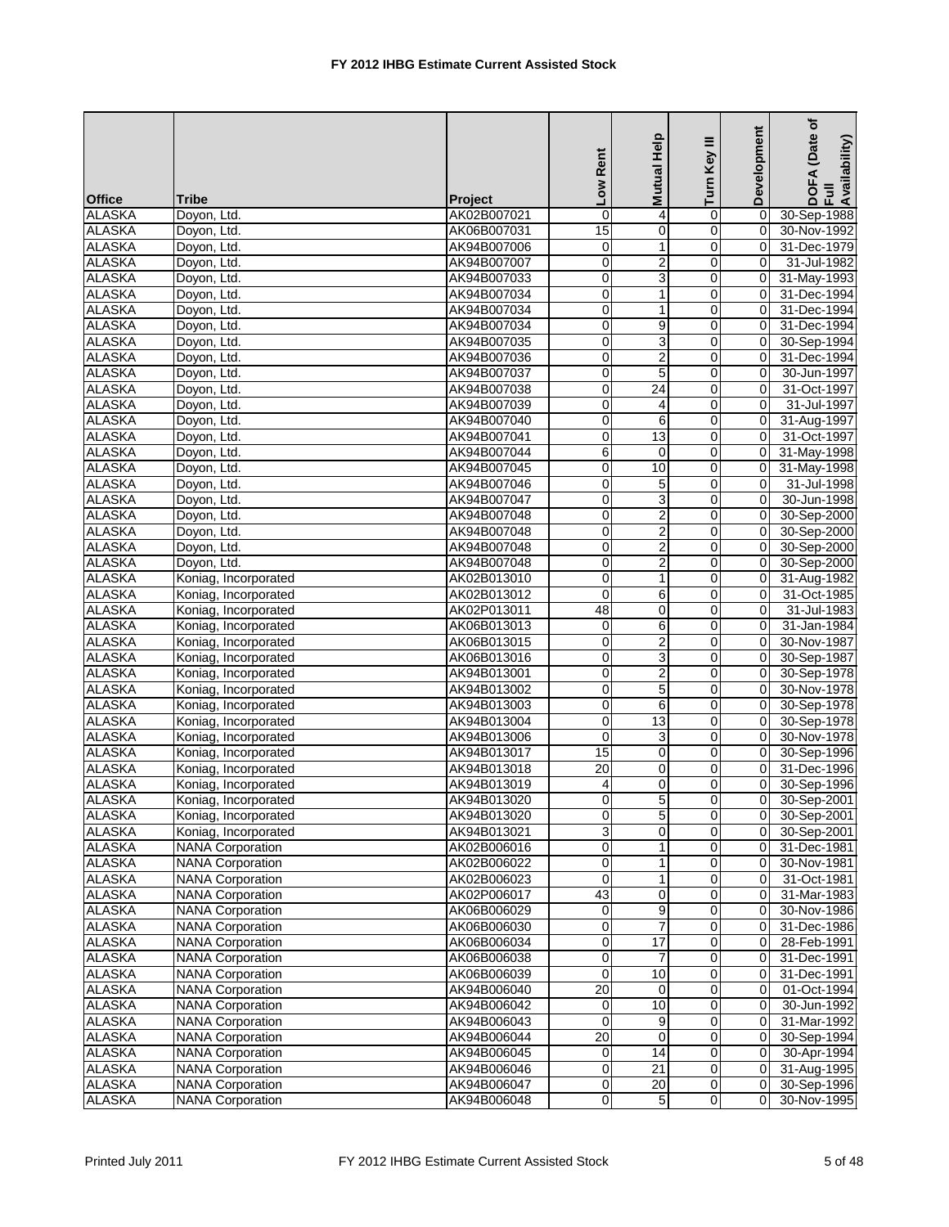|               |                         |                | Low Rent        | Mutual Help             | Turn Key III   | Development | (Date of<br>DOFA (Date<br>Full<br>Availability) |
|---------------|-------------------------|----------------|-----------------|-------------------------|----------------|-------------|-------------------------------------------------|
| <b>Office</b> | <b>Tribe</b>            | <b>Project</b> |                 |                         |                |             |                                                 |
| <b>ALASKA</b> | Doyon, Ltd.             | AK02B007021    | $\mathbf 0$     | 4                       | 0              | 0           | 30-Sep-1988                                     |
| <b>ALASKA</b> | Doyon, Ltd.             | AK06B007031    | $\overline{15}$ | $\mathbf 0$             | $\overline{0}$ | 0           | 30-Nov-1992                                     |
| <b>ALASKA</b> | Doyon, Ltd.             | AK94B007006    | $\mathbf 0$     | 1                       | 0              | 0           | 31-Dec-1979                                     |
| <b>ALASKA</b> | Doyon, Ltd.             | AK94B007007    | 0               | $\boldsymbol{2}$        | $\mathbf 0$    | 0           | 31-Jul-1982                                     |
| <b>ALASKA</b> | Doyon, Ltd.             | AK94B007033    | $\pmb{0}$       | 3                       | $\mathbf 0$    | $\mathbf 0$ | 31-May-1993                                     |
| <b>ALASKA</b> | Doyon, Ltd.             | AK94B007034    | $\mathbf 0$     | $\mathbf{1}$            | 0              | 0           | 31-Dec-1994                                     |
| <b>ALASKA</b> | Doyon, Ltd.             | AK94B007034    | $\mathbf 0$     | $\mathbf{1}$            | 0              | 0           | 31-Dec-1994                                     |
| <b>ALASKA</b> | Doyon, Ltd.             | AK94B007034    | $\mathbf 0$     | 9                       | 0              | $\mathbf 0$ | 31-Dec-1994                                     |
| <b>ALASKA</b> | Doyon, Ltd.             | AK94B007035    | 0               | 3                       | $\mathbf 0$    | 0           | 30-Sep-1994                                     |
| <b>ALASKA</b> | Doyon, Ltd.             | AK94B007036    | $\mathbf 0$     | $\overline{c}$          | $\mathbf 0$    | $\mathbf 0$ | 31-Dec-1994                                     |
| <b>ALASKA</b> | Doyon, Ltd.             | AK94B007037    | 0               | 5                       | 0              | 0           | 30-Jun-1997                                     |
| <b>ALASKA</b> | Doyon, Ltd.             | AK94B007038    | 0               | $\overline{24}$         | 0              | 0           | 31-Oct-1997                                     |
| <b>ALASKA</b> | Doyon, Ltd.             | AK94B007039    | $\mathbf 0$     | $\overline{4}$          | 0              | $\Omega$    | 31-Jul-1997                                     |
| <b>ALASKA</b> | Doyon, Ltd.             | AK94B007040    | 0               | 6                       | $\mathbf 0$    | 0           | 31-Aug-1997                                     |
| <b>ALASKA</b> | Doyon, Ltd.             | AK94B007041    | $\overline{0}$  | 13                      | $\mathbf 0$    | $\mathbf 0$ | 31-Oct-1997                                     |
| <b>ALASKA</b> | Doyon, Ltd.             | AK94B007044    | 6               | $\Omega$                | 0              | 0           | 31-May-1998                                     |
| <b>ALASKA</b> | Doyon, Ltd.             | AK94B007045    | $\overline{0}$  | 10                      | 0              | 0           | 31-May-1998                                     |
| <b>ALASKA</b> | Doyon, Ltd.             | AK94B007046    | $\mathbf 0$     | 5                       | 0              | $\mathbf 0$ | 31-Jul-1998                                     |
| <b>ALASKA</b> | Doyon, Ltd.             | AK94B007047    | 0               | 3                       | 0              | 0           | 30-Jun-1998                                     |
| <b>ALASKA</b> | Doyon, Ltd.             | AK94B007048    | 0               | $\overline{2}$          | $\overline{0}$ | $\Omega$    | 30-Sep-2000                                     |
| <b>ALASKA</b> | Doyon, Ltd.             | AK94B007048    | 0               | $\overline{2}$          | $\Omega$       | $\Omega$    | 30-Sep-2000                                     |
| <b>ALASKA</b> | Doyon, Ltd.             | AK94B007048    | 0               | $\overline{2}$          | $\mathbf 0$    | 0           | 30-Sep-2000                                     |
| <b>ALASKA</b> | Doyon, Ltd.             | AK94B007048    | $\mathbf 0$     | $\overline{c}$          | 0              | 0           | 30-Sep-2000                                     |
| <b>ALASKA</b> | Koniag, Incorporated    | AK02B013010    | 0               | $\mathbf{1}$            | $\mathbf 0$    | 0           | 31-Aug-1982                                     |
| <b>ALASKA</b> | Koniag, Incorporated    | AK02B013012    | $\mathbf 0$     | 6                       | $\mathbf 0$    | 0           | 31-Oct-1985                                     |
| <b>ALASKA</b> | Koniag, Incorporated    | AK02P013011    | 48              | $\mathbf 0$             | 0              | 0           | 31-Jul-1983                                     |
| <b>ALASKA</b> | Koniag, Incorporated    | AK06B013013    | 0               | 6                       | $\mathbf 0$    | $\Omega$    | 31-Jan-1984                                     |
| <b>ALASKA</b> | Koniag, Incorporated    | AK06B013015    | $\mathbf 0$     | $\overline{\mathbf{c}}$ | 0              | $\Omega$    | 30-Nov-1987                                     |
| <b>ALASKA</b> | Koniag, Incorporated    | AK06B013016    | 0               | $\overline{3}$          | 0              | 0           | 30-Sep-1987                                     |
| <b>ALASKA</b> | Koniag, Incorporated    | AK94B013001    | $\overline{0}$  | $\overline{2}$          | $\overline{0}$ | $\Omega$    | 30-Sep-1978                                     |
| <b>ALASKA</b> | Koniag, Incorporated    | AK94B013002    | 0               | 5                       | 0              | 0           | 30-Nov-1978                                     |
| <b>ALASKA</b> | Koniag, Incorporated    | AK94B013003    | $\pmb{0}$       | 6                       | $\mathbf 0$    | 0           | 30-Sep-1978                                     |
| <b>ALASKA</b> | Koniag, Incorporated    | AK94B013004    | $\mathbf 0$     | 13                      | 0              | 0           | 30-Sep-1978                                     |
| <b>ALASKA</b> | Koniag, Incorporated    | AK94B013006    | 0               | 3                       | 0              | 0           | 30-Nov-1978                                     |
| <b>ALASKA</b> | Koniag, Incorporated    | AK94B013017    | 15              | 0                       | 0              | 0           | 30-Sep-1996                                     |
| <b>ALASKA</b> | Koniag, Incorporated    | AK94B013018    | $\overline{20}$ | 0                       | $\pmb{0}$      | $\mathbf 0$ | 31-Dec-1996                                     |
| <b>ALASKA</b> | Koniag, Incorporated    | AK94B013019    | 4               | $\mathbf 0$             | $\mathbf 0$    | 0           | 30-Sep-1996                                     |
| <b>ALASKA</b> | Koniag, Incorporated    | AK94B013020    | $\Omega$        | 5 <sup>1</sup>          | $\Omega$       | $\Omega$    | 30-Sep-2001                                     |
| <b>ALASKA</b> | Koniag, Incorporated    | AK94B013020    | 0               | $\mathbf 5$             | $\overline{0}$ | 0           | 30-Sep-2001                                     |
| <b>ALASKA</b> | Koniag, Incorporated    | AK94B013021    | $\overline{3}$  | $\mathbf 0$             | $\mathbf 0$    | 0           | 30-Sep-2001                                     |
| <b>ALASKA</b> | <b>NANA Corporation</b> | AK02B006016    | $\overline{0}$  | 1                       | 0              | 0           | 31-Dec-1981                                     |
| <b>ALASKA</b> | <b>NANA Corporation</b> | AK02B006022    | $\overline{0}$  | 1                       | 0              | 0           | 30-Nov-1981                                     |
| <b>ALASKA</b> | <b>NANA Corporation</b> | AK02B006023    | $\mathbf 0$     | 1                       | 0              | 0           | 31-Oct-1981                                     |
| <b>ALASKA</b> | <b>NANA Corporation</b> | AK02P006017    | 43              | 0                       | 0              | 0           | 31-Mar-1983                                     |
| <b>ALASKA</b> | <b>NANA Corporation</b> | AK06B006029    | 0               | 9                       | 0              | 0           | 30-Nov-1986                                     |
| <b>ALASKA</b> | <b>NANA Corporation</b> | AK06B006030    | $\overline{0}$  | $\overline{7}$          | $\overline{0}$ | 0           | 31-Dec-1986                                     |
| <b>ALASKA</b> | <b>NANA Corporation</b> | AK06B006034    | 0               | $\overline{17}$         | 0              | 0           | 28-Feb-1991                                     |
| <b>ALASKA</b> | <b>NANA Corporation</b> | AK06B006038    | 0               | $\overline{7}$          | 0              | 0           | 31-Dec-1991                                     |
| <b>ALASKA</b> | <b>NANA Corporation</b> | AK06B006039    | $\pmb{0}$       | 10                      | 0              | 0           | 31-Dec-1991                                     |
| <b>ALASKA</b> | <b>NANA Corporation</b> | AK94B006040    | $\overline{20}$ | $\mathbf 0$             | $\mathbf 0$    | 0           | 01-Oct-1994                                     |
| <b>ALASKA</b> | <b>NANA Corporation</b> | AK94B006042    | 0               | 10                      | 0              | 0           | 30-Jun-1992                                     |
| <b>ALASKA</b> | <b>NANA Corporation</b> | AK94B006043    | $\pmb{0}$       | 9                       | 0              | 0           | 31-Mar-1992                                     |
| <b>ALASKA</b> | <b>NANA Corporation</b> | AK94B006044    | 20              | $\mathbf 0$             | 0              | $\mathbf 0$ | 30-Sep-1994                                     |
| <b>ALASKA</b> | <b>NANA Corporation</b> | AK94B006045    | 0               | 14                      | $\mathbf 0$    | 0           | 30-Apr-1994                                     |
| <b>ALASKA</b> | <b>NANA Corporation</b> | AK94B006046    | $\pmb{0}$       | 21                      | $\overline{0}$ | 0           | 31-Aug-1995                                     |
| <b>ALASKA</b> | <b>NANA Corporation</b> | AK94B006047    | 0               | $\overline{20}$         | $\pmb{0}$      | 0           | 30-Sep-1996                                     |
| <b>ALASKA</b> | <b>NANA Corporation</b> | AK94B006048    | $\overline{0}$  | 5                       | $\mathbf 0$    | 0           | 30-Nov-1995                                     |
|               |                         |                |                 |                         |                |             |                                                 |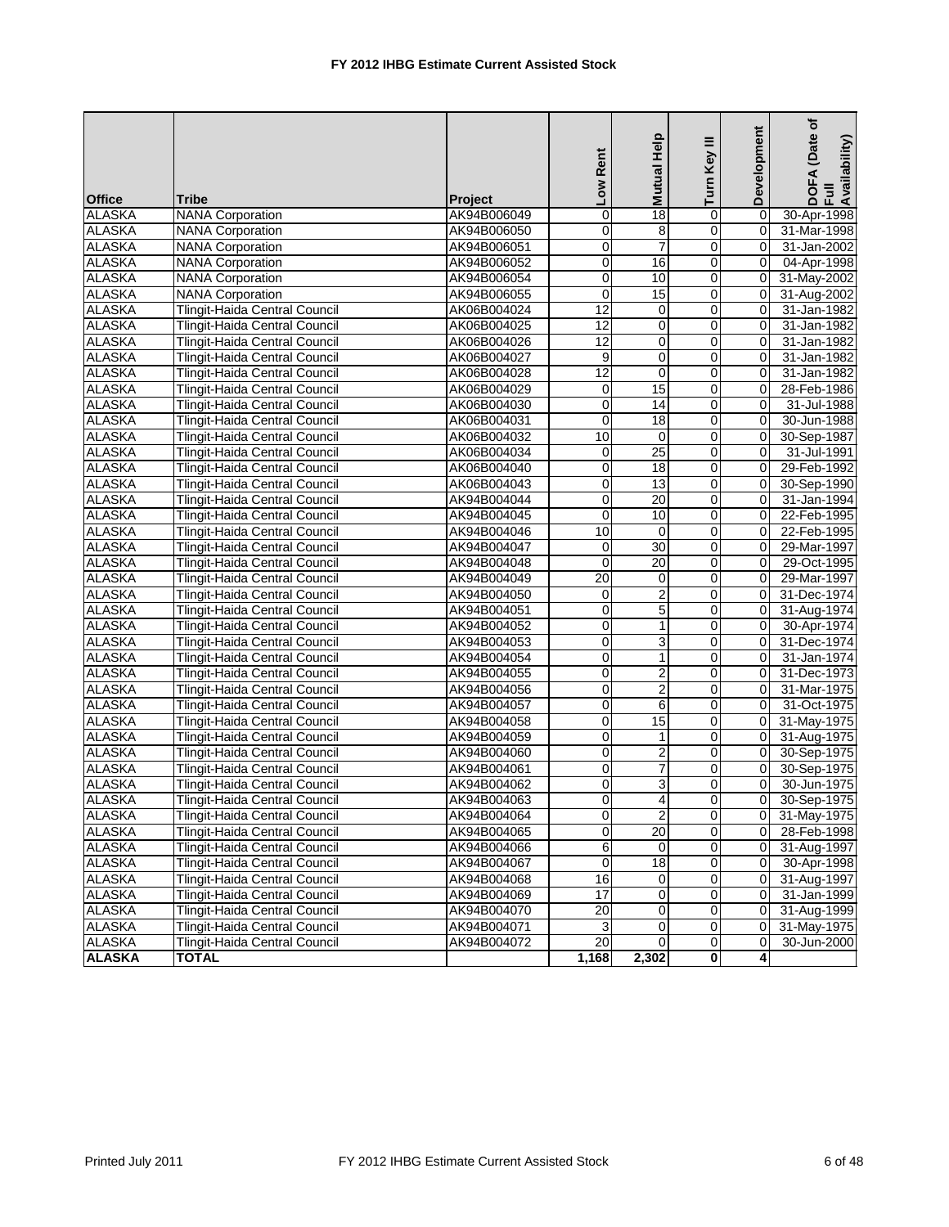| <b>Office</b> | <b>Tribe</b>                         | Project     | Low Rent        | Mutual Help             | Turn Key III        | Development    | (Date of<br>DOFA (Date<br>Full<br>Availability) |
|---------------|--------------------------------------|-------------|-----------------|-------------------------|---------------------|----------------|-------------------------------------------------|
| <b>ALASKA</b> | <b>NANA Corporation</b>              | AK94B006049 | 0               | 18                      | $\mathbf 0$         | $\mathbf 0$    | 30-Apr-1998                                     |
| <b>ALASKA</b> | <b>NANA Corporation</b>              | AK94B006050 | 0               | 8                       | $\overline{0}$      | $\overline{0}$ | 31-Mar-1998                                     |
| <b>ALASKA</b> | <b>NANA Corporation</b>              | AK94B006051 | $\mathbf 0$     | $\overline{7}$          | $\mathbf 0$         | 0              | 31-Jan-2002                                     |
| <b>ALASKA</b> | <b>NANA Corporation</b>              | AK94B006052 | 0               | 16                      | $\overline{0}$      | $\Omega$       | 04-Apr-1998                                     |
| <b>ALASKA</b> | <b>NANA Corporation</b>              | AK94B006054 | $\mathbf 0$     | 10                      | $\overline{0}$      | $\mathbf 0$    | 31-May-2002                                     |
| <b>ALASKA</b> | <b>NANA Corporation</b>              | AK94B006055 | $\mathbf 0$     | 15                      | $\mathsf{O}\xspace$ | $\mathbf 0$    | 31-Aug-2002                                     |
| <b>ALASKA</b> | Tlingit-Haida Central Council        | AK06B004024 | $\overline{12}$ | Ō                       | $\circ$             | $\Omega$       | 31-Jan-1982                                     |
| <b>ALASKA</b> | Tlingit-Haida Central Council        | AK06B004025 | 12              | $\mathbf 0$             | $\overline{0}$      | $\Omega$       | 31-Jan-1982                                     |
| <b>ALASKA</b> | Tlingit-Haida Central Council        | AK06B004026 | 12              | $\pmb{0}$               | $\mathbf 0$         | $\mathbf 0$    | 31-Jan-1982                                     |
| <b>ALASKA</b> | Tlingit-Haida Central Council        | AK06B004027 | 9               | $\mathbf 0$             | $\mathbf 0$         | 0              | 31-Jan-1982                                     |
| <b>ALASKA</b> | Tlingit-Haida Central Council        | AK06B004028 | $\overline{12}$ | $\mathbf{0}$            | $\mathbf 0$         | $\mathbf 0$    | 31-Jan-1982                                     |
| <b>ALASKA</b> | Tlingit-Haida Central Council        | AK06B004029 | $\overline{0}$  | 15                      | $\mathbf 0$         | $\mathbf 0$    | 28-Feb-1986                                     |
| <b>ALASKA</b> | Tlingit-Haida Central Council        | AK06B004030 | $\mathbf 0$     | 14                      | $\mathbf 0$         | $\Omega$       | 31-Jul-1988                                     |
| <b>ALASKA</b> | Tlingit-Haida Central Council        | AK06B004031 | 0               | 18                      | $\mathbf 0$         | $\Omega$       | 30-Jun-1988                                     |
| <b>ALASKA</b> | Tlingit-Haida Central Council        | AK06B004032 | 10              | 0                       | $\mathbf 0$         | 0              | 30-Sep-1987                                     |
| <b>ALASKA</b> | Tlingit-Haida Central Council        | AK06B004034 | $\pmb{0}$       | $\overline{25}$         | $\mathsf{O}\xspace$ | $\mathbf 0$    | 31-Jul-1991                                     |
| <b>ALASKA</b> | Tlingit-Haida Central Council        | AK06B004040 | 0               | 18                      | $\circ$             | $\Omega$       | 29-Feb-1992                                     |
| <b>ALASKA</b> | <b>Tlingit-Haida Central Council</b> | AK06B004043 | 0               | 13                      | $\mathbf 0$         | $\Omega$       | 30-Sep-1990                                     |
| <b>ALASKA</b> | Tlingit-Haida Central Council        | AK94B004044 | 0               | $\overline{20}$         | $\mathbf 0$         | 0              | 31-Jan-1994                                     |
| <b>ALASKA</b> | Tlingit-Haida Central Council        | AK94B004045 | $\mathbf 0$     | 10                      | $\mathbf 0$         | 0              | 22-Feb-1995                                     |
| <b>ALASKA</b> | Tlingit-Haida Central Council        | AK94B004046 | 10              | $\mathbf{0}$            | $\mathbf 0$         | $\mathbf 0$    | 22-Feb-1995                                     |
| <b>ALASKA</b> | Tlingit-Haida Central Council        | AK94B004047 | $\overline{0}$  | 30                      | $\mathbf 0$         | $\mathbf 0$    | 29-Mar-1997                                     |
| <b>ALASKA</b> | Tlingit-Haida Central Council        | AK94B004048 | $\mathbf 0$     | 20                      | $\mathbf 0$         | $\Omega$       | 29-Oct-1995                                     |
| <b>ALASKA</b> | Tlingit-Haida Central Council        | AK94B004049 | 20              | $\overline{0}$          | $\mathbf 0$         | $\Omega$       | 29-Mar-1997                                     |
| <b>ALASKA</b> | Tlingit-Haida Central Council        | AK94B004050 | 0               | $\overline{\mathbf{c}}$ | $\overline{0}$      | 0              | 31-Dec-1974                                     |
| <b>ALASKA</b> | Tlingit-Haida Central Council        | AK94B004051 | $\mathbf 0$     | $\overline{5}$          | $\mathsf{O}\xspace$ | $\mathbf 0$    | 31-Aug-1974                                     |
| <b>ALASKA</b> | Tlingit-Haida Central Council        | AK94B004052 | $\mathbf 0$     | $\mathbf{1}$            | $\overline{0}$      | $\Omega$       | 30-Apr-1974                                     |
| <b>ALASKA</b> | Tlingit-Haida Central Council        | AK94B004053 | 0               | 3                       | $\overline{0}$      | $\Omega$       | 31-Dec-1974                                     |
| <b>ALASKA</b> | Tlingit-Haida Central Council        | AK94B004054 | 0               | $\mathbf{1}$            | $\mathbf 0$         | 0              | 31-Jan-1974                                     |
| <b>ALASKA</b> | Tlingit-Haida Central Council        | AK94B004055 | 0               | $\boldsymbol{2}$        | $\mathbf 0$         | 0              | 31-Dec-1973                                     |
| <b>ALASKA</b> | Tlingit-Haida Central Council        | AK94B004056 | 0               | $\overline{2}$          | $\overline{0}$      | 0              | 31-Mar-1975                                     |
| <b>ALASKA</b> | Tlingit-Haida Central Council        | AK94B004057 | $\pmb{0}$       | 6                       | $\overline{0}$      | $\mathbf 0$    | 31-Oct-1975                                     |
| <b>ALASKA</b> | Tlingit-Haida Central Council        | AK94B004058 | 0               | 15                      | $\Omega$            | 0              | 31-May-1975                                     |
| <b>ALASKA</b> | Tlingit-Haida Central Council        | AK94B004059 | 0               | $\mathbf{1}$            | $\Omega$            | $\Omega$       | 31-Aug-1975                                     |
| <b>ALASKA</b> | <b>Tlingit-Haida Central Council</b> | AK94B004060 | 0               | $\overline{c}$          | $\mathbf 0$         | $\mathbf 0$    | 30-Sep-1975                                     |
| <b>ALASKA</b> | Tlingit-Haida Central Council        | AK94B004061 | 0               | $\overline{7}$          | $\mathbf 0$         | 0              | 30-Sep-1975                                     |
| <b>ALASKA</b> | Tlingit-Haida Central Council        | AK94B004062 | 0               | 3                       | $\mathbf 0$         | $\Omega$       | 30-Jun-1975                                     |
| <b>ALASKA</b> | Tlingit-Haida Central Council        | AK94B004063 | $\Omega$        | $\overline{4}$          | $\Omega$            | $\Omega$       | 30-Sep-1975                                     |
| <b>ALASKA</b> | Tlingit-Haida Central Council        | AK94B004064 | $\overline{0}$  | $\overline{2}$          | $\overline{0}$      | $\overline{0}$ | 31-May-1975                                     |
| <b>ALASKA</b> | Tlingit-Haida Central Council        | AK94B004065 | $\overline{0}$  | $\overline{20}$         | $\overline{0}$      | 0              | 28-Feb-1998                                     |
| <b>ALASKA</b> | <b>Tlingit-Haida Central Council</b> | AK94B004066 | 6               | 0                       | $\overline{0}$      | 0              | 31-Aug-1997                                     |
| <b>ALASKA</b> | Tlingit-Haida Central Council        | AK94B004067 | $\overline{0}$  | $\overline{18}$         | $\overline{0}$      | 0              | 30-Apr-1998                                     |
| <b>ALASKA</b> | <b>Tlingit-Haida Central Council</b> | AK94B004068 | 16              | 0                       | $\mathbf 0$         | 0              | 31-Aug-1997                                     |
| <b>ALASKA</b> | Tlingit-Haida Central Council        | AK94B004069 | $\overline{17}$ | $\mathbf 0$             | $\mathbf 0$         | $\mathbf 0$    | 31-Jan-1999                                     |
| <b>ALASKA</b> | <b>Tlingit-Haida Central Council</b> | AK94B004070 | $\overline{20}$ | 0                       | $\overline{0}$      | 0              | 31-Aug-1999                                     |
| <b>ALASKA</b> | Tlingit-Haida Central Council        | AK94B004071 | $\overline{3}$  | 0                       | $\pmb{0}$           | 0              | 31-May-1975                                     |
| <b>ALASKA</b> | Tlingit-Haida Central Council        | AK94B004072 | $\overline{20}$ | $\overline{0}$          | $\overline{0}$      | 0              | 30-Jun-2000                                     |
| <b>ALASKA</b> | <b>TOTAL</b>                         |             | 1,168           | 2,302                   | 0                   | 4              |                                                 |
|               |                                      |             |                 |                         |                     |                |                                                 |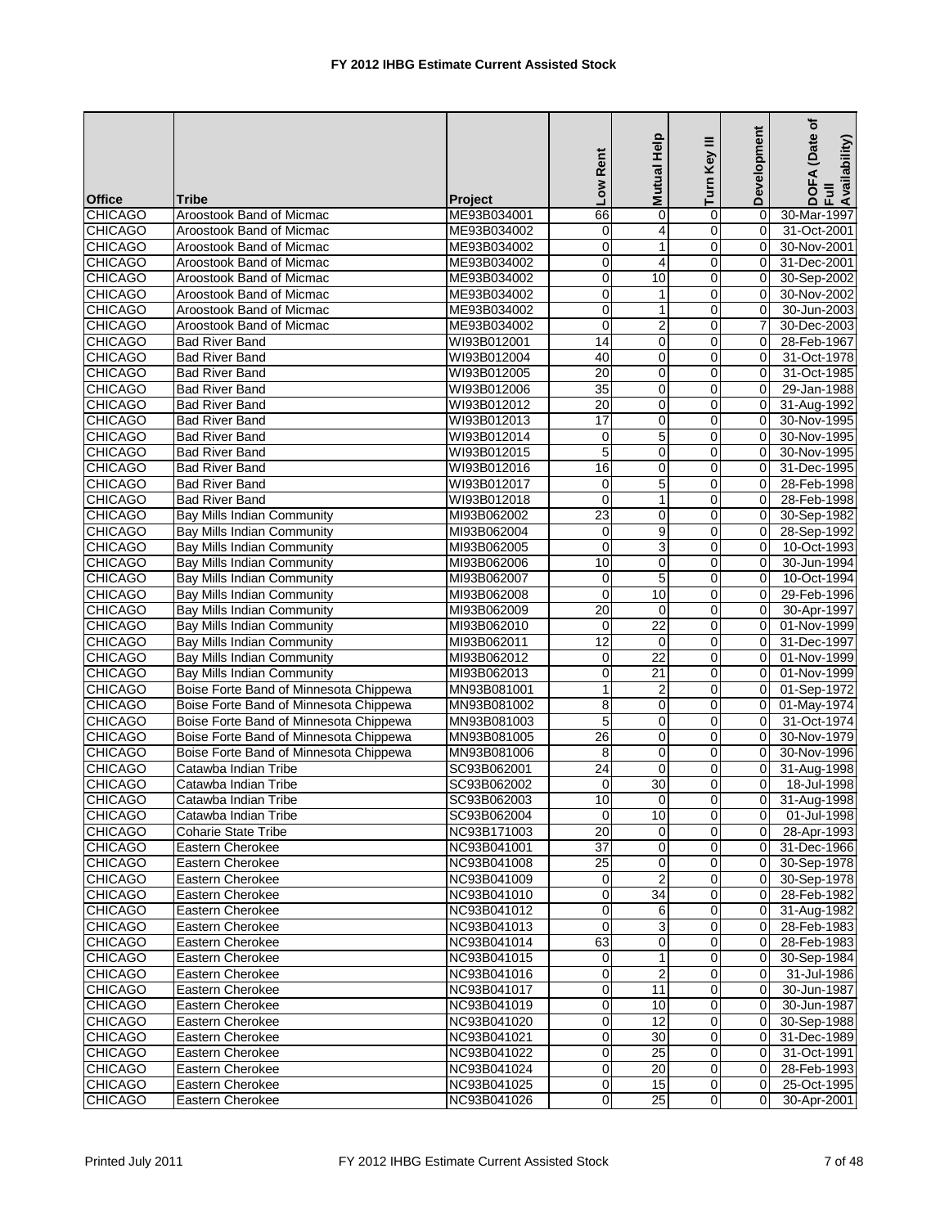| <b>CHICAGO</b><br>ME93B034001<br>66<br>Aroostook Band of Micmac<br>$\mathbf 0$<br>0<br>$\mathbf 0$<br>30-Mar-1997<br><b>CHICAGO</b><br>Aroostook Band of Micmac<br>ME93B034002<br>0<br>4<br>$\mathbf 0$<br>31-Oct-2001<br>0<br><b>CHICAGO</b><br>$\mathbf 0$<br>30-Nov-2001<br>Aroostook Band of Micmac<br>ME93B034002<br>1<br>0<br>0<br><b>CHICAGO</b><br>0<br>4<br>$\mathbf 0$<br>31-Dec-2001<br>Aroostook Band of Micmac<br>ME93B034002<br>$\Omega$<br><b>CHICAGO</b><br>0<br>10<br>30-Sep-2002<br>Aroostook Band of Micmac<br>ME93B034002<br>$\overline{0}$<br>0<br>$\mathbf 0$<br><b>CHICAGO</b><br>$\mathbf{1}$<br>0<br>30-Nov-2002<br>Aroostook Band of Micmac<br>ME93B034002<br>$\mathbf 0$<br><b>CHICAGO</b><br>0<br>30-Jun-2003<br>Aroostook Band of Micmac<br>ME93B034002<br>$\mathbf 0$<br>$\mathbf{1}$<br>$\Omega$<br><b>CHICAGO</b><br>Aroostook Band of Micmac<br>30-Dec-2003<br>ME93B034002<br>$\mathbf 0$<br>2<br>0<br>7<br>14<br>0<br>$\mathbf 0$<br><b>CHICAGO</b><br><b>Bad River Band</b><br>WI93B012001<br>0<br>28-Feb-1967<br><b>CHICAGO</b><br>40<br>$\mathbf 0$<br><b>Bad River Band</b><br>WI93B012004<br>0<br>31-Oct-1978<br>0<br><b>CHICAGO</b><br>20<br>0<br><b>Bad River Band</b><br>WI93B012005<br>0<br>$\Omega$<br>31-Oct-1985<br>$\overline{35}$<br>0<br>0<br>29-Jan-1988<br><b>CHICAGO</b><br><b>Bad River Band</b><br>WI93B012006<br>0<br><b>CHICAGO</b><br>20<br><b>Bad River Band</b><br>WI93B012012<br>0<br>0<br>31-Aug-1992<br>0<br><b>CHICAGO</b><br>17<br>0<br>0<br><b>Bad River Band</b><br>WI93B012013<br>$\Omega$<br>30-Nov-1995<br>5<br>CHICAGO<br><b>Bad River Band</b><br>30-Nov-1995<br>WI93B012014<br>0<br>0<br>0<br>$\overline{5}$<br>$\pmb{0}$<br><b>CHICAGO</b><br>0<br>30-Nov-1995<br><b>Bad River Band</b><br>WI93B012015<br>$\Omega$<br><b>CHICAGO</b><br>16<br>0<br>$\mathbf 0$<br>31-Dec-1995<br><b>Bad River Band</b><br>WI93B012016<br>$\Omega$<br>5<br>28-Feb-1998<br><b>CHICAGO</b><br><b>Bad River Band</b><br>WI93B012017<br>0<br>0<br>$\Omega$<br>0<br>$\mathbf{1}$<br>$\mathbf 0$<br><b>CHICAGO</b><br><b>Bad River Band</b><br>WI93B012018<br>0<br>28-Feb-1998<br><b>CHICAGO</b><br>23<br>$\mathbf 0$<br><b>Bay Mills Indian Community</b><br>0<br>30-Sep-1982<br>MI93B062002<br>0<br>9<br><b>CHICAGO</b><br>Bay Mills Indian Community<br>MI93B062004<br>0<br>0<br>$\mathbf 0$<br>28-Sep-1992<br>$\overline{3}$<br>0<br><b>CHICAGO</b><br><b>Bay Mills Indian Community</b><br>MI93B062005<br>0<br>$\mathbf 0$<br>10-Oct-1993<br><b>CHICAGO</b><br><b>Bay Mills Indian Community</b><br>MI93B062006<br>10<br>0<br>0<br>$\Omega$<br>30-Jun-1994<br><b>CHICAGO</b><br>5<br><b>Bay Mills Indian Community</b><br>$\mathbf 0$<br>10-Oct-1994<br>MI93B062007<br>0<br>$\Omega$<br>10<br>29-Feb-1996<br><b>CHICAGO</b><br>Bay Mills Indian Community<br>MI93B062008<br>0<br>$\overline{0}$<br>0<br>$\overline{20}$<br><b>CHICAGO</b><br>0<br>0<br>30-Apr-1997<br>Bay Mills Indian Community<br>MI93B062009<br>$\mathbf 0$<br>$\overline{22}$<br><b>CHICAGO</b><br><b>Bay Mills Indian Community</b><br>$\overline{0}$<br>MI93B062010<br>$\mathbf 0$<br>$\Omega$<br>01-Nov-1999<br><b>Bay Mills Indian Community</b><br>12<br>31-Dec-1997<br>MI93B062011<br>0<br>$\Omega$<br>0<br>$\overline{22}$<br>0<br>$\mathbf 0$<br><b>CHICAGO</b><br>Bay Mills Indian Community<br>MI93B062012<br>0<br>01-Nov-1999<br><b>CHICAGO</b><br>$\mathbf 0$<br>21<br>0<br>01-Nov-1999<br>Bay Mills Indian Community<br>MI93B062013<br>0<br>Boise Forte Band of Minnesota Chippewa<br>1<br>2<br>0<br>$\overline{0}$<br>01-Sep-1972<br>MN93B081001<br>8<br><b>CHICAGO</b><br>0<br>Boise Forte Band of Minnesota Chippewa<br>MN93B081002<br>0<br>0<br>01-May-1974<br>5<br><b>CHICAGO</b><br>Boise Forte Band of Minnesota Chippewa<br>MN93B081003<br>$\mathbf 0$<br>0<br>31-Oct-1974<br>0<br><b>CHICAGO</b><br>26<br>0<br>0<br>Boise Forte Band of Minnesota Chippewa<br>MN93B081005<br>$\Omega$<br>30-Nov-1979<br>Boise Forte Band of Minnesota Chippewa<br>0<br>0<br>0<br>30-Nov-1996<br>MN93B081006<br>8<br><b>CHICAGO</b><br>24<br>$\mathbf 0$<br>0<br>SC93B062001<br>0<br>31-Aug-1998<br>Catawba Indian Tribe<br><b>CHICAGO</b><br>30<br>0<br>Catawba Indian Tribe<br>SC93B062002<br>0<br>$\Omega$<br>18-Jul-1998<br>10<br>$\Omega$<br>$\Omega$<br>SC93B062003<br>$\Omega$<br>31-Aug-1998<br>Catawba Indian Tribe<br>$\mathbf 0$<br>$\overline{0}$<br>SC93B062004<br>10<br>01-Jul-1998<br>Catawba Indian Tribe<br>$\overline{0}$<br>$\overline{20}$<br>NC93B171003<br>$\Omega$<br><b>Coharie State Tribe</b><br>$\Omega$<br>$\overline{0}$<br>28-Apr-1993<br>$\overline{37}$<br>Eastern Cherokee<br>NC93B041001<br>0<br>$\overline{0}$<br>31-Dec-1966<br>0<br>$\overline{25}$<br>$\mathbf 0$<br>Eastern Cherokee<br>NC93B041008<br>0<br>30-Sep-1978<br>0<br>$\overline{2}$<br><b>CHICAGO</b><br>Eastern Cherokee<br>NC93B041009<br>0<br>$\overline{0}$<br>30-Sep-1978<br>0<br>$\overline{34}$<br>$\overline{0}$<br>Eastern Cherokee<br>NC93B041010<br>0<br>28-Feb-1982<br>0<br>0<br>Eastern Cherokee<br>NC93B041012<br>$\overline{0}$<br>0<br>31-Aug-1982<br>6<br>0<br>3<br>$\mathbf 0$<br><b>CHICAGO</b><br>Eastern Cherokee<br>NC93B041013<br>0<br>28-Feb-1983<br><b>CHICAGO</b><br>NC93B041014<br>63<br>0<br>$\mathbf 0$<br>Eastern Cherokee<br>28-Feb-1983<br>0<br><b>CHICAGO</b><br>Eastern Cherokee<br>NC93B041015<br>$\overline{0}$<br>30-Sep-1984<br>0<br>1<br>0<br>0<br>$\overline{\mathbf{c}}$<br><b>CHICAGO</b><br>$\overline{0}$<br>Eastern Cherokee<br>NC93B041016<br>0<br>31-Jul-1986<br>0<br>11<br><b>CHICAGO</b><br>NC93B041017<br>$\Omega$<br>Eastern Cherokee<br>$\overline{0}$<br>30-Jun-1987<br><b>CHICAGO</b><br>NC93B041019<br>Eastern Cherokee<br>0<br>10<br>$\overline{0}$<br>30-Jun-1987<br>0<br>NC93B041020<br>$\overline{0}$<br>12<br><b>CHICAGO</b><br>Eastern Cherokee<br>$\overline{0}$<br>30-Sep-1988<br>0<br>0<br><b>CHICAGO</b><br>Eastern Cherokee<br>NC93B041021<br>30<br>0<br>0<br>31-Dec-1989<br><b>CHICAGO</b><br>0<br>$\overline{0}$<br>Eastern Cherokee<br>NC93B041022<br>25<br>31-Oct-1991<br>0<br><b>CHICAGO</b><br>0<br>Eastern Cherokee<br>NC93B041024<br>20<br>$\overline{0}$<br>0<br>28-Feb-1993<br>0<br>15<br><b>CHICAGO</b><br>NC93B041025<br>$\overline{0}$<br>0<br>Eastern Cherokee<br>25-Oct-1995<br>25<br>$\overline{0}$<br><b>CHICAGO</b><br>Eastern Cherokee<br>NC93B041026<br>$\mathbf 0$<br>$\Omega$<br>30-Apr-2001 | <b>Office</b>  | <b>Tribe</b> |                | Low Rent | Help<br><b>Mutual</b> | ≣<br>Turn Key | Development | ৳<br>(Date<br>DOFA (Date<br>Full<br>Availability) |
|------------------------------------------------------------------------------------------------------------------------------------------------------------------------------------------------------------------------------------------------------------------------------------------------------------------------------------------------------------------------------------------------------------------------------------------------------------------------------------------------------------------------------------------------------------------------------------------------------------------------------------------------------------------------------------------------------------------------------------------------------------------------------------------------------------------------------------------------------------------------------------------------------------------------------------------------------------------------------------------------------------------------------------------------------------------------------------------------------------------------------------------------------------------------------------------------------------------------------------------------------------------------------------------------------------------------------------------------------------------------------------------------------------------------------------------------------------------------------------------------------------------------------------------------------------------------------------------------------------------------------------------------------------------------------------------------------------------------------------------------------------------------------------------------------------------------------------------------------------------------------------------------------------------------------------------------------------------------------------------------------------------------------------------------------------------------------------------------------------------------------------------------------------------------------------------------------------------------------------------------------------------------------------------------------------------------------------------------------------------------------------------------------------------------------------------------------------------------------------------------------------------------------------------------------------------------------------------------------------------------------------------------------------------------------------------------------------------------------------------------------------------------------------------------------------------------------------------------------------------------------------------------------------------------------------------------------------------------------------------------------------------------------------------------------------------------------------------------------------------------------------------------------------------------------------------------------------------------------------------------------------------------------------------------------------------------------------------------------------------------------------------------------------------------------------------------------------------------------------------------------------------------------------------------------------------------------------------------------------------------------------------------------------------------------------------------------------------------------------------------------------------------------------------------------------------------------------------------------------------------------------------------------------------------------------------------------------------------------------------------------------------------------------------------------------------------------------------------------------------------------------------------------------------------------------------------------------------------------------------------------------------------------------------------------------------------------------------------------------------------------------------------------------------------------------------------------------------------------------------------------------------------------------------------------------------------------------------------------------------------------------------------------------------------------------------------------------------------------------------------------------------------------------------------------------------------------------------------------------------------------------------------------------------------------------------------------------------------------------------------------------------------------------------------------------------------------------------------------------------------------------------------------------------------------------------------------------------------------------------------------------------------------------------------------------------------------------------------------------------------------------------------------------------------------------------------------------------------------------------------------------------------------------------------------------------------------------------------------------------------------------------------------------------------------------------------------------------------------------------------------------------------------------------------------------------------------------------------------------------------------------------------------------------------------------------------------------------------------------------------------------------------------------------------------------------------------------------------------------------------------------------------------------------------------------------------------------------------------------------------------------------------------------------------------------------------------------------------------------------------------------------------------------------------|----------------|--------------|----------------|----------|-----------------------|---------------|-------------|---------------------------------------------------|
|                                                                                                                                                                                                                                                                                                                                                                                                                                                                                                                                                                                                                                                                                                                                                                                                                                                                                                                                                                                                                                                                                                                                                                                                                                                                                                                                                                                                                                                                                                                                                                                                                                                                                                                                                                                                                                                                                                                                                                                                                                                                                                                                                                                                                                                                                                                                                                                                                                                                                                                                                                                                                                                                                                                                                                                                                                                                                                                                                                                                                                                                                                                                                                                                                                                                                                                                                                                                                                                                                                                                                                                                                                                                                                                                                                                                                                                                                                                                                                                                                                                                                                                                                                                                                                                                                                                                                                                                                                                                                                                                                                                                                                                                                                                                                                                                                                                                                                                                                                                                                                                                                                                                                                                                                                                                                                                                                                                                                                                                                                                                                                                                                                                                                                                                                                                                                                                                                                                                                                                                                                                                                                                                                                                                                                                                                                                                                                                                                        |                |              | <b>Project</b> |          |                       |               |             |                                                   |
|                                                                                                                                                                                                                                                                                                                                                                                                                                                                                                                                                                                                                                                                                                                                                                                                                                                                                                                                                                                                                                                                                                                                                                                                                                                                                                                                                                                                                                                                                                                                                                                                                                                                                                                                                                                                                                                                                                                                                                                                                                                                                                                                                                                                                                                                                                                                                                                                                                                                                                                                                                                                                                                                                                                                                                                                                                                                                                                                                                                                                                                                                                                                                                                                                                                                                                                                                                                                                                                                                                                                                                                                                                                                                                                                                                                                                                                                                                                                                                                                                                                                                                                                                                                                                                                                                                                                                                                                                                                                                                                                                                                                                                                                                                                                                                                                                                                                                                                                                                                                                                                                                                                                                                                                                                                                                                                                                                                                                                                                                                                                                                                                                                                                                                                                                                                                                                                                                                                                                                                                                                                                                                                                                                                                                                                                                                                                                                                                                        |                |              |                |          |                       |               |             |                                                   |
|                                                                                                                                                                                                                                                                                                                                                                                                                                                                                                                                                                                                                                                                                                                                                                                                                                                                                                                                                                                                                                                                                                                                                                                                                                                                                                                                                                                                                                                                                                                                                                                                                                                                                                                                                                                                                                                                                                                                                                                                                                                                                                                                                                                                                                                                                                                                                                                                                                                                                                                                                                                                                                                                                                                                                                                                                                                                                                                                                                                                                                                                                                                                                                                                                                                                                                                                                                                                                                                                                                                                                                                                                                                                                                                                                                                                                                                                                                                                                                                                                                                                                                                                                                                                                                                                                                                                                                                                                                                                                                                                                                                                                                                                                                                                                                                                                                                                                                                                                                                                                                                                                                                                                                                                                                                                                                                                                                                                                                                                                                                                                                                                                                                                                                                                                                                                                                                                                                                                                                                                                                                                                                                                                                                                                                                                                                                                                                                                                        |                |              |                |          |                       |               |             |                                                   |
|                                                                                                                                                                                                                                                                                                                                                                                                                                                                                                                                                                                                                                                                                                                                                                                                                                                                                                                                                                                                                                                                                                                                                                                                                                                                                                                                                                                                                                                                                                                                                                                                                                                                                                                                                                                                                                                                                                                                                                                                                                                                                                                                                                                                                                                                                                                                                                                                                                                                                                                                                                                                                                                                                                                                                                                                                                                                                                                                                                                                                                                                                                                                                                                                                                                                                                                                                                                                                                                                                                                                                                                                                                                                                                                                                                                                                                                                                                                                                                                                                                                                                                                                                                                                                                                                                                                                                                                                                                                                                                                                                                                                                                                                                                                                                                                                                                                                                                                                                                                                                                                                                                                                                                                                                                                                                                                                                                                                                                                                                                                                                                                                                                                                                                                                                                                                                                                                                                                                                                                                                                                                                                                                                                                                                                                                                                                                                                                                                        |                |              |                |          |                       |               |             |                                                   |
|                                                                                                                                                                                                                                                                                                                                                                                                                                                                                                                                                                                                                                                                                                                                                                                                                                                                                                                                                                                                                                                                                                                                                                                                                                                                                                                                                                                                                                                                                                                                                                                                                                                                                                                                                                                                                                                                                                                                                                                                                                                                                                                                                                                                                                                                                                                                                                                                                                                                                                                                                                                                                                                                                                                                                                                                                                                                                                                                                                                                                                                                                                                                                                                                                                                                                                                                                                                                                                                                                                                                                                                                                                                                                                                                                                                                                                                                                                                                                                                                                                                                                                                                                                                                                                                                                                                                                                                                                                                                                                                                                                                                                                                                                                                                                                                                                                                                                                                                                                                                                                                                                                                                                                                                                                                                                                                                                                                                                                                                                                                                                                                                                                                                                                                                                                                                                                                                                                                                                                                                                                                                                                                                                                                                                                                                                                                                                                                                                        |                |              |                |          |                       |               |             |                                                   |
|                                                                                                                                                                                                                                                                                                                                                                                                                                                                                                                                                                                                                                                                                                                                                                                                                                                                                                                                                                                                                                                                                                                                                                                                                                                                                                                                                                                                                                                                                                                                                                                                                                                                                                                                                                                                                                                                                                                                                                                                                                                                                                                                                                                                                                                                                                                                                                                                                                                                                                                                                                                                                                                                                                                                                                                                                                                                                                                                                                                                                                                                                                                                                                                                                                                                                                                                                                                                                                                                                                                                                                                                                                                                                                                                                                                                                                                                                                                                                                                                                                                                                                                                                                                                                                                                                                                                                                                                                                                                                                                                                                                                                                                                                                                                                                                                                                                                                                                                                                                                                                                                                                                                                                                                                                                                                                                                                                                                                                                                                                                                                                                                                                                                                                                                                                                                                                                                                                                                                                                                                                                                                                                                                                                                                                                                                                                                                                                                                        |                |              |                |          |                       |               |             |                                                   |
|                                                                                                                                                                                                                                                                                                                                                                                                                                                                                                                                                                                                                                                                                                                                                                                                                                                                                                                                                                                                                                                                                                                                                                                                                                                                                                                                                                                                                                                                                                                                                                                                                                                                                                                                                                                                                                                                                                                                                                                                                                                                                                                                                                                                                                                                                                                                                                                                                                                                                                                                                                                                                                                                                                                                                                                                                                                                                                                                                                                                                                                                                                                                                                                                                                                                                                                                                                                                                                                                                                                                                                                                                                                                                                                                                                                                                                                                                                                                                                                                                                                                                                                                                                                                                                                                                                                                                                                                                                                                                                                                                                                                                                                                                                                                                                                                                                                                                                                                                                                                                                                                                                                                                                                                                                                                                                                                                                                                                                                                                                                                                                                                                                                                                                                                                                                                                                                                                                                                                                                                                                                                                                                                                                                                                                                                                                                                                                                                                        |                |              |                |          |                       |               |             |                                                   |
|                                                                                                                                                                                                                                                                                                                                                                                                                                                                                                                                                                                                                                                                                                                                                                                                                                                                                                                                                                                                                                                                                                                                                                                                                                                                                                                                                                                                                                                                                                                                                                                                                                                                                                                                                                                                                                                                                                                                                                                                                                                                                                                                                                                                                                                                                                                                                                                                                                                                                                                                                                                                                                                                                                                                                                                                                                                                                                                                                                                                                                                                                                                                                                                                                                                                                                                                                                                                                                                                                                                                                                                                                                                                                                                                                                                                                                                                                                                                                                                                                                                                                                                                                                                                                                                                                                                                                                                                                                                                                                                                                                                                                                                                                                                                                                                                                                                                                                                                                                                                                                                                                                                                                                                                                                                                                                                                                                                                                                                                                                                                                                                                                                                                                                                                                                                                                                                                                                                                                                                                                                                                                                                                                                                                                                                                                                                                                                                                                        |                |              |                |          |                       |               |             |                                                   |
|                                                                                                                                                                                                                                                                                                                                                                                                                                                                                                                                                                                                                                                                                                                                                                                                                                                                                                                                                                                                                                                                                                                                                                                                                                                                                                                                                                                                                                                                                                                                                                                                                                                                                                                                                                                                                                                                                                                                                                                                                                                                                                                                                                                                                                                                                                                                                                                                                                                                                                                                                                                                                                                                                                                                                                                                                                                                                                                                                                                                                                                                                                                                                                                                                                                                                                                                                                                                                                                                                                                                                                                                                                                                                                                                                                                                                                                                                                                                                                                                                                                                                                                                                                                                                                                                                                                                                                                                                                                                                                                                                                                                                                                                                                                                                                                                                                                                                                                                                                                                                                                                                                                                                                                                                                                                                                                                                                                                                                                                                                                                                                                                                                                                                                                                                                                                                                                                                                                                                                                                                                                                                                                                                                                                                                                                                                                                                                                                                        |                |              |                |          |                       |               |             |                                                   |
|                                                                                                                                                                                                                                                                                                                                                                                                                                                                                                                                                                                                                                                                                                                                                                                                                                                                                                                                                                                                                                                                                                                                                                                                                                                                                                                                                                                                                                                                                                                                                                                                                                                                                                                                                                                                                                                                                                                                                                                                                                                                                                                                                                                                                                                                                                                                                                                                                                                                                                                                                                                                                                                                                                                                                                                                                                                                                                                                                                                                                                                                                                                                                                                                                                                                                                                                                                                                                                                                                                                                                                                                                                                                                                                                                                                                                                                                                                                                                                                                                                                                                                                                                                                                                                                                                                                                                                                                                                                                                                                                                                                                                                                                                                                                                                                                                                                                                                                                                                                                                                                                                                                                                                                                                                                                                                                                                                                                                                                                                                                                                                                                                                                                                                                                                                                                                                                                                                                                                                                                                                                                                                                                                                                                                                                                                                                                                                                                                        |                |              |                |          |                       |               |             |                                                   |
|                                                                                                                                                                                                                                                                                                                                                                                                                                                                                                                                                                                                                                                                                                                                                                                                                                                                                                                                                                                                                                                                                                                                                                                                                                                                                                                                                                                                                                                                                                                                                                                                                                                                                                                                                                                                                                                                                                                                                                                                                                                                                                                                                                                                                                                                                                                                                                                                                                                                                                                                                                                                                                                                                                                                                                                                                                                                                                                                                                                                                                                                                                                                                                                                                                                                                                                                                                                                                                                                                                                                                                                                                                                                                                                                                                                                                                                                                                                                                                                                                                                                                                                                                                                                                                                                                                                                                                                                                                                                                                                                                                                                                                                                                                                                                                                                                                                                                                                                                                                                                                                                                                                                                                                                                                                                                                                                                                                                                                                                                                                                                                                                                                                                                                                                                                                                                                                                                                                                                                                                                                                                                                                                                                                                                                                                                                                                                                                                                        |                |              |                |          |                       |               |             |                                                   |
|                                                                                                                                                                                                                                                                                                                                                                                                                                                                                                                                                                                                                                                                                                                                                                                                                                                                                                                                                                                                                                                                                                                                                                                                                                                                                                                                                                                                                                                                                                                                                                                                                                                                                                                                                                                                                                                                                                                                                                                                                                                                                                                                                                                                                                                                                                                                                                                                                                                                                                                                                                                                                                                                                                                                                                                                                                                                                                                                                                                                                                                                                                                                                                                                                                                                                                                                                                                                                                                                                                                                                                                                                                                                                                                                                                                                                                                                                                                                                                                                                                                                                                                                                                                                                                                                                                                                                                                                                                                                                                                                                                                                                                                                                                                                                                                                                                                                                                                                                                                                                                                                                                                                                                                                                                                                                                                                                                                                                                                                                                                                                                                                                                                                                                                                                                                                                                                                                                                                                                                                                                                                                                                                                                                                                                                                                                                                                                                                                        |                |              |                |          |                       |               |             |                                                   |
|                                                                                                                                                                                                                                                                                                                                                                                                                                                                                                                                                                                                                                                                                                                                                                                                                                                                                                                                                                                                                                                                                                                                                                                                                                                                                                                                                                                                                                                                                                                                                                                                                                                                                                                                                                                                                                                                                                                                                                                                                                                                                                                                                                                                                                                                                                                                                                                                                                                                                                                                                                                                                                                                                                                                                                                                                                                                                                                                                                                                                                                                                                                                                                                                                                                                                                                                                                                                                                                                                                                                                                                                                                                                                                                                                                                                                                                                                                                                                                                                                                                                                                                                                                                                                                                                                                                                                                                                                                                                                                                                                                                                                                                                                                                                                                                                                                                                                                                                                                                                                                                                                                                                                                                                                                                                                                                                                                                                                                                                                                                                                                                                                                                                                                                                                                                                                                                                                                                                                                                                                                                                                                                                                                                                                                                                                                                                                                                                                        |                |              |                |          |                       |               |             |                                                   |
|                                                                                                                                                                                                                                                                                                                                                                                                                                                                                                                                                                                                                                                                                                                                                                                                                                                                                                                                                                                                                                                                                                                                                                                                                                                                                                                                                                                                                                                                                                                                                                                                                                                                                                                                                                                                                                                                                                                                                                                                                                                                                                                                                                                                                                                                                                                                                                                                                                                                                                                                                                                                                                                                                                                                                                                                                                                                                                                                                                                                                                                                                                                                                                                                                                                                                                                                                                                                                                                                                                                                                                                                                                                                                                                                                                                                                                                                                                                                                                                                                                                                                                                                                                                                                                                                                                                                                                                                                                                                                                                                                                                                                                                                                                                                                                                                                                                                                                                                                                                                                                                                                                                                                                                                                                                                                                                                                                                                                                                                                                                                                                                                                                                                                                                                                                                                                                                                                                                                                                                                                                                                                                                                                                                                                                                                                                                                                                                                                        |                |              |                |          |                       |               |             |                                                   |
|                                                                                                                                                                                                                                                                                                                                                                                                                                                                                                                                                                                                                                                                                                                                                                                                                                                                                                                                                                                                                                                                                                                                                                                                                                                                                                                                                                                                                                                                                                                                                                                                                                                                                                                                                                                                                                                                                                                                                                                                                                                                                                                                                                                                                                                                                                                                                                                                                                                                                                                                                                                                                                                                                                                                                                                                                                                                                                                                                                                                                                                                                                                                                                                                                                                                                                                                                                                                                                                                                                                                                                                                                                                                                                                                                                                                                                                                                                                                                                                                                                                                                                                                                                                                                                                                                                                                                                                                                                                                                                                                                                                                                                                                                                                                                                                                                                                                                                                                                                                                                                                                                                                                                                                                                                                                                                                                                                                                                                                                                                                                                                                                                                                                                                                                                                                                                                                                                                                                                                                                                                                                                                                                                                                                                                                                                                                                                                                                                        |                |              |                |          |                       |               |             |                                                   |
|                                                                                                                                                                                                                                                                                                                                                                                                                                                                                                                                                                                                                                                                                                                                                                                                                                                                                                                                                                                                                                                                                                                                                                                                                                                                                                                                                                                                                                                                                                                                                                                                                                                                                                                                                                                                                                                                                                                                                                                                                                                                                                                                                                                                                                                                                                                                                                                                                                                                                                                                                                                                                                                                                                                                                                                                                                                                                                                                                                                                                                                                                                                                                                                                                                                                                                                                                                                                                                                                                                                                                                                                                                                                                                                                                                                                                                                                                                                                                                                                                                                                                                                                                                                                                                                                                                                                                                                                                                                                                                                                                                                                                                                                                                                                                                                                                                                                                                                                                                                                                                                                                                                                                                                                                                                                                                                                                                                                                                                                                                                                                                                                                                                                                                                                                                                                                                                                                                                                                                                                                                                                                                                                                                                                                                                                                                                                                                                                                        |                |              |                |          |                       |               |             |                                                   |
|                                                                                                                                                                                                                                                                                                                                                                                                                                                                                                                                                                                                                                                                                                                                                                                                                                                                                                                                                                                                                                                                                                                                                                                                                                                                                                                                                                                                                                                                                                                                                                                                                                                                                                                                                                                                                                                                                                                                                                                                                                                                                                                                                                                                                                                                                                                                                                                                                                                                                                                                                                                                                                                                                                                                                                                                                                                                                                                                                                                                                                                                                                                                                                                                                                                                                                                                                                                                                                                                                                                                                                                                                                                                                                                                                                                                                                                                                                                                                                                                                                                                                                                                                                                                                                                                                                                                                                                                                                                                                                                                                                                                                                                                                                                                                                                                                                                                                                                                                                                                                                                                                                                                                                                                                                                                                                                                                                                                                                                                                                                                                                                                                                                                                                                                                                                                                                                                                                                                                                                                                                                                                                                                                                                                                                                                                                                                                                                                                        |                |              |                |          |                       |               |             |                                                   |
|                                                                                                                                                                                                                                                                                                                                                                                                                                                                                                                                                                                                                                                                                                                                                                                                                                                                                                                                                                                                                                                                                                                                                                                                                                                                                                                                                                                                                                                                                                                                                                                                                                                                                                                                                                                                                                                                                                                                                                                                                                                                                                                                                                                                                                                                                                                                                                                                                                                                                                                                                                                                                                                                                                                                                                                                                                                                                                                                                                                                                                                                                                                                                                                                                                                                                                                                                                                                                                                                                                                                                                                                                                                                                                                                                                                                                                                                                                                                                                                                                                                                                                                                                                                                                                                                                                                                                                                                                                                                                                                                                                                                                                                                                                                                                                                                                                                                                                                                                                                                                                                                                                                                                                                                                                                                                                                                                                                                                                                                                                                                                                                                                                                                                                                                                                                                                                                                                                                                                                                                                                                                                                                                                                                                                                                                                                                                                                                                                        |                |              |                |          |                       |               |             |                                                   |
|                                                                                                                                                                                                                                                                                                                                                                                                                                                                                                                                                                                                                                                                                                                                                                                                                                                                                                                                                                                                                                                                                                                                                                                                                                                                                                                                                                                                                                                                                                                                                                                                                                                                                                                                                                                                                                                                                                                                                                                                                                                                                                                                                                                                                                                                                                                                                                                                                                                                                                                                                                                                                                                                                                                                                                                                                                                                                                                                                                                                                                                                                                                                                                                                                                                                                                                                                                                                                                                                                                                                                                                                                                                                                                                                                                                                                                                                                                                                                                                                                                                                                                                                                                                                                                                                                                                                                                                                                                                                                                                                                                                                                                                                                                                                                                                                                                                                                                                                                                                                                                                                                                                                                                                                                                                                                                                                                                                                                                                                                                                                                                                                                                                                                                                                                                                                                                                                                                                                                                                                                                                                                                                                                                                                                                                                                                                                                                                                                        |                |              |                |          |                       |               |             |                                                   |
|                                                                                                                                                                                                                                                                                                                                                                                                                                                                                                                                                                                                                                                                                                                                                                                                                                                                                                                                                                                                                                                                                                                                                                                                                                                                                                                                                                                                                                                                                                                                                                                                                                                                                                                                                                                                                                                                                                                                                                                                                                                                                                                                                                                                                                                                                                                                                                                                                                                                                                                                                                                                                                                                                                                                                                                                                                                                                                                                                                                                                                                                                                                                                                                                                                                                                                                                                                                                                                                                                                                                                                                                                                                                                                                                                                                                                                                                                                                                                                                                                                                                                                                                                                                                                                                                                                                                                                                                                                                                                                                                                                                                                                                                                                                                                                                                                                                                                                                                                                                                                                                                                                                                                                                                                                                                                                                                                                                                                                                                                                                                                                                                                                                                                                                                                                                                                                                                                                                                                                                                                                                                                                                                                                                                                                                                                                                                                                                                                        |                |              |                |          |                       |               |             |                                                   |
|                                                                                                                                                                                                                                                                                                                                                                                                                                                                                                                                                                                                                                                                                                                                                                                                                                                                                                                                                                                                                                                                                                                                                                                                                                                                                                                                                                                                                                                                                                                                                                                                                                                                                                                                                                                                                                                                                                                                                                                                                                                                                                                                                                                                                                                                                                                                                                                                                                                                                                                                                                                                                                                                                                                                                                                                                                                                                                                                                                                                                                                                                                                                                                                                                                                                                                                                                                                                                                                                                                                                                                                                                                                                                                                                                                                                                                                                                                                                                                                                                                                                                                                                                                                                                                                                                                                                                                                                                                                                                                                                                                                                                                                                                                                                                                                                                                                                                                                                                                                                                                                                                                                                                                                                                                                                                                                                                                                                                                                                                                                                                                                                                                                                                                                                                                                                                                                                                                                                                                                                                                                                                                                                                                                                                                                                                                                                                                                                                        |                |              |                |          |                       |               |             |                                                   |
|                                                                                                                                                                                                                                                                                                                                                                                                                                                                                                                                                                                                                                                                                                                                                                                                                                                                                                                                                                                                                                                                                                                                                                                                                                                                                                                                                                                                                                                                                                                                                                                                                                                                                                                                                                                                                                                                                                                                                                                                                                                                                                                                                                                                                                                                                                                                                                                                                                                                                                                                                                                                                                                                                                                                                                                                                                                                                                                                                                                                                                                                                                                                                                                                                                                                                                                                                                                                                                                                                                                                                                                                                                                                                                                                                                                                                                                                                                                                                                                                                                                                                                                                                                                                                                                                                                                                                                                                                                                                                                                                                                                                                                                                                                                                                                                                                                                                                                                                                                                                                                                                                                                                                                                                                                                                                                                                                                                                                                                                                                                                                                                                                                                                                                                                                                                                                                                                                                                                                                                                                                                                                                                                                                                                                                                                                                                                                                                                                        |                |              |                |          |                       |               |             |                                                   |
|                                                                                                                                                                                                                                                                                                                                                                                                                                                                                                                                                                                                                                                                                                                                                                                                                                                                                                                                                                                                                                                                                                                                                                                                                                                                                                                                                                                                                                                                                                                                                                                                                                                                                                                                                                                                                                                                                                                                                                                                                                                                                                                                                                                                                                                                                                                                                                                                                                                                                                                                                                                                                                                                                                                                                                                                                                                                                                                                                                                                                                                                                                                                                                                                                                                                                                                                                                                                                                                                                                                                                                                                                                                                                                                                                                                                                                                                                                                                                                                                                                                                                                                                                                                                                                                                                                                                                                                                                                                                                                                                                                                                                                                                                                                                                                                                                                                                                                                                                                                                                                                                                                                                                                                                                                                                                                                                                                                                                                                                                                                                                                                                                                                                                                                                                                                                                                                                                                                                                                                                                                                                                                                                                                                                                                                                                                                                                                                                                        |                |              |                |          |                       |               |             |                                                   |
|                                                                                                                                                                                                                                                                                                                                                                                                                                                                                                                                                                                                                                                                                                                                                                                                                                                                                                                                                                                                                                                                                                                                                                                                                                                                                                                                                                                                                                                                                                                                                                                                                                                                                                                                                                                                                                                                                                                                                                                                                                                                                                                                                                                                                                                                                                                                                                                                                                                                                                                                                                                                                                                                                                                                                                                                                                                                                                                                                                                                                                                                                                                                                                                                                                                                                                                                                                                                                                                                                                                                                                                                                                                                                                                                                                                                                                                                                                                                                                                                                                                                                                                                                                                                                                                                                                                                                                                                                                                                                                                                                                                                                                                                                                                                                                                                                                                                                                                                                                                                                                                                                                                                                                                                                                                                                                                                                                                                                                                                                                                                                                                                                                                                                                                                                                                                                                                                                                                                                                                                                                                                                                                                                                                                                                                                                                                                                                                                                        |                |              |                |          |                       |               |             |                                                   |
|                                                                                                                                                                                                                                                                                                                                                                                                                                                                                                                                                                                                                                                                                                                                                                                                                                                                                                                                                                                                                                                                                                                                                                                                                                                                                                                                                                                                                                                                                                                                                                                                                                                                                                                                                                                                                                                                                                                                                                                                                                                                                                                                                                                                                                                                                                                                                                                                                                                                                                                                                                                                                                                                                                                                                                                                                                                                                                                                                                                                                                                                                                                                                                                                                                                                                                                                                                                                                                                                                                                                                                                                                                                                                                                                                                                                                                                                                                                                                                                                                                                                                                                                                                                                                                                                                                                                                                                                                                                                                                                                                                                                                                                                                                                                                                                                                                                                                                                                                                                                                                                                                                                                                                                                                                                                                                                                                                                                                                                                                                                                                                                                                                                                                                                                                                                                                                                                                                                                                                                                                                                                                                                                                                                                                                                                                                                                                                                                                        |                |              |                |          |                       |               |             |                                                   |
|                                                                                                                                                                                                                                                                                                                                                                                                                                                                                                                                                                                                                                                                                                                                                                                                                                                                                                                                                                                                                                                                                                                                                                                                                                                                                                                                                                                                                                                                                                                                                                                                                                                                                                                                                                                                                                                                                                                                                                                                                                                                                                                                                                                                                                                                                                                                                                                                                                                                                                                                                                                                                                                                                                                                                                                                                                                                                                                                                                                                                                                                                                                                                                                                                                                                                                                                                                                                                                                                                                                                                                                                                                                                                                                                                                                                                                                                                                                                                                                                                                                                                                                                                                                                                                                                                                                                                                                                                                                                                                                                                                                                                                                                                                                                                                                                                                                                                                                                                                                                                                                                                                                                                                                                                                                                                                                                                                                                                                                                                                                                                                                                                                                                                                                                                                                                                                                                                                                                                                                                                                                                                                                                                                                                                                                                                                                                                                                                                        |                |              |                |          |                       |               |             |                                                   |
|                                                                                                                                                                                                                                                                                                                                                                                                                                                                                                                                                                                                                                                                                                                                                                                                                                                                                                                                                                                                                                                                                                                                                                                                                                                                                                                                                                                                                                                                                                                                                                                                                                                                                                                                                                                                                                                                                                                                                                                                                                                                                                                                                                                                                                                                                                                                                                                                                                                                                                                                                                                                                                                                                                                                                                                                                                                                                                                                                                                                                                                                                                                                                                                                                                                                                                                                                                                                                                                                                                                                                                                                                                                                                                                                                                                                                                                                                                                                                                                                                                                                                                                                                                                                                                                                                                                                                                                                                                                                                                                                                                                                                                                                                                                                                                                                                                                                                                                                                                                                                                                                                                                                                                                                                                                                                                                                                                                                                                                                                                                                                                                                                                                                                                                                                                                                                                                                                                                                                                                                                                                                                                                                                                                                                                                                                                                                                                                                                        |                |              |                |          |                       |               |             |                                                   |
|                                                                                                                                                                                                                                                                                                                                                                                                                                                                                                                                                                                                                                                                                                                                                                                                                                                                                                                                                                                                                                                                                                                                                                                                                                                                                                                                                                                                                                                                                                                                                                                                                                                                                                                                                                                                                                                                                                                                                                                                                                                                                                                                                                                                                                                                                                                                                                                                                                                                                                                                                                                                                                                                                                                                                                                                                                                                                                                                                                                                                                                                                                                                                                                                                                                                                                                                                                                                                                                                                                                                                                                                                                                                                                                                                                                                                                                                                                                                                                                                                                                                                                                                                                                                                                                                                                                                                                                                                                                                                                                                                                                                                                                                                                                                                                                                                                                                                                                                                                                                                                                                                                                                                                                                                                                                                                                                                                                                                                                                                                                                                                                                                                                                                                                                                                                                                                                                                                                                                                                                                                                                                                                                                                                                                                                                                                                                                                                                                        |                |              |                |          |                       |               |             |                                                   |
|                                                                                                                                                                                                                                                                                                                                                                                                                                                                                                                                                                                                                                                                                                                                                                                                                                                                                                                                                                                                                                                                                                                                                                                                                                                                                                                                                                                                                                                                                                                                                                                                                                                                                                                                                                                                                                                                                                                                                                                                                                                                                                                                                                                                                                                                                                                                                                                                                                                                                                                                                                                                                                                                                                                                                                                                                                                                                                                                                                                                                                                                                                                                                                                                                                                                                                                                                                                                                                                                                                                                                                                                                                                                                                                                                                                                                                                                                                                                                                                                                                                                                                                                                                                                                                                                                                                                                                                                                                                                                                                                                                                                                                                                                                                                                                                                                                                                                                                                                                                                                                                                                                                                                                                                                                                                                                                                                                                                                                                                                                                                                                                                                                                                                                                                                                                                                                                                                                                                                                                                                                                                                                                                                                                                                                                                                                                                                                                                                        | <b>CHICAGO</b> |              |                |          |                       |               |             |                                                   |
|                                                                                                                                                                                                                                                                                                                                                                                                                                                                                                                                                                                                                                                                                                                                                                                                                                                                                                                                                                                                                                                                                                                                                                                                                                                                                                                                                                                                                                                                                                                                                                                                                                                                                                                                                                                                                                                                                                                                                                                                                                                                                                                                                                                                                                                                                                                                                                                                                                                                                                                                                                                                                                                                                                                                                                                                                                                                                                                                                                                                                                                                                                                                                                                                                                                                                                                                                                                                                                                                                                                                                                                                                                                                                                                                                                                                                                                                                                                                                                                                                                                                                                                                                                                                                                                                                                                                                                                                                                                                                                                                                                                                                                                                                                                                                                                                                                                                                                                                                                                                                                                                                                                                                                                                                                                                                                                                                                                                                                                                                                                                                                                                                                                                                                                                                                                                                                                                                                                                                                                                                                                                                                                                                                                                                                                                                                                                                                                                                        |                |              |                |          |                       |               |             |                                                   |
|                                                                                                                                                                                                                                                                                                                                                                                                                                                                                                                                                                                                                                                                                                                                                                                                                                                                                                                                                                                                                                                                                                                                                                                                                                                                                                                                                                                                                                                                                                                                                                                                                                                                                                                                                                                                                                                                                                                                                                                                                                                                                                                                                                                                                                                                                                                                                                                                                                                                                                                                                                                                                                                                                                                                                                                                                                                                                                                                                                                                                                                                                                                                                                                                                                                                                                                                                                                                                                                                                                                                                                                                                                                                                                                                                                                                                                                                                                                                                                                                                                                                                                                                                                                                                                                                                                                                                                                                                                                                                                                                                                                                                                                                                                                                                                                                                                                                                                                                                                                                                                                                                                                                                                                                                                                                                                                                                                                                                                                                                                                                                                                                                                                                                                                                                                                                                                                                                                                                                                                                                                                                                                                                                                                                                                                                                                                                                                                                                        |                |              |                |          |                       |               |             |                                                   |
|                                                                                                                                                                                                                                                                                                                                                                                                                                                                                                                                                                                                                                                                                                                                                                                                                                                                                                                                                                                                                                                                                                                                                                                                                                                                                                                                                                                                                                                                                                                                                                                                                                                                                                                                                                                                                                                                                                                                                                                                                                                                                                                                                                                                                                                                                                                                                                                                                                                                                                                                                                                                                                                                                                                                                                                                                                                                                                                                                                                                                                                                                                                                                                                                                                                                                                                                                                                                                                                                                                                                                                                                                                                                                                                                                                                                                                                                                                                                                                                                                                                                                                                                                                                                                                                                                                                                                                                                                                                                                                                                                                                                                                                                                                                                                                                                                                                                                                                                                                                                                                                                                                                                                                                                                                                                                                                                                                                                                                                                                                                                                                                                                                                                                                                                                                                                                                                                                                                                                                                                                                                                                                                                                                                                                                                                                                                                                                                                                        | <b>CHICAGO</b> |              |                |          |                       |               |             |                                                   |
|                                                                                                                                                                                                                                                                                                                                                                                                                                                                                                                                                                                                                                                                                                                                                                                                                                                                                                                                                                                                                                                                                                                                                                                                                                                                                                                                                                                                                                                                                                                                                                                                                                                                                                                                                                                                                                                                                                                                                                                                                                                                                                                                                                                                                                                                                                                                                                                                                                                                                                                                                                                                                                                                                                                                                                                                                                                                                                                                                                                                                                                                                                                                                                                                                                                                                                                                                                                                                                                                                                                                                                                                                                                                                                                                                                                                                                                                                                                                                                                                                                                                                                                                                                                                                                                                                                                                                                                                                                                                                                                                                                                                                                                                                                                                                                                                                                                                                                                                                                                                                                                                                                                                                                                                                                                                                                                                                                                                                                                                                                                                                                                                                                                                                                                                                                                                                                                                                                                                                                                                                                                                                                                                                                                                                                                                                                                                                                                                                        |                |              |                |          |                       |               |             |                                                   |
|                                                                                                                                                                                                                                                                                                                                                                                                                                                                                                                                                                                                                                                                                                                                                                                                                                                                                                                                                                                                                                                                                                                                                                                                                                                                                                                                                                                                                                                                                                                                                                                                                                                                                                                                                                                                                                                                                                                                                                                                                                                                                                                                                                                                                                                                                                                                                                                                                                                                                                                                                                                                                                                                                                                                                                                                                                                                                                                                                                                                                                                                                                                                                                                                                                                                                                                                                                                                                                                                                                                                                                                                                                                                                                                                                                                                                                                                                                                                                                                                                                                                                                                                                                                                                                                                                                                                                                                                                                                                                                                                                                                                                                                                                                                                                                                                                                                                                                                                                                                                                                                                                                                                                                                                                                                                                                                                                                                                                                                                                                                                                                                                                                                                                                                                                                                                                                                                                                                                                                                                                                                                                                                                                                                                                                                                                                                                                                                                                        |                |              |                |          |                       |               |             |                                                   |
|                                                                                                                                                                                                                                                                                                                                                                                                                                                                                                                                                                                                                                                                                                                                                                                                                                                                                                                                                                                                                                                                                                                                                                                                                                                                                                                                                                                                                                                                                                                                                                                                                                                                                                                                                                                                                                                                                                                                                                                                                                                                                                                                                                                                                                                                                                                                                                                                                                                                                                                                                                                                                                                                                                                                                                                                                                                                                                                                                                                                                                                                                                                                                                                                                                                                                                                                                                                                                                                                                                                                                                                                                                                                                                                                                                                                                                                                                                                                                                                                                                                                                                                                                                                                                                                                                                                                                                                                                                                                                                                                                                                                                                                                                                                                                                                                                                                                                                                                                                                                                                                                                                                                                                                                                                                                                                                                                                                                                                                                                                                                                                                                                                                                                                                                                                                                                                                                                                                                                                                                                                                                                                                                                                                                                                                                                                                                                                                                                        |                |              |                |          |                       |               |             |                                                   |
|                                                                                                                                                                                                                                                                                                                                                                                                                                                                                                                                                                                                                                                                                                                                                                                                                                                                                                                                                                                                                                                                                                                                                                                                                                                                                                                                                                                                                                                                                                                                                                                                                                                                                                                                                                                                                                                                                                                                                                                                                                                                                                                                                                                                                                                                                                                                                                                                                                                                                                                                                                                                                                                                                                                                                                                                                                                                                                                                                                                                                                                                                                                                                                                                                                                                                                                                                                                                                                                                                                                                                                                                                                                                                                                                                                                                                                                                                                                                                                                                                                                                                                                                                                                                                                                                                                                                                                                                                                                                                                                                                                                                                                                                                                                                                                                                                                                                                                                                                                                                                                                                                                                                                                                                                                                                                                                                                                                                                                                                                                                                                                                                                                                                                                                                                                                                                                                                                                                                                                                                                                                                                                                                                                                                                                                                                                                                                                                                                        | <b>CHICAGO</b> |              |                |          |                       |               |             |                                                   |
|                                                                                                                                                                                                                                                                                                                                                                                                                                                                                                                                                                                                                                                                                                                                                                                                                                                                                                                                                                                                                                                                                                                                                                                                                                                                                                                                                                                                                                                                                                                                                                                                                                                                                                                                                                                                                                                                                                                                                                                                                                                                                                                                                                                                                                                                                                                                                                                                                                                                                                                                                                                                                                                                                                                                                                                                                                                                                                                                                                                                                                                                                                                                                                                                                                                                                                                                                                                                                                                                                                                                                                                                                                                                                                                                                                                                                                                                                                                                                                                                                                                                                                                                                                                                                                                                                                                                                                                                                                                                                                                                                                                                                                                                                                                                                                                                                                                                                                                                                                                                                                                                                                                                                                                                                                                                                                                                                                                                                                                                                                                                                                                                                                                                                                                                                                                                                                                                                                                                                                                                                                                                                                                                                                                                                                                                                                                                                                                                                        |                |              |                |          |                       |               |             |                                                   |
|                                                                                                                                                                                                                                                                                                                                                                                                                                                                                                                                                                                                                                                                                                                                                                                                                                                                                                                                                                                                                                                                                                                                                                                                                                                                                                                                                                                                                                                                                                                                                                                                                                                                                                                                                                                                                                                                                                                                                                                                                                                                                                                                                                                                                                                                                                                                                                                                                                                                                                                                                                                                                                                                                                                                                                                                                                                                                                                                                                                                                                                                                                                                                                                                                                                                                                                                                                                                                                                                                                                                                                                                                                                                                                                                                                                                                                                                                                                                                                                                                                                                                                                                                                                                                                                                                                                                                                                                                                                                                                                                                                                                                                                                                                                                                                                                                                                                                                                                                                                                                                                                                                                                                                                                                                                                                                                                                                                                                                                                                                                                                                                                                                                                                                                                                                                                                                                                                                                                                                                                                                                                                                                                                                                                                                                                                                                                                                                                                        |                |              |                |          |                       |               |             |                                                   |
|                                                                                                                                                                                                                                                                                                                                                                                                                                                                                                                                                                                                                                                                                                                                                                                                                                                                                                                                                                                                                                                                                                                                                                                                                                                                                                                                                                                                                                                                                                                                                                                                                                                                                                                                                                                                                                                                                                                                                                                                                                                                                                                                                                                                                                                                                                                                                                                                                                                                                                                                                                                                                                                                                                                                                                                                                                                                                                                                                                                                                                                                                                                                                                                                                                                                                                                                                                                                                                                                                                                                                                                                                                                                                                                                                                                                                                                                                                                                                                                                                                                                                                                                                                                                                                                                                                                                                                                                                                                                                                                                                                                                                                                                                                                                                                                                                                                                                                                                                                                                                                                                                                                                                                                                                                                                                                                                                                                                                                                                                                                                                                                                                                                                                                                                                                                                                                                                                                                                                                                                                                                                                                                                                                                                                                                                                                                                                                                                                        | <b>CHICAGO</b> |              |                |          |                       |               |             |                                                   |
|                                                                                                                                                                                                                                                                                                                                                                                                                                                                                                                                                                                                                                                                                                                                                                                                                                                                                                                                                                                                                                                                                                                                                                                                                                                                                                                                                                                                                                                                                                                                                                                                                                                                                                                                                                                                                                                                                                                                                                                                                                                                                                                                                                                                                                                                                                                                                                                                                                                                                                                                                                                                                                                                                                                                                                                                                                                                                                                                                                                                                                                                                                                                                                                                                                                                                                                                                                                                                                                                                                                                                                                                                                                                                                                                                                                                                                                                                                                                                                                                                                                                                                                                                                                                                                                                                                                                                                                                                                                                                                                                                                                                                                                                                                                                                                                                                                                                                                                                                                                                                                                                                                                                                                                                                                                                                                                                                                                                                                                                                                                                                                                                                                                                                                                                                                                                                                                                                                                                                                                                                                                                                                                                                                                                                                                                                                                                                                                                                        | <b>CHICAGO</b> |              |                |          |                       |               |             |                                                   |
|                                                                                                                                                                                                                                                                                                                                                                                                                                                                                                                                                                                                                                                                                                                                                                                                                                                                                                                                                                                                                                                                                                                                                                                                                                                                                                                                                                                                                                                                                                                                                                                                                                                                                                                                                                                                                                                                                                                                                                                                                                                                                                                                                                                                                                                                                                                                                                                                                                                                                                                                                                                                                                                                                                                                                                                                                                                                                                                                                                                                                                                                                                                                                                                                                                                                                                                                                                                                                                                                                                                                                                                                                                                                                                                                                                                                                                                                                                                                                                                                                                                                                                                                                                                                                                                                                                                                                                                                                                                                                                                                                                                                                                                                                                                                                                                                                                                                                                                                                                                                                                                                                                                                                                                                                                                                                                                                                                                                                                                                                                                                                                                                                                                                                                                                                                                                                                                                                                                                                                                                                                                                                                                                                                                                                                                                                                                                                                                                                        | <b>CHICAGO</b> |              |                |          |                       |               |             |                                                   |
|                                                                                                                                                                                                                                                                                                                                                                                                                                                                                                                                                                                                                                                                                                                                                                                                                                                                                                                                                                                                                                                                                                                                                                                                                                                                                                                                                                                                                                                                                                                                                                                                                                                                                                                                                                                                                                                                                                                                                                                                                                                                                                                                                                                                                                                                                                                                                                                                                                                                                                                                                                                                                                                                                                                                                                                                                                                                                                                                                                                                                                                                                                                                                                                                                                                                                                                                                                                                                                                                                                                                                                                                                                                                                                                                                                                                                                                                                                                                                                                                                                                                                                                                                                                                                                                                                                                                                                                                                                                                                                                                                                                                                                                                                                                                                                                                                                                                                                                                                                                                                                                                                                                                                                                                                                                                                                                                                                                                                                                                                                                                                                                                                                                                                                                                                                                                                                                                                                                                                                                                                                                                                                                                                                                                                                                                                                                                                                                                                        | <b>CHICAGO</b> |              |                |          |                       |               |             |                                                   |
|                                                                                                                                                                                                                                                                                                                                                                                                                                                                                                                                                                                                                                                                                                                                                                                                                                                                                                                                                                                                                                                                                                                                                                                                                                                                                                                                                                                                                                                                                                                                                                                                                                                                                                                                                                                                                                                                                                                                                                                                                                                                                                                                                                                                                                                                                                                                                                                                                                                                                                                                                                                                                                                                                                                                                                                                                                                                                                                                                                                                                                                                                                                                                                                                                                                                                                                                                                                                                                                                                                                                                                                                                                                                                                                                                                                                                                                                                                                                                                                                                                                                                                                                                                                                                                                                                                                                                                                                                                                                                                                                                                                                                                                                                                                                                                                                                                                                                                                                                                                                                                                                                                                                                                                                                                                                                                                                                                                                                                                                                                                                                                                                                                                                                                                                                                                                                                                                                                                                                                                                                                                                                                                                                                                                                                                                                                                                                                                                                        | <b>CHICAGO</b> |              |                |          |                       |               |             |                                                   |
|                                                                                                                                                                                                                                                                                                                                                                                                                                                                                                                                                                                                                                                                                                                                                                                                                                                                                                                                                                                                                                                                                                                                                                                                                                                                                                                                                                                                                                                                                                                                                                                                                                                                                                                                                                                                                                                                                                                                                                                                                                                                                                                                                                                                                                                                                                                                                                                                                                                                                                                                                                                                                                                                                                                                                                                                                                                                                                                                                                                                                                                                                                                                                                                                                                                                                                                                                                                                                                                                                                                                                                                                                                                                                                                                                                                                                                                                                                                                                                                                                                                                                                                                                                                                                                                                                                                                                                                                                                                                                                                                                                                                                                                                                                                                                                                                                                                                                                                                                                                                                                                                                                                                                                                                                                                                                                                                                                                                                                                                                                                                                                                                                                                                                                                                                                                                                                                                                                                                                                                                                                                                                                                                                                                                                                                                                                                                                                                                                        |                |              |                |          |                       |               |             |                                                   |
|                                                                                                                                                                                                                                                                                                                                                                                                                                                                                                                                                                                                                                                                                                                                                                                                                                                                                                                                                                                                                                                                                                                                                                                                                                                                                                                                                                                                                                                                                                                                                                                                                                                                                                                                                                                                                                                                                                                                                                                                                                                                                                                                                                                                                                                                                                                                                                                                                                                                                                                                                                                                                                                                                                                                                                                                                                                                                                                                                                                                                                                                                                                                                                                                                                                                                                                                                                                                                                                                                                                                                                                                                                                                                                                                                                                                                                                                                                                                                                                                                                                                                                                                                                                                                                                                                                                                                                                                                                                                                                                                                                                                                                                                                                                                                                                                                                                                                                                                                                                                                                                                                                                                                                                                                                                                                                                                                                                                                                                                                                                                                                                                                                                                                                                                                                                                                                                                                                                                                                                                                                                                                                                                                                                                                                                                                                                                                                                                                        | <b>CHICAGO</b> |              |                |          |                       |               |             |                                                   |
|                                                                                                                                                                                                                                                                                                                                                                                                                                                                                                                                                                                                                                                                                                                                                                                                                                                                                                                                                                                                                                                                                                                                                                                                                                                                                                                                                                                                                                                                                                                                                                                                                                                                                                                                                                                                                                                                                                                                                                                                                                                                                                                                                                                                                                                                                                                                                                                                                                                                                                                                                                                                                                                                                                                                                                                                                                                                                                                                                                                                                                                                                                                                                                                                                                                                                                                                                                                                                                                                                                                                                                                                                                                                                                                                                                                                                                                                                                                                                                                                                                                                                                                                                                                                                                                                                                                                                                                                                                                                                                                                                                                                                                                                                                                                                                                                                                                                                                                                                                                                                                                                                                                                                                                                                                                                                                                                                                                                                                                                                                                                                                                                                                                                                                                                                                                                                                                                                                                                                                                                                                                                                                                                                                                                                                                                                                                                                                                                                        | <b>CHICAGO</b> |              |                |          |                       |               |             |                                                   |
|                                                                                                                                                                                                                                                                                                                                                                                                                                                                                                                                                                                                                                                                                                                                                                                                                                                                                                                                                                                                                                                                                                                                                                                                                                                                                                                                                                                                                                                                                                                                                                                                                                                                                                                                                                                                                                                                                                                                                                                                                                                                                                                                                                                                                                                                                                                                                                                                                                                                                                                                                                                                                                                                                                                                                                                                                                                                                                                                                                                                                                                                                                                                                                                                                                                                                                                                                                                                                                                                                                                                                                                                                                                                                                                                                                                                                                                                                                                                                                                                                                                                                                                                                                                                                                                                                                                                                                                                                                                                                                                                                                                                                                                                                                                                                                                                                                                                                                                                                                                                                                                                                                                                                                                                                                                                                                                                                                                                                                                                                                                                                                                                                                                                                                                                                                                                                                                                                                                                                                                                                                                                                                                                                                                                                                                                                                                                                                                                                        |                |              |                |          |                       |               |             |                                                   |
|                                                                                                                                                                                                                                                                                                                                                                                                                                                                                                                                                                                                                                                                                                                                                                                                                                                                                                                                                                                                                                                                                                                                                                                                                                                                                                                                                                                                                                                                                                                                                                                                                                                                                                                                                                                                                                                                                                                                                                                                                                                                                                                                                                                                                                                                                                                                                                                                                                                                                                                                                                                                                                                                                                                                                                                                                                                                                                                                                                                                                                                                                                                                                                                                                                                                                                                                                                                                                                                                                                                                                                                                                                                                                                                                                                                                                                                                                                                                                                                                                                                                                                                                                                                                                                                                                                                                                                                                                                                                                                                                                                                                                                                                                                                                                                                                                                                                                                                                                                                                                                                                                                                                                                                                                                                                                                                                                                                                                                                                                                                                                                                                                                                                                                                                                                                                                                                                                                                                                                                                                                                                                                                                                                                                                                                                                                                                                                                                                        |                |              |                |          |                       |               |             |                                                   |
|                                                                                                                                                                                                                                                                                                                                                                                                                                                                                                                                                                                                                                                                                                                                                                                                                                                                                                                                                                                                                                                                                                                                                                                                                                                                                                                                                                                                                                                                                                                                                                                                                                                                                                                                                                                                                                                                                                                                                                                                                                                                                                                                                                                                                                                                                                                                                                                                                                                                                                                                                                                                                                                                                                                                                                                                                                                                                                                                                                                                                                                                                                                                                                                                                                                                                                                                                                                                                                                                                                                                                                                                                                                                                                                                                                                                                                                                                                                                                                                                                                                                                                                                                                                                                                                                                                                                                                                                                                                                                                                                                                                                                                                                                                                                                                                                                                                                                                                                                                                                                                                                                                                                                                                                                                                                                                                                                                                                                                                                                                                                                                                                                                                                                                                                                                                                                                                                                                                                                                                                                                                                                                                                                                                                                                                                                                                                                                                                                        |                |              |                |          |                       |               |             |                                                   |
|                                                                                                                                                                                                                                                                                                                                                                                                                                                                                                                                                                                                                                                                                                                                                                                                                                                                                                                                                                                                                                                                                                                                                                                                                                                                                                                                                                                                                                                                                                                                                                                                                                                                                                                                                                                                                                                                                                                                                                                                                                                                                                                                                                                                                                                                                                                                                                                                                                                                                                                                                                                                                                                                                                                                                                                                                                                                                                                                                                                                                                                                                                                                                                                                                                                                                                                                                                                                                                                                                                                                                                                                                                                                                                                                                                                                                                                                                                                                                                                                                                                                                                                                                                                                                                                                                                                                                                                                                                                                                                                                                                                                                                                                                                                                                                                                                                                                                                                                                                                                                                                                                                                                                                                                                                                                                                                                                                                                                                                                                                                                                                                                                                                                                                                                                                                                                                                                                                                                                                                                                                                                                                                                                                                                                                                                                                                                                                                                                        |                |              |                |          |                       |               |             |                                                   |
|                                                                                                                                                                                                                                                                                                                                                                                                                                                                                                                                                                                                                                                                                                                                                                                                                                                                                                                                                                                                                                                                                                                                                                                                                                                                                                                                                                                                                                                                                                                                                                                                                                                                                                                                                                                                                                                                                                                                                                                                                                                                                                                                                                                                                                                                                                                                                                                                                                                                                                                                                                                                                                                                                                                                                                                                                                                                                                                                                                                                                                                                                                                                                                                                                                                                                                                                                                                                                                                                                                                                                                                                                                                                                                                                                                                                                                                                                                                                                                                                                                                                                                                                                                                                                                                                                                                                                                                                                                                                                                                                                                                                                                                                                                                                                                                                                                                                                                                                                                                                                                                                                                                                                                                                                                                                                                                                                                                                                                                                                                                                                                                                                                                                                                                                                                                                                                                                                                                                                                                                                                                                                                                                                                                                                                                                                                                                                                                                                        |                |              |                |          |                       |               |             |                                                   |
|                                                                                                                                                                                                                                                                                                                                                                                                                                                                                                                                                                                                                                                                                                                                                                                                                                                                                                                                                                                                                                                                                                                                                                                                                                                                                                                                                                                                                                                                                                                                                                                                                                                                                                                                                                                                                                                                                                                                                                                                                                                                                                                                                                                                                                                                                                                                                                                                                                                                                                                                                                                                                                                                                                                                                                                                                                                                                                                                                                                                                                                                                                                                                                                                                                                                                                                                                                                                                                                                                                                                                                                                                                                                                                                                                                                                                                                                                                                                                                                                                                                                                                                                                                                                                                                                                                                                                                                                                                                                                                                                                                                                                                                                                                                                                                                                                                                                                                                                                                                                                                                                                                                                                                                                                                                                                                                                                                                                                                                                                                                                                                                                                                                                                                                                                                                                                                                                                                                                                                                                                                                                                                                                                                                                                                                                                                                                                                                                                        |                |              |                |          |                       |               |             |                                                   |
|                                                                                                                                                                                                                                                                                                                                                                                                                                                                                                                                                                                                                                                                                                                                                                                                                                                                                                                                                                                                                                                                                                                                                                                                                                                                                                                                                                                                                                                                                                                                                                                                                                                                                                                                                                                                                                                                                                                                                                                                                                                                                                                                                                                                                                                                                                                                                                                                                                                                                                                                                                                                                                                                                                                                                                                                                                                                                                                                                                                                                                                                                                                                                                                                                                                                                                                                                                                                                                                                                                                                                                                                                                                                                                                                                                                                                                                                                                                                                                                                                                                                                                                                                                                                                                                                                                                                                                                                                                                                                                                                                                                                                                                                                                                                                                                                                                                                                                                                                                                                                                                                                                                                                                                                                                                                                                                                                                                                                                                                                                                                                                                                                                                                                                                                                                                                                                                                                                                                                                                                                                                                                                                                                                                                                                                                                                                                                                                                                        |                |              |                |          |                       |               |             |                                                   |
|                                                                                                                                                                                                                                                                                                                                                                                                                                                                                                                                                                                                                                                                                                                                                                                                                                                                                                                                                                                                                                                                                                                                                                                                                                                                                                                                                                                                                                                                                                                                                                                                                                                                                                                                                                                                                                                                                                                                                                                                                                                                                                                                                                                                                                                                                                                                                                                                                                                                                                                                                                                                                                                                                                                                                                                                                                                                                                                                                                                                                                                                                                                                                                                                                                                                                                                                                                                                                                                                                                                                                                                                                                                                                                                                                                                                                                                                                                                                                                                                                                                                                                                                                                                                                                                                                                                                                                                                                                                                                                                                                                                                                                                                                                                                                                                                                                                                                                                                                                                                                                                                                                                                                                                                                                                                                                                                                                                                                                                                                                                                                                                                                                                                                                                                                                                                                                                                                                                                                                                                                                                                                                                                                                                                                                                                                                                                                                                                                        |                |              |                |          |                       |               |             |                                                   |
|                                                                                                                                                                                                                                                                                                                                                                                                                                                                                                                                                                                                                                                                                                                                                                                                                                                                                                                                                                                                                                                                                                                                                                                                                                                                                                                                                                                                                                                                                                                                                                                                                                                                                                                                                                                                                                                                                                                                                                                                                                                                                                                                                                                                                                                                                                                                                                                                                                                                                                                                                                                                                                                                                                                                                                                                                                                                                                                                                                                                                                                                                                                                                                                                                                                                                                                                                                                                                                                                                                                                                                                                                                                                                                                                                                                                                                                                                                                                                                                                                                                                                                                                                                                                                                                                                                                                                                                                                                                                                                                                                                                                                                                                                                                                                                                                                                                                                                                                                                                                                                                                                                                                                                                                                                                                                                                                                                                                                                                                                                                                                                                                                                                                                                                                                                                                                                                                                                                                                                                                                                                                                                                                                                                                                                                                                                                                                                                                                        |                |              |                |          |                       |               |             |                                                   |
|                                                                                                                                                                                                                                                                                                                                                                                                                                                                                                                                                                                                                                                                                                                                                                                                                                                                                                                                                                                                                                                                                                                                                                                                                                                                                                                                                                                                                                                                                                                                                                                                                                                                                                                                                                                                                                                                                                                                                                                                                                                                                                                                                                                                                                                                                                                                                                                                                                                                                                                                                                                                                                                                                                                                                                                                                                                                                                                                                                                                                                                                                                                                                                                                                                                                                                                                                                                                                                                                                                                                                                                                                                                                                                                                                                                                                                                                                                                                                                                                                                                                                                                                                                                                                                                                                                                                                                                                                                                                                                                                                                                                                                                                                                                                                                                                                                                                                                                                                                                                                                                                                                                                                                                                                                                                                                                                                                                                                                                                                                                                                                                                                                                                                                                                                                                                                                                                                                                                                                                                                                                                                                                                                                                                                                                                                                                                                                                                                        |                |              |                |          |                       |               |             |                                                   |
|                                                                                                                                                                                                                                                                                                                                                                                                                                                                                                                                                                                                                                                                                                                                                                                                                                                                                                                                                                                                                                                                                                                                                                                                                                                                                                                                                                                                                                                                                                                                                                                                                                                                                                                                                                                                                                                                                                                                                                                                                                                                                                                                                                                                                                                                                                                                                                                                                                                                                                                                                                                                                                                                                                                                                                                                                                                                                                                                                                                                                                                                                                                                                                                                                                                                                                                                                                                                                                                                                                                                                                                                                                                                                                                                                                                                                                                                                                                                                                                                                                                                                                                                                                                                                                                                                                                                                                                                                                                                                                                                                                                                                                                                                                                                                                                                                                                                                                                                                                                                                                                                                                                                                                                                                                                                                                                                                                                                                                                                                                                                                                                                                                                                                                                                                                                                                                                                                                                                                                                                                                                                                                                                                                                                                                                                                                                                                                                                                        |                |              |                |          |                       |               |             |                                                   |
|                                                                                                                                                                                                                                                                                                                                                                                                                                                                                                                                                                                                                                                                                                                                                                                                                                                                                                                                                                                                                                                                                                                                                                                                                                                                                                                                                                                                                                                                                                                                                                                                                                                                                                                                                                                                                                                                                                                                                                                                                                                                                                                                                                                                                                                                                                                                                                                                                                                                                                                                                                                                                                                                                                                                                                                                                                                                                                                                                                                                                                                                                                                                                                                                                                                                                                                                                                                                                                                                                                                                                                                                                                                                                                                                                                                                                                                                                                                                                                                                                                                                                                                                                                                                                                                                                                                                                                                                                                                                                                                                                                                                                                                                                                                                                                                                                                                                                                                                                                                                                                                                                                                                                                                                                                                                                                                                                                                                                                                                                                                                                                                                                                                                                                                                                                                                                                                                                                                                                                                                                                                                                                                                                                                                                                                                                                                                                                                                                        |                |              |                |          |                       |               |             |                                                   |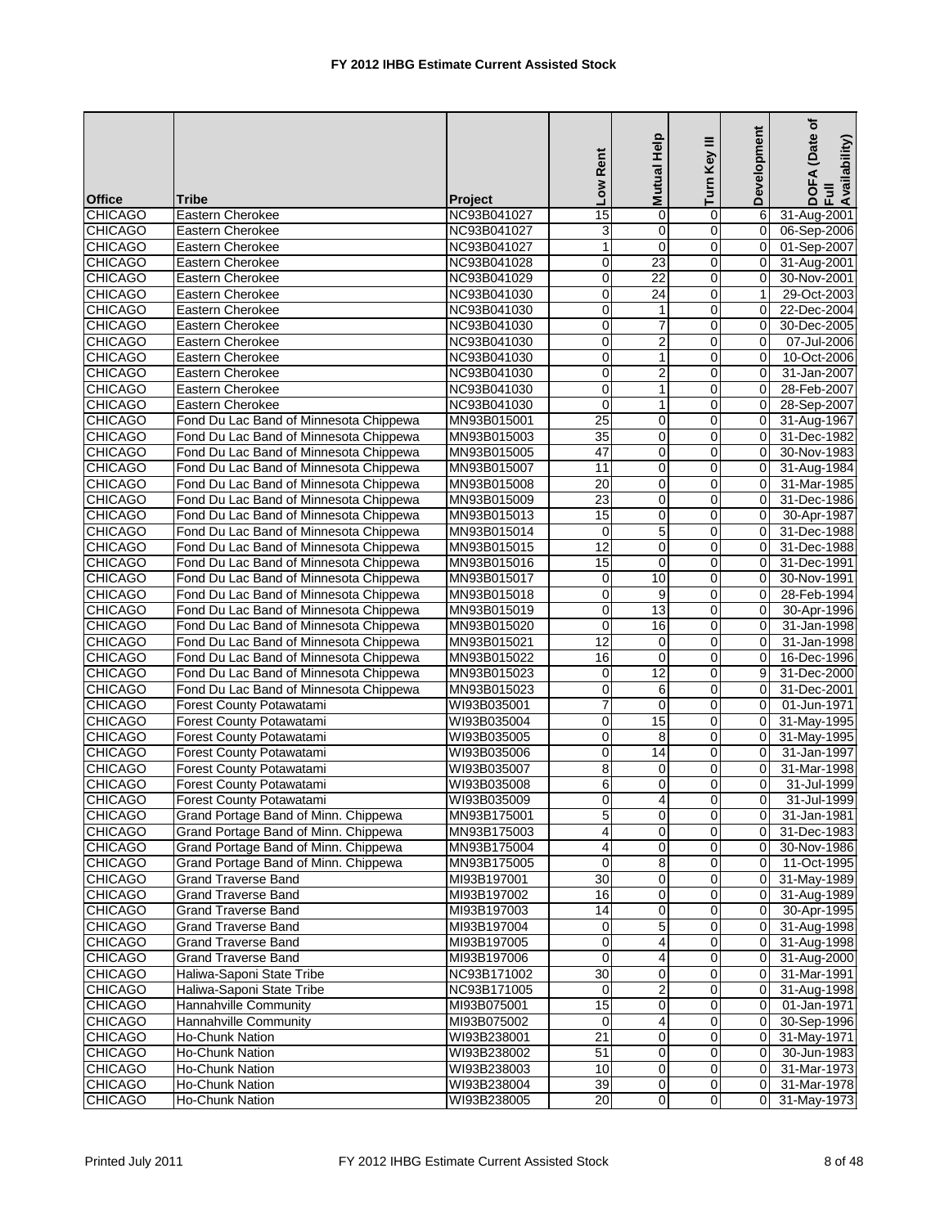|                |                                        |                | Low Rent                | Mutual Help             | ≡<br>Turn Key    | Development    | (Date of<br>DOFA (Date<br>Full<br>Availability) |
|----------------|----------------------------------------|----------------|-------------------------|-------------------------|------------------|----------------|-------------------------------------------------|
| <b>Office</b>  | <b>Tribe</b>                           | <b>Project</b> |                         |                         |                  |                |                                                 |
| <b>CHICAGO</b> | Eastern Cherokee                       | NC93B041027    | $\overline{15}$         | $\mathbf 0$             | 0                | 6              | 31-Aug-2001                                     |
| <b>CHICAGO</b> | Eastern Cherokee                       | NC93B041027    | 3                       | 0                       | 0                | $\mathbf 0$    | 06-Sep-2006                                     |
| <b>CHICAGO</b> | Eastern Cherokee                       | NC93B041027    | $\mathbf{1}$            | $\mathbf 0$             | 0                | 0              | 01-Sep-2007                                     |
| <b>CHICAGO</b> | Eastern Cherokee                       | NC93B041028    | 0                       | 23<br>$\overline{22}$   | 0                | 0              | 31-Aug-2001                                     |
| <b>CHICAGO</b> | Eastern Cherokee                       | NC93B041029    | $\overline{0}$          |                         | 0                | 0              | 30-Nov-2001                                     |
| <b>CHICAGO</b> | Eastern Cherokee                       | NC93B041030    | 0                       | $\overline{24}$         | 0                | 1              | 29-Oct-2003                                     |
| <b>CHICAGO</b> | Eastern Cherokee                       | NC93B041030    | 0                       | $\mathbf{1}$            | 0                | $\Omega$       | 22-Dec-2004                                     |
| <b>CHICAGO</b> | <b>Eastern Cherokee</b>                | NC93B041030    | 0                       | $\overline{7}$          | 0                | $\Omega$       | 30-Dec-2005                                     |
| <b>CHICAGO</b> | Eastern Cherokee                       | NC93B041030    | $\mathbf 0$             | $\overline{2}$          | 0                | 0              | 07-Jul-2006                                     |
| <b>CHICAGO</b> | Eastern Cherokee                       | NC93B041030    | 0                       | $\mathbf{1}$            | $\boldsymbol{0}$ | $\Omega$       | 10-Oct-2006                                     |
| <b>CHICAGO</b> | Eastern Cherokee                       | NC93B041030    | $\mathbf 0$             | $\overline{c}$          | 0                | $\Omega$       | 31-Jan-2007                                     |
| <b>CHICAGO</b> | Eastern Cherokee                       | NC93B041030    | $\mathbf 0$             | $\mathbf{1}$            | 0                | $\mathbf 0$    | 28-Feb-2007                                     |
| <b>CHICAGO</b> | Eastern Cherokee                       | NC93B041030    | $\overline{0}$          | 1                       | 0                | $\Omega$       | 28-Sep-2007                                     |
| <b>CHICAGO</b> | Fond Du Lac Band of Minnesota Chippewa | MN93B015001    | $\overline{25}$         | 0                       | 0                | 0              | 31-Aug-1967                                     |
| <b>CHICAGO</b> | Fond Du Lac Band of Minnesota Chippewa | MN93B015003    | $\overline{35}$         | $\mathbf 0$             | 0                | $\mathbf 0$    | 31-Dec-1982                                     |
| <b>CHICAGO</b> | Fond Du Lac Band of Minnesota Chippewa | MN93B015005    | 47                      | $\mathbf 0$             | 0                | 0              | 30-Nov-1983                                     |
| <b>CHICAGO</b> | Fond Du Lac Band of Minnesota Chippewa | MN93B015007    | $\overline{11}$         | 0                       | 0                | $\mathbf 0$    | 31-Aug-1984                                     |
| <b>CHICAGO</b> | Fond Du Lac Band of Minnesota Chippewa | MN93B015008    | 20                      | $\mathbf 0$             | 0                | 0              | 31-Mar-1985                                     |
| <b>CHICAGO</b> | Fond Du Lac Band of Minnesota Chippewa | MN93B015009    | 23                      | $\mathbf 0$             | 0                | 0              | 31-Dec-1986                                     |
| <b>CHICAGO</b> | Fond Du Lac Band of Minnesota Chippewa | MN93B015013    | 15                      | $\mathbf 0$             | 0                | $\Omega$       | 30-Apr-1987                                     |
| <b>CHICAGO</b> | Fond Du Lac Band of Minnesota Chippewa | MN93B015014    | $\mathbf 0$             | 5                       | 0                | $\Omega$       | 31-Dec-1988                                     |
| <b>CHICAGO</b> | Fond Du Lac Band of Minnesota Chippewa | MN93B015015    | $\overline{12}$         | 0                       | 0                | $\mathbf 0$    | 31-Dec-1988                                     |
| <b>CHICAGO</b> | Fond Du Lac Band of Minnesota Chippewa | MN93B015016    | 15                      | $\overline{0}$          | 0                | 0              | 31-Dec-1991                                     |
| <b>CHICAGO</b> | Fond Du Lac Band of Minnesota Chippewa | MN93B015017    | 0                       | 10                      | 0                | 0              | 30-Nov-1991                                     |
| <b>CHICAGO</b> | Fond Du Lac Band of Minnesota Chippewa | MN93B015018    | $\overline{0}$          | 9                       | 0                | 0              | 28-Feb-1994                                     |
| <b>CHICAGO</b> | Fond Du Lac Band of Minnesota Chippewa | MN93B015019    | $\mathbf 0$             | 13                      | 0                | $\Omega$       | 30-Apr-1996                                     |
| <b>CHICAGO</b> | Fond Du Lac Band of Minnesota Chippewa | MN93B015020    | 0                       | 16                      | 0                | 0              | 31-Jan-1998                                     |
| <b>CHICAGO</b> | Fond Du Lac Band of Minnesota Chippewa | MN93B015021    | 12                      | 0                       | 0                | $\Omega$       | 31-Jan-1998                                     |
| <b>CHICAGO</b> | Fond Du Lac Band of Minnesota Chippewa | MN93B015022    | 16                      | $\mathbf 0$             | 0                | 0              | 16-Dec-1996                                     |
| <b>CHICAGO</b> | Fond Du Lac Band of Minnesota Chippewa | MN93B015023    | $\overline{0}$          | 12                      | $\mathsf 0$      | 9              | 31-Dec-2000                                     |
| <b>CHICAGO</b> | Fond Du Lac Band of Minnesota Chippewa | MN93B015023    | 0                       | 6                       | 0                | 0              | 31-Dec-2001                                     |
| <b>CHICAGO</b> | <b>Forest County Potawatami</b>        | WI93B035001    | $\overline{7}$          | $\mathbf 0$             | 0                | 0              | 01-Jun-1971                                     |
| <b>CHICAGO</b> | Forest County Potawatami               | WI93B035004    | 0                       | 15                      | 0                | $\overline{0}$ | 31-May-1995                                     |
| <b>CHICAGO</b> | Forest County Potawatami               | WI93B035005    | 0                       | 8                       | 0                | $\mathbf 0$    | 31-May-1995                                     |
| <b>CHICAGO</b> | Forest County Potawatami               | WI93B035006    | 0                       | 14                      | 0                | $\mathbf 0$    | 31-Jan-1997                                     |
| <b>CHICAGO</b> | Forest County Potawatami               | WI93B035007    | 8                       | 0                       | $\mathsf 0$      | $\mathbf 0$    | 31-Mar-1998                                     |
| <b>CHICAGO</b> | Forest County Potawatami               | WI93B035008    | 6                       | 0                       | 0                | 0              | 31-Jul-1999                                     |
| <b>CHICAGO</b> | Forest County Potawatami               | WI93B035009    | $\Omega$                | $\overline{4}$          | $\Omega$         | $\overline{0}$ | 31-Jul-1999                                     |
| <b>CHICAGO</b> | Grand Portage Band of Minn. Chippewa   | MN93B175001    | 5                       | $\overline{0}$          | $\pmb{0}$        | 0              | 31-Jan-1981                                     |
| <b>CHICAGO</b> | Grand Portage Band of Minn. Chippewa   | MN93B175003    | 4                       | $\mathbf 0$             | 0                | 0              | 31-Dec-1983                                     |
| <b>CHICAGO</b> | Grand Portage Band of Minn. Chippewa   | MN93B175004    | $\overline{\mathbf{4}}$ | 0                       | 0                | 0              | 30-Nov-1986                                     |
| <b>CHICAGO</b> | Grand Portage Band of Minn. Chippewa   | MN93B175005    | $\mathbf 0$             | 8                       | 0                | 0              | 11-Oct-1995                                     |
| <b>CHICAGO</b> | <b>Grand Traverse Band</b>             | MI93B197001    | 30                      | 0                       | 0                | 0              | 31-May-1989                                     |
| <b>CHICAGO</b> | Grand Traverse Band                    | MI93B197002    | 16                      | 0                       | 0                | 0              | 31-Aug-1989                                     |
| <b>CHICAGO</b> | <b>Grand Traverse Band</b>             | MI93B197003    | 14                      | 0                       | 0                | 0              | 30-Apr-1995                                     |
| <b>CHICAGO</b> | <b>Grand Traverse Band</b>             | MI93B197004    | 0                       | $\overline{5}$          | 0                | 0              | 31-Aug-1998                                     |
| <b>CHICAGO</b> | Grand Traverse Band                    | MI93B197005    | 0                       | 4                       | 0                | 0              | 31-Aug-1998                                     |
| <b>CHICAGO</b> | <b>Grand Traverse Band</b>             | MI93B197006    | $\mathbf 0$             | 4                       | 0                | $\mathbf 0$    | 31-Aug-2000                                     |
| <b>CHICAGO</b> | Haliwa-Saponi State Tribe              | NC93B171002    | 30                      | 0                       | 0                | 0              | 31-Mar-1991                                     |
| <b>CHICAGO</b> | Haliwa-Saponi State Tribe              | NC93B171005    | 0                       | $\overline{\mathbf{c}}$ | 0                | 0              | 31-Aug-1998                                     |
| <b>CHICAGO</b> | Hannahville Community                  | MI93B075001    | 15                      | 0                       | 0                | $\mathbf 0$    | 01-Jan-1971                                     |
| <b>CHICAGO</b> | Hannahville Community                  | MI93B075002    | 0                       | 4                       | 0                | $\pmb{0}$      | 30-Sep-1996                                     |
| <b>CHICAGO</b> | Ho-Chunk Nation                        | WI93B238001    | $\overline{21}$         | 0                       | 0                | 0              | 31-May-1971                                     |
| <b>CHICAGO</b> | Ho-Chunk Nation                        | WI93B238002    | $\overline{51}$         | 0                       | 0                | $\mathbf 0$    | 30-Jun-1983                                     |
| <b>CHICAGO</b> | Ho-Chunk Nation                        | WI93B238003    | 10                      | 0                       | $\overline{0}$   | 0              | 31-Mar-1973                                     |
| <b>CHICAGO</b> | Ho-Chunk Nation                        | WI93B238004    | 39                      | $\overline{0}$          | $\pmb{0}$        | 0              | 31-Mar-1978                                     |
| <b>CHICAGO</b> | Ho-Chunk Nation                        | WI93B238005    | $\overline{20}$         | $\overline{0}$          | $\mathbf 0$      | $\Omega$       | 31-May-1973                                     |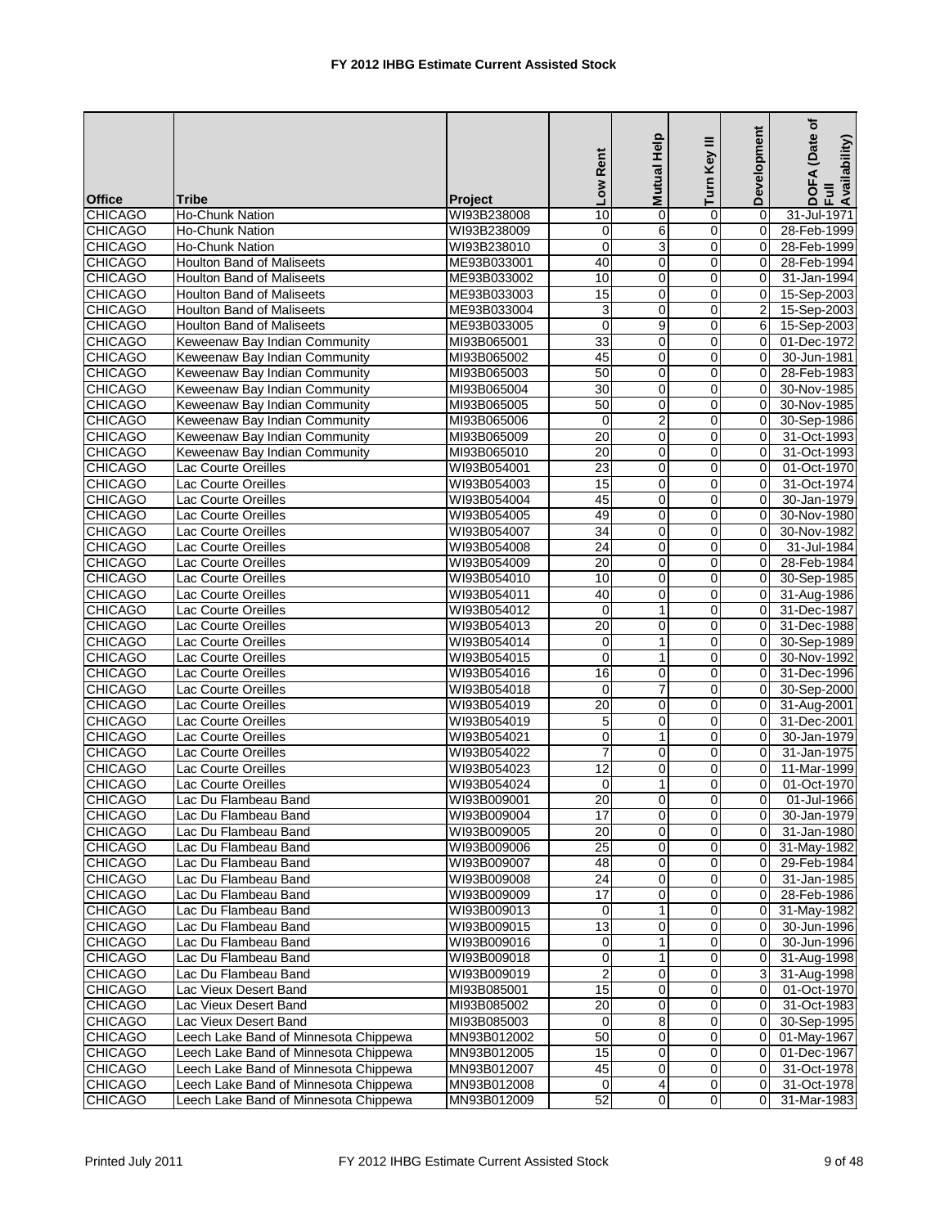|                |                                       |             | Low Rent         | Help<br>Mutual          | Ξ<br>Turn Key  | Development | ৳<br>(Date<br>DOFA (Date<br>Full<br>Availability) |
|----------------|---------------------------------------|-------------|------------------|-------------------------|----------------|-------------|---------------------------------------------------|
| <b>Office</b>  | <b>Tribe</b>                          | Project     |                  |                         |                |             |                                                   |
| <b>CHICAGO</b> | <b>Ho-Chunk Nation</b>                | WI93B238008 | 10               | $\mathbf 0$             | 0              | $\Omega$    | 31-Jul-1971                                       |
| <b>CHICAGO</b> | Ho-Chunk Nation                       | WI93B238009 | 0                | 6                       | $\overline{0}$ | 0           | 28-Feb-1999                                       |
| <b>CHICAGO</b> | Ho-Chunk Nation                       | WI93B238010 | $\mathbf 0$      | 3                       | $\mathbf 0$    | $\mathbf 0$ | 28-Feb-1999                                       |
| <b>CHICAGO</b> | Houlton Band of Maliseets             | ME93B033001 | 40               | 0                       | 0              | $\Omega$    | 28-Feb-1994                                       |
| <b>CHICAGO</b> | <b>Houlton Band of Maliseets</b>      | ME93B033002 | 10               | $\mathbf 0$             | 0              | $\Omega$    | 31-Jan-1994                                       |
| <b>CHICAGO</b> | <b>Houlton Band of Maliseets</b>      | ME93B033003 | 15               | 0                       | 0              | 0           | 15-Sep-2003                                       |
| <b>CHICAGO</b> | <b>Houlton Band of Maliseets</b>      | ME93B033004 | 3                | 0                       | 0              | 2           | 15-Sep-2003                                       |
| <b>CHICAGO</b> | <b>Houlton Band of Maliseets</b>      | ME93B033005 | $\mathbf 0$      | 9                       | 0              | 6           | 15-Sep-2003                                       |
| <b>CHICAGO</b> | Keweenaw Bay Indian Community         | MI93B065001 | 33               | $\mathbf 0$             | $\mathbf 0$    | 0           | 01-Dec-1972                                       |
| <b>CHICAGO</b> | Keweenaw Bay Indian Community         | MI93B065002 | 45               | $\mathbf 0$             | 0              | $\Omega$    | 30-Jun-1981                                       |
| <b>CHICAGO</b> | Keweenaw Bay Indian Community         | MI93B065003 | 50               | $\mathbf 0$             | 0              | $\Omega$    | 28-Feb-1983                                       |
| <b>CHICAGO</b> | Keweenaw Bay Indian Community         | MI93B065004 | $\overline{30}$  | $\mathbf 0$             | $\overline{0}$ | 0           | 30-Nov-1985                                       |
| <b>CHICAGO</b> | Keweenaw Bay Indian Community         | MI93B065005 | 50               | $\overline{0}$          | $\mathbf 0$    | $\mathbf 0$ | 30-Nov-1985                                       |
| <b>CHICAGO</b> | Keweenaw Bay Indian Community         | MI93B065006 | $\mathbf 0$      | $\overline{c}$          | 0              | $\Omega$    | 30-Sep-1986                                       |
| <b>CHICAGO</b> | Keweenaw Bay Indian Community         | MI93B065009 | 20               | 0                       | 0              | $\Omega$    | 31-Oct-1993                                       |
| <b>CHICAGO</b> | Keweenaw Bay Indian Community         | MI93B065010 | 20               | 0                       | 0              | 0           | 31-Oct-1993                                       |
| <b>CHICAGO</b> | <b>Lac Courte Oreilles</b>            | WI93B054001 | 23               | 0                       | 0              | 0           | 01-Oct-1970                                       |
| <b>CHICAGO</b> | Lac Courte Oreilles                   | WI93B054003 | 15               | 0                       | 0              | $\Omega$    | 31-Oct-1974                                       |
| <b>CHICAGO</b> | Lac Courte Oreilles                   | WI93B054004 | 45               | 0                       | $\overline{0}$ | 0           | 30-Jan-1979                                       |
| <b>CHICAGO</b> | <b>Lac Courte Oreilles</b>            | WI93B054005 | 49               | $\mathbf 0$             | 0              | 0           | 30-Nov-1980                                       |
| <b>CHICAGO</b> | <b>Lac Courte Oreilles</b>            | WI93B054007 | 34               | $\mathbf 0$             | 0              | $\Omega$    | 30-Nov-1982                                       |
| <b>CHICAGO</b> | Lac Courte Oreilles                   | WI93B054008 | $\overline{24}$  | 0                       | $\overline{0}$ | 0           | 31-Jul-1984                                       |
| <b>CHICAGO</b> | <b>Lac Courte Oreilles</b>            | WI93B054009 | $\overline{20}$  | $\overline{0}$          | $\mathbf 0$    | $\mathbf 0$ | 28-Feb-1984                                       |
| <b>CHICAGO</b> | Lac Courte Oreilles                   | WI93B054010 | 10               | $\mathbf 0$             | 0              | $\Omega$    | 30-Sep-1985                                       |
| <b>CHICAGO</b> | Lac Courte Oreilles                   | WI93B054011 | 40               | $\mathbf 0$             | 0              | $\Omega$    | 31-Aug-1986                                       |
| <b>CHICAGO</b> | Lac Courte Oreilles                   | WI93B054012 | $\mathbf 0$      | $\mathbf{1}$            | 0              | 0           | 31-Dec-1987                                       |
| <b>CHICAGO</b> | Lac Courte Oreilles                   | WI93B054013 | $\overline{20}$  | 0                       | 0              | 0           | 31-Dec-1988                                       |
| <b>CHICAGO</b> | Lac Courte Oreilles                   | WI93B054014 | 0                | $\mathbf{1}$            | 0              | $\Omega$    | 30-Sep-1989                                       |
| <b>CHICAGO</b> | Lac Courte Oreilles                   | WI93B054015 | $\mathbf 0$      | $\mathbf{1}$            | $\overline{0}$ | 0           | 30-Nov-1992                                       |
| <b>CHICAGO</b> | <b>Lac Courte Oreilles</b>            | WI93B054016 | 16               | $\mathbf 0$             | 0              | $\Omega$    | 31-Dec-1996                                       |
| <b>CHICAGO</b> | Lac Courte Oreilles                   | WI93B054018 | 0                | $\overline{7}$          | 0              | 0           | 30-Sep-2000                                       |
| <b>CHICAGO</b> | Lac Courte Oreilles                   | WI93B054019 | 20               | 0                       | $\overline{0}$ | $\mathbf 0$ | 31-Aug-2001                                       |
| <b>CHICAGO</b> | Lac Courte Oreilles                   | WI93B054019 | 5                | $\pmb{0}$               | $\mathbf 0$    | $\mathbf 0$ | 31-Dec-2001                                       |
| <b>CHICAGO</b> | Lac Courte Oreilles                   | WI93B054021 | 0                | $\mathbf{1}$            | 0              | $\Omega$    | 30-Jan-1979                                       |
| <b>CHICAGO</b> | Lac Courte Oreilles                   | WI93B054022 | 7                | 0                       | 0              | $\Omega$    | 31-Jan-1975                                       |
| <b>CHICAGO</b> | <b>Lac Courte Oreilles</b>            | WI93B054023 | 12               | 0                       | $\mathbf 0$    | 0           | 11-Mar-1999                                       |
| <b>CHICAGO</b> | Lac Courte Oreilles                   | WI93B054024 | 0                | 1                       | $\Omega$       | 0           | 01-Oct-1970                                       |
| <b>CHICAGO</b> | Lac Du Flambeau Band                  | WI93B009001 | 20               | $\overline{0}$          | $\Omega$       | $\Omega$    | 01-Jul-1966                                       |
| <b>CHICAGO</b> | Lac Du Flambeau Band                  | WI93B009004 | 17               | $\overline{\mathbf{0}}$ | $\overline{0}$ | 0           | 30-Jan-1979                                       |
| <b>CHICAGO</b> | Lac Du Flambeau Band                  | WI93B009005 | $\overline{20}$  | 0                       | 0              | 0           | 31-Jan-1980                                       |
| <b>CHICAGO</b> | Lac Du Flambeau Band                  | WI93B009006 | $\overline{25}$  | 0                       | $\mathsf 0$    | 0           | 31-May-1982                                       |
| <b>CHICAGO</b> | Lac Du Flambeau Band                  | WI93B009007 | 48               | 0                       | 0              | 0           | 29-Feb-1984                                       |
| <b>CHICAGO</b> | Lac Du Flambeau Band                  | WI93B009008 | $\overline{24}$  | $\overline{\mathbf{0}}$ | O              | 0           | 31-Jan-1985                                       |
| <b>CHICAGO</b> | Lac Du Flambeau Band                  | WI93B009009 | $\overline{17}$  | 0                       | 0              | 0           | 28-Feb-1986                                       |
| <b>CHICAGO</b> | Lac Du Flambeau Band                  | WI93B009013 | 0                | 1                       | $\overline{0}$ | 0           | 31-May-1982                                       |
| <b>CHICAGO</b> | Lac Du Flambeau Band                  | WI93B009015 | $\overline{13}$  | $\pmb{0}$               | $\mathsf 0$    | 0           | 30-Jun-1996                                       |
| <b>CHICAGO</b> | Lac Du Flambeau Band                  | WI93B009016 | 0                | 1                       | 0              | 0           | 30-Jun-1996                                       |
| <b>CHICAGO</b> | Lac Du Flambeau Band                  | WI93B009018 | 0                | $\mathbf{1}$            | 0              | 0           | 31-Aug-1998                                       |
| <b>CHICAGO</b> | Lac Du Flambeau Band                  | WI93B009019 | $\boldsymbol{2}$ | 0                       | 0              | 3           | 31-Aug-1998                                       |
| <b>CHICAGO</b> | Lac Vieux Desert Band                 | MI93B085001 | 15               | 0                       | 0              | 0           | 01-Oct-1970                                       |
| <b>CHICAGO</b> | Lac Vieux Desert Band                 | MI93B085002 | $\overline{20}$  | 0                       | $\mathbf 0$    | $\mathbf 0$ | 31-Oct-1983                                       |
| <b>CHICAGO</b> | Lac Vieux Desert Band                 | MI93B085003 | 0                | 8                       | 0              | 0           | 30-Sep-1995                                       |
| <b>CHICAGO</b> | Leech Lake Band of Minnesota Chippewa | MN93B012002 | 50               | 0                       | $\pmb{0}$      | 0           | 01-May-1967                                       |
| <b>CHICAGO</b> | Leech Lake Band of Minnesota Chippewa | MN93B012005 | 15               | 0                       | 0              | 0           | 01-Dec-1967                                       |
| <b>CHICAGO</b> | Leech Lake Band of Minnesota Chippewa | MN93B012007 | 45               | 0                       | 0              | 0           | 31-Oct-1978                                       |
| <b>CHICAGO</b> | Leech Lake Band of Minnesota Chippewa | MN93B012008 | $\mathbf 0$      | 4                       | 0              | 0           | 31-Oct-1978                                       |
| <b>CHICAGO</b> | Leech Lake Band of Minnesota Chippewa | MN93B012009 | 52               | 0                       | $\overline{0}$ | 0           | 31-Mar-1983                                       |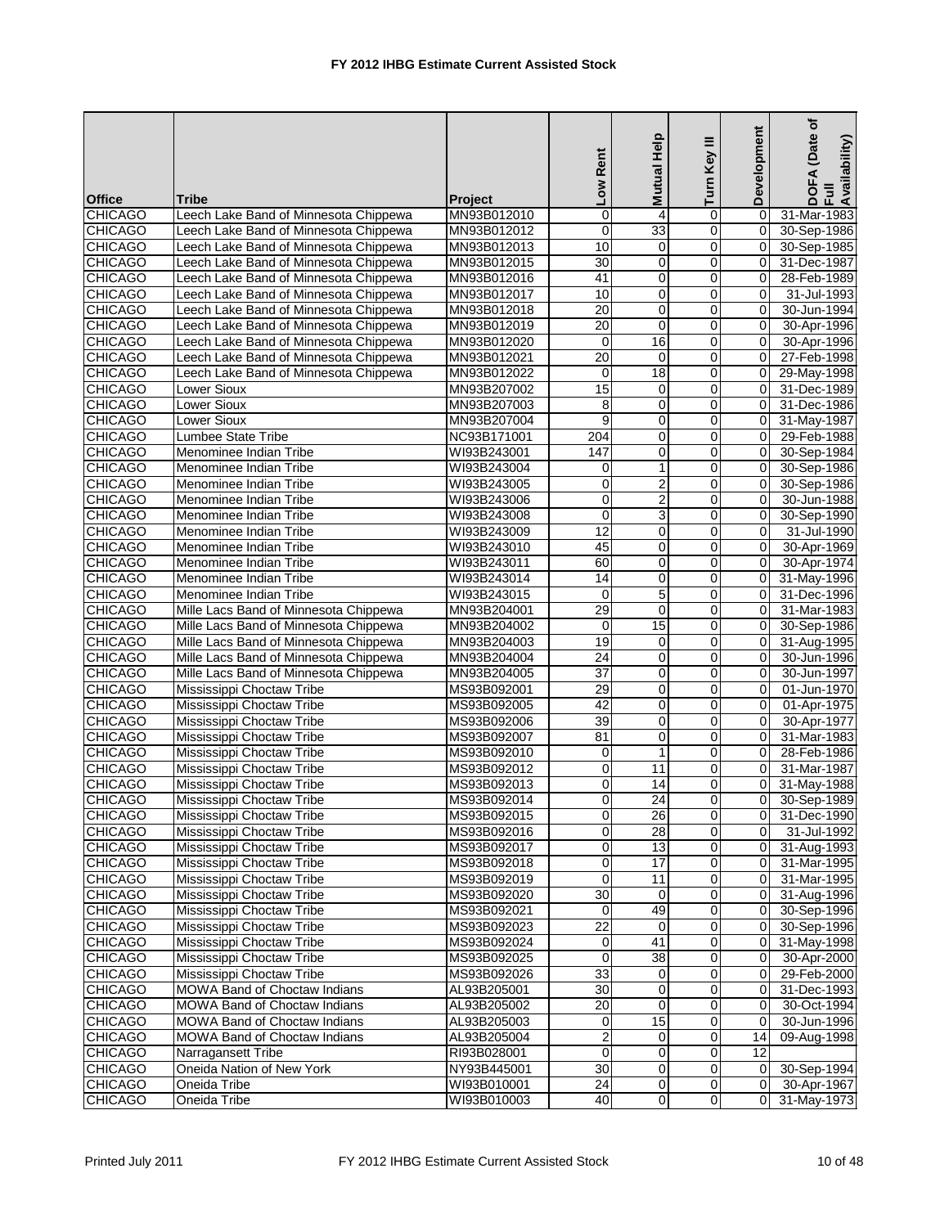| <b>Office</b>                    | <b>Tribe</b>                                                 | <b>Project</b> | Low Rent            | Mutual Help      | Turn Key III     | Development      | ৳<br>(Date<br>DOFA (Date<br>Full<br>Availability) |
|----------------------------------|--------------------------------------------------------------|----------------|---------------------|------------------|------------------|------------------|---------------------------------------------------|
| <b>CHICAGO</b>                   | Leech Lake Band of Minnesota Chippewa                        | MN93B012010    | 0                   | $\overline{4}$   | 0                | $\mathbf 0$      | 31-Mar-1983                                       |
| <b>CHICAGO</b>                   | Leech Lake Band of Minnesota Chippewa                        | MN93B012012    | $\overline{0}$      | 33               | $\mathbf 0$      | 0                | 30-Sep-1986                                       |
| <b>CHICAGO</b>                   | Leech Lake Band of Minnesota Chippewa                        | MN93B012013    | 10                  | 0                | 0                | 0                | 30-Sep-1985                                       |
| <b>CHICAGO</b>                   | Leech Lake Band of Minnesota Chippewa                        | MN93B012015    | 30                  | 0                | 0                | $\Omega$         | 31-Dec-1987                                       |
| <b>CHICAGO</b>                   | Leech Lake Band of Minnesota Chippewa                        | MN93B012016    | 41                  | 0                | 0                | $\mathbf 0$      | 28-Feb-1989                                       |
| <b>CHICAGO</b>                   | Leech Lake Band of Minnesota Chippewa                        | MN93B012017    | 10                  | $\pmb{0}$        | 0                | 0                | 31-Jul-1993                                       |
| <b>CHICAGO</b>                   | Leech Lake Band of Minnesota Chippewa                        | MN93B012018    | $\overline{20}$     | 0                | 0                | $\Omega$         | 30-Jun-1994                                       |
| <b>CHICAGO</b>                   | Leech Lake Band of Minnesota Chippewa                        | MN93B012019    | 20                  | $\mathbf 0$      | 0                | $\Omega$         | 30-Apr-1996                                       |
| <b>CHICAGO</b>                   | Leech Lake Band of Minnesota Chippewa                        | MN93B012020    | $\mathbf 0$         | 16               | $\mathbf 0$      | 0                | 30-Apr-1996                                       |
| <b>CHICAGO</b>                   | Leech Lake Band of Minnesota Chippewa                        | MN93B012021    | 20                  | $\mathbf 0$      | 0                | $\mathbf 0$      | 27-Feb-1998                                       |
| <b>CHICAGO</b>                   | Leech Lake Band of Minnesota Chippewa                        | MN93B012022    | 0                   | 18               | 0                | $\mathbf 0$      | 29-May-1998                                       |
| <b>CHICAGO</b>                   | Lower Sioux                                                  | MN93B207002    | 15                  | 0                | $\mathbf 0$      | 0                | 31-Dec-1989                                       |
| <b>CHICAGO</b>                   | <b>Lower Sioux</b>                                           | MN93B207003    | 8                   | $\mathbf 0$      | 0                | $\Omega$         | 31-Dec-1986                                       |
| <b>CHICAGO</b>                   | Lower Sioux                                                  | MN93B207004    | 9                   | 0                | 0                | $\overline{0}$   | 31-May-1987                                       |
| <b>CHICAGO</b>                   | Lumbee State Tribe                                           | NC93B171001    | 204                 | 0                | 0                | $\mathbf 0$      | 29-Feb-1988                                       |
| <b>CHICAGO</b>                   | Menominee Indian Tribe                                       | WI93B243001    | 147                 | $\pmb{0}$        | 0                | $\mathbf 0$      | 30-Sep-1984                                       |
| <b>CHICAGO</b>                   | Menominee Indian Tribe                                       | WI93B243004    | 0                   | $\mathbf{1}$     | $\mathbf 0$      | $\mathbf 0$      | 30-Sep-1986                                       |
| <b>CHICAGO</b>                   | Menominee Indian Tribe                                       | WI93B243005    | 0                   | $\boldsymbol{2}$ | 0                | $\mathbf 0$      | 30-Sep-1986                                       |
| <b>CHICAGO</b>                   | Menominee Indian Tribe                                       | WI93B243006    | 0                   | $\overline{2}$   | $\mathbf 0$      | 0                | 30-Jun-1988                                       |
| <b>CHICAGO</b>                   | Menominee Indian Tribe                                       | WI93B243008    | $\mathbf 0$         | 3                | 0                | $\mathbf 0$      | 30-Sep-1990                                       |
| <b>CHICAGO</b>                   | Menominee Indian Tribe                                       | WI93B243009    | 12                  | $\mathbf 0$      | 0                | 0                | 31-Jul-1990                                       |
| <b>CHICAGO</b>                   | Menominee Indian Tribe                                       | WI93B243010    | 45                  | $\overline{0}$   | $\mathbf 0$      | $\mathbf 0$      | 30-Apr-1969                                       |
| <b>CHICAGO</b>                   | Menominee Indian Tribe                                       | WI93B243011    | 60                  | 0                | 0                | 0                | 30-Apr-1974                                       |
| <b>CHICAGO</b>                   | Menominee Indian Tribe                                       | WI93B243014    | 14                  | 0                | 0                | 0                | 31-May-1996                                       |
| <b>CHICAGO</b>                   | Menominee Indian Tribe                                       | WI93B243015    | 0                   | 5                | $\overline{0}$   | 0                | 31-Dec-1996                                       |
| <b>CHICAGO</b>                   | Mille Lacs Band of Minnesota Chippewa                        | MN93B204001    | 29                  | $\mathbf 0$      | 0                | $\mathbf 0$      | 31-Mar-1983                                       |
| <b>CHICAGO</b>                   | Mille Lacs Band of Minnesota Chippewa                        | MN93B204002    | $\mathbf 0$         | 15               | 0                | $\Omega$         | 30-Sep-1986                                       |
| <b>CHICAGO</b>                   | Mille Lacs Band of Minnesota Chippewa                        | MN93B204003    | 19                  | 0                | 0                | $\mathbf 0$      | 31-Aug-1995                                       |
| <b>CHICAGO</b>                   | Mille Lacs Band of Minnesota Chippewa                        | MN93B204004    | $\overline{24}$     | 0                | $\mathbf 0$      | 0                | 30-Jun-1996                                       |
| <b>CHICAGO</b>                   | Mille Lacs Band of Minnesota Chippewa                        | MN93B204005    | $\overline{37}$     | 0                | 0                | 0                | 30-Jun-1997                                       |
| <b>CHICAGO</b>                   | Mississippi Choctaw Tribe                                    | MS93B092001    | 29                  | $\pmb{0}$        | 0                | $\overline{0}$   | 01-Jun-1970                                       |
| <b>CHICAGO</b>                   | Mississippi Choctaw Tribe                                    | MS93B092005    | 42                  | $\pmb{0}$        | 0                | 0                | 01-Apr-1975                                       |
| <b>CHICAGO</b>                   | Mississippi Choctaw Tribe                                    | MS93B092006    | $\overline{39}$     | $\mathbf 0$      | 0                | $\Omega$         | 30-Apr-1977                                       |
| <b>CHICAGO</b>                   | Mississippi Choctaw Tribe                                    | MS93B092007    | 81                  | 0                | 0                | $\Omega$         | 31-Mar-1983                                       |
| <b>CHICAGO</b>                   | Mississippi Choctaw Tribe                                    | MS93B092010    | 0                   | 1                | 0                | 0                | 28-Feb-1986                                       |
| <b>CHICAGO</b>                   | Mississippi Choctaw Tribe                                    | MS93B092012    | 0                   | 11               | 0                | 0                | 31-Mar-1987                                       |
| <b>CHICAGO</b>                   | Mississippi Choctaw Tribe                                    | MS93B092013    | 0                   | 14               | 0                | 0                | 31-May-1988                                       |
| <b>CHICAGO</b>                   | Mississippi Choctaw Tribe                                    | MS93B092014    | $\Omega$            | $\overline{24}$  | $\Omega$         | $\overline{0}$   | 30-Sep-1989                                       |
| <b>CHICAGO</b>                   | Mississippi Choctaw Tribe                                    | MS93B092015    | 0                   | 26               | $\overline{0}$   | $\mathbf 0$      | 31-Dec-1990                                       |
| <b>CHICAGO</b>                   | Mississippi Choctaw Tribe                                    | MS93B092016    | 0                   | $\overline{28}$  | 0                | $\overline{0}$   | 31-Jul-1992                                       |
| <b>CHICAGO</b>                   | Mississippi Choctaw Tribe                                    | MS93B092017    | 0                   | 13               | $\pmb{0}$        | 0                | 31-Aug-1993                                       |
| <b>CHICAGO</b>                   | Mississippi Choctaw Tribe                                    | MS93B092018    | $\overline{0}$      | $\overline{17}$  | $\pmb{0}$        | 0                | 31-Mar-1995                                       |
| <b>CHICAGO</b>                   | Mississippi Choctaw Tribe                                    | MS93B092019    | 0                   | $\overline{11}$  | 0                | 0                | 31-Mar-1995                                       |
| <b>CHICAGO</b>                   | Mississippi Choctaw Tribe                                    | MS93B092020    | $\overline{30}$     | $\mathbf 0$      | $\mathbf 0$      | $\mathbf 0$      | 31-Aug-1996                                       |
| <b>CHICAGO</b>                   | Mississippi Choctaw Tribe                                    | MS93B092021    | 0                   | 49               | 0                | 0                | 30-Sep-1996                                       |
| <b>CHICAGO</b>                   | Mississippi Choctaw Tribe                                    | MS93B092023    | $\overline{22}$     | 0                | $\pmb{0}$        | 0                | 30-Sep-1996                                       |
| <b>CHICAGO</b>                   | Mississippi Choctaw Tribe                                    | MS93B092024    | $\overline{0}$      | 41               | $\overline{0}$   | 0                | 31-May-1998                                       |
| <b>CHICAGO</b>                   | Mississippi Choctaw Tribe                                    | MS93B092025    | 0                   | 38               | 0                | $\mathbf 0$      | 30-Apr-2000                                       |
| <b>CHICAGO</b>                   | Mississippi Choctaw Tribe                                    | MS93B092026    | 33                  | 0                | $\pmb{0}$        | 0                | 29-Feb-2000                                       |
|                                  |                                                              |                | $\overline{30}$     |                  | $\mathbf 0$      |                  | 31-Dec-1993                                       |
| <b>CHICAGO</b><br><b>CHICAGO</b> | MOWA Band of Choctaw Indians<br>MOWA Band of Choctaw Indians | AL93B205001    |                     | 0                |                  | 0<br>$\mathbf 0$ |                                                   |
|                                  |                                                              | AL93B205002    | $\overline{20}$     | 0                | $\pmb{0}$        |                  | 30-Oct-1994                                       |
| <b>CHICAGO</b>                   | MOWA Band of Choctaw Indians                                 | AL93B205003    | $\pmb{0}$           | 15               | $\pmb{0}$        | 0                | 30-Jun-1996                                       |
| <b>CHICAGO</b><br><b>CHICAGO</b> | MOWA Band of Choctaw Indians                                 | AL93B205004    | $\overline{2}$<br>0 | 0<br>$\mathbf 0$ | 0<br>$\mathbf 0$ | 14<br>12         | 09-Aug-1998                                       |
|                                  | Narragansett Tribe                                           | RI93B028001    |                     |                  |                  |                  |                                                   |
| <b>CHICAGO</b>                   | Oneida Nation of New York                                    | NY93B445001    | 30                  | 0                | $\overline{0}$   | $\mathbf 0$      | 30-Sep-1994                                       |
| <b>CHICAGO</b>                   | Oneida Tribe                                                 | WI93B010001    | $\overline{24}$     | 0                | $\pmb{0}$        | 0                | 30-Apr-1967                                       |
| <b>CHICAGO</b>                   | Oneida Tribe                                                 | WI93B010003    | 40                  | $\overline{0}$   | $\overline{0}$   | $\overline{0}$   | 31-May-1973                                       |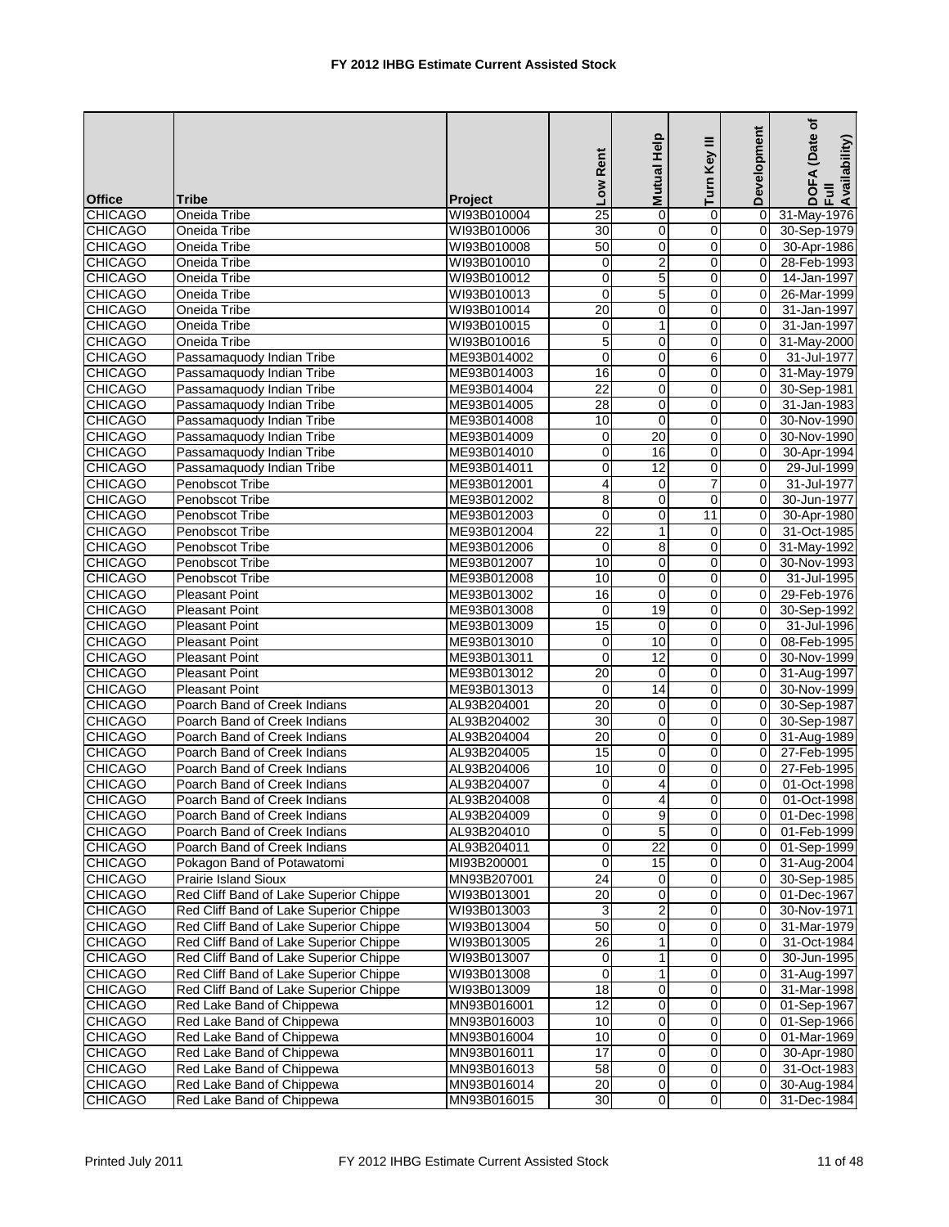|                |                                        |                | Low Rent        | Help<br><b>Mutual</b> | Ξ<br>Turn Key  | Development | (Date of<br>DOFA (Date<br>Full<br>Availability) |
|----------------|----------------------------------------|----------------|-----------------|-----------------------|----------------|-------------|-------------------------------------------------|
| <b>Office</b>  | <b>Tribe</b>                           | <b>Project</b> |                 |                       |                |             |                                                 |
| <b>CHICAGO</b> | Oneida Tribe                           | WI93B010004    | $\overline{25}$ | 0                     | 0              | 0           | 31-May-1976                                     |
| <b>CHICAGO</b> | Oneida Tribe                           | WI93B010006    | $\overline{30}$ | $\mathbf 0$           | 0              | $\mathbf 0$ | 30-Sep-1979                                     |
| <b>CHICAGO</b> | Oneida Tribe                           | WI93B010008    | $\overline{50}$ | $\mathbf 0$           | 0              | $\Omega$    | 30-Apr-1986                                     |
| <b>CHICAGO</b> | Oneida Tribe                           | WI93B010010    | 0               | $\boldsymbol{2}$      | $\mathbf 0$    | 0           | 28-Feb-1993                                     |
| <b>CHICAGO</b> | Oneida Tribe                           | WI93B010012    | $\pmb{0}$       | 5                     | $\mathbf 0$    | $\mathbf 0$ | 14-Jan-1997                                     |
| <b>CHICAGO</b> | Oneida Tribe                           | WI93B010013    | $\mathbf 0$     | 5                     | 0              | 0           | 26-Mar-1999                                     |
| <b>CHICAGO</b> | Oneida Tribe                           | WI93B010014    | $\overline{20}$ | $\mathbf 0$           | 0              | 0           | 31-Jan-1997                                     |
| <b>CHICAGO</b> | Oneida Tribe                           | WI93B010015    | 0               | 1                     | 0              | 0           | 31-Jan-1997                                     |
| <b>CHICAGO</b> | Oneida Tribe                           | WI93B010016    | 5               | 0                     | 0              | 0           | 31-May-2000                                     |
| <b>CHICAGO</b> | Passamaquody Indian Tribe              | ME93B014002    | $\mathbf 0$     | 0                     | 6              | $\Omega$    | 31-Jul-1977                                     |
| <b>CHICAGO</b> | Passamaquody Indian Tribe              | ME93B014003    | 16              | $\mathbf 0$           | 0              | $\Omega$    | 31-May-1979                                     |
| <b>CHICAGO</b> | Passamaquody Indian Tribe              | ME93B014004    | $\overline{22}$ | 0                     | 0              | 0           | 30-Sep-1981                                     |
| <b>CHICAGO</b> | Passamaquody Indian Tribe              | ME93B014005    | $\overline{28}$ | $\mathbf 0$           | 0              | 0           | 31-Jan-1983                                     |
| <b>CHICAGO</b> | Passamaquody Indian Tribe              | ME93B014008    | 10              | $\mathbf 0$           | 0              | 0           | 30-Nov-1990                                     |
| <b>CHICAGO</b> | Passamaquody Indian Tribe              | ME93B014009    | 0               | 20                    | $\mathbf 0$    | $\mathbf 0$ | 30-Nov-1990                                     |
| <b>CHICAGO</b> | Passamaquody Indian Tribe              | ME93B014010    | $\mathbf 0$     | 16                    | 0              | 0           | 30-Apr-1994                                     |
| <b>CHICAGO</b> | Passamaquody Indian Tribe              | ME93B014011    | $\overline{0}$  | $\overline{12}$       | 0              | $\Omega$    | 29-Jul-1999                                     |
| <b>CHICAGO</b> | Penobscot Tribe                        | ME93B012001    | 4               | 0                     | $\overline{7}$ | $\Omega$    | 31-Jul-1977                                     |
| <b>CHICAGO</b> | Penobscot Tribe                        | ME93B012002    | 8               | 0                     | $\mathbf 0$    | 0           | 30-Jun-1977                                     |
| <b>CHICAGO</b> | Penobscot Tribe                        | ME93B012003    | $\mathbf 0$     | 0                     | 11             | $\Omega$    | 30-Apr-1980                                     |
| <b>CHICAGO</b> | Penobscot Tribe                        | ME93B012004    | 22              | 1                     | 0              | 0           | 31-Oct-1985                                     |
| <b>CHICAGO</b> | Penobscot Tribe                        | ME93B012006    | 0               | 8                     | $\mathbf 0$    | $\mathbf 0$ | 31-May-1992                                     |
| <b>CHICAGO</b> | Penobscot Tribe                        | ME93B012007    | 10              | $\mathbf 0$           | 0              | 0           | 30-Nov-1993                                     |
| <b>CHICAGO</b> | Penobscot Tribe                        | ME93B012008    | 10              | 0                     | $\mathbf 0$    | $\Omega$    | 31-Jul-1995                                     |
| <b>CHICAGO</b> | Pleasant Point                         | ME93B013002    | 16              | $\mathbf 0$           | $\mathbf 0$    | 0           | 29-Feb-1976                                     |
| <b>CHICAGO</b> | <b>Pleasant Point</b>                  | ME93B013008    | $\mathbf 0$     | 19                    | 0              | 0           | 30-Sep-1992                                     |
| <b>CHICAGO</b> | <b>Pleasant Point</b>                  | ME93B013009    | 15              | $\mathbf 0$           | $\mathbf 0$    | $\Omega$    | 31-Jul-1996                                     |
| <b>CHICAGO</b> | <b>Pleasant Point</b>                  | ME93B013010    | 0               | 10                    | 0              | $\Omega$    | 08-Feb-1995                                     |
| <b>CHICAGO</b> | Pleasant Point                         | ME93B013011    | $\mathbf 0$     | 12                    | 0              | 0           | 30-Nov-1999                                     |
| <b>CHICAGO</b> | <b>Pleasant Point</b>                  | ME93B013012    | 20              | $\mathbf 0$           | $\mathbf 0$    | $\Omega$    | 31-Aug-1997                                     |
| <b>CHICAGO</b> | Pleasant Point                         | ME93B013013    | 0               | 14                    | 0              | 0           | 30-Nov-1999                                     |
| <b>CHICAGO</b> | Poarch Band of Creek Indians           | AL93B204001    | 20              | 0                     | 0              | 0           | 30-Sep-1987                                     |
| <b>CHICAGO</b> | Poarch Band of Creek Indians           | AL93B204002    | $\overline{30}$ | $\mathbf 0$           | 0              | 0           | 30-Sep-1987                                     |
| <b>CHICAGO</b> | Poarch Band of Creek Indians           | AL93B204004    | 20              | $\mathbf 0$           | 0              | 0           | 31-Aug-1989                                     |
| <b>CHICAGO</b> | Poarch Band of Creek Indians           | AL93B204005    | 15              | 0                     | 0              | 0           | 27-Feb-1995                                     |
| <b>CHICAGO</b> | Poarch Band of Creek Indians           | AL93B204006    | 10              | 0                     | $\mathbf 0$    | $\mathbf 0$ | 27-Feb-1995                                     |
| <b>CHICAGO</b> | Poarch Band of Creek Indians           | AL93B204007    | 0               | 4                     | 0              | $\Omega$    | 01-Oct-1998                                     |
| <b>CHICAGO</b> | Poarch Band of Creek Indians           | AL93B204008    | $\Omega$        | $\overline{4}$        | $\Omega$       | $\Omega$    | 01-Oct-1998                                     |
| <b>CHICAGO</b> | Poarch Band of Creek Indians           | AL93B204009    | 0               | $\overline{9}$        | $\pmb{0}$      | 0           | 01-Dec-1998                                     |
| <b>CHICAGO</b> | Poarch Band of Creek Indians           | AL93B204010    | 0               | $\overline{5}$        | 0              | 0           | 01-Feb-1999                                     |
| <b>CHICAGO</b> | Poarch Band of Creek Indians           | AL93B204011    | 0               | $\overline{22}$       | 0              | $\mathbf 0$ | 01-Sep-1999                                     |
| <b>CHICAGO</b> | Pokagon Band of Potawatomi             | MI93B200001    | $\pmb{0}$       | $\overline{15}$       | 0              | 0           | 31-Aug-2004                                     |
| <b>CHICAGO</b> | Prairie Island Sioux                   | MN93B207001    | 24              | 0                     | 0              | 0           | 30-Sep-1985                                     |
| <b>CHICAGO</b> | Red Cliff Band of Lake Superior Chippe | WI93B013001    | $\overline{20}$ | 0                     | 0              | 0           | 01-Dec-1967                                     |
| <b>CHICAGO</b> | Red Cliff Band of Lake Superior Chippe | WI93B013003    | 3               | $\overline{c}$        | 0              | 0           | 30-Nov-1971                                     |
| <b>CHICAGO</b> | Red Cliff Band of Lake Superior Chippe | WI93B013004    | 50              | $\overline{0}$        | $\overline{0}$ | 0           | 31-Mar-1979                                     |
| <b>CHICAGO</b> | Red Cliff Band of Lake Superior Chippe | WI93B013005    | $\overline{26}$ | 1                     | 0              | 0           | 31-Oct-1984                                     |
| <b>CHICAGO</b> | Red Cliff Band of Lake Superior Chippe | WI93B013007    | 0               | 1                     | 0              | 0           | 30-Jun-1995                                     |
| <b>CHICAGO</b> | Red Cliff Band of Lake Superior Chippe | WI93B013008    | 0               | $\mathbf{1}$          | 0              | 0           | 31-Aug-1997                                     |
| <b>CHICAGO</b> | Red Cliff Band of Lake Superior Chippe | WI93B013009    | 18              | 0                     | 0              | 0           | 31-Mar-1998                                     |
| <b>CHICAGO</b> | Red Lake Band of Chippewa              | MN93B016001    | $\overline{12}$ | $\mathbf 0$           | 0              | $\mathbf 0$ | 01-Sep-1967                                     |
| <b>CHICAGO</b> | Red Lake Band of Chippewa              | MN93B016003    | 10              | 0                     | 0              | 0           | 01-Sep-1966                                     |
| <b>CHICAGO</b> | Red Lake Band of Chippewa              | MN93B016004    | 10              | $\mathbf 0$           | 0              | 0           | 01-Mar-1969                                     |
| <b>CHICAGO</b> | Red Lake Band of Chippewa              | MN93B016011    | $\overline{17}$ | 0                     | 0              | $\mathbf 0$ | 30-Apr-1980                                     |
| <b>CHICAGO</b> | Red Lake Band of Chippewa              | MN93B016013    | 58              | 0                     | $\overline{0}$ | 0           | 31-Oct-1983                                     |
| <b>CHICAGO</b> | Red Lake Band of Chippewa              | MN93B016014    | $\overline{20}$ | $\overline{0}$        | $\pmb{0}$      | 0           | 30-Aug-1984                                     |
| <b>CHICAGO</b> | Red Lake Band of Chippewa              | MN93B016015    | $\overline{30}$ | $\overline{0}$        | $\mathbf 0$    | 0           | 31-Dec-1984                                     |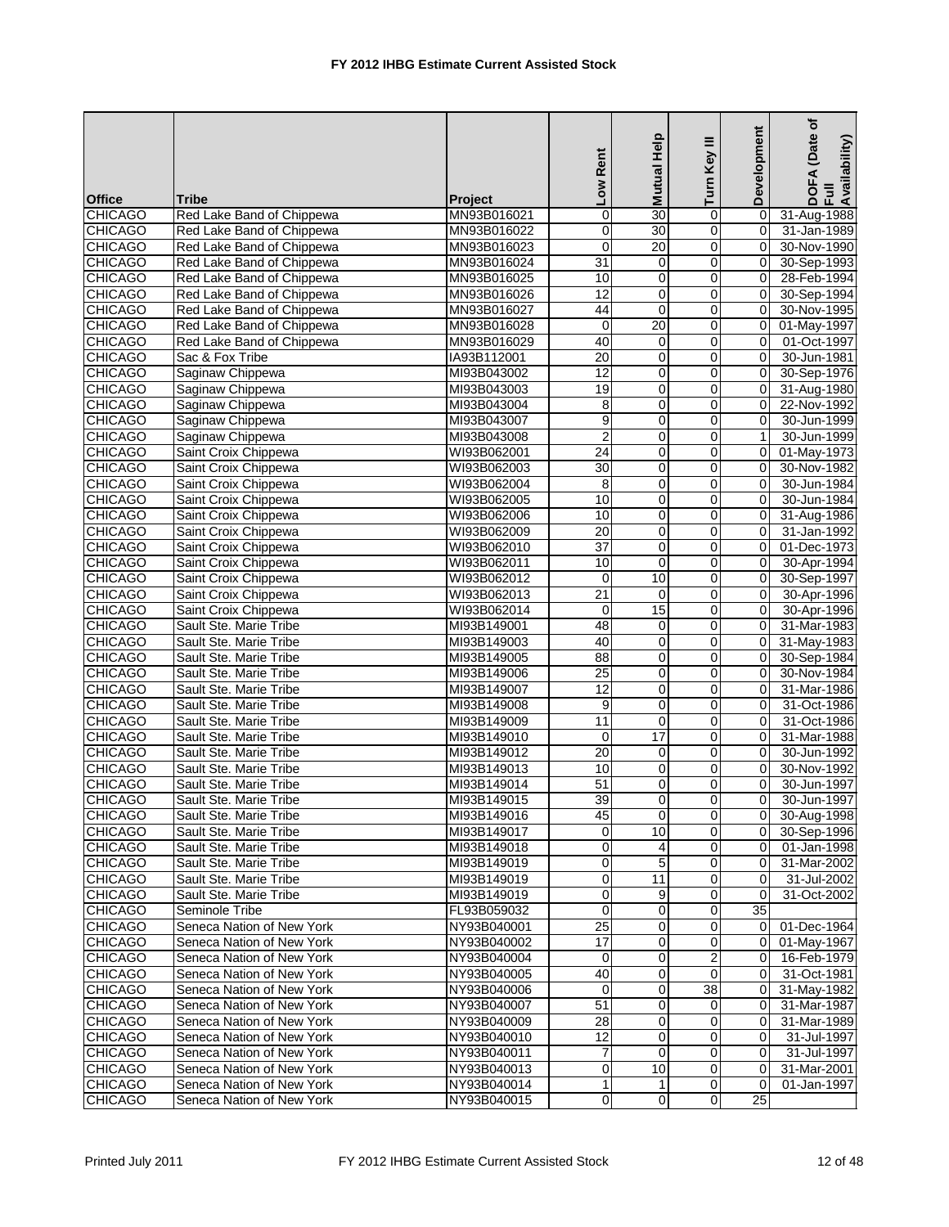| <b>Office</b>  | <b>Tribe</b>              | <b>Project</b> | Low Rent         | Mutual Help             | Turn Key III   | Development    | (Date of<br>DOFA (Date<br>Full<br>Availability) |
|----------------|---------------------------|----------------|------------------|-------------------------|----------------|----------------|-------------------------------------------------|
| <b>CHICAGO</b> | Red Lake Band of Chippewa | MN93B016021    | $\mathbf 0$      | 30                      | 0              | $\mathbf 0$    | 31-Aug-1988                                     |
| <b>CHICAGO</b> | Red Lake Band of Chippewa | MN93B016022    | 0                | 30                      | $\mathbf 0$    | $\mathbf 0$    | 31-Jan-1989                                     |
| <b>CHICAGO</b> | Red Lake Band of Chippewa | MN93B016023    | $\mathbf 0$      | $\overline{20}$         | 0              | 0              | 30-Nov-1990                                     |
| <b>CHICAGO</b> | Red Lake Band of Chippewa | MN93B016024    | 31               | 0                       | $\mathbf 0$    | $\overline{0}$ | 30-Sep-1993                                     |
| <b>CHICAGO</b> | Red Lake Band of Chippewa | MN93B016025    | 10               | 0                       | $\overline{0}$ | $\mathbf 0$    | 28-Feb-1994                                     |
| <b>CHICAGO</b> | Red Lake Band of Chippewa | MN93B016026    | $\overline{12}$  | $\mathbf 0$             | 0              | $\mathbf 0$    | 30-Sep-1994                                     |
| <b>CHICAGO</b> | Red Lake Band of Chippewa | MN93B016027    | 44               | $\mathbf 0$             | 0              | $\Omega$       | 30-Nov-1995                                     |
| <b>CHICAGO</b> | Red Lake Band of Chippewa | MN93B016028    | $\mathbf 0$      | 20                      | 0              | $\Omega$       | 01-May-1997                                     |
| <b>CHICAGO</b> | Red Lake Band of Chippewa | MN93B016029    | 40               | $\mathbf 0$             | $\pmb{0}$      | 0              | 01-Oct-1997                                     |
| <b>CHICAGO</b> | Sac & Fox Tribe           | IA93B112001    | 20               | $\mathbf 0$             | 0              | 0              | 30-Jun-1981                                     |
| <b>CHICAGO</b> |                           |                | $\overline{12}$  | $\pmb{0}$               | $\mathbf 0$    | $\mathbf 0$    | 30-Sep-1976                                     |
|                | Saginaw Chippewa          | MI93B043002    | 19               | $\overline{0}$          | $\mathbf 0$    |                |                                                 |
| <b>CHICAGO</b> | Saginaw Chippewa          | MI93B043003    |                  |                         |                | 0              | 31-Aug-1980                                     |
| <b>CHICAGO</b> | Saginaw Chippewa          | MI93B043004    | 8                | 0                       | 0              | 0              | 22-Nov-1992                                     |
| <b>CHICAGO</b> | Saginaw Chippewa          | MI93B043007    | 9                | $\pmb{0}$               | 0              | $\Omega$       | 30-Jun-1999                                     |
| <b>CHICAGO</b> | Saginaw Chippewa          | MI93B043008    | $\overline{2}$   | 0                       | $\overline{0}$ | $\mathbf{1}$   | 30-Jun-1999                                     |
| <b>CHICAGO</b> | Saint Croix Chippewa      | WI93B062001    | $\overline{24}$  | $\mathbf 0$             | 0              | $\mathbf 0$    | 01-May-1973                                     |
| <b>CHICAGO</b> | Saint Croix Chippewa      | WI93B062003    | 30               | 0                       | $\mathbf 0$    | 0              | 30-Nov-1982                                     |
| <b>CHICAGO</b> | Saint Croix Chippewa      | WI93B062004    | 8                | 0                       | 0              | $\Omega$       | 30-Jun-1984                                     |
| <b>CHICAGO</b> | Saint Croix Chippewa      | WI93B062005    | 10               | 0                       | $\mathbf 0$    | 0              | 30-Jun-1984                                     |
| <b>CHICAGO</b> | Saint Croix Chippewa      | WI93B062006    | 10               | 0                       | 0              | 0              | 31-Aug-1986                                     |
| <b>CHICAGO</b> | Saint Croix Chippewa      | WI93B062009    | 20               | 0                       | 0              | $\Omega$       | 31-Jan-1992                                     |
| <b>CHICAGO</b> | Saint Croix Chippewa      | WI93B062010    | $\overline{37}$  | $\overline{0}$          | $\mathbf 0$    | 0              | 01-Dec-1973                                     |
| <b>CHICAGO</b> | Saint Croix Chippewa      | WI93B062011    | 10               | $\mathbf 0$             | 0              | 0              | 30-Apr-1994                                     |
| <b>CHICAGO</b> | Saint Croix Chippewa      | WI93B062012    | 0                | 10                      | $\mathbf 0$    | $\overline{0}$ | 30-Sep-1997                                     |
| <b>CHICAGO</b> | Saint Croix Chippewa      | WI93B062013    | $\overline{21}$  | 0                       | $\overline{0}$ | $\mathbf 0$    | 30-Apr-1996                                     |
| <b>CHICAGO</b> | Saint Croix Chippewa      | WI93B062014    | $\mathbf 0$      | 15                      | 0              | $\mathbf 0$    | 30-Apr-1996                                     |
| <b>CHICAGO</b> | Sault Ste. Marie Tribe    | MI93B149001    | 48               | 0                       | 0              | $\Omega$       | 31-Mar-1983                                     |
| <b>CHICAGO</b> | Sault Ste. Marie Tribe    | MI93B149003    | 40               | 0                       | 0              | $\Omega$       | 31-May-1983                                     |
| <b>CHICAGO</b> | Sault Ste. Marie Tribe    | MI93B149005    | 88               | 0                       | $\pmb{0}$      | 0              | 30-Sep-1984                                     |
| <b>CHICAGO</b> | Sault Ste. Marie Tribe    | MI93B149006    | 25               | 0                       | 0              | 0              | 30-Nov-1984                                     |
| <b>CHICAGO</b> | Sault Ste. Marie Tribe    | MI93B149007    | $\overline{12}$  | $\overline{\mathbf{0}}$ | 0              | 0              | 31-Mar-1986                                     |
| <b>CHICAGO</b> | Sault Ste. Marie Tribe    | MI93B149008    | 9                | $\pmb{0}$               | 0              | 0              | 31-Oct-1986                                     |
| <b>CHICAGO</b> | Sault Ste. Marie Tribe    | MI93B149009    | 11               | 0                       | 0              | $\Omega$       | 31-Oct-1986                                     |
| <b>CHICAGO</b> | Sault Ste. Marie Tribe    | MI93B149010    | 0                | 17                      | $\mathbf 0$    | $\Omega$       | 31-Mar-1988                                     |
| <b>CHICAGO</b> | Sault Ste. Marie Tribe    | MI93B149012    | 20               | 0                       | 0              | 0              | 30-Jun-1992                                     |
| <b>CHICAGO</b> | Sault Ste. Marie Tribe    | MI93B149013    | 10               | 0                       | 0              | $\overline{0}$ | 30-Nov-1992                                     |
| <b>CHICAGO</b> | Sault Ste. Marie Tribe    | MI93B149014    | 51               | $\pmb{0}$               | 0              | $\Omega$       | 30-Jun-1997                                     |
| <b>CHICAGO</b> | Sault Ste. Marie Tribe    | MI93B149015    | $\overline{39}$  | $\Omega$                | $\Omega$       | 0              | 30-Jun-1997                                     |
| <b>CHICAGO</b> | Sault Ste. Marie Tribe    | MI93B149016    | 45               | $\mathbf{O}$            | $\overline{0}$ | $\mathbf 0$    | 30-Aug-1998                                     |
| <b>CHICAGO</b> | Sault Ste. Marie Tribe    | MI93B149017    | 0                | 10                      | $\Omega$       | 0              | 30-Sep-1996                                     |
| <b>CHICAGO</b> | Sault Ste. Marie Tribe    | MI93B149018    | 0                | 4                       | $\overline{0}$ | 0              | 01-Jan-1998                                     |
| <b>CHICAGO</b> | Sault Ste. Marie Tribe    | MI93B149019    | $\pmb{0}$        | 5                       | $\mathbf 0$    | 0              | 31-Mar-2002                                     |
| <b>CHICAGO</b> | Sault Ste. Marie Tribe    | MI93B149019    | 0                | $\overline{11}$         | $\overline{0}$ | 0              | 31-Jul-2002                                     |
| <b>CHICAGO</b> | Sault Ste. Marie Tribe    | MI93B149019    | 0                | 9                       | $\overline{0}$ | $\Omega$       | 31-Oct-2002                                     |
| <b>CHICAGO</b> | Seminole Tribe            | FL93B059032    | $\mathbf 0$      | 0                       | $\overline{0}$ | 35             |                                                 |
| <b>CHICAGO</b> | Seneca Nation of New York | NY93B040001    | $\overline{25}$  | 0                       | $\mathbf 0$    | $\overline{0}$ | 01-Dec-1964                                     |
| <b>CHICAGO</b> | Seneca Nation of New York | NY93B040002    | 17               | 0                       | $\mathbf 0$    | $\overline{0}$ | 01-May-1967                                     |
| <b>CHICAGO</b> | Seneca Nation of New York | NY93B040004    | 0                | 0                       | $\overline{a}$ | 0              | 16-Feb-1979                                     |
| <b>CHICAGO</b> | Seneca Nation of New York | NY93B040005    | 40               | $\mathbf 0$             | $\mathbf{0}$   | 0              | 31-Oct-1981                                     |
| <b>CHICAGO</b> | Seneca Nation of New York | NY93B040006    | $\overline{0}$   | $\mathbf 0$             | 38             | 0              | 31-May-1982                                     |
| <b>CHICAGO</b> | Seneca Nation of New York | NY93B040007    | 51               | 0                       | $\mathbf 0$    | 0              | 31-Mar-1987                                     |
| <b>CHICAGO</b> | Seneca Nation of New York | NY93B040009    | $\overline{28}$  | 0                       | $\mathbf 0$    | 0              | 31-Mar-1989                                     |
| <b>CHICAGO</b> | Seneca Nation of New York | NY93B040010    | 12               | 0                       | 0              | 0              | 31-Jul-1997                                     |
| <b>CHICAGO</b> | Seneca Nation of New York | NY93B040011    | $\boldsymbol{7}$ | 0                       | $\overline{0}$ | 0              | 31-Jul-1997                                     |
| <b>CHICAGO</b> | Seneca Nation of New York | NY93B040013    | 0                | 10                      | $\overline{0}$ | 0              | 31-Mar-2001                                     |
| <b>CHICAGO</b> | Seneca Nation of New York | NY93B040014    | $\mathbf{1}$     | 1                       | $\mathbf 0$    | 0              | 01-Jan-1997                                     |
| <b>CHICAGO</b> | Seneca Nation of New York | NY93B040015    | $\pmb{0}$        | $\pmb{0}$               | $\overline{0}$ | 25             |                                                 |
|                |                           |                |                  |                         |                |                |                                                 |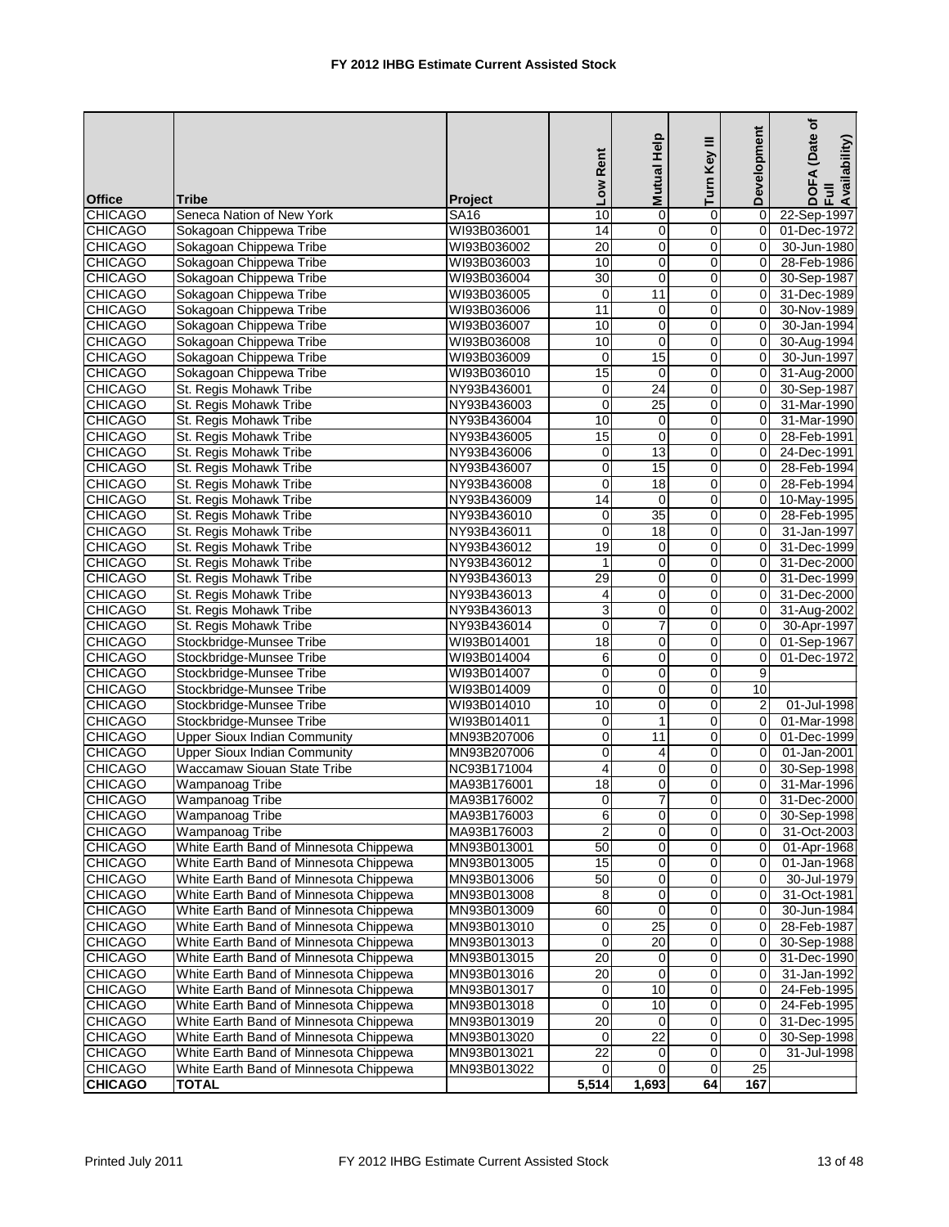|                                  |                                        |                | Low Rent        | Mutual Help             | Ξ<br>Turn Key       | Development    | ৳<br>(Date<br>DOFA (Date<br>Full<br>Availability) |
|----------------------------------|----------------------------------------|----------------|-----------------|-------------------------|---------------------|----------------|---------------------------------------------------|
| <b>Office</b>                    | <b>Tribe</b>                           | <b>Project</b> |                 |                         |                     |                |                                                   |
| <b>CHICAGO</b>                   | Seneca Nation of New York              | <b>SA16</b>    | 10              | $\mathbf 0$             | $\overline{0}$      | $\mathbf 0$    | 22-Sep-1997                                       |
| <b>CHICAGO</b>                   | Sokagoan Chippewa Tribe                | WI93B036001    | 14              | 0                       | $\overline{0}$      | 0              | 01-Dec-1972                                       |
| <b>CHICAGO</b>                   | Sokagoan Chippewa Tribe                | WI93B036002    | $\overline{20}$ | 0                       | $\mathsf{O}\xspace$ | $\mathbf 0$    | 30-Jun-1980                                       |
| <b>CHICAGO</b>                   | Sokagoan Chippewa Tribe                | WI93B036003    | 10              | 0                       | $\mathbf 0$         | 0              | 28-Feb-1986                                       |
| <b>CHICAGO</b>                   | Sokagoan Chippewa Tribe                | WI93B036004    | 30              | $\mathbf 0$             | $\Omega$            | 0              | 30-Sep-1987                                       |
| <b>CHICAGO</b>                   | Sokagoan Chippewa Tribe                | WI93B036005    | 0               | 11                      | $\mathbf 0$         | 0              | 31-Dec-1989                                       |
| <b>CHICAGO</b>                   | Sokagoan Chippewa Tribe                | WI93B036006    | 11              | 0                       | $\mathbf 0$         | 0              | 30-Nov-1989                                       |
| <b>CHICAGO</b>                   | Sokagoan Chippewa Tribe                | WI93B036007    | 10              | 0                       | $\mathbf 0$         | $\Omega$       | 30-Jan-1994                                       |
| <b>CHICAGO</b>                   | Sokagoan Chippewa Tribe                | WI93B036008    | 10              | 0                       | $\pmb{0}$           | 0              | 30-Aug-1994                                       |
| <b>CHICAGO</b>                   | Sokagoan Chippewa Tribe                | WI93B036009    | $\mathbf 0$     | 15                      | $\overline{0}$      | 0              | 30-Jun-1997                                       |
| <b>CHICAGO</b>                   | Sokagoan Chippewa Tribe                | WI93B036010    | 15              | $\mathbf 0$             | $\mathbf 0$         | 0              | 31-Aug-2000                                       |
| <b>CHICAGO</b>                   | St. Regis Mohawk Tribe                 | NY93B436001    | 0               | $\overline{24}$         | $\overline{0}$      | 0              | 30-Sep-1987                                       |
| <b>CHICAGO</b>                   | St. Regis Mohawk Tribe                 | NY93B436003    | 0               | $\overline{25}$         | $\mathsf{O}\xspace$ | 0              | 31-Mar-1990                                       |
| <b>CHICAGO</b>                   | St. Regis Mohawk Tribe                 | NY93B436004    | 10              | 0                       | $\mathbf 0$         | 0              | 31-Mar-1990                                       |
| <b>CHICAGO</b>                   | St. Regis Mohawk Tribe                 | NY93B436005    | 15              | $\mathbf 0$             | $\overline{0}$      | 0              | 28-Feb-1991                                       |
| <b>CHICAGO</b>                   | St. Regis Mohawk Tribe                 | NY93B436006    | 0               | 13                      | $\mathbf 0$         | 0              | 24-Dec-1991                                       |
| <b>CHICAGO</b>                   | St. Regis Mohawk Tribe                 | NY93B436007    | 0               | 15                      | $\mathbf 0$         | 0              | 28-Feb-1994                                       |
| <b>CHICAGO</b>                   | St. Regis Mohawk Tribe                 | NY93B436008    | 0               | 18                      | $\mathbf 0$         | 0              | 28-Feb-1994                                       |
| <b>CHICAGO</b>                   | St. Regis Mohawk Tribe                 | NY93B436009    | 14              | $\mathbf 0$             | $\mathbf 0$         | 0              | 10-May-1995                                       |
| <b>CHICAGO</b>                   | St. Regis Mohawk Tribe                 | NY93B436010    | 0               | 35                      | $\mathbf 0$         | 0              | 28-Feb-1995                                       |
| <b>CHICAGO</b>                   | St. Regis Mohawk Tribe                 | NY93B436011    | 0               | 18                      | $\mathbf 0$         | 0              | 31-Jan-1997                                       |
| <b>CHICAGO</b>                   | St. Regis Mohawk Tribe                 | NY93B436012    | 19              | 0                       | $\overline{0}$      | 0              | 31-Dec-1999                                       |
| <b>CHICAGO</b>                   | St. Regis Mohawk Tribe                 | NY93B436012    | $\mathbf{1}$    | 0                       | $\mathsf{O}\xspace$ | 0              | 31-Dec-2000                                       |
| <b>CHICAGO</b>                   | St. Regis Mohawk Tribe                 | NY93B436013    | 29              | 0                       | $\mathbf 0$         | 0              | 31-Dec-1999                                       |
| <b>CHICAGO</b>                   | St. Regis Mohawk Tribe                 | NY93B436013    | 4               | $\mathbf 0$             | $\overline{0}$      | 0              | 31-Dec-2000                                       |
| <b>CHICAGO</b>                   | St. Regis Mohawk Tribe                 | NY93B436013    | 3               | 0                       | $\mathbf 0$         | 0              | 31-Aug-2002                                       |
| <b>CHICAGO</b>                   | St. Regis Mohawk Tribe                 | NY93B436014    | $\mathbf 0$     | $\overline{7}$          | $\mathbf 0$         | 0              | 30-Apr-1997                                       |
|                                  |                                        |                |                 |                         |                     | 0              |                                                   |
| <b>CHICAGO</b>                   | Stockbridge-Munsee Tribe               | WI93B014001    | $\overline{18}$ | 0                       | $\mathbf 0$         |                | 01-Sep-1967                                       |
| <b>CHICAGO</b><br><b>CHICAGO</b> | Stockbridge-Munsee Tribe               | WI93B014004    | 6               | 0                       | $\mathbf 0$         | 0<br>9         | 01-Dec-1972                                       |
|                                  | Stockbridge-Munsee Tribe               | WI93B014007    | 0               | $\mathbf 0$             | $\mathbf 0$         |                |                                                   |
| <b>CHICAGO</b>                   | Stockbridge-Munsee Tribe               | WI93B014009    | 0               | $\pmb{0}$               | $\overline{O}$      | 10             |                                                   |
| <b>CHICAGO</b>                   | Stockbridge-Munsee Tribe               | WI93B014010    | 10              | 0                       | $\overline{0}$      | $\overline{c}$ | 01-Jul-1998                                       |
| <b>CHICAGO</b>                   | Stockbridge-Munsee Tribe               | WI93B014011    | 0               | $\mathbf{1}$            | $\mathbf 0$         | 0              | 01-Mar-1998                                       |
| <b>CHICAGO</b>                   | <b>Upper Sioux Indian Community</b>    | MN93B207006    | 0               | 11                      | $\mathbf 0$         | $\Omega$       | 01-Dec-1999                                       |
| <b>CHICAGO</b>                   | <b>Upper Sioux Indian Community</b>    | MN93B207006    | 0               | 4                       | $\overline{0}$      | 0              | 01-Jan-2001                                       |
| <b>CHICAGO</b>                   | Waccamaw Siouan State Tribe            | NC93B171004    | 4               | 0                       | $\mathbf 0$         | 0              | 30-Sep-1998                                       |
| <b>CHICAGO</b>                   | Wampanoag Tribe                        | MA93B176001    | 18              | 0                       | $\mathbf 0$         | 0              | 31-Mar-1996                                       |
| <b>CHICAGO</b>                   | Wampanoag Tribe                        | MA93B176002    | $\overline{0}$  | $\overline{7}$          | $\overline{0}$      | $\Omega$       | 31-Dec-2000                                       |
| <b>CHICAGO</b>                   | <b>Wampanoag Tribe</b>                 | MA93B176003    | 6               | $\overline{\mathbf{0}}$ | $\pmb{0}$           | 0              | 30-Sep-1998                                       |
| <b>CHICAGO</b>                   | <b>Wampanoag Tribe</b>                 | MA93B176003    | $\overline{2}$  | 0                       | $\mathbf 0$         | 0              | 31-Oct-2003                                       |
| <b>CHICAGO</b>                   | White Earth Band of Minnesota Chippewa | MN93B013001    | 50              | 0                       | $\pmb{0}$           | 0              | 01-Apr-1968                                       |
| <b>CHICAGO</b>                   | White Earth Band of Minnesota Chippewa | MN93B013005    | 15              | 0                       | 0                   | 0              | 01-Jan-1968                                       |
| <b>CHICAGO</b>                   | White Earth Band of Minnesota Chippewa | MN93B013006    | 50              | 0                       | $\pmb{0}$           | 0              | 30-Jul-1979                                       |
| <b>CHICAGO</b>                   | White Earth Band of Minnesota Chippewa | MN93B013008    | 8               | 0                       | $\mathbf 0$         | 0              | 31-Oct-1981                                       |
| <b>CHICAGO</b>                   | White Earth Band of Minnesota Chippewa | MN93B013009    | 60              | 0                       | $\overline{0}$      | 0              | 30-Jun-1984                                       |
| CHICAGO                          | White Earth Band of Minnesota Chippewa | MN93B013010    | 0               | $\overline{25}$         | 0                   | 0              | 28-Feb-1987                                       |
| <b>CHICAGO</b>                   | White Earth Band of Minnesota Chippewa | MN93B013013    | 0               | $\overline{20}$         | 0                   | 0              | 30-Sep-1988                                       |
| <b>CHICAGO</b>                   | White Earth Band of Minnesota Chippewa | MN93B013015    | $\overline{20}$ | 0                       | $\pmb{0}$           | 0              | 31-Dec-1990                                       |
| CHICAGO                          | White Earth Band of Minnesota Chippewa | MN93B013016    | 20              | 0                       | 0                   | 0              | 31-Jan-1992                                       |
| <b>CHICAGO</b>                   | White Earth Band of Minnesota Chippewa | MN93B013017    | 0               | 10                      | $\overline{0}$      | 0              | 24-Feb-1995                                       |
| <b>CHICAGO</b>                   | White Earth Band of Minnesota Chippewa | MN93B013018    | 0               | 10                      | $\overline{0}$      | 0              | 24-Feb-1995                                       |
| <b>CHICAGO</b>                   | White Earth Band of Minnesota Chippewa | MN93B013019    | 20              | 0                       | 0                   | 0              | 31-Dec-1995                                       |
| <b>CHICAGO</b>                   | White Earth Band of Minnesota Chippewa | MN93B013020    | 0               | $\overline{22}$         | $\mathbf 0$         | 0              | 30-Sep-1998                                       |
| <b>CHICAGO</b>                   | White Earth Band of Minnesota Chippewa | MN93B013021    | 22              | $\mathbf 0$             | $\overline{0}$      | $\mathbf 0$    | 31-Jul-1998                                       |
| <b>CHICAGO</b>                   | White Earth Band of Minnesota Chippewa | MN93B013022    | 0               | 0                       | $\overline{0}$      | 25             |                                                   |
| <b>CHICAGO</b>                   | <b>TOTAL</b>                           |                | 5,514           | 1,693                   | 64                  | 167            |                                                   |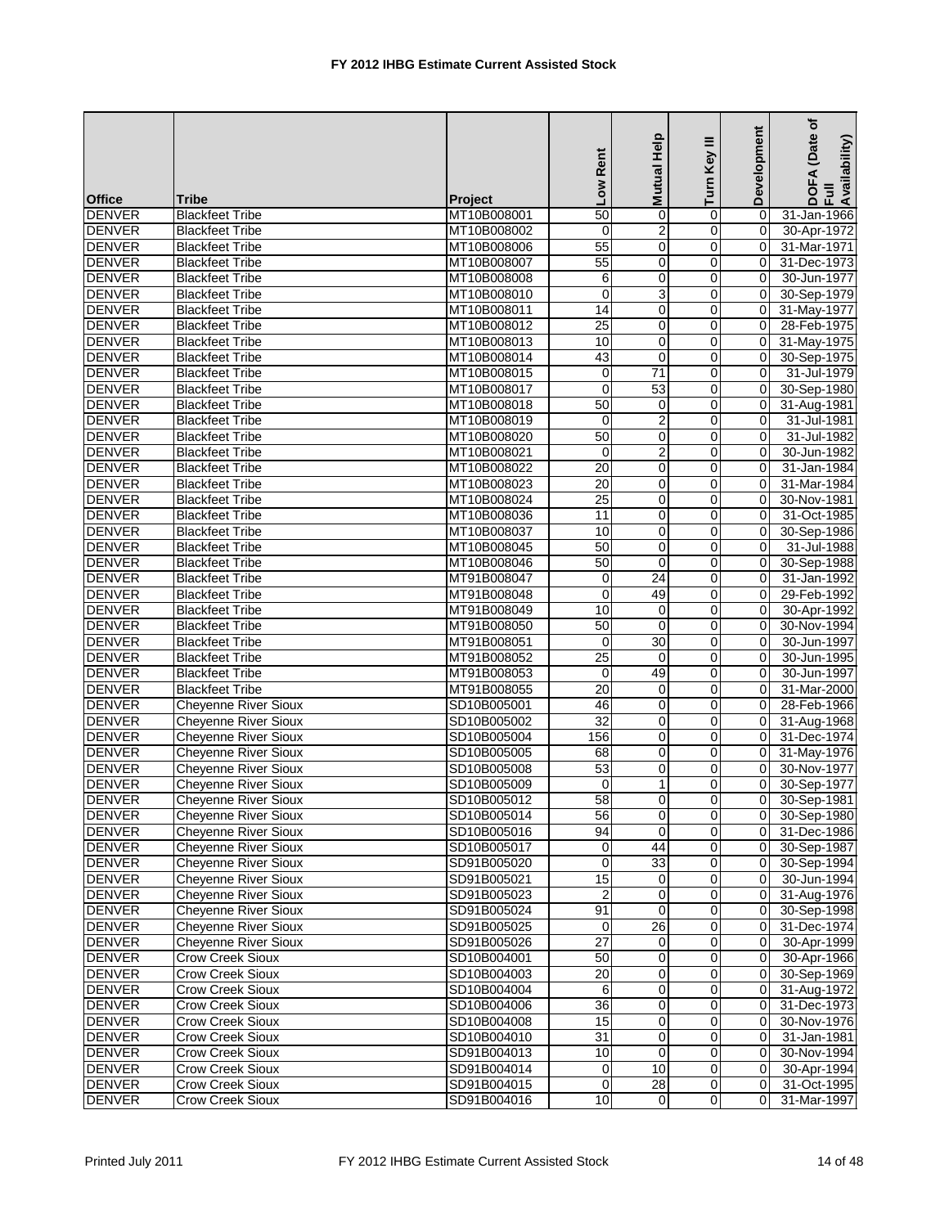|               |                             |                            | Low Rent         | Mutual Help    | Turn Key III                 | Development | (Date of<br>DOFA (Date<br>Full<br>Availability) |
|---------------|-----------------------------|----------------------------|------------------|----------------|------------------------------|-------------|-------------------------------------------------|
| <b>Office</b> | Tribe                       | <b>Project</b>             |                  |                |                              |             |                                                 |
| <b>DENVER</b> | <b>Blackfeet Tribe</b>      | MT10B008001                | $\overline{50}$  | $\mathbf 0$    | 0                            | $\Omega$    | 31-Jan-1966                                     |
| <b>DENVER</b> | <b>Blackfeet Tribe</b>      | MT10B008002                | $\mathbf 0$      | $\overline{2}$ | $\mathbf 0$                  | 0           | 30-Apr-1972                                     |
| <b>DENVER</b> | <b>Blackfeet Tribe</b>      | MT10B008006                | 55               | 0              | 0                            | $\Omega$    | 31-Mar-1971                                     |
| <b>DENVER</b> | <b>Blackfeet Tribe</b>      | MT10B008007                | 55               | 0              | 0                            | 0           | 31-Dec-1973                                     |
| <b>DENVER</b> | <b>Blackfeet Tribe</b>      | MT10B008008                | 6                | 0              | 0                            | $\mathbf 0$ | 30-Jun-1977                                     |
| <b>DENVER</b> | <b>Blackfeet Tribe</b>      | MT10B008010                | $\mathbf 0$      | $\overline{3}$ | $\mathbf 0$                  | $\mathbf 0$ | 30-Sep-1979                                     |
| <b>DENVER</b> | <b>Blackfeet Tribe</b>      | MT10B008011                | $\overline{14}$  | $\mathbf 0$    | $\mathbf 0$                  | $\Omega$    | 31-May-1977                                     |
| <b>DENVER</b> | <b>Blackfeet Tribe</b>      | MT10B008012                | 25               | $\mathbf 0$    | $\mathbf 0$                  | $\Omega$    | 28-Feb-1975                                     |
| <b>DENVER</b> | <b>Blackfeet Tribe</b>      | MT10B008013                | 10               | 0              | 0                            | 0           | 31-May-1975                                     |
| <b>DENVER</b> | <b>Blackfeet Tribe</b>      | MT10B008014                | 43               | 0              | 0                            | 0           | 30-Sep-1975                                     |
| <b>DENVER</b> | <b>Blackfeet Tribe</b>      | MT10B008015                | 0                | 71             | $\mathbf 0$                  | $\Omega$    | 31-Jul-1979                                     |
| <b>DENVER</b> | <b>Blackfeet Tribe</b>      | MT10B008017                | $\overline{0}$   | 53             | 0                            | $\mathbf 0$ | 30-Sep-1980                                     |
| <b>DENVER</b> | <b>Blackfeet Tribe</b>      | MT10B008018                | 50               | 0              | 0                            | 0           | 31-Aug-1981                                     |
| <b>DENVER</b> | <b>Blackfeet Tribe</b>      | MT10B008019                | $\mathbf 0$      | $\overline{c}$ | 0                            | $\Omega$    | 31-Jul-1981                                     |
| <b>DENVER</b> | <b>Blackfeet Tribe</b>      | MT10B008020                | 50               | 0              | 0                            | $\mathbf 0$ | 31-Jul-1982                                     |
| <b>DENVER</b> | <b>Blackfeet Tribe</b>      | MT10B008021                | $\mathbf 0$      | $\overline{2}$ | $\mathbf 0$                  | $\mathbf 0$ | 30-Jun-1982                                     |
| <b>DENVER</b> | <b>Blackfeet Tribe</b>      | MT10B008022                | $\overline{20}$  | $\mathbf 0$    | $\mathbf 0$                  | $\Omega$    | 31-Jan-1984                                     |
| <b>DENVER</b> | <b>Blackfeet Tribe</b>      | MT10B008023                | 20               | $\mathbf 0$    | 0                            | $\Omega$    | 31-Mar-1984                                     |
| <b>DENVER</b> | <b>Blackfeet Tribe</b>      | MT10B008024                | $\overline{25}$  | 0              | 0                            | 0           | 30-Nov-1981                                     |
| <b>DENVER</b> | <b>Blackfeet Tribe</b>      | MT10B008036                | 11               | $\mathbf 0$    | 0                            | 0           | 31-Oct-1985                                     |
| <b>DENVER</b> | <b>Blackfeet Tribe</b>      | MT10B008037                | 10               | 0              | 0                            | $\Omega$    | 30-Sep-1986                                     |
| <b>DENVER</b> | <b>Blackfeet Tribe</b>      | MT10B008045                | 50               | 0              | 0                            | $\mathbf 0$ | 31-Jul-1988                                     |
| <b>DENVER</b> | <b>Blackfeet Tribe</b>      | MT10B008046                | 50               | $\mathbf 0$    | $\mathbf 0$                  | $\mathbf 0$ | 30-Sep-1988                                     |
| <b>DENVER</b> | <b>Blackfeet Tribe</b>      | MT91B008047                | 0                | 24             | 0                            | $\Omega$    | 31-Jan-1992                                     |
| <b>DENVER</b> | <b>Blackfeet Tribe</b>      | MT91B008048                | 0                | 49             | 0                            | 0           | 29-Feb-1992                                     |
| <b>DENVER</b> | <b>Blackfeet Tribe</b>      | MT91B008049                | 10               | 0              | $\mathbf 0$                  | $\mathbf 0$ | 30-Apr-1992                                     |
| <b>DENVER</b> | <b>Blackfeet Tribe</b>      | MT91B008050                | 50               | $\mathbf 0$    | $\mathbf 0$                  | $\Omega$    | 30-Nov-1994                                     |
| <b>DENVER</b> | <b>Blackfeet Tribe</b>      | MT91B008051                | 0                | 30             | 0                            | 0           | 30-Jun-1997                                     |
| <b>DENVER</b> | <b>Blackfeet Tribe</b>      | MT91B008052                | $\overline{25}$  | $\mathbf 0$    | 0                            | 0           | 30-Jun-1995                                     |
| <b>DENVER</b> | <b>Blackfeet Tribe</b>      | MT91B008053                | $\mathbf 0$      | 49             | 0                            | $\Omega$    | 30-Jun-1997                                     |
| <b>DENVER</b> | <b>Blackfeet Tribe</b>      | MT91B008055                | $\overline{20}$  | 0              | 0                            | 0           | 31-Mar-2000                                     |
| <b>DENVER</b> | <b>Cheyenne River Sioux</b> | SD10B005001                | 46               | $\mathbf 0$    | $\mathbf 0$                  | 0           | 28-Feb-1966                                     |
| <b>DENVER</b> | <b>Cheyenne River Sioux</b> | SD10B005002                | $\overline{32}$  | $\mathbf 0$    | 0                            | 0           | 31-Aug-1968                                     |
| <b>DENVER</b> | Cheyenne River Sioux        | SD10B005004                | 156              | 0              | 0                            | 0           | 31-Dec-1974                                     |
| <b>DENVER</b> | <b>Cheyenne River Sioux</b> | SD10B005005                | 68               | 0              | 0                            | 0           | 31-May-1976                                     |
| <b>DENVER</b> | Cheyenne River Sioux        | SD10B005008                | 53               | 0              | 0                            | 0           | 30-Nov-1977                                     |
| <b>DENVER</b> | <b>Cheyenne River Sioux</b> | SD10B005009                | $\mathbf 0$      | $\mathbf{1}$   | 0                            | $\Omega$    | 30-Sep-1977                                     |
| <b>DENVER</b> | <b>Cheyenne River Sioux</b> | SD10B005012                | $\overline{58}$  | $\Omega$       | $\Omega$                     | 0           | 30-Sep-1981                                     |
| <b>DENVER</b> | <b>Cheyenne River Sioux</b> | SD10B005014                | 56               | $\overline{0}$ | $\overline{0}$               | 0           | 30-Sep-1980                                     |
| <b>DENVER</b> | <b>Cheyenne River Sioux</b> | SD10B005016                | 94               | $\mathbf 0$    | 0                            | 0           | 31-Dec-1986                                     |
| <b>DENVER</b> | <b>Cheyenne River Sioux</b> | SD10B005017                | 0                | 44             | 0                            | 0           | 30-Sep-1987                                     |
| <b>DENVER</b> | <b>Cheyenne River Sioux</b> | SD91B005020                | $\overline{0}$   | 33             | $\overline{\mathbf{0}}$      | 0           | 30-Sep-1994                                     |
| <b>DENVER</b> | <b>Cheyenne River Sioux</b> | SD91B005021                | 15               | 0              | 0                            | 0           | 30-Jun-1994                                     |
| <b>DENVER</b> | <b>Cheyenne River Sioux</b> | SD91B005023                | $\boldsymbol{2}$ | $\mathbf 0$    | 0                            | $\mathbf 0$ | 31-Aug-1976                                     |
| <b>DENVER</b> | <b>Cheyenne River Sioux</b> | SD91B005024                | 91               | 0              | 0                            | $\mathbf 0$ | 30-Sep-1998                                     |
| <b>DENVER</b> | <b>Cheyenne River Sioux</b> | SD91B005025                | $\pmb{0}$        | 26             | 0                            | 0           | 31-Dec-1974                                     |
| <b>DENVER</b> | <b>Cheyenne River Sioux</b> | SD91B005026                | $\overline{27}$  | $\pmb{0}$      | $\mathbf 0$                  | $\mathbf 0$ | 30-Apr-1999                                     |
| <b>DENVER</b> | Crow Creek Sioux            | SD10B004001                | 50               | 0              | 0                            | $\mathbf 0$ | 30-Apr-1966                                     |
| <b>DENVER</b> | Crow Creek Sioux            | SD10B004003                | $\overline{20}$  | 0              | 0                            | 0           | 30-Sep-1969                                     |
| <b>DENVER</b> | Crow Creek Sioux            | SD10B004004                | 6                | 0              | 0                            | $\mathbf 0$ | 31-Aug-1972                                     |
| <b>DENVER</b> | Crow Creek Sioux            | SD10B004006                | $\overline{36}$  | 0              |                              | 0           |                                                 |
|               |                             |                            | 15               |                | 0<br>$\overline{\mathbf{0}}$ |             | 31-Dec-1973                                     |
| <b>DENVER</b> | Crow Creek Sioux            | SD10B004008<br>SD10B004010 | 31               | 0              |                              | 0           | 30-Nov-1976                                     |
| <b>DENVER</b> | Crow Creek Sioux            |                            |                  | 0              | 0                            | 0           | 31-Jan-1981                                     |
| <b>DENVER</b> | <b>Crow Creek Sioux</b>     | SD91B004013                | 10               | 0              | $\mathbf 0$                  | $\mathbf 0$ | 30-Nov-1994                                     |
| <b>DENVER</b> | Crow Creek Sioux            | SD91B004014                | $\mathbf 0$      | 10             | $\mathbf 0$                  | 0           | 30-Apr-1994                                     |
| <b>DENVER</b> | Crow Creek Sioux            | SD91B004015                | $\pmb{0}$        | 28             | $\pmb{0}$                    | 0           | 31-Oct-1995                                     |
| <b>DENVER</b> | <b>Crow Creek Sioux</b>     | SD91B004016                | 10               | $\overline{0}$ | $\mathbf 0$                  | $\Omega$    | 31-Mar-1997                                     |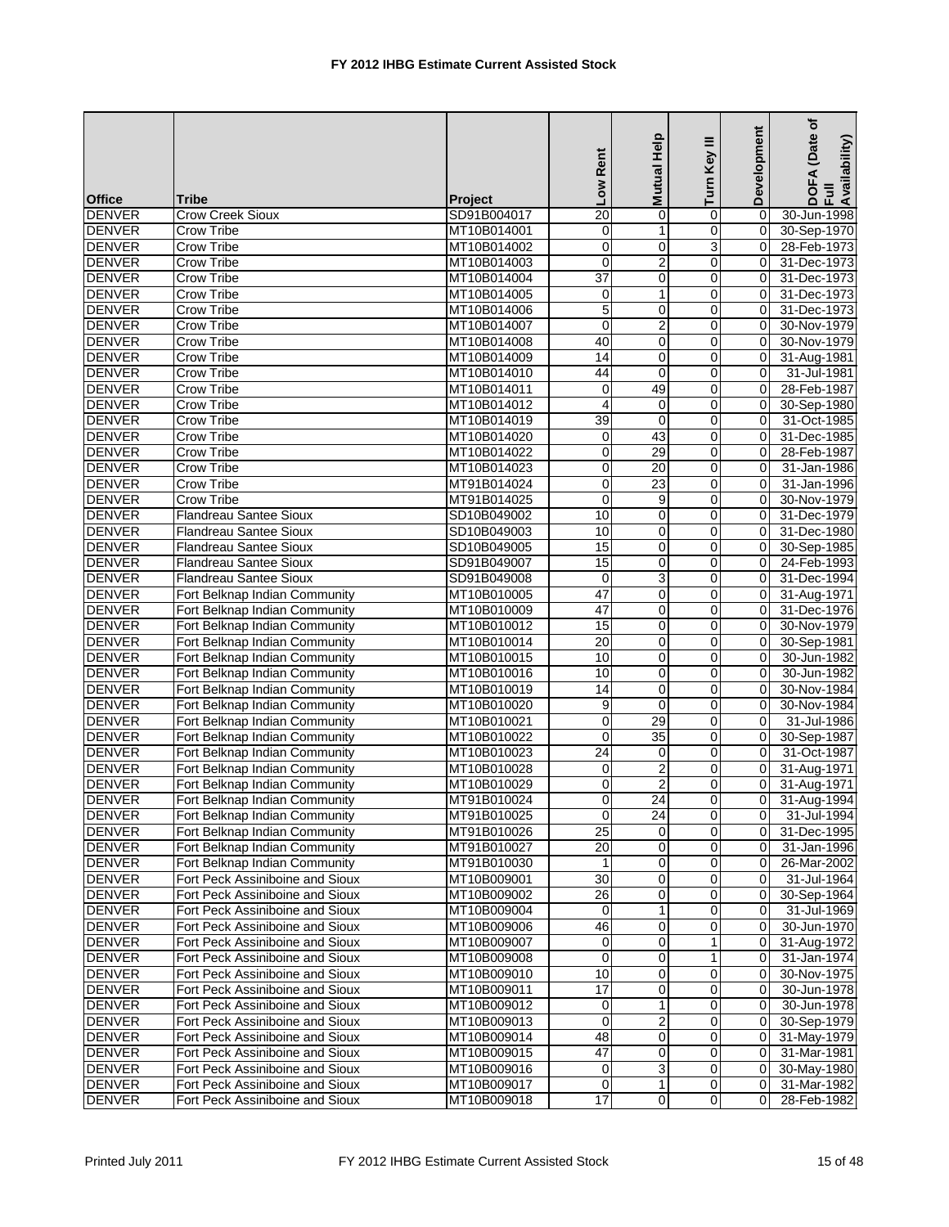| Development<br>Low Rent<br>Turn Key<br><b>Mutual</b><br><b>Office</b><br><b>Tribe</b><br><b>Project</b><br>20<br><b>DENVER</b><br>Crow Creek Sioux<br>SD91B004017<br>0<br>0<br>$\Omega$ |                                     |
|-----------------------------------------------------------------------------------------------------------------------------------------------------------------------------------------|-------------------------------------|
|                                                                                                                                                                                         | DOFA (Date<br>Full<br>Availability) |
|                                                                                                                                                                                         | 30-Jun-1998                         |
| DENVER<br>Crow Tribe<br>0<br>MT10B014001<br>0<br>1<br>0                                                                                                                                 | 30-Sep-1970                         |
| 3<br><b>DENVER</b><br>$\mathbf 0$<br>$\mathbf 0$<br>Crow Tribe<br>MT10B014002<br>0                                                                                                      | 28-Feb-1973                         |
| <b>DENVER</b><br>$\boldsymbol{2}$<br>Crow Tribe<br>MT10B014003<br>0<br>0<br>0                                                                                                           | 31-Dec-1973                         |
| $\overline{37}$<br><b>DENVER</b><br>Crow Tribe<br>MT10B014004<br>0<br>0<br>0                                                                                                            | 31-Dec-1973                         |
| 1<br><b>DENVER</b><br><b>Crow Tribe</b><br>MT10B014005<br>$\mathbf 0$<br>0<br>0                                                                                                         | 31-Dec-1973                         |
| <b>DENVER</b><br><b>Crow Tribe</b><br>5<br>0<br>MT10B014006<br>0<br>0                                                                                                                   | 31-Dec-1973                         |
| $\overline{\mathbf{c}}$<br>DENVER<br><b>Crow Tribe</b><br>MT10B014007<br>$\mathbf 0$<br>0<br>0                                                                                          | 30-Nov-1979                         |
| 40<br>$\mathbf 0$<br>0<br><b>DENVER</b><br>Crow Tribe<br>MT10B014008<br>0                                                                                                               | 30-Nov-1979                         |
| <b>DENVER</b><br><b>Crow Tribe</b><br>14<br>$\mathbf 0$<br>$\mathbf 0$<br>MT10B014009<br>$\Omega$                                                                                       | 31-Aug-1981                         |
| <b>DENVER</b><br><b>Crow Tribe</b><br>MT10B014010<br>44<br>0<br>0<br>0                                                                                                                  | 31-Jul-1981                         |
| 49<br><b>DENVER</b><br>Crow Tribe<br>$\mathbf 0$<br>0<br>MT10B014011<br>0                                                                                                               | 28-Feb-1987                         |
| <b>DENVER</b><br>$\overline{\mathbf{4}}$<br>$\mathbf 0$<br>0<br>Crow Tribe<br>MT10B014012<br>0                                                                                          | 30-Sep-1980                         |
| <b>DENVER</b><br>Crow Tribe<br>MT10B014019<br>39<br>$\mathbf 0$<br>0                                                                                                                    | 31-Oct-1985                         |
| <b>DENVER</b><br>43<br>Crow Tribe<br>MT10B014020<br>0<br>$\mathbf 0$<br>0                                                                                                               | 31-Dec-1985                         |
| $\mathbf 0$<br>29<br><b>DENVER</b><br><b>Crow Tribe</b><br>MT10B014022<br>0<br>0                                                                                                        | 28-Feb-1987                         |
| <b>DENVER</b><br><b>Crow Tribe</b><br>MT10B014023<br>0<br>20<br>0<br>0                                                                                                                  | 31-Jan-1986                         |
| <b>DENVER</b><br>Crow Tribe<br>$\mathbf 0$<br>23<br>0<br>MT91B014024<br>0                                                                                                               | 31-Jan-1996                         |
| <b>DENVER</b><br>$\mathbf 0$<br>0<br><b>Crow Tribe</b><br>MT91B014025<br>9<br>0                                                                                                         | 30-Nov-1979                         |
| <b>DENVER</b><br>10<br>$\mathbf 0$<br>Flandreau Santee Sioux<br>SD10B049002<br>0<br>$\Omega$                                                                                            | 31-Dec-1979                         |
| <b>DENVER</b><br>Flandreau Santee Sioux<br>SD10B049003<br>10<br>0<br>0<br>$\Omega$                                                                                                      | 31-Dec-1980                         |
| 15<br><b>DENVER</b><br><b>Flandreau Santee Sioux</b><br>SD10B049005<br>0<br>0<br>0                                                                                                      | 30-Sep-1985                         |
| <b>DENVER</b><br>15<br>$\mathbf 0$<br>0<br><b>Flandreau Santee Sioux</b><br>SD91B049007<br>$\Omega$                                                                                     | 24-Feb-1993                         |
| <b>DENVER</b><br>3<br>Flandreau Santee Sioux<br>SD91B049008<br>0<br>0<br>0                                                                                                              | 31-Dec-1994                         |
| 47<br>0<br><b>DENVER</b><br>MT10B010005<br>0<br>Fort Belknap Indian Community<br>0                                                                                                      | 31-Aug-1971                         |
| 47<br><b>DENVER</b><br>Fort Belknap Indian Community<br>MT10B010009<br>$\mathbf 0$<br>0<br>0                                                                                            | 31-Dec-1976                         |
| 0<br><b>DENVER</b><br>Fort Belknap Indian Community<br>15<br>0<br>0<br>MT10B010012                                                                                                      | 30-Nov-1979                         |
| <b>DENVER</b><br>Fort Belknap Indian Community<br>MT10B010014<br>20<br>$\mathbf 0$<br>0<br>$\Omega$                                                                                     | 30-Sep-1981                         |
| <b>DENVER</b><br>10<br>0<br>0<br>Fort Belknap Indian Community<br>MT10B010015<br>0                                                                                                      | 30-Jun-1982                         |
| <b>DENVER</b><br>10<br>$\mathbf 0$<br>$\mathbf 0$<br>MT10B010016<br>Fort Belknap Indian Community<br>0                                                                                  | 30-Jun-1982                         |
| <b>DENVER</b><br>14<br>Fort Belknap Indian Community<br>MT10B010019<br>0<br>0<br>0                                                                                                      | 30-Nov-1984                         |
| <b>DENVER</b><br>Fort Belknap Indian Community<br>MT10B010020<br>9<br>$\mathbf 0$<br>0<br>0                                                                                             | 30-Nov-1984                         |
| 29<br>0<br>DENVER<br>Fort Belknap Indian Community<br>MT10B010021<br>0<br>0                                                                                                             | 31-Jul-1986                         |
| <b>DENVER</b><br>Fort Belknap Indian Community<br>MT10B010022<br>0<br>35<br>0<br>$\Omega$                                                                                               | 30-Sep-1987                         |
| <b>DENVER</b><br>24<br>Fort Belknap Indian Community<br>MT10B010023<br>0<br>0<br>0                                                                                                      | 31-Oct-1987                         |
| $\overline{2}$<br>$\mathbf 0$<br>0<br><b>DENVER</b><br>MT10B010028<br>$\mathbf 0$<br>Fort Belknap Indian Community                                                                      | 31-Aug-1971                         |
| <b>DENVER</b><br>$\overline{2}$<br>MT10B010029<br>0<br>0<br>$\Omega$<br>Fort Belknap Indian Community                                                                                   | 31-Aug-1971                         |
| $\Omega$<br>24<br>$\Omega$<br>0<br><b>DENVER</b><br>Fort Belknap Indian Community<br>MT91B010024                                                                                        | 31-Aug-1994                         |
| <b>DENVER</b><br>Fort Belknap Indian Community<br>MT91B010025<br>$\mathbf 0$<br>24<br>0<br>0                                                                                            | 31-Jul-1994                         |
| 25<br><b>DENVER</b><br>0<br>Fort Belknap Indian Community<br>MT91B010026<br>0<br>0                                                                                                      | 31-Dec-1995                         |
| $\overline{20}$<br><b>DENVER</b><br>Fort Belknap Indian Community<br>MT91B010027<br>0<br>0<br>0                                                                                         | 31-Jan-1996                         |
| <b>DENVER</b><br>Fort Belknap Indian Community<br>0<br>MT91B010030<br>1<br>0<br>0                                                                                                       | 26-Mar-2002                         |
| 30<br>0<br>0<br><b>DENVER</b><br>Fort Peck Assiniboine and Sioux<br>MT10B009001<br>$\Omega$                                                                                             | 31-Jul-1964                         |
| <b>DENVER</b><br>MT10B009002<br>26<br>0<br>0<br>$\mathbf 0$<br>Fort Peck Assiniboine and Sioux                                                                                          | 30-Sep-1964                         |
| <b>DENVER</b><br>Fort Peck Assiniboine and Sioux<br>MT10B009004<br>1<br>0<br>0<br>0                                                                                                     | 31-Jul-1969                         |
| 46<br>0<br>0<br><b>DENVER</b><br>Fort Peck Assiniboine and Sioux<br>MT10B009006<br>0                                                                                                    | 30-Jun-1970                         |
| $\mathbf{1}$<br><b>DENVER</b><br>Fort Peck Assiniboine and Sioux<br>MT10B009007<br>0<br>0<br>0                                                                                          | 31-Aug-1972                         |
| 0<br>0<br>$\mathbf 0$<br><b>DENVER</b><br>Fort Peck Assiniboine and Sioux<br>MT10B009008<br>1                                                                                           | $31$ -Jan-1974                      |
| 10<br>0<br><b>DENVER</b><br>0<br>0<br>Fort Peck Assiniboine and Sioux<br>MT10B009010                                                                                                    | 30-Nov-1975                         |
| <b>DENVER</b><br>17<br>0<br>0<br>Fort Peck Assiniboine and Sioux<br>MT10B009011<br>0                                                                                                    | 30-Jun-1978                         |
| <b>DENVER</b><br>Fort Peck Assiniboine and Sioux<br>MT10B009012<br>1<br>$\overline{0}$<br>0<br>0                                                                                        | 30-Jun-1978                         |
| $\boldsymbol{2}$<br><b>DENVER</b><br>Fort Peck Assiniboine and Sioux<br>MT10B009013<br>$\mathbf 0$<br>0<br>0                                                                            | 30-Sep-1979                         |
| 48<br>0<br>0<br><b>DENVER</b><br>Fort Peck Assiniboine and Sioux<br>0<br>MT10B009014                                                                                                    | 31-May-1979                         |
| <b>DENVER</b><br>47<br>0<br>0<br>$\mathbf 0$<br>Fort Peck Assiniboine and Sioux<br>MT10B009015                                                                                          | 31-Mar-1981                         |
| <b>DENVER</b><br>3<br>Fort Peck Assiniboine and Sioux<br>MT10B009016<br>0<br>0<br>0                                                                                                     | 30-May-1980                         |
| $\pmb{0}$<br>$\mathbf{1}$<br>$\pmb{0}$<br><b>DENVER</b><br>Fort Peck Assiniboine and Sioux<br>MT10B009017<br>0                                                                          | 31-Mar-1982                         |
| $\overline{17}$<br>$\overline{0}$<br>0<br><b>DENVER</b><br>Fort Peck Assiniboine and Sioux<br>MT10B009018<br>0                                                                          | 28-Feb-1982                         |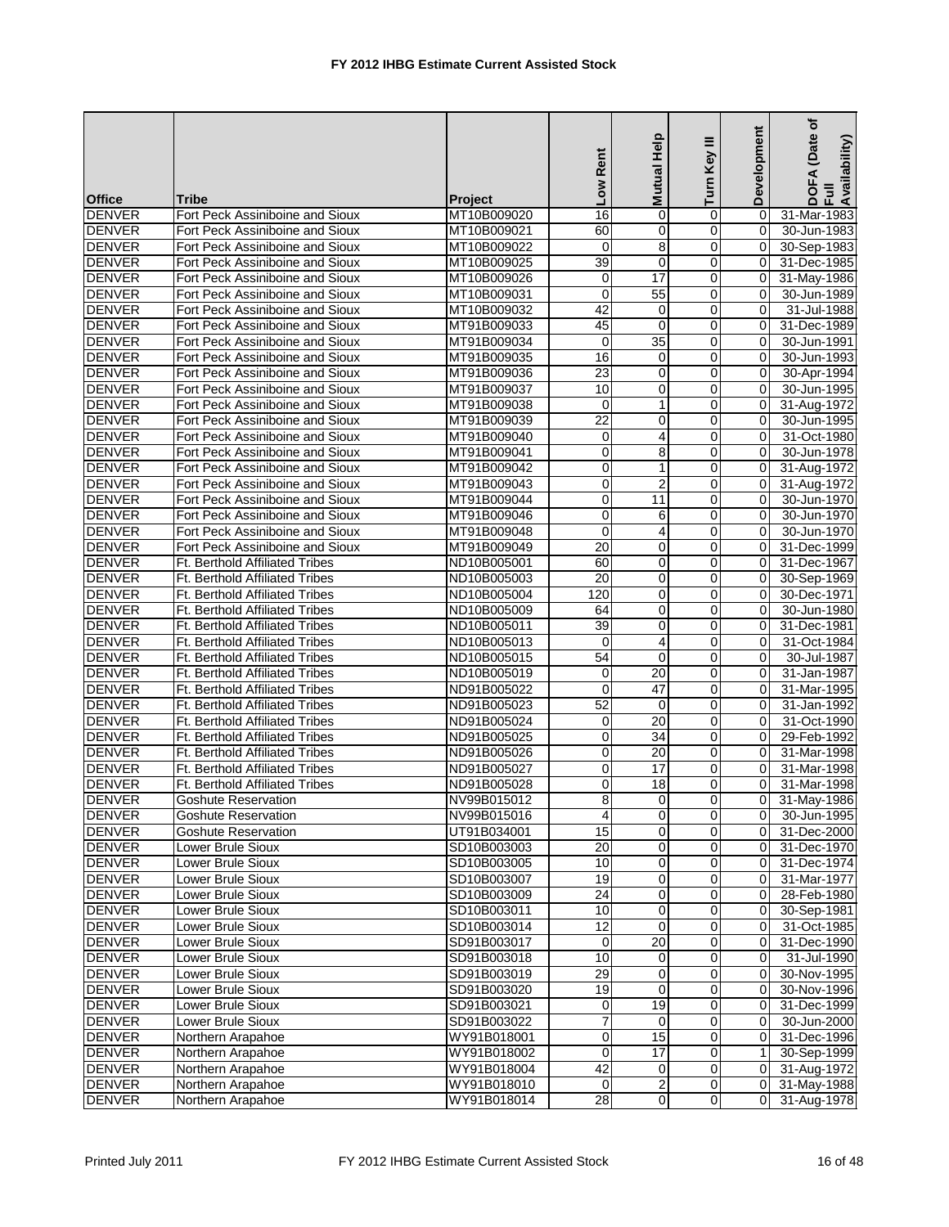|                                |                                       |                            | Low Rent        | Help<br><b>Mutual</b> | Ξ<br>Turn Key  | Development | ৳<br>(Date<br>Availability)<br>⋖<br>DOF<br>Ful |
|--------------------------------|---------------------------------------|----------------------------|-----------------|-----------------------|----------------|-------------|------------------------------------------------|
| <b>Office</b>                  | <b>Tribe</b>                          | Project                    |                 |                       |                |             |                                                |
| <b>DENVER</b>                  | Fort Peck Assiniboine and Sioux       | MT10B009020                | 16              | $\Omega$              | 0              | $\Omega$    | 31-Mar-1983                                    |
| DENVER                         | Fort Peck Assiniboine and Sioux       | MT10B009021                | 60              | 0                     | 0              | 0           | 30-Jun-1983                                    |
| <b>DENVER</b>                  | Fort Peck Assiniboine and Sioux       | MT10B009022                | $\mathbf 0$     | 8                     | 0              | $\mathbf 0$ | 30-Sep-1983                                    |
| <b>DENVER</b>                  | Fort Peck Assiniboine and Sioux       | MT10B009025                | $\overline{39}$ | $\mathbf 0$           | 0              | $\Omega$    | 31-Dec-1985                                    |
| <b>DENVER</b>                  | Fort Peck Assiniboine and Sioux       | MT10B009026                | 0               | 17                    | 0              | $\Omega$    | 31-May-1986                                    |
| <b>DENVER</b>                  | Fort Peck Assiniboine and Sioux       | MT10B009031                | $\mathbf 0$     | 55                    | 0              | $\mathbf 0$ | 30-Jun-1989                                    |
| <b>DENVER</b>                  | Fort Peck Assiniboine and Sioux       | MT10B009032                | 42              | $\mathbf 0$           | 0              | 0           | 31-Jul-1988                                    |
| <b>DENVER</b>                  | Fort Peck Assiniboine and Sioux       | MT91B009033                | 45              | $\mathbf 0$           | 0              | $\Omega$    | 31-Dec-1989                                    |
| <b>DENVER</b>                  | Fort Peck Assiniboine and Sioux       | MT91B009034                | 0               | 35                    | 0              | 0           | 30-Jun-1991                                    |
| <b>DENVER</b>                  | Fort Peck Assiniboine and Sioux       | MT91B009035                | 16              | $\mathbf 0$           | $\mathbf 0$    | 0           | 30-Jun-1993                                    |
| <b>DENVER</b>                  | Fort Peck Assiniboine and Sioux       | MT91B009036                | 23              | $\mathbf 0$           | 0              |             | 30-Apr-1994                                    |
| <b>DENVER</b>                  | Fort Peck Assiniboine and Sioux       | MT91B009037                | 10              | 0                     | 0              | 0           | 30-Jun-1995                                    |
| <b>DENVER</b>                  | Fort Peck Assiniboine and Sioux       | MT91B009038                | $\mathbf 0$     | $\mathbf{1}$          | 0              | $\mathbf 0$ | 31-Aug-1972                                    |
| <b>DENVER</b>                  | Fort Peck Assiniboine and Sioux       | MT91B009039                | 22              | 0                     | 0              | $\Omega$    | 30-Jun-1995                                    |
| <b>DENVER</b>                  | Fort Peck Assiniboine and Sioux       | MT91B009040                | 0               | 4                     | 0              | $\Omega$    | 31-Oct-1980                                    |
| <b>DENVER</b>                  | Fort Peck Assiniboine and Sioux       | MT91B009041                | $\mathbf 0$     | 8                     | 0              | 0           | 30-Jun-1978                                    |
| <b>DENVER</b>                  | Fort Peck Assiniboine and Sioux       | MT91B009042                | 0               | 1                     | 0              | $\Omega$    | 31-Aug-1972                                    |
| <b>DENVER</b>                  | Fort Peck Assiniboine and Sioux       | MT91B009043                | $\mathbf 0$     | $\overline{2}$        | 0              | $\Omega$    | 31-Aug-1972                                    |
| <b>DENVER</b>                  | Fort Peck Assiniboine and Sioux       | MT91B009044                | $\mathbf 0$     | 11                    | 0              | 0           | 30-Jun-1970                                    |
| <b>DENVER</b>                  | Fort Peck Assiniboine and Sioux       | MT91B009046                | $\mathbf 0$     | 6                     | 0              | $\Omega$    | 30-Jun-1970                                    |
| <b>DENVER</b>                  | Fort Peck Assiniboine and Sioux       | MT91B009048                | $\mathbf 0$     | $\overline{4}$        | 0              | 0           | 30-Jun-1970                                    |
| <b>DENVER</b>                  | Fort Peck Assiniboine and Sioux       | MT91B009049                | 20              | 0                     | 0              | 0           | 31-Dec-1999                                    |
| <b>DENVER</b>                  | Ft. Berthold Affiliated Tribes        | ND10B005001                | 60              | 0                     | 0              | 0           | 31-Dec-1967                                    |
| <b>DENVER</b>                  | Ft. Berthold Affiliated Tribes        | ND10B005003                | 20              | $\mathbf 0$           | 0              | $\Omega$    | 30-Sep-1969                                    |
| <b>DENVER</b>                  | Ft. Berthold Affiliated Tribes        | ND10B005004                | 120             | $\mathbf 0$           | 0              | 0           | 30-Dec-1971                                    |
| <b>DENVER</b>                  | Ft. Berthold Affiliated Tribes        | ND10B005009                | 64              | 0                     | 0              | 0           | 30-Jun-1980                                    |
| <b>DENVER</b>                  | Ft. Berthold Affiliated Tribes        | ND10B005011                | $\overline{39}$ | 0                     | 0              | 0           | 31-Dec-1981                                    |
| <b>DENVER</b>                  | Ft. Berthold Affiliated Tribes        | ND10B005013                | 0               | 4                     | 0              | $\Omega$    | 31-Oct-1984                                    |
| <b>DENVER</b>                  | Ft. Berthold Affiliated Tribes        | ND10B005015                | 54              | $\mathbf 0$           | 0              | 0           | 30-Jul-1987                                    |
| <b>DENVER</b>                  | Ft. Berthold Affiliated Tribes        | ND10B005019                | $\mathbf 0$     | 20                    | 0              | 0           | 31-Jan-1987                                    |
| <b>DENVER</b>                  | Ft. Berthold Affiliated Tribes        | ND91B005022                | 0               | 47                    | 0              | 0           | 31-Mar-1995                                    |
| <b>DENVER</b>                  | Ft. Berthold Affiliated Tribes        | ND91B005023                | 52              | 0                     | 0              | 0           | 31-Jan-1992                                    |
| <b>DENVER</b>                  | Ft. Berthold Affiliated Tribes        | ND91B005024                | $\mathbf 0$     | 20                    | 0              | $\mathbf 0$ | 31-Oct-1990                                    |
| <b>DENVER</b>                  | Ft. Berthold Affiliated Tribes        | ND91B005025                | 0               | 34                    | 0              | $\Omega$    | 29-Feb-1992                                    |
| <b>DENVER</b>                  | <b>Ft. Berthold Affiliated Tribes</b> | ND91B005026                | 0               | 20                    | 0              | $\Omega$    | 31-Mar-1998                                    |
| <b>DENVER</b>                  | Ft. Berthold Affiliated Tribes        | ND91B005027                | $\mathbf 0$     | 17                    | 0              | $\mathbf 0$ | 31-Mar-1998                                    |
| <b>DENVER</b>                  | Ft. Berthold Affiliated Tribes        | ND91B005028                | 0               | 18                    | 0              | $\Omega$    | 31-Mar-1998                                    |
| <b>DENVER</b>                  | <b>Goshute Reservation</b>            | NV99B015012                | 8               | $\Omega$              | $\Omega$       | $\Omega$    | 31-May-1986                                    |
| <b>DENVER</b>                  | <b>Goshute Reservation</b>            | NV99B015016                | 4               | 0                     | 0              | 0           | 30-Jun-1995                                    |
| <b>DENVER</b>                  | <b>Goshute Reservation</b>            | UT91B034001                | 15              | $\mathbf 0$           | 0              | 0           | 31-Dec-2000                                    |
| <b>DENVER</b>                  | Lower Brule Sioux                     | SD10B003003                | $\overline{20}$ | 0                     | $\pmb{0}$      | 0           | 31-Dec-1970                                    |
| <b>DENVER</b>                  | Lower Brule Sioux                     | SD10B003005                | 10              | 0                     | $\mathbf 0$    | 0           | 31-Dec-1974                                    |
| <b>DENVER</b>                  | Lower Brule Sioux                     | SD10B003007                | 19              | 0                     | $\pmb{0}$      | 0           |                                                |
| <b>DENVER</b>                  | Lower Brule Sioux                     | SD10B003009                | 24              | $\mathbf 0$           | 0              | $\mathbf 0$ | 31-Mar-1977<br>28-Feb-1980                     |
| <b>DENVER</b>                  | Lower Brule Sioux                     | SD10B003011                | 10              | 0                     | 0              | 0           | 30-Sep-1981                                    |
| <b>DENVER</b>                  | Lower Brule Sioux                     |                            | 12              | 0                     |                | 0           |                                                |
|                                | Lower Brule Sioux                     | SD10B003014                | 0               | $\overline{20}$       | $\pmb{0}$<br>0 |             | 31-Oct-1985                                    |
| <b>DENVER</b><br><b>DENVER</b> |                                       | SD91B003017<br>SD91B003018 | 10              |                       | $\overline{0}$ | 0<br>0      | 31-Dec-1990                                    |
|                                | Lower Brule Sioux                     | SD91B003019                | 29              | 0                     |                |             | 31-Jul-1990                                    |
| <b>DENVER</b>                  | Lower Brule Sioux                     |                            | 19              | 0<br>$\mathbf 0$      | 0<br>0         | 0           | 30-Nov-1995<br>30-Nov-1996                     |
| <b>DENVER</b>                  | Lower Brule Sioux                     | SD91B003020                |                 |                       |                | 0           |                                                |
| <b>DENVER</b>                  | Lower Brule Sioux                     | SD91B003021                | $\pmb{0}$       | 19                    | 0              | 0           | 31-Dec-1999                                    |
| <b>DENVER</b>                  | Lower Brule Sioux                     | SD91B003022                | $\overline{7}$  | 0                     | $\mathbf 0$    | 0           | 30-Jun-2000                                    |
| <b>DENVER</b>                  | Northern Arapahoe                     | WY91B018001                | 0               | 15                    | $\mathbf 0$    | 0           | 31-Dec-1996                                    |
| <b>DENVER</b>                  | Northern Arapahoe                     | WY91B018002                | 0               | 17                    | 0              | 1           | 30-Sep-1999                                    |
| <b>DENVER</b>                  | Northern Arapahoe                     | WY91B018004                | 42              | 0                     | 0              | 0           | 31-Aug-1972                                    |
| <b>DENVER</b>                  | Northern Arapahoe                     | WY91B018010                | $\mathbf 0$     | $\boldsymbol{2}$      | $\mathbf 0$    | 0           | 31-May-1988                                    |
| <b>DENVER</b>                  | Northern Arapahoe                     | WY91B018014                | $\overline{28}$ | $\overline{0}$        | 0              | 0           | 31-Aug-1978                                    |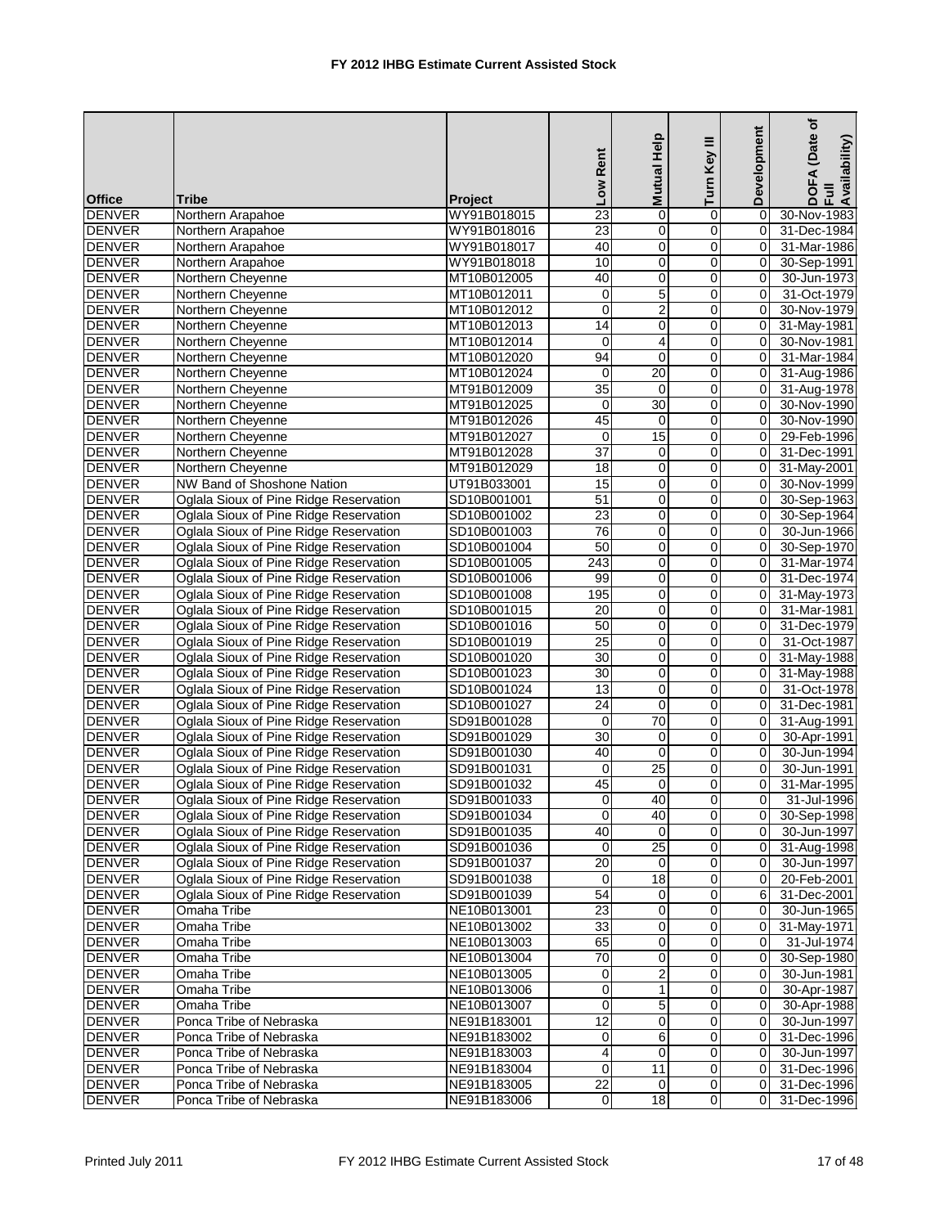|                                |                                        |                | Low Rent                 | Help<br><b>Mutual</b> | Turn Key III               | Development             | ৳<br>(Date<br>DOFA (Date<br>Full<br>Availability) |
|--------------------------------|----------------------------------------|----------------|--------------------------|-----------------------|----------------------------|-------------------------|---------------------------------------------------|
| <b>Office</b>                  | <b>Tribe</b>                           | <b>Project</b> | $\overline{23}$          |                       |                            | $\Omega$                |                                                   |
| <b>DENVER</b><br><b>DENVER</b> | Northern Arapahoe                      | WY91B018015    | 23                       | $\mathbf 0$           | 0<br>$\mathbf 0$           |                         | 30-Nov-1983                                       |
|                                | Northern Arapahoe                      | WY91B018016    |                          | 0                     |                            | 0                       | 31-Dec-1984                                       |
| <b>DENVER</b>                  | Northern Arapahoe                      | WY91B018017    | 40                       | 0                     | 0                          | 0<br>0                  | 31-Mar-1986<br>30-Sep-1991                        |
| <b>DENVER</b>                  | Northern Arapahoe                      | WY91B018018    | 10                       | 0                     | 0                          |                         |                                                   |
| <b>DENVER</b>                  | Northern Cheyenne                      | MT10B012005    | 40                       | 0<br>$\overline{5}$   | 0                          | $\mathbf 0$             | 30-Jun-1973                                       |
| <b>DENVER</b>                  | Northern Cheyenne                      | MT10B012011    | $\pmb{0}$<br>$\mathbf 0$ | $\overline{2}$        | $\mathbf 0$<br>$\mathbf 0$ | $\mathbf 0$<br>$\Omega$ | 31-Oct-1979                                       |
| <b>DENVER</b>                  | Northern Cheyenne                      | MT10B012012    |                          |                       |                            |                         | 30-Nov-1979                                       |
| <b>DENVER</b>                  | Northern Cheyenne                      | MT10B012013    | 14                       | 0                     | 0                          | $\Omega$                | 31-May-1981                                       |
| <b>DENVER</b>                  | Northern Cheyenne                      | MT10B012014    | 0                        | $\overline{4}$        | 0                          | $\mathbf 0$             | 30-Nov-1981                                       |
| <b>DENVER</b>                  | Northern Cheyenne                      | MT10B012020    | 94                       | 0                     | 0                          | 0                       | 31-Mar-1984                                       |
| <b>DENVER</b>                  | Northern Cheyenne                      | MT10B012024    | 0                        | 20                    | $\mathbf 0$                | $\mathbf 0$             | 31-Aug-1986                                       |
| <b>DENVER</b>                  | Northern Cheyenne                      | MT91B012009    | $\overline{35}$          | $\mathbf 0$           | $\mathbf 0$                | 0                       | 31-Aug-1978                                       |
| <b>DENVER</b>                  | Northern Cheyenne                      | MT91B012025    | $\mathbf 0$              | 30                    | 0                          | 0                       | 30-Nov-1990                                       |
| <b>DENVER</b>                  | Northern Cheyenne                      | MT91B012026    | 45                       | $\mathbf 0$           | 0                          | 0                       | 30-Nov-1990                                       |
| <b>DENVER</b>                  | Northern Cheyenne                      | MT91B012027    | 0                        | 15                    | 0                          | $\mathbf 0$             | 29-Feb-1996                                       |
| <b>DENVER</b>                  | Northern Cheyenne                      | MT91B012028    | $\overline{37}$          | $\mathbf 0$           | $\mathsf 0$                | $\mathbf 0$             | 31-Dec-1991                                       |
| <b>DENVER</b>                  | Northern Cheyenne                      | MT91B012029    | $\overline{18}$          | 0                     | $\mathbf 0$                | $\mathbf 0$             | 31-May-2001                                       |
| <b>DENVER</b>                  | <b>NW Band of Shoshone Nation</b>      | UT91B033001    | 15                       | 0                     | 0                          | $\mathbf 0$             | 30-Nov-1999                                       |
| <b>DENVER</b>                  | Oglala Sioux of Pine Ridge Reservation | SD10B001001    | 51                       | 0                     | 0                          | 0                       | 30-Sep-1963                                       |
| <b>DENVER</b>                  | Oglala Sioux of Pine Ridge Reservation | SD10B001002    | 23                       | $\mathbf 0$           | 0                          | $\mathbf 0$             | 30-Sep-1964                                       |
| <b>DENVER</b>                  | Oglala Sioux of Pine Ridge Reservation | SD10B001003    | 76                       | 0                     | 0                          | $\Omega$                | 30-Jun-1966                                       |
| <b>DENVER</b>                  | Oglala Sioux of Pine Ridge Reservation | SD10B001004    | 50                       | 0                     | 0                          | 0                       | 30-Sep-1970                                       |
| <b>DENVER</b>                  | Oglala Sioux of Pine Ridge Reservation | SD10B001005    | 243                      | $\mathbf 0$           | $\mathbf 0$                | $\Omega$                | 31-Mar-1974                                       |
| <b>DENVER</b>                  | Oglala Sioux of Pine Ridge Reservation | SD10B001006    | 99                       | 0                     | 0                          | 0                       | 31-Dec-1974                                       |
| <b>DENVER</b>                  | Oglala Sioux of Pine Ridge Reservation | SD10B001008    | 195                      | 0                     | 0                          | 0                       | 31-May-1973                                       |
| <b>DENVER</b>                  | Oglala Sioux of Pine Ridge Reservation | SD10B001015    | 20                       | 0                     | $\mathsf 0$                | 0                       | 31-Mar-1981                                       |
| <b>DENVER</b>                  | Oglala Sioux of Pine Ridge Reservation | SD10B001016    | 50                       | 0                     | $\mathbf 0$                | $\mathbf 0$             | 31-Dec-1979                                       |
| <b>DENVER</b>                  | Oglala Sioux of Pine Ridge Reservation | SD10B001019    | $\overline{25}$          | 0                     | 0                          | $\Omega$                | 31-Oct-1987                                       |
| <b>DENVER</b>                  | Oglala Sioux of Pine Ridge Reservation | SD10B001020    | 30                       | 0                     | 0                          | 0                       | 31-May-1988                                       |
| <b>DENVER</b>                  | Oglala Sioux of Pine Ridge Reservation | SD10B001023    | 30                       | $\mathbf 0$           | 0                          | 0                       | 31-May-1988                                       |
| <b>DENVER</b>                  | Oglala Sioux of Pine Ridge Reservation | SD10B001024    | $\overline{13}$          | 0                     | 0                          | 0                       | 31-Oct-1978                                       |
| <b>DENVER</b>                  | Oglala Sioux of Pine Ridge Reservation | SD10B001027    | 24                       | 0                     | $\mathbf 0$                | $\mathbf 0$             | 31-Dec-1981                                       |
| <b>DENVER</b>                  | Oglala Sioux of Pine Ridge Reservation | SD91B001028    | $\mathbf 0$              | 70                    | 0                          | 0                       | 31-Aug-1991                                       |
| <b>DENVER</b>                  | Oglala Sioux of Pine Ridge Reservation | SD91B001029    | 30                       | $\mathbf 0$           | 0                          | $\Omega$                | 30-Apr-1991                                       |
| <b>DENVER</b>                  | Oglala Sioux of Pine Ridge Reservation | SD91B001030    | 40                       | $\mathbf 0$           | 0                          | 0                       | 30-Jun-1994                                       |
| <b>DENVER</b>                  | Oglala Sioux of Pine Ridge Reservation | SD91B001031    | $\mathbf 0$              | $\overline{25}$       | 0                          | 0                       | 30-Jun-1991                                       |
| <b>DENVER</b>                  | Oglala Sioux of Pine Ridge Reservation | SD91B001032    | 45                       | $\mathbf 0$           | 0                          | $\Omega$                | 31-Mar-1995                                       |
| <b>DENVER</b>                  | Oglala Sioux of Pine Ridge Reservation | SD91B001033    | $\overline{0}$           | 40                    | $\Omega$                   | $\overline{0}$          | 31-Jul-1996                                       |
| <b>DENVER</b>                  | Oglala Sioux of Pine Ridge Reservation | SD91B001034    | $\pmb{0}$                | 40                    | $\overline{0}$             | 0                       | 30-Sep-1998                                       |
| <b>DENVER</b>                  | Oglala Sioux of Pine Ridge Reservation | SD91B001035    | 40                       | $\Omega$              | 0                          | $\mathbf 0$             | 30-Jun-1997                                       |
| <b>DENVER</b>                  | Oglala Sioux of Pine Ridge Reservation | SD91B001036    | 0                        | $\overline{25}$       | 0                          | $\mathbf 0$             | 31-Aug-1998                                       |
| <b>DENVER</b>                  | Oglala Sioux of Pine Ridge Reservation | SD91B001037    | $\overline{20}$          | $\mathbf 0$           | 0                          | 0                       | 30-Jun-1997                                       |
| <b>DENVER</b>                  | Oglala Sioux of Pine Ridge Reservation | SD91B001038    | $\mathbf 0$              | 18                    | 0                          | 0                       | 20-Feb-2001                                       |
| <b>DENVER</b>                  | Oglala Sioux of Pine Ridge Reservation | SD91B001039    | 54                       | 0                     | 0                          | 6                       | 31-Dec-2001                                       |
| <b>DENVER</b>                  | Omaha Tribe                            | NE10B013001    | 23                       | 0                     | 0                          | 0                       | 30-Jun-1965                                       |
| <b>DENVER</b>                  | Omaha Tribe                            | NE10B013002    | $\overline{33}$          | 0                     | 0                          | 0                       | 31-May-1971                                       |
| <b>DENVER</b>                  | Omaha Tribe                            | NE10B013003    | 65                       | 0                     | $\mathbf 0$                | $\mathbf 0$             | 31-Jul-1974                                       |
| <b>DENVER</b>                  | Omaha Tribe                            | NE10B013004    | 70                       | 0                     | 0                          | $\mathbf 0$             | 30-Sep-1980                                       |
| <b>DENVER</b>                  | Omaha Tribe                            | NE10B013005    | 0                        | $\overline{2}$        | 0                          | 0                       | 30-Jun-1981                                       |
| <b>DENVER</b>                  | Omaha Tribe                            | NE10B013006    | $\mathbf 0$              |                       | 0                          | 0                       | 30-Apr-1987                                       |
| <b>DENVER</b>                  | Omaha Tribe                            | NE10B013007    | 0                        | $\mathbf 5$           | 0                          | $\mathbf 0$             | 30-Apr-1988                                       |
| <b>DENVER</b>                  | Ponca Tribe of Nebraska                | NE91B183001    | $\overline{12}$          | 0                     | 0                          | 0                       | 30-Jun-1997                                       |
| <b>DENVER</b>                  | Ponca Tribe of Nebraska                | NE91B183002    | 0                        | 6                     | 0                          | 0                       | 31-Dec-1996                                       |
| <b>DENVER</b>                  | Ponca Tribe of Nebraska                | NE91B183003    | 4                        | 0                     | 0                          | 0                       | 30-Jun-1997                                       |
| <b>DENVER</b>                  | Ponca Tribe of Nebraska                | NE91B183004    | $\mathbf 0$              | 11                    | 0                          | 0                       | 31-Dec-1996                                       |
| <b>DENVER</b>                  | Ponca Tribe of Nebraska                | NE91B183005    | $\overline{22}$          | 0                     | 0                          | 0                       | 31-Dec-1996                                       |
| <b>DENVER</b>                  | Ponca Tribe of Nebraska                | NE91B183006    | $\overline{\mathsf{o}}$  | $\overline{18}$       | $\mathbf 0$                | $\Omega$                | 31-Dec-1996                                       |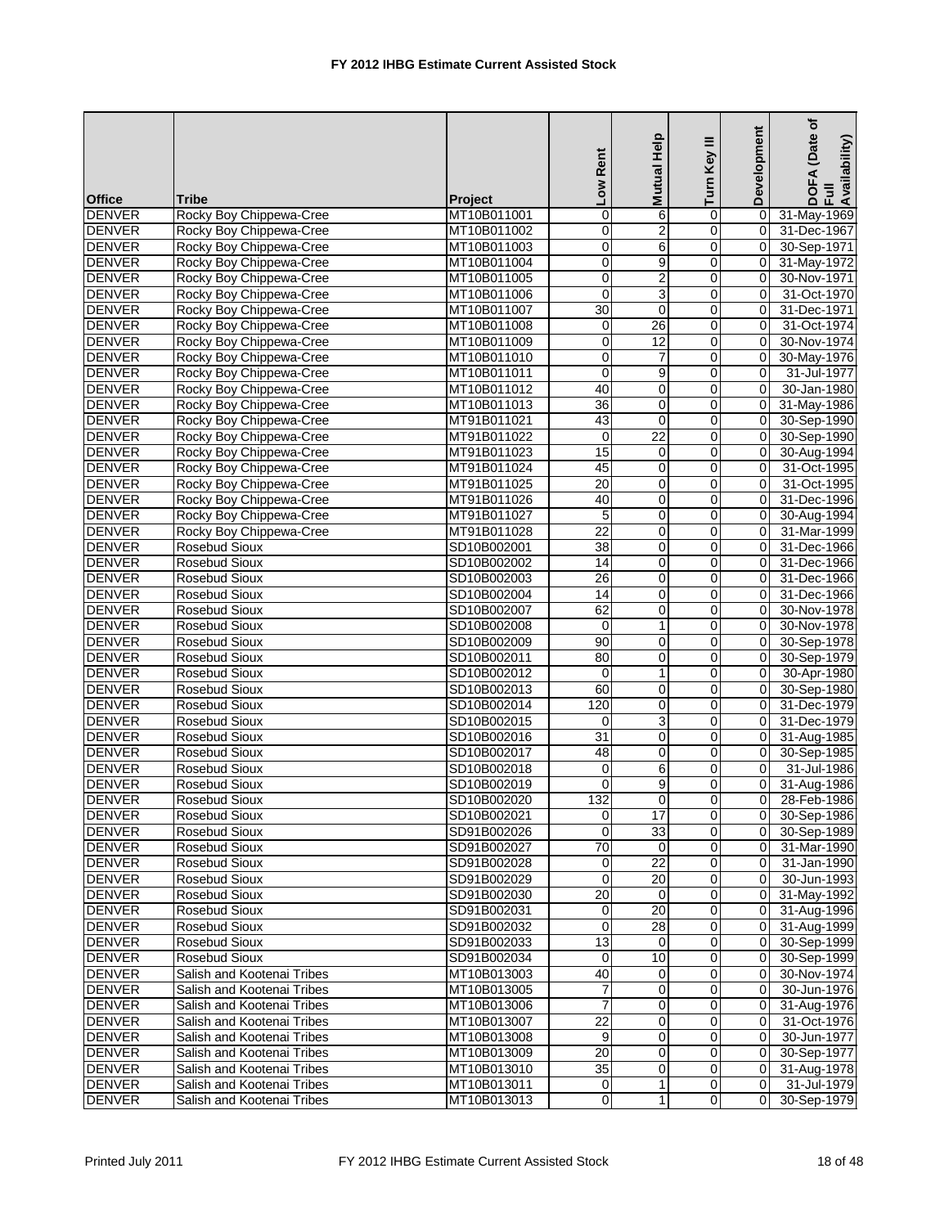|               |                            |                | Low Rent        | Mutual Help      | Turn Key III   | Development    | (Date of<br>DOFA (Date<br>Full<br>Availability) |
|---------------|----------------------------|----------------|-----------------|------------------|----------------|----------------|-------------------------------------------------|
| <b>Office</b> | <b>Tribe</b>               | <b>Project</b> |                 |                  |                |                |                                                 |
| <b>DENVER</b> | Rocky Boy Chippewa-Cree    | MT10B011001    | $\mathbf 0$     | 6                | 0              | $\mathbf 0$    | 31-May-1969                                     |
| <b>DENVER</b> | Rocky Boy Chippewa-Cree    | MT10B011002    | $\overline{0}$  | $\overline{2}$   | $\mathbf 0$    | $\mathbf 0$    | 31-Dec-1967                                     |
| <b>DENVER</b> | Rocky Boy Chippewa-Cree    | MT10B011003    | $\mathbf 0$     | 6                | 0              | 0              | 30-Sep-1971                                     |
| <b>DENVER</b> | Rocky Boy Chippewa-Cree    | MT10B011004    | $\mathbf 0$     | 9                | 0              | 0              | 31-May-1972                                     |
| <b>DENVER</b> | Rocky Boy Chippewa-Cree    | MT10B011005    | $\mathbf 0$     | $\boldsymbol{2}$ | 0              | $\mathbf 0$    | 30-Nov-1971                                     |
| <b>DENVER</b> | Rocky Boy Chippewa-Cree    | MT10B011006    | $\mathbf 0$     | $\overline{3}$   | $\mathbf 0$    | $\mathbf 0$    | 31-Oct-1970                                     |
| <b>DENVER</b> | Rocky Boy Chippewa-Cree    | MT10B011007    | 30              | $\mathbf 0$      | $\mathbf 0$    | $\Omega$       | 31-Dec-1971                                     |
| <b>DENVER</b> | Rocky Boy Chippewa-Cree    | MT10B011008    | 0               | 26               | 0              | 0              | 31-Oct-1974                                     |
| <b>DENVER</b> | Rocky Boy Chippewa-Cree    | MT10B011009    | 0               | 12               | 0              | $\mathbf 0$    | 30-Nov-1974                                     |
| <b>DENVER</b> | Rocky Boy Chippewa-Cree    | MT10B011010    | 0               | $\overline{7}$   | 0              | 0              | 30-May-1976                                     |
| <b>DENVER</b> | Rocky Boy Chippewa-Cree    | MT10B011011    | $\mathbf 0$     | 9                | $\mathbf 0$    | $\Omega$       | 31-Jul-1977                                     |
| <b>DENVER</b> | Rocky Boy Chippewa-Cree    | MT10B011012    | 40              | 0                | $\mathbf 0$    | 0              | 30-Jan-1980                                     |
| <b>DENVER</b> | Rocky Boy Chippewa-Cree    | MT10B011013    | 36              | $\mathbf 0$      | 0              | 0              | 31-May-1986                                     |
| <b>DENVER</b> | Rocky Boy Chippewa-Cree    | MT91B011021    | 43              | $\mathbf 0$      | 0              | $\Omega$       | 30-Sep-1990                                     |
| <b>DENVER</b> | Rocky Boy Chippewa-Cree    | MT91B011022    | $\mathbf 0$     | 22               | 0              | $\mathbf 0$    | 30-Sep-1990                                     |
| <b>DENVER</b> | Rocky Boy Chippewa-Cree    | MT91B011023    | 15              | $\mathbf 0$      | $\mathbf 0$    | $\mathbf 0$    | 30-Aug-1994                                     |
| <b>DENVER</b> | Rocky Boy Chippewa-Cree    | MT91B011024    | 45              | $\mathbf 0$      | $\mathbf 0$    | 0              | 31-Oct-1995                                     |
| <b>DENVER</b> | Rocky Boy Chippewa-Cree    | MT91B011025    | 20              | 0                | 0              | $\Omega$       | 31-Oct-1995                                     |
| <b>DENVER</b> | Rocky Boy Chippewa-Cree    | MT91B011026    | 40              | 0                | 0              | $\mathbf 0$    | 31-Dec-1996                                     |
| <b>DENVER</b> | Rocky Boy Chippewa-Cree    | MT91B011027    | 5               | $\mathbf 0$      | 0              | $\mathbf 0$    | 30-Aug-1994                                     |
| <b>DENVER</b> | Rocky Boy Chippewa-Cree    | MT91B011028    | $\overline{22}$ | $\mathbf 0$      | 0              | $\Omega$       | 31-Mar-1999                                     |
| <b>DENVER</b> | <b>Rosebud Sioux</b>       | SD10B002001    | 38              | 0                | $\mathbf 0$    | $\mathbf 0$    | 31-Dec-1966                                     |
| <b>DENVER</b> | Rosebud Sioux              | SD10B002002    | $\overline{14}$ | $\mathbf 0$      | $\mathbf 0$    | 0              | 31-Dec-1966                                     |
| <b>DENVER</b> | Rosebud Sioux              | SD10B002003    | 26              | $\mathbf 0$      | 0              | $\Omega$       | 31-Dec-1966                                     |
| <b>DENVER</b> | Rosebud Sioux              | SD10B002004    | 14              | 0                | 0              | $\mathbf 0$    | 31-Dec-1966                                     |
| <b>DENVER</b> | Rosebud Sioux              | SD10B002007    | 62              | $\pmb{0}$        | $\mathbf 0$    | $\mathbf 0$    | 30-Nov-1978                                     |
| <b>DENVER</b> | <b>Rosebud Sioux</b>       | SD10B002008    | $\mathbf 0$     | $\mathbf{1}$     | $\mathbf 0$    | $\Omega$       | 30-Nov-1978                                     |
| <b>DENVER</b> | Rosebud Sioux              | SD10B002009    | 90              | 0                | 0              | $\mathbf 0$    | 30-Sep-1978                                     |
| <b>DENVER</b> | Rosebud Sioux              | SD10B002011    | 80              | 0                | 0              | $\mathbf 0$    | 30-Sep-1979                                     |
| <b>DENVER</b> | Rosebud Sioux              | SD10B002012    | $\mathbf 0$     | $\mathbf{1}$     | 0              | 0              | 30-Apr-1980                                     |
| <b>DENVER</b> | Rosebud Sioux              | SD10B002013    | 60              | 0                | 0              | 0              | 30-Sep-1980                                     |
| <b>DENVER</b> | <b>Rosebud Sioux</b>       | SD10B002014    | 120             | 0                | 0              | $\mathbf 0$    | 31-Dec-1979                                     |
| <b>DENVER</b> | Rosebud Sioux              | SD10B002015    | $\mathbf 0$     | 3                | $\mathbf 0$    | 0              | 31-Dec-1979                                     |
| <b>DENVER</b> | Rosebud Sioux              | SD10B002016    | 31              | $\mathbf 0$      | 0              | $\Omega$       | 31-Aug-1985                                     |
| <b>DENVER</b> | Rosebud Sioux              | SD10B002017    | 48              | 0                | 0              | $\mathbf 0$    | 30-Sep-1985                                     |
| <b>DENVER</b> | Rosebud Sioux              | SD10B002018    | $\mathbf 0$     | 6                | 0              | 0              | 31-Jul-1986                                     |
| <b>DENVER</b> | Rosebud Sioux              | SD10B002019    | 0               | 9                | 0              | $\mathbf 0$    | 31-Aug-1986                                     |
| <b>DENVER</b> | Rosebud Sioux              | SD10B002020    | 132             | $\Omega$         | $\Omega$       | $\overline{0}$ | 28-Feb-1986                                     |
| <b>DENVER</b> | Rosebud Sioux              | SD10B002021    | $\overline{0}$  | 17               | $\overline{0}$ | 0              | 30-Sep-1986                                     |
| <b>DENVER</b> | Rosebud Sioux              | SD91B002026    | 0               | 33               | 0              | $\mathbf 0$    | 30-Sep-1989                                     |
| <b>DENVER</b> | Rosebud Sioux              | SD91B002027    | $\overline{70}$ | 0                | 0              | 0              | 31-Mar-1990                                     |
| <b>DENVER</b> | Rosebud Sioux              | SD91B002028    | $\pmb{0}$       | $\overline{22}$  | $\pmb{0}$      | 0              | 31-Jan-1990                                     |
| <b>DENVER</b> | Rosebud Sioux              | SD91B002029    | $\mathbf 0$     | 20               | 0              | 0              | 30-Jun-1993                                     |
| <b>DENVER</b> | Rosebud Sioux              | SD91B002030    | $\overline{20}$ | $\mathbf 0$      | 0              | $\mathbf 0$    | 31-May-1992                                     |
| <b>DENVER</b> | Rosebud Sioux              | SD91B002031    | 0               | 20               | 0              | $\mathbf 0$    | 31-Aug-1996                                     |
| <b>DENVER</b> | Rosebud Sioux              | SD91B002032    | $\mathbf 0$     | $\overline{28}$  | 0              | 0              | 31-Aug-1999                                     |
| <b>DENVER</b> | Rosebud Sioux              | SD91B002033    | 13              | 0                | $\mathbf 0$    | $\mathbf 0$    | 30-Sep-1999                                     |
| <b>DENVER</b> | Rosebud Sioux              | SD91B002034    | 0               | 10               | 0              | 0              | 30-Sep-1999                                     |
| <b>DENVER</b> | Salish and Kootenai Tribes | MT10B013003    | 40              | 0                | 0              | 0              | 30-Nov-1974                                     |
| <b>DENVER</b> | Salish and Kootenai Tribes | MT10B013005    | 7               | $\mathbf 0$      | 0              | 0              | 30-Jun-1976                                     |
| <b>DENVER</b> | Salish and Kootenai Tribes | MT10B013006    | $\overline{7}$  | 0                | 0              | 0              | 31-Aug-1976                                     |
| <b>DENVER</b> | Salish and Kootenai Tribes | MT10B013007    | $\overline{22}$ | 0                | 0              | 0              | 31-Oct-1976                                     |
| <b>DENVER</b> | Salish and Kootenai Tribes | MT10B013008    | 9               | 0                | 0              | 0              | 30-Jun-1977                                     |
| <b>DENVER</b> | Salish and Kootenai Tribes | MT10B013009    | 20              | 0                | 0              | 0              | 30-Sep-1977                                     |
| <b>DENVER</b> | Salish and Kootenai Tribes | MT10B013010    | $\overline{35}$ | 0                | 0              | 0              | 31-Aug-1978                                     |
| <b>DENVER</b> | Salish and Kootenai Tribes | MT10B013011    | 0               | 1                | 0              | 0              | 31-Jul-1979                                     |
| <b>DENVER</b> | Salish and Kootenai Tribes | MT10B013013    | $\overline{0}$  | $\mathbf{1}$     | $\overline{0}$ | $\Omega$       | 30-Sep-1979                                     |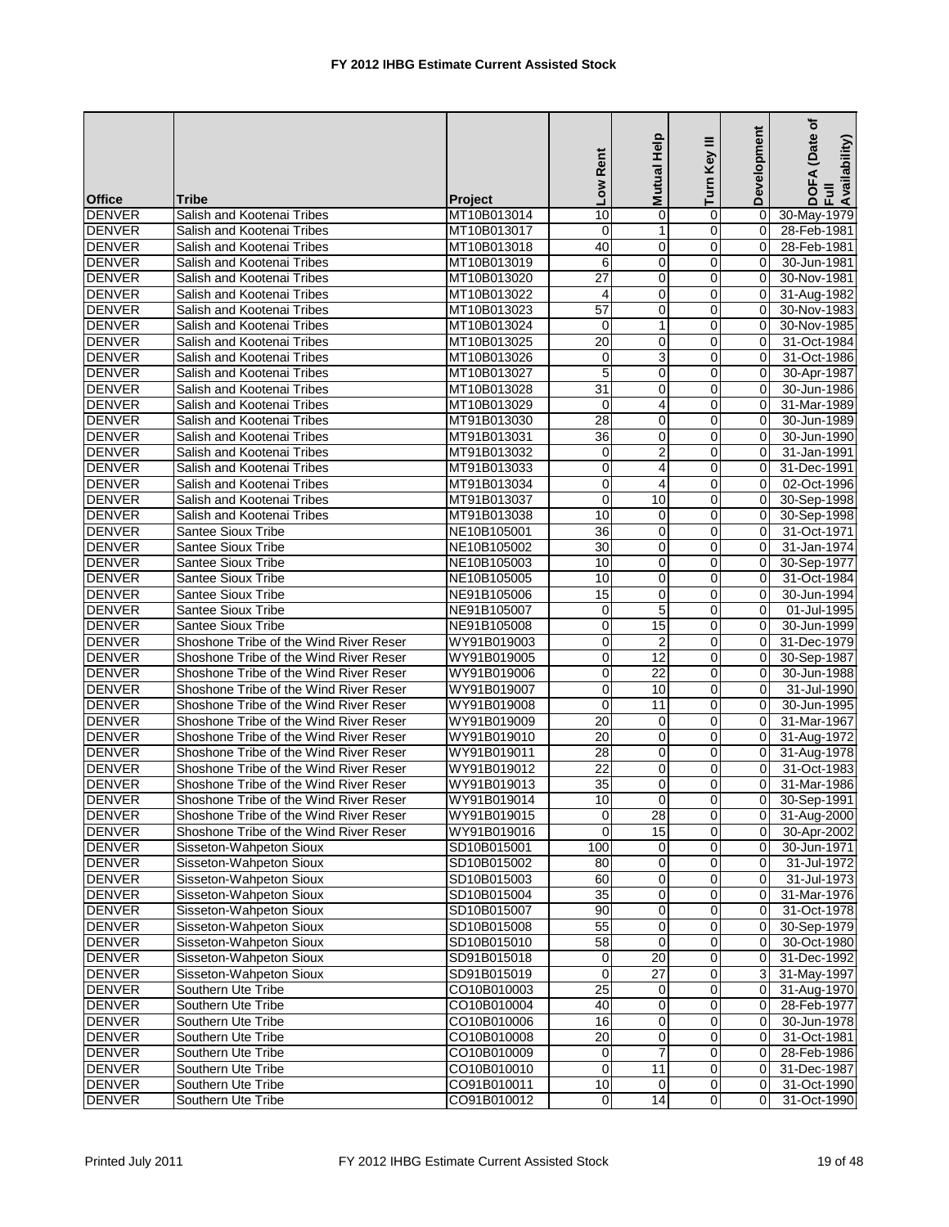|               |                                        |                | Low Rent                | Help<br><b>Mutual</b> | ≡<br>Key<br>Turn        | Development | (Date of<br>DOFA (Date<br>Full<br>Availability) |
|---------------|----------------------------------------|----------------|-------------------------|-----------------------|-------------------------|-------------|-------------------------------------------------|
| <b>Office</b> | Tribe                                  | <b>Project</b> |                         |                       |                         |             |                                                 |
| <b>DENVER</b> | Salish and Kootenai Tribes             | MT10B013014    | 10                      | 0                     | 0                       | 0           | 30-May-1979                                     |
| DENVER        | Salish and Kootenai Tribes             | MT10B013017    | $\mathbf 0$             | 1                     | $\mathbf 0$             | 0           | 28-Feb-1981                                     |
| <b>DENVER</b> | Salish and Kootenai Tribes             | MT10B013018    | 40                      | 0                     | 0                       | $\Omega$    | 28-Feb-1981                                     |
| <b>DENVER</b> | Salish and Kootenai Tribes             | MT10B013019    | 6                       | 0                     | 0                       | 0           | 30-Jun-1981                                     |
| <b>DENVER</b> | Salish and Kootenai Tribes             | MT10B013020    | 27                      | 0                     | 0                       | 0           | 30-Nov-1981                                     |
| <b>DENVER</b> | Salish and Kootenai Tribes             | MT10B013022    | $\overline{4}$          | 0                     | $\mathbf 0$             | 0           | 31-Aug-1982                                     |
| <b>DENVER</b> | Salish and Kootenai Tribes             | MT10B013023    | 57                      | 0                     | $\mathbf 0$             | $\Omega$    | 30-Nov-1983                                     |
| <b>DENVER</b> | Salish and Kootenai Tribes             | MT10B013024    | 0                       | $\mathbf{1}$          | $\mathbf 0$             | $\Omega$    | 30-Nov-1985                                     |
| <b>DENVER</b> | Salish and Kootenai Tribes             | MT10B013025    | 20                      | 0                     | 0                       | 0           | 31-Oct-1984                                     |
| <b>DENVER</b> | Salish and Kootenai Tribes             | MT10B013026    | 0                       | 3                     | 0                       | 0           | 31-Oct-1986                                     |
| <b>DENVER</b> | Salish and Kootenai Tribes             | MT10B013027    | 5                       | $\mathbf 0$           | 0                       | $\Omega$    | 30-Apr-1987                                     |
| <b>DENVER</b> | Salish and Kootenai Tribes             | MT10B013028    | $\overline{31}$         | 0                     | 0                       | 0           | 30-Jun-1986                                     |
| <b>DENVER</b> | Salish and Kootenai Tribes             | MT10B013029    | $\mathbf 0$             | $\overline{4}$        | 0                       | 0           | 31-Mar-1989                                     |
| <b>DENVER</b> | Salish and Kootenai Tribes             | MT91B013030    | 28                      | 0                     | 0                       | 0           | 30-Jun-1989                                     |
| <b>DENVER</b> | Salish and Kootenai Tribes             | MT91B013031    | 36                      | 0                     | 0                       | 0           | 30-Jun-1990                                     |
| <b>DENVER</b> | Salish and Kootenai Tribes             | MT91B013032    | $\mathbf 0$             | $\overline{2}$        | $\mathbf 0$             | $\Omega$    | $31$ -Jan-1991                                  |
| <b>DENVER</b> | Salish and Kootenai Tribes             | MT91B013033    | $\mathbf 0$             | $\overline{4}$        | $\mathbf 0$             | $\Omega$    | 31-Dec-1991                                     |
| <b>DENVER</b> | Salish and Kootenai Tribes             | MT91B013034    | $\mathbf 0$             | 4                     | 0                       | 0           | 02-Oct-1996                                     |
| <b>DENVER</b> | Salish and Kootenai Tribes             | MT91B013037    | $\mathbf 0$             | 10                    | 0                       | 0           | 30-Sep-1998                                     |
| <b>DENVER</b> | Salish and Kootenai Tribes             | MT91B013038    | 10                      | $\mathbf 0$           | 0                       | 0           | 30-Sep-1998                                     |
| <b>DENVER</b> | Santee Sioux Tribe                     | NE10B105001    | 36                      | $\mathbf 0$           | 0                       | $\Omega$    | 31-Oct-1971                                     |
| <b>DENVER</b> | <b>Santee Sioux Tribe</b>              | NE10B105002    | $\overline{30}$         | 0                     | 0                       | 0           | 31-Jan-1974                                     |
| <b>DENVER</b> | Santee Sioux Tribe                     | NE10B105003    | 10                      | $\mathbf 0$           | $\mathbf 0$             | $\Omega$    | 30-Sep-1977                                     |
| <b>DENVER</b> | Santee Sioux Tribe                     | NE10B105005    | 10                      | 0                     | 0                       | 0           | 31-Oct-1984                                     |
| <b>DENVER</b> | Santee Sioux Tribe                     | NE91B105006    | 15                      | 0                     | 0                       | 0           | 30-Jun-1994                                     |
| <b>DENVER</b> | Santee Sioux Tribe                     | NE91B105007    | $\mathbf 0$             | $\overline{5}$        | 0                       | $\Omega$    | 01-Jul-1995                                     |
| <b>DENVER</b> | Santee Sioux Tribe                     | NE91B105008    | $\mathbf 0$             | 15                    | $\mathbf 0$             | $\Omega$    | 30-Jun-1999                                     |
| <b>DENVER</b> | Shoshone Tribe of the Wind River Reser | WY91B019003    | 0                       | $\overline{2}$        | 0                       | $\Omega$    | 31-Dec-1979                                     |
| <b>DENVER</b> | Shoshone Tribe of the Wind River Reser | WY91B019005    | $\pmb{0}$               | $\overline{12}$       | 0                       | 0           | 30-Sep-1987                                     |
| <b>DENVER</b> | Shoshone Tribe of the Wind River Reser | WY91B019006    | $\mathbf 0$             | 22                    | 0                       | 0           | 30-Jun-1988                                     |
| <b>DENVER</b> | Shoshone Tribe of the Wind River Reser | WY91B019007    | 0                       | 10                    | 0                       | 0           | $31 -$ Jul-1990                                 |
| <b>DENVER</b> | Shoshone Tribe of the Wind River Reser | WY91B019008    | $\pmb{0}$               | 11                    | 0                       | 0           | 30-Jun-1995                                     |
| <b>DENVER</b> | Shoshone Tribe of the Wind River Reser | WY91B019009    | 20                      | 0                     | 0                       | $\Omega$    | 31-Mar-1967                                     |
| <b>DENVER</b> | Shoshone Tribe of the Wind River Reser | WY91B019010    | 20                      | $\mathbf 0$           | 0                       | $\Omega$    | 31-Aug-1972                                     |
| <b>DENVER</b> | Shoshone Tribe of the Wind River Reser | WY91B019011    | 28                      | 0                     | 0                       | 0           | 31-Aug-1978                                     |
| <b>DENVER</b> | Shoshone Tribe of the Wind River Reser | WY91B019012    | 22                      | $\mathbf 0$           | 0                       | 0           | 31-Oct-1983                                     |
| <b>DENVER</b> | Shoshone Tribe of the Wind River Reser | WY91B019013    | 35                      | 0                     | 0                       | $\Omega$    | 31-Mar-1986                                     |
| <b>DENVER</b> | Shoshone Tribe of the Wind River Reser | WY91B019014    | 10                      | $\Omega$              | $\Omega$                | $\Omega$    | 30-Sep-1991                                     |
| <b>DENVER</b> | Shoshone Tribe of the Wind River Reser | WY91B019015    | $\overline{0}$          | 28                    | $\overline{0}$          | 0           | 31-Aug-2000                                     |
| <b>DENVER</b> | Shoshone Tribe of the Wind River Reser | WY91B019016    | $\Omega$                | 15                    | 0                       | $\mathbf 0$ | 30-Apr-2002                                     |
| <b>DENVER</b> | Sisseton-Wahpeton Sioux                | SD10B015001    | 100                     | 0                     | 0                       | 0           | 30-Jun-1971                                     |
| <b>DENVER</b> | Sisseton-Wahpeton Sioux                | SD10B015002    | 80                      | 0                     | $\overline{\mathbf{0}}$ | 0           | 31-Jul-1972                                     |
| <b>DENVER</b> | Sisseton-Wahpeton Sioux                | SD10B015003    | 60                      | 0                     | 0                       | 0           | 31-Jul-1973                                     |
| <b>DENVER</b> | Sisseton-Wahpeton Sioux                | SD10B015004    | $\overline{35}$         | 0                     | 0                       | 0           | 31-Mar-1976                                     |
| <b>DENVER</b> | Sisseton-Wahpeton Sioux                | SD10B015007    | 90                      | 0                     | 0                       | 0           | 31-Oct-1978                                     |
| <b>DENVER</b> | Sisseton-Wahpeton Sioux                | SD10B015008    | 55                      | 0                     | 0                       | 0           | 30-Sep-1979                                     |
| <b>DENVER</b> | Sisseton-Wahpeton Sioux                | SD10B015010    | $\overline{58}$         | $\mathbf 0$           | 0                       | $\mathbf 0$ | 30-Oct-1980                                     |
| <b>DENVER</b> | Sisseton-Wahpeton Sioux                | SD91B015018    | 0                       | 20                    | 0                       | 0           | 31-Dec-1992                                     |
| <b>DENVER</b> | Sisseton-Wahpeton Sioux                | SD91B015019    | $\pmb{0}$               | $\overline{27}$       | 0                       | 3           | 31-May-1997                                     |
| <b>DENVER</b> | Southern Ute Tribe                     | CO10B010003    | $\overline{25}$         | 0                     | 0                       | $\mathbf 0$ | 31-Aug-1970                                     |
| <b>DENVER</b> | Southern Ute Tribe                     | CO10B010004    | 40                      | 0                     | 0                       | 0           | 28-Feb-1977                                     |
| <b>DENVER</b> | Southern Ute Tribe                     | CO10B010006    | 16                      | 0                     | $\overline{\mathbf{0}}$ | 0           | 30-Jun-1978                                     |
| <b>DENVER</b> | Southern Ute Tribe                     | CO10B010008    | 20                      | 0                     | 0                       | 0           | 31-Oct-1981                                     |
| <b>DENVER</b> | Southern Ute Tribe                     | CO10B010009    | $\pmb{0}$               | $\overline{7}$        | 0                       | 0           | 28-Feb-1986                                     |
| <b>DENVER</b> | Southern Ute Tribe                     | CO10B010010    | 0                       | 11                    | 0                       | 0           | 31-Dec-1987                                     |
| <b>DENVER</b> | Southern Ute Tribe                     | CO91B010011    | 10                      | $\mathbf 0$           | 0                       | 0           | 31-Oct-1990                                     |
| <b>DENVER</b> | Southern Ute Tribe                     | CO91B010012    | $\overline{\mathbf{0}}$ | 14                    | $\mathbf 0$             | 0           | 31-Oct-1990                                     |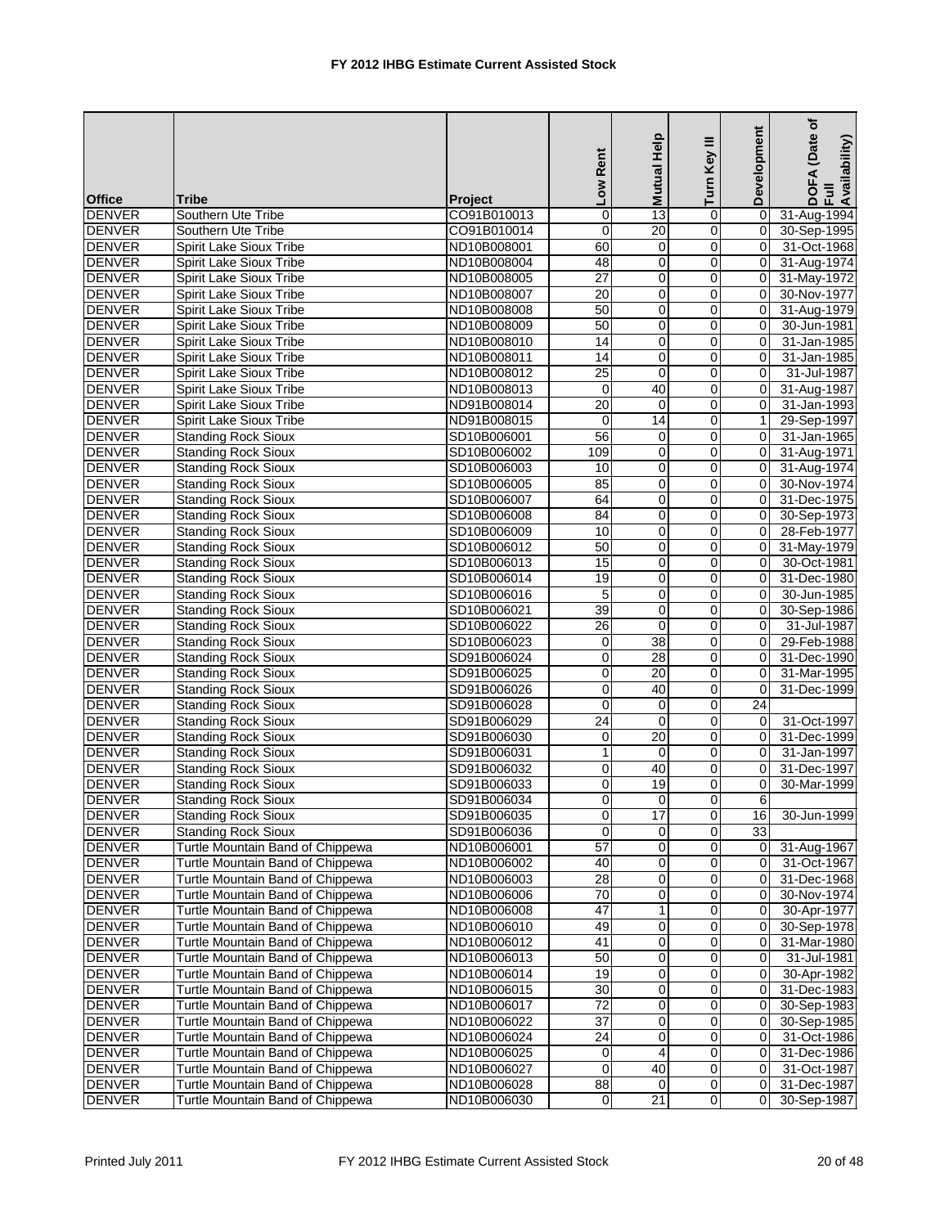|               |                                  |                | Low Rent        | Mutual Help     | Turn Key III        | Development    | (Date of<br>DOFA (Date<br>Full<br>Availability) |
|---------------|----------------------------------|----------------|-----------------|-----------------|---------------------|----------------|-------------------------------------------------|
| <b>Office</b> | <b>Tribe</b>                     | <b>Project</b> |                 |                 |                     |                |                                                 |
| <b>DENVER</b> | Southern Ute Tribe               | CO91B010013    | $\pmb{0}$       | 13              | 0                   | $\mathbf 0$    | 31-Aug-1994                                     |
| <b>DENVER</b> | Southern Ute Tribe               | CO91B010014    | $\overline{0}$  | $\overline{20}$ | $\mathbf 0$         | 0              | 30-Sep-1995                                     |
| <b>DENVER</b> | Spirit Lake Sioux Tribe          | ND10B008001    | 60              | 0               | 0                   | $\Omega$       | 31-Oct-1968                                     |
| <b>DENVER</b> | <b>Spirit Lake Sioux Tribe</b>   | ND10B008004    | 48              | $\mathbf 0$     | 0                   | $\overline{0}$ | 31-Aug-1974                                     |
| <b>DENVER</b> | Spirit Lake Sioux Tribe          | ND10B008005    | 27              | 0               | 0                   | 0              | 31-May-1972                                     |
| <b>DENVER</b> | <b>Spirit Lake Sioux Tribe</b>   | ND10B008007    | $\overline{20}$ | $\pmb{0}$       | $\pmb{0}$           | $\mathbf 0$    | 30-Nov-1977                                     |
| <b>DENVER</b> | Spirit Lake Sioux Tribe          | ND10B008008    | 50              | 0               | $\mathbf 0$         | 0              | 31-Aug-1979                                     |
| <b>DENVER</b> | Spirit Lake Sioux Tribe          | ND10B008009    | 50              | 0               | 0                   | $\Omega$       | 30-Jun-1981                                     |
| <b>DENVER</b> | Spirit Lake Sioux Tribe          | ND10B008010    | 14              | 0               | 0                   | 0              | 31-Jan-1985                                     |
| <b>DENVER</b> | Spirit Lake Sioux Tribe          | ND10B008011    | 14              | 0               | $\mathbf 0$         | 0              | 31-Jan-1985                                     |
| <b>DENVER</b> | Spirit Lake Sioux Tribe          | ND10B008012    | $\overline{25}$ | $\mathbf 0$     | $\mathbf 0$         | $\Omega$       | 31-Jul-1987                                     |
| <b>DENVER</b> | Spirit Lake Sioux Tribe          | ND10B008013    | $\mathbf 0$     | $\overline{40}$ | $\mathbf 0$         | 0              | 31-Aug-1987                                     |
| <b>DENVER</b> | Spirit Lake Sioux Tribe          | ND91B008014    | $\overline{20}$ | $\mathbf 0$     | 0                   | 0              | 31-Jan-1993                                     |
| <b>DENVER</b> | Spirit Lake Sioux Tribe          | ND91B008015    | $\mathbf 0$     | 14              | 0                   | $\mathbf{1}$   | 29-Sep-1997                                     |
| <b>DENVER</b> | <b>Standing Rock Sioux</b>       | SD10B006001    | 56              | 0               | 0                   | 0              | 31-Jan-1965                                     |
| <b>DENVER</b> | <b>Standing Rock Sioux</b>       | SD10B006002    | 109             | 0               | $\pmb{0}$           | $\mathbf 0$    | 31-Aug-1971                                     |
| <b>DENVER</b> | <b>Standing Rock Sioux</b>       | SD10B006003    | 10              | 0               | 0                   | $\mathbf 0$    | 31-Aug-1974                                     |
| <b>DENVER</b> | <b>Standing Rock Sioux</b>       | SD10B006005    | 85              | 0               | 0                   | 0              | 30-Nov-1974                                     |
| <b>DENVER</b> | <b>Standing Rock Sioux</b>       | SD10B006007    | 64              | 0               | 0                   | 0              | 31-Dec-1975                                     |
| <b>DENVER</b> | <b>Standing Rock Sioux</b>       | SD10B006008    | 84              | 0               | 0                   | 0              | 30-Sep-1973                                     |
| <b>DENVER</b> | <b>Standing Rock Sioux</b>       | SD10B006009    | 10              | 0               | $\mathbf 0$         | $\Omega$       | 28-Feb-1977                                     |
| <b>DENVER</b> | <b>Standing Rock Sioux</b>       | SD10B006012    | 50              | 0               | 0                   | 0              | 31-May-1979                                     |
| <b>DENVER</b> | <b>Standing Rock Sioux</b>       | SD10B006013    | 15              | 0               | $\mathbf 0$         | 0              | 30-Oct-1981                                     |
| <b>DENVER</b> | <b>Standing Rock Sioux</b>       | SD10B006014    | 19              | 0               | 0                   | 0              | 31-Dec-1980                                     |
| <b>DENVER</b> | <b>Standing Rock Sioux</b>       | SD10B006016    | 5               | 0               | 0                   | 0              | 30-Jun-1985                                     |
| <b>DENVER</b> | <b>Standing Rock Sioux</b>       | SD10B006021    | 39              | 0               | $\boldsymbol{0}$    | $\mathbf 0$    | 30-Sep-1986                                     |
| <b>DENVER</b> | <b>Standing Rock Sioux</b>       | SD10B006022    | $\overline{26}$ | $\mathbf 0$     | 0                   | $\Omega$       | 31-Jul-1987                                     |
| <b>DENVER</b> | <b>Standing Rock Sioux</b>       | SD10B006023    | 0               | 38              | 0                   | $\Omega$       | 29-Feb-1988                                     |
| <b>DENVER</b> | <b>Standing Rock Sioux</b>       | SD91B006024    | $\,0\,$         | 28              | 0                   | 0              | 31-Dec-1990                                     |
| <b>DENVER</b> | <b>Standing Rock Sioux</b>       | SD91B006025    | $\mathbf 0$     | 20              | 0                   | 0              | 31-Mar-1995                                     |
| <b>DENVER</b> | <b>Standing Rock Sioux</b>       | SD91B006026    | 0               | 40              | 0                   | $\overline{0}$ | 31-Dec-1999                                     |
| <b>DENVER</b> | <b>Standing Rock Sioux</b>       | SD91B006028    | $\pmb{0}$       | $\mathbf 0$     | 0                   | 24             |                                                 |
| <b>DENVER</b> | <b>Standing Rock Sioux</b>       | SD91B006029    | $\overline{24}$ | $\mathbf 0$     | 0                   | 0              | 31-Oct-1997                                     |
| <b>DENVER</b> | <b>Standing Rock Sioux</b>       | SD91B006030    | $\mathbf 0$     | 20              | 0                   | $\Omega$       | 31-Dec-1999                                     |
| <b>DENVER</b> | <b>Standing Rock Sioux</b>       | SD91B006031    | $\mathbf{1}$    | 0               | 0                   | 0              | 31-Jan-1997                                     |
| <b>DENVER</b> | <b>Standing Rock Sioux</b>       | SD91B006032    | $\,0\,$         | 40              | 0                   | 0              | 31-Dec-1997                                     |
| <b>DENVER</b> | <b>Standing Rock Sioux</b>       | SD91B006033    | $\mathbf 0$     | 19              | 0                   | 0              | 30-Mar-1999                                     |
| <b>DENVER</b> | <b>Standing Rock Sioux</b>       | SD91B006034    | $\Omega$        | $\Omega$        | $\Omega$            | 6              |                                                 |
| <b>DENVER</b> | <b>Standing Rock Sioux</b>       | SD91B006035    | $\overline{0}$  | 17              | $\mathsf{O}\xspace$ | 16             | 30-Jun-1999                                     |
| <b>DENVER</b> | <b>Standing Rock Sioux</b>       | SD91B006036    | $\mathbf 0$     | 0               | 0                   | 33             |                                                 |
| <b>DENVER</b> | Turtle Mountain Band of Chippewa | ND10B006001    | $\overline{57}$ | 0               | 0                   | 0              | 31-Aug-1967                                     |
| <b>DENVER</b> | Turtle Mountain Band of Chippewa | ND10B006002    | 40              | 0               | 0                   | 0              | 31-Oct-1967                                     |
| <b>DENVER</b> | Turtle Mountain Band of Chippewa | ND10B006003    | 28              | 0               | 0                   | 0              | 31-Dec-1968                                     |
| <b>DENVER</b> | Turtle Mountain Band of Chippewa | ND10B006006    | $\overline{70}$ | 0               | 0                   | 0              | 30-Nov-1974                                     |
| <b>DENVER</b> | Turtle Mountain Band of Chippewa | ND10B006008    | 47              | 1               | 0                   | 0              | 30-Apr-1977                                     |
| <b>DENVER</b> | Turtle Mountain Band of Chippewa | ND10B006010    | 49              | 0               | 0                   | 0              | 30-Sep-1978                                     |
| <b>DENVER</b> | Turtle Mountain Band of Chippewa | ND10B006012    | 41              | $\pmb{0}$       | 0                   | $\mathbf 0$    | 31-Mar-1980                                     |
| <b>DENVER</b> | Turtle Mountain Band of Chippewa | ND10B006013    | 50              | 0               | 0                   | 0              | 31-Jul-1981                                     |
| <b>DENVER</b> | Turtle Mountain Band of Chippewa | ND10B006014    | 19              | 0               | 0                   | 0              | 30-Apr-1982                                     |
| <b>DENVER</b> | Turtle Mountain Band of Chippewa | ND10B006015    | 30              | 0               | 0                   | $\mathbf 0$    | 31-Dec-1983                                     |
| <b>DENVER</b> | Turtle Mountain Band of Chippewa | ND10B006017    | $\overline{72}$ | 0               | 0                   | 0              | 30-Sep-1983                                     |
| <b>DENVER</b> | Turtle Mountain Band of Chippewa | ND10B006022    | $\overline{37}$ | 0               | 0                   | 0              | 30-Sep-1985                                     |
| <b>DENVER</b> | Turtle Mountain Band of Chippewa | ND10B006024    | $\overline{24}$ | 0               | 0                   | 0              | 31-Oct-1986                                     |
| <b>DENVER</b> | Turtle Mountain Band of Chippewa | ND10B006025    | 0               | $\overline{4}$  | 0                   | 0              | 31-Dec-1986                                     |
| <b>DENVER</b> | Turtle Mountain Band of Chippewa | ND10B006027    | 0               | 40              | 0                   | 0              | 31-Oct-1987                                     |
| <b>DENVER</b> | Turtle Mountain Band of Chippewa | ND10B006028    | $\overline{88}$ | $\mathbf 0$     | 0                   | 0              | 31-Dec-1987                                     |
| <b>DENVER</b> | Turtle Mountain Band of Chippewa | ND10B006030    | $\overline{0}$  | 21              | $\mathbf 0$         | 0              | 30-Sep-1987                                     |
|               |                                  |                |                 |                 |                     |                |                                                 |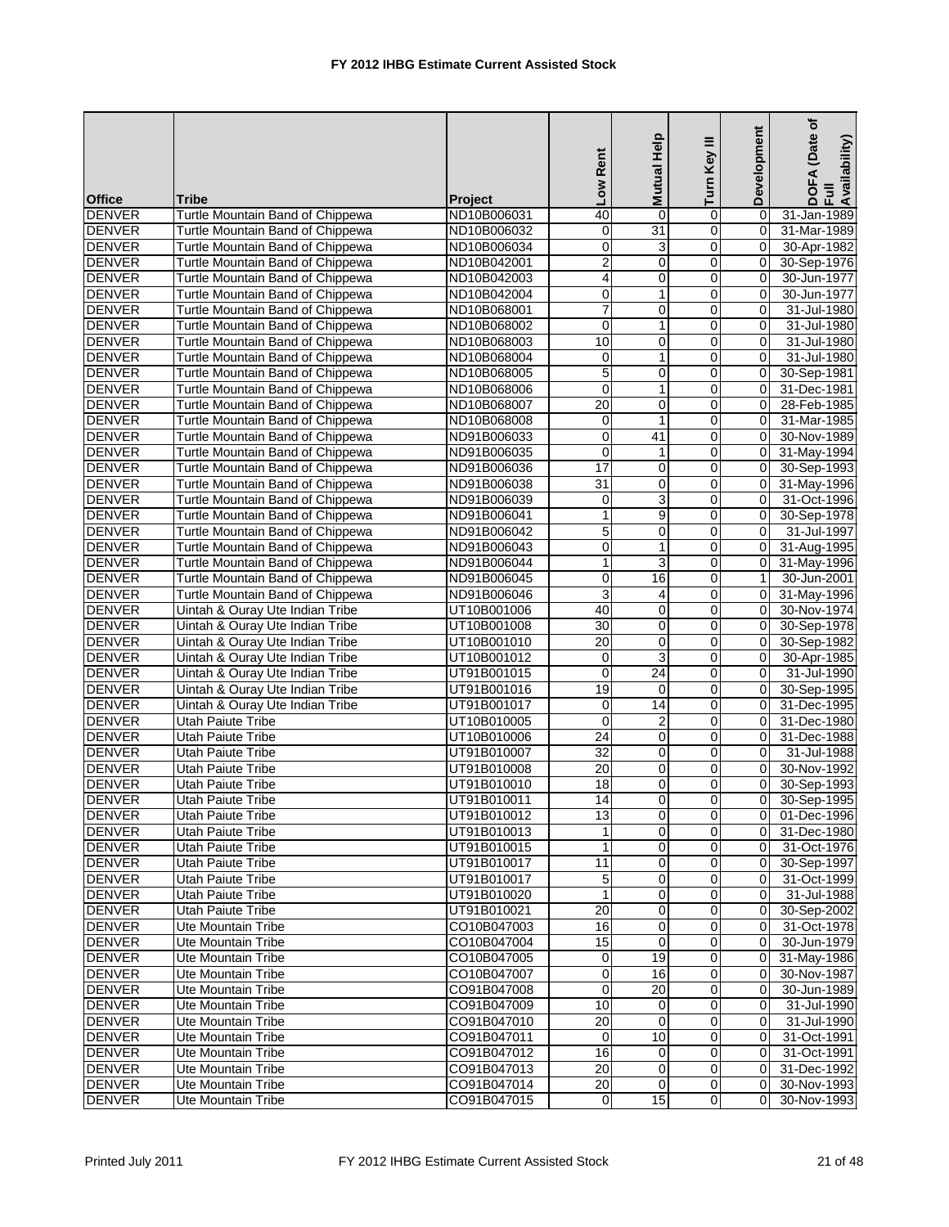| <b>Office</b>                  | <b>Tribe</b>                                                         | <b>Project</b>             | Low Rent            | Mutual Help     | Turn Key III   | Development       | (Date of<br>DOFA (Date<br>Full<br>Availability) |
|--------------------------------|----------------------------------------------------------------------|----------------------------|---------------------|-----------------|----------------|-------------------|-------------------------------------------------|
| <b>DENVER</b>                  | Turtle Mountain Band of Chippewa                                     | ND10B006031                | 40                  | $\mathbf 0$     | 0              | $\mathbf 0$       | 31-Jan-1989                                     |
| <b>DENVER</b>                  | Turtle Mountain Band of Chippewa                                     | ND10B006032                | $\overline{0}$      | $\overline{31}$ | $\mathbf 0$    | $\mathbf 0$       | 31-Mar-1989                                     |
| <b>DENVER</b>                  | Turtle Mountain Band of Chippewa                                     | ND10B006034                | 0                   | 3               | 0              | 0                 | 30-Apr-1982                                     |
| <b>DENVER</b>                  | Turtle Mountain Band of Chippewa                                     | ND10B042001                | $\overline{2}$      | $\mathbf 0$     | 0              | $\overline{0}$    | 30-Sep-1976                                     |
| <b>DENVER</b>                  | Turtle Mountain Band of Chippewa                                     | ND10B042003                | 4                   | 0               | 0              | $\mathbf 0$       | 30-Jun-1977                                     |
| <b>DENVER</b>                  | Turtle Mountain Band of Chippewa                                     | ND10B042004                | $\mathbf 0$         | $\mathbf{1}$    | $\mathsf 0$    | $\mathbf 0$       | 30-Jun-1977                                     |
| <b>DENVER</b>                  | Turtle Mountain Band of Chippewa                                     | ND10B068001                | $\overline{7}$      | 0               | 0              | 0                 | 31-Jul-1980                                     |
| <b>DENVER</b>                  | Turtle Mountain Band of Chippewa                                     | ND10B068002                | $\mathbf 0$         | $\mathbf{1}$    | 0              | 0                 | 31-Jul-1980                                     |
| <b>DENVER</b>                  | Turtle Mountain Band of Chippewa                                     | ND10B068003                | 10                  | 0               | 0              | 0                 | 31-Jul-1980                                     |
| <b>DENVER</b>                  | Turtle Mountain Band of Chippewa                                     | ND10B068004                | 0                   | 1               | 0              | 0                 | 31-Jul-1980                                     |
| <b>DENVER</b>                  | Turtle Mountain Band of Chippewa                                     | ND10B068005                | $\overline{5}$      | 0               | 0              | 0                 | 30-Sep-1981                                     |
| <b>DENVER</b>                  | Turtle Mountain Band of Chippewa                                     | ND10B068006                | $\overline{0}$      | $\mathbf{1}$    | $\mathbf 0$    | 0                 | 31-Dec-1981                                     |
| <b>DENVER</b>                  | Turtle Mountain Band of Chippewa                                     | ND10B068007                | 20                  | 0               | 0              | 0                 | 28-Feb-1985                                     |
| <b>DENVER</b>                  | Turtle Mountain Band of Chippewa                                     | ND10B068008                | 0                   | $\mathbf{1}$    | 0              | 0                 | 31-Mar-1985                                     |
| <b>DENVER</b>                  | Turtle Mountain Band of Chippewa                                     | ND91B006033                | 0                   | 41              | 0              | $\mathbf 0$       | 30-Nov-1989                                     |
| <b>DENVER</b>                  | <b>Turtle Mountain Band of Chippewa</b>                              | ND91B006035                | $\mathbf 0$         | $\mathbf{1}$    | 0              | $\mathbf 0$       | 31-May-1994                                     |
| <b>DENVER</b>                  | Turtle Mountain Band of Chippewa                                     | ND91B006036                | $\overline{17}$     | 0               | $\mathbf 0$    | $\mathbf 0$       | 30-Sep-1993                                     |
| <b>DENVER</b>                  | Turtle Mountain Band of Chippewa                                     |                            | $\overline{31}$     | 0               | 0              | $\mathbf 0$       |                                                 |
|                                | Turtle Mountain Band of Chippewa                                     | ND91B006038                | $\mathbf 0$         | $\overline{3}$  | $\mathsf 0$    | 0                 | 31-May-1996<br>31-Oct-1996                      |
| <b>DENVER</b>                  |                                                                      | ND91B006039                | $\mathbf{1}$        |                 | 0              | $\mathbf 0$       |                                                 |
| <b>DENVER</b><br><b>DENVER</b> | Turtle Mountain Band of Chippewa<br>Turtle Mountain Band of Chippewa | ND91B006041                |                     | 9<br>0          | 0              | $\Omega$          | 30-Sep-1978<br>31-Jul-1997                      |
| <b>DENVER</b>                  |                                                                      | ND91B006042                | 5<br>$\overline{0}$ | 1               | $\mathbf 0$    | $\mathbf 0$       |                                                 |
|                                | Turtle Mountain Band of Chippewa                                     | ND91B006043                |                     |                 |                |                   | 31-Aug-1995                                     |
| <b>DENVER</b>                  | Turtle Mountain Band of Chippewa                                     | ND91B006044                | $\mathbf{1}$        | 3               | 0              | 0<br>$\mathbf{1}$ | 31-May-1996                                     |
| <b>DENVER</b>                  | Turtle Mountain Band of Chippewa                                     | ND91B006045                | 0                   | 16              | 0              |                   | 30-Jun-2001                                     |
| <b>DENVER</b><br><b>DENVER</b> | Turtle Mountain Band of Chippewa                                     | ND91B006046                | 3<br>40             | 4<br>0          | 0<br>0         | 0<br>$\mathbf 0$  | 31-May-1996                                     |
| <b>DENVER</b>                  | Uintah & Ouray Ute Indian Tribe<br>Uintah & Ouray Ute Indian Tribe   | UT10B001006                | 30                  | 0               | $\mathbf 0$    | $\mathbf 0$       | 30-Nov-1974<br>30-Sep-1978                      |
|                                | Uintah & Ouray Ute Indian Tribe                                      | UT10B001008<br>UT10B001010 | 20                  |                 |                | $\mathbf 0$       |                                                 |
| <b>DENVER</b><br><b>DENVER</b> |                                                                      |                            |                     | 0<br>3          | 0<br>0         | 0                 | 30-Sep-1982                                     |
|                                | Uintah & Ouray Ute Indian Tribe                                      | UT10B001012<br>UT91B001015 | $\pmb{0}$<br>0      | $\overline{24}$ | 0              | 0                 | 30-Apr-1985                                     |
| <b>DENVER</b><br><b>DENVER</b> | Uintah & Ouray Ute Indian Tribe<br>Uintah & Ouray Ute Indian Tribe   | UT91B001016                | 19                  | 0               | 0              | 0                 | 31-Jul-1990<br>30-Sep-1995                      |
| <b>DENVER</b>                  |                                                                      |                            | $\mathbf 0$         | 14              | 0              | $\mathbf 0$       |                                                 |
| <b>DENVER</b>                  | Uintah & Ouray Ute Indian Tribe<br>Utah Paiute Tribe                 | UT91B001017<br>UT10B010005 | $\mathbf 0$         | $\overline{2}$  | 0              | 0                 | 31-Dec-1995<br>31-Dec-1980                      |
| <b>DENVER</b>                  | Utah Paiute Tribe                                                    | UT10B010006                | 24                  | $\overline{0}$  | 0              | 0                 | 31-Dec-1988                                     |
| <b>DENVER</b>                  | <b>Utah Paiute Tribe</b>                                             | UT91B010007                | 32                  | 0               | 0              | 0                 | 31-Jul-1988                                     |
| <b>DENVER</b>                  | Utah Paiute Tribe                                                    | UT91B010008                | 20                  | $\mathbf 0$     | 0              | 0                 | 30-Nov-1992                                     |
| <b>DENVER</b>                  | <b>Utah Paiute Tribe</b>                                             | UT91B010010                | 18                  | 0               | 0              | 0                 | 30-Sep-1993                                     |
| <b>DENVER</b>                  | <b>Utah Paiute Tribe</b>                                             | UT91B010011                | 14                  | $\Omega$        | $\Omega$       | $\overline{0}$    | 30-Sep-1995                                     |
| <b>DENVER</b>                  | <b>Utah Paiute Tribe</b>                                             | UT91B010012                | 13                  | $\overline{0}$  | $\overline{0}$ | $\overline{0}$    | 01-Dec-1996                                     |
| <b>DENVER</b>                  | Utah Paiute Tribe                                                    | UT91B010013                | 1                   | $\Omega$        | 0              | 0                 | 31-Dec-1980                                     |
| <b>DENVER</b>                  | <b>Utah Paiute Tribe</b>                                             | UT91B010015                | 1                   | 0               | 0              | 0                 | 31-Oct-1976                                     |
| <b>DENVER</b>                  | Utah Paiute Tribe                                                    | UT91B010017                | 11                  | 0               | 0              | 0                 | 30-Sep-1997                                     |
| <b>DENVER</b>                  | Utah Paiute Tribe                                                    | UT91B010017                | 5                   | $\mathbf 0$     | 0              | 0                 | 31-Oct-1999                                     |
| <b>DENVER</b>                  | Utah Paiute Tribe                                                    | UT91B010020                | 1                   | 0               | 0              | $\mathbf 0$       | 31-Jul-1988                                     |
| <b>DENVER</b>                  | Utah Paiute Tribe                                                    | UT91B010021                | 20                  | 0               | 0              | 0                 | 30-Sep-2002                                     |
| <b>DENVER</b>                  | Ute Mountain Tribe                                                   | CO10B047003                | 16                  | $\mathbf 0$     | 0              | 0                 | 31-Oct-1978                                     |
| <b>DENVER</b>                  | Ute Mountain Tribe                                                   | CO10B047004                | 15                  | $\mathbf 0$     | $\mathbf 0$    | 0                 | 30-Jun-1979                                     |
| <b>DENVER</b>                  | Ute Mountain Tribe                                                   | CO10B047005                | 0                   | 19              | 0              | 0                 | 31-May-1986                                     |
| <b>DENVER</b>                  | Ute Mountain Tribe                                                   | CO10B047007                | $\pmb{0}$           | 16              | 0              | 0                 | 30-Nov-1987                                     |
| <b>DENVER</b>                  | Ute Mountain Tribe                                                   | CO91B047008                | $\mathbf 0$         | 20              | 0              | 0                 | 30-Jun-1989                                     |
| <b>DENVER</b>                  | Ute Mountain Tribe                                                   | CO91B047009                | 10                  | 0               | 0              | 0                 | 31-Jul-1990                                     |
| <b>DENVER</b>                  | Ute Mountain Tribe                                                   | CO91B047010                | 20                  | $\mathbf 0$     | 0              | 0                 | 31-Jul-1990                                     |
| <b>DENVER</b>                  | Ute Mountain Tribe                                                   | CO91B047011                | $\mathbf 0$         | 10              | 0              | 0                 | 31-Oct-1991                                     |
| <b>DENVER</b>                  | Ute Mountain Tribe                                                   | CO91B047012                | 16                  | $\overline{0}$  | 0              | 0                 | 31-Oct-1991                                     |
| <b>DENVER</b>                  | Ute Mountain Tribe                                                   | CO91B047013                | 20                  | 0               | 0              | 0                 | 31-Dec-1992                                     |
|                                | Ute Mountain Tribe                                                   |                            | 20                  | 0               | 0              |                   |                                                 |
| <b>DENVER</b><br><b>DENVER</b> | <b>Ute Mountain Tribe</b>                                            | CO91B047014                | $\mathsf{O}\xspace$ | 15              | $\overline{0}$ | 0<br>$\Omega$     | 30-Nov-1993                                     |
|                                |                                                                      | CO91B047015                |                     |                 |                |                   | 30-Nov-1993                                     |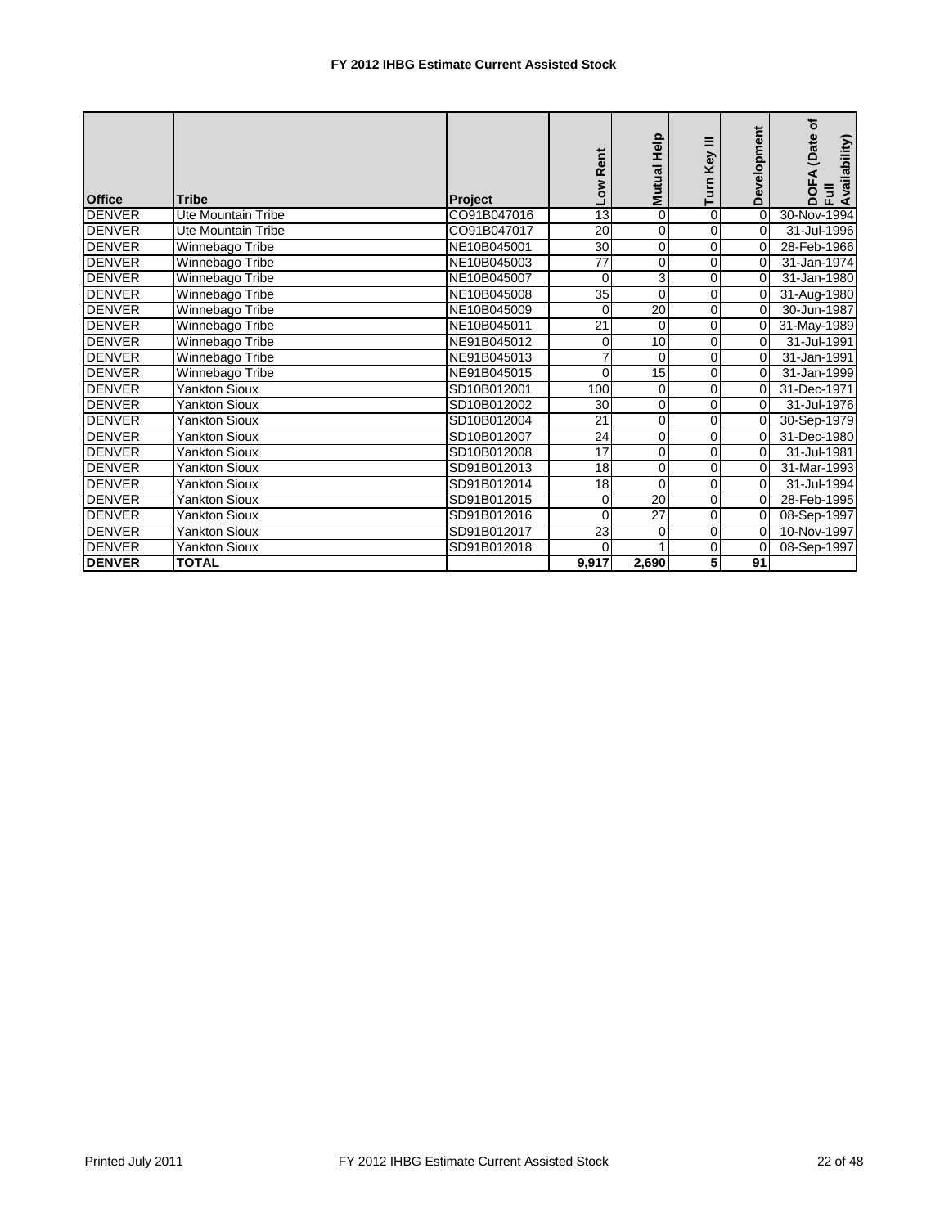| <b>Office</b> | <b>Tribe</b>              | Project     | Low Rent    | <b>Help</b><br>Mutual H | Turn Key III   | Development | (Date of<br>DOFA (Date<br>Full<br>Availability) |
|---------------|---------------------------|-------------|-------------|-------------------------|----------------|-------------|-------------------------------------------------|
| <b>DENVER</b> | <b>Ute Mountain Tribe</b> | CO91B047016 | 13          | $\mathbf 0$             | $\mathbf 0$    | $\mathbf 0$ | 30-Nov-1994                                     |
| <b>DENVER</b> | Ute Mountain Tribe        | CO91B047017 | 20          | $\mathbf 0$             | 0              | $\Omega$    | 31-Jul-1996                                     |
| DENVER        | Winnebago Tribe           | NE10B045001 | 30          | 0                       | 0              | $\mathbf 0$ | 28-Feb-1966                                     |
| <b>DENVER</b> | Winnebago Tribe           | NE10B045003 | 77          | 0                       | 0              | $\Omega$    | 31-Jan-1974                                     |
| <b>DENVER</b> | Winnebago Tribe           | NE10B045007 | $\Omega$    | 3                       | 0              | $\Omega$    | 31-Jan-1980                                     |
| <b>DENVER</b> | Winnebago Tribe           | NE10B045008 | 35          | $\mathbf 0$             | $\Omega$       | 0           | 31-Aug-1980                                     |
| <b>DENVER</b> | Winnebago Tribe           | NE10B045009 | $\mathbf 0$ | $\overline{20}$         | 0              | 0           | 30-Jun-1987                                     |
| <b>DENVER</b> | Winnebago Tribe           | NE10B045011 | 21          | $\Omega$                | $\Omega$       | 0           | 31-May-1989                                     |
| <b>DENVER</b> | Winnebago Tribe           | NE91B045012 | 0           | 10                      | $\Omega$       | $\Omega$    | 31-Jul-1991                                     |
| <b>DENVER</b> | Winnebago Tribe           | NE91B045013 | 7           | $\Omega$                | 0              | 0           | 31-Jan-1991                                     |
| <b>DENVER</b> | Winnebago Tribe           | NE91B045015 | $\mathbf 0$ | 15                      | $\overline{0}$ | $\Omega$    | 31-Jan-1999                                     |
| <b>DENVER</b> | <b>Yankton Sioux</b>      | SD10B012001 | 100         | $\Omega$                | 0              | 0           | 31-Dec-1971                                     |
| <b>DENVER</b> | <b>Yankton Sioux</b>      | SD10B012002 | 30          | $\mathbf 0$             | 0              | 0           | 31-Jul-1976                                     |
| <b>DENVER</b> | <b>Yankton Sioux</b>      | SD10B012004 | 21          | $\mathbf 0$             | 0              | $\mathbf 0$ | 30-Sep-1979                                     |
| <b>DENVER</b> | <b>Yankton Sioux</b>      | SD10B012007 | 24          | 0                       | $\overline{0}$ | 0           | 31-Dec-1980                                     |
| <b>DENVER</b> | <b>Yankton Sioux</b>      | SD10B012008 | 17          | $\Omega$                | 0              | $\Omega$    | 31-Jul-1981                                     |
| <b>DENVER</b> | <b>Yankton Sioux</b>      | SD91B012013 | 18          | $\mathbf 0$             | $\Omega$       | 0           | 31-Mar-1993                                     |
| <b>DENVER</b> | <b>Yankton Sioux</b>      | SD91B012014 | 18          | $\Omega$                | $\overline{0}$ | $\Omega$    | 31-Jul-1994                                     |
| <b>DENVER</b> | <b>Yankton Sioux</b>      | SD91B012015 | 0           | 20                      | 0              | $\Omega$    | 28-Feb-1995                                     |
| <b>DENVER</b> | <b>Yankton Sioux</b>      | SD91B012016 | 0           | $\overline{27}$         | $\Omega$       | $\Omega$    | 08-Sep-1997                                     |
| <b>DENVER</b> | <b>Yankton Sioux</b>      | SD91B012017 | 23          | 0                       | 0              | 0           | 10-Nov-1997                                     |
| <b>DENVER</b> | <b>Yankton Sioux</b>      | SD91B012018 | $\Omega$    |                         | 0              | $\mathbf 0$ | 08-Sep-1997                                     |
| <b>DENVER</b> | <b>TOTAL</b>              |             | 9,917       | 2,690                   | 5              | 91          |                                                 |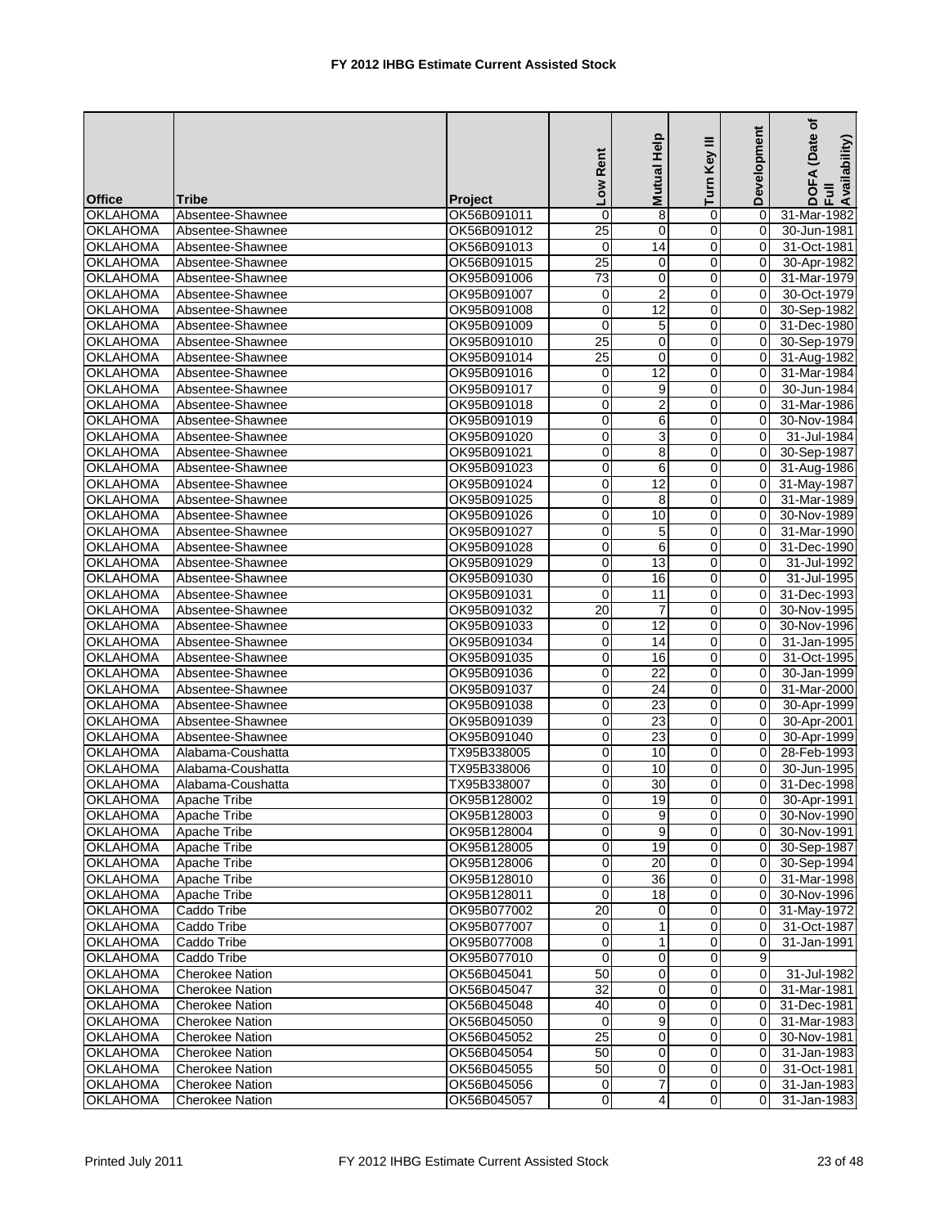|                 |                        |                | Low Rent        | Mutual Help     | Ξ<br>Turn Key  | Development    | (Date of<br>DOFA (Date<br>Full<br>Availability) |
|-----------------|------------------------|----------------|-----------------|-----------------|----------------|----------------|-------------------------------------------------|
| <b>Office</b>   | <b>Tribe</b>           | <b>Project</b> |                 |                 |                |                |                                                 |
| <b>OKLAHOMA</b> | Absentee-Shawnee       | OK56B091011    | $\pmb{0}$       | 8               | 0              | $\Omega$       | 31-Mar-1982                                     |
| <b>OKLAHOMA</b> | Absentee-Shawnee       | OK56B091012    | $\overline{25}$ | $\mathbf 0$     | $\overline{0}$ | 0              | 30-Jun-1981                                     |
| <b>OKLAHOMA</b> | Absentee-Shawnee       | OK56B091013    | $\mathbf 0$     | 14              | 0              | 0              | 31-Oct-1981                                     |
| <b>OKLAHOMA</b> | Absentee-Shawnee       | OK56B091015    | $\overline{25}$ | 0               | 0              | 0              | 30-Apr-1982                                     |
| <b>OKLAHOMA</b> | Absentee-Shawnee       | OK95B091006    | $\overline{73}$ | 0               | 0              | 0              | 31-Mar-1979                                     |
| <b>OKLAHOMA</b> | Absentee-Shawnee       | OK95B091007    | 0               | $\overline{2}$  | 0              | $\Omega$       | 30-Oct-1979                                     |
| <b>OKLAHOMA</b> | Absentee-Shawnee       | OK95B091008    | $\mathbf 0$     | $\overline{12}$ | 0              | $\Omega$       | 30-Sep-1982                                     |
| <b>OKLAHOMA</b> | Absentee-Shawnee       | OK95B091009    | 0               | 5               | 0              | $\Omega$       | 31-Dec-1980                                     |
| <b>OKLAHOMA</b> | Absentee-Shawnee       | OK95B091010    | $\overline{25}$ | $\mathbf 0$     | 0              | 0              | 30-Sep-1979                                     |
| <b>OKLAHOMA</b> | Absentee-Shawnee       | OK95B091014    | $\overline{25}$ | $\Omega$        | 0              | $\mathbf 0$    | 31-Aug-1982                                     |
| <b>OKLAHOMA</b> | Absentee-Shawnee       | OK95B091016    | 0               | 12              | 0              | $\Omega$       | 31-Mar-1984                                     |
| <b>OKLAHOMA</b> | Absentee-Shawnee       | OK95B091017    | 0               | 9               | $\overline{0}$ | 0              | 30-Jun-1984                                     |
| <b>OKLAHOMA</b> | Absentee-Shawnee       | OK95B091018    | 0               | $\overline{c}$  | 0              | $\Omega$       | 31-Mar-1986                                     |
| <b>OKLAHOMA</b> | Absentee-Shawnee       | OK95B091019    | 0               | 6               | 0              | $\Omega$       | 30-Nov-1984                                     |
| <b>OKLAHOMA</b> | Absentee-Shawnee       | OK95B091020    | $\overline{0}$  | $\overline{3}$  | 0              | 0              | 31-Jul-1984                                     |
| <b>OKLAHOMA</b> | Absentee-Shawnee       | OK95B091021    | $\mathbf 0$     | 8               | 0              | $\Omega$       | 30-Sep-1987                                     |
| <b>OKLAHOMA</b> | Absentee-Shawnee       | OK95B091023    | 0               | 6               | 0              | $\Omega$       | 31-Aug-1986                                     |
| <b>OKLAHOMA</b> | Absentee-Shawnee       | OK95B091024    | 0               | 12              | 0              | 0              | 31-May-1987                                     |
| <b>OKLAHOMA</b> | Absentee-Shawnee       | OK95B091025    | 0               | 8               | 0              | $\mathbf 0$    | 31-Mar-1989                                     |
| <b>OKLAHOMA</b> | Absentee-Shawnee       | OK95B091026    | 0               | 10              | 0              | $\Omega$       | 30-Nov-1989                                     |
| <b>OKLAHOMA</b> | Absentee-Shawnee       | OK95B091027    | 0               | 5               | 0              | $\Omega$       | 31-Mar-1990                                     |
| <b>OKLAHOMA</b> | Absentee-Shawnee       | OK95B091028    | 0               | 6               | $\overline{0}$ | 0              | 31-Dec-1990                                     |
| <b>OKLAHOMA</b> | Absentee-Shawnee       | OK95B091029    | $\mathbf 0$     | 13              | 0              | $\Omega$       | 31-Jul-1992                                     |
| <b>OKLAHOMA</b> | Absentee-Shawnee       | OK95B091030    | 0               | 16              | 0              | $\Omega$       | 31-Jul-1995                                     |
| <b>OKLAHOMA</b> | Absentee-Shawnee       | OK95B091031    | $\pmb{0}$       | 11              | 0              | 0              | 31-Dec-1993                                     |
| <b>OKLAHOMA</b> | Absentee-Shawnee       | OK95B091032    | $\overline{20}$ | $\overline{7}$  | 0              | $\Omega$       | 30-Nov-1995                                     |
| <b>OKLAHOMA</b> | Absentee-Shawnee       | OK95B091033    | 0               | $\overline{12}$ | 0              | $\Omega$       | 30-Nov-1996                                     |
| <b>OKLAHOMA</b> | Absentee-Shawnee       | OK95B091034    | 0               | 14              | 0              | $\Omega$       | 31-Jan-1995                                     |
| <b>OKLAHOMA</b> | Absentee-Shawnee       | OK95B091035    | 0               | 16              | 0              | $\mathbf 0$    | 31-Oct-1995                                     |
| <b>OKLAHOMA</b> | Absentee-Shawnee       | OK95B091036    | $\overline{0}$  | $\overline{22}$ | 0              | $\Omega$       | 30-Jan-1999                                     |
| <b>OKLAHOMA</b> | Absentee-Shawnee       | OK95B091037    | 0               | 24              | 0              | 0              | 31-Mar-2000                                     |
| <b>OKLAHOMA</b> | Absentee-Shawnee       | OK95B091038    | $\overline{0}$  | 23              | $\overline{0}$ | 0              | 30-Apr-1999                                     |
| <b>OKLAHOMA</b> | Absentee-Shawnee       | OK95B091039    | 0               | 23              | 0              | $\Omega$       | 30-Apr-2001                                     |
| <b>OKLAHOMA</b> | Absentee-Shawnee       | OK95B091040    | 0               | 23              | 0              | $\Omega$       | 30-Apr-1999                                     |
| <b>OKLAHOMA</b> | Alabama-Coushatta      | TX95B338005    | 0               | 10              | $\overline{0}$ | 0              | 28-Feb-1993                                     |
| <b>OKLAHOMA</b> | Alabama-Coushatta      | TX95B338006    | $\pmb{0}$       | 10              | 0              | $\Omega$       | 30-Jun-1995                                     |
| <b>OKLAHOMA</b> | Alabama-Coushatta      | TX95B338007    | 0               | 30              | $\Omega$       | $\Omega$       | 31-Dec-1998                                     |
| <b>OKLAHOMA</b> | Apache Tribe           | OK95B128002    | 0               | 19              | $\Omega$       | 0              | 30-Apr-1991                                     |
| <b>OKLAHOMA</b> | Apache Tribe           | OK95B128003    | $\mathbf 0$     | 9               | $\overline{0}$ | 0              | 30-Nov-1990                                     |
| <b>OKLAHOMA</b> | Apache Tribe           | OK95B128004    | 0               | 9               | $\Omega$       | 0              | 30-Nov-1991                                     |
| <b>OKLAHOMA</b> | Apache Tribe           | OK95B128005    | 0               | 19              | $\overline{0}$ | 0              | 30-Sep-1987                                     |
| <b>OKLAHOMA</b> | Apache Tribe           | OK95B128006    | $\mathbf 0$     | 20              | $\overline{0}$ | 0              | 30-Sep-1994                                     |
| <b>OKLAHOMA</b> | Apache Tribe           | OK95B128010    | 0               | 36              | $\overline{0}$ | 0              | 31-Mar-1998                                     |
| <b>OKLAHOMA</b> | Apache Tribe           | OK95B128011    | 0               | 18              | $\overline{0}$ | 0              | 30-Nov-1996                                     |
| <b>OKLAHOMA</b> | Caddo Tribe            | OK95B077002    | 20              | 0               | $\overline{0}$ | 0              | 31-May-1972                                     |
| <b>OKLAHOMA</b> | Caddo Tribe            | OK95B077007    | 0               | $\mathbf{1}$    | $\mathbf 0$    | 0              | 31-Oct-1987                                     |
| <b>OKLAHOMA</b> | Caddo Tribe            | OK95B077008    | 0               | $\mathbf{1}$    | $\overline{0}$ | $\Omega$       | $31 - Jan-1991$                                 |
| <b>OKLAHOMA</b> | Caddo Tribe            | OK95B077010    | $\mathbf 0$     | 0               | $\Omega$       | 9              |                                                 |
| <b>OKLAHOMA</b> | <b>Cherokee Nation</b> | OK56B045041    | 50              | 0               | $\overline{0}$ | $\mathbf 0$    | 31-Jul-1982                                     |
| <b>OKLAHOMA</b> | <b>Cherokee Nation</b> | OK56B045047    | $\overline{32}$ | $\mathbf 0$     | $\overline{0}$ | $\overline{0}$ | 31-Mar-1981                                     |
| <b>OKLAHOMA</b> | <b>Cherokee Nation</b> | OK56B045048    | 40              | $\mathbf 0$     | $\overline{0}$ | 0              | 31-Dec-1981                                     |
| <b>OKLAHOMA</b> | Cherokee Nation        | OK56B045050    | 0               | 9               | $\overline{0}$ | 0              | 31-Mar-1983                                     |
| <b>OKLAHOMA</b> | <b>Cherokee Nation</b> | OK56B045052    | 25              | $\mathbf 0$     | $\Omega$       | 0              | 30-Nov-1981                                     |
| <b>OKLAHOMA</b> | <b>Cherokee Nation</b> | OK56B045054    | 50              | $\mathbf 0$     | $\overline{0}$ | 0              | 31-Jan-1983                                     |
| <b>OKLAHOMA</b> | <b>Cherokee Nation</b> | OK56B045055    | 50              | 0               | $\overline{0}$ | 0              | 31-Oct-1981                                     |
| <b>OKLAHOMA</b> | <b>Cherokee Nation</b> | OK56B045056    | $\mathbf 0$     | $\overline{7}$  | $\overline{0}$ | 0              | 31-Jan-1983                                     |
| <b>OKLAHOMA</b> | <b>Cherokee Nation</b> | OK56B045057    | $\mathbf 0$     | $\overline{4}$  | $\overline{0}$ | $\Omega$       | 31-Jan-1983                                     |
|                 |                        |                |                 |                 |                |                |                                                 |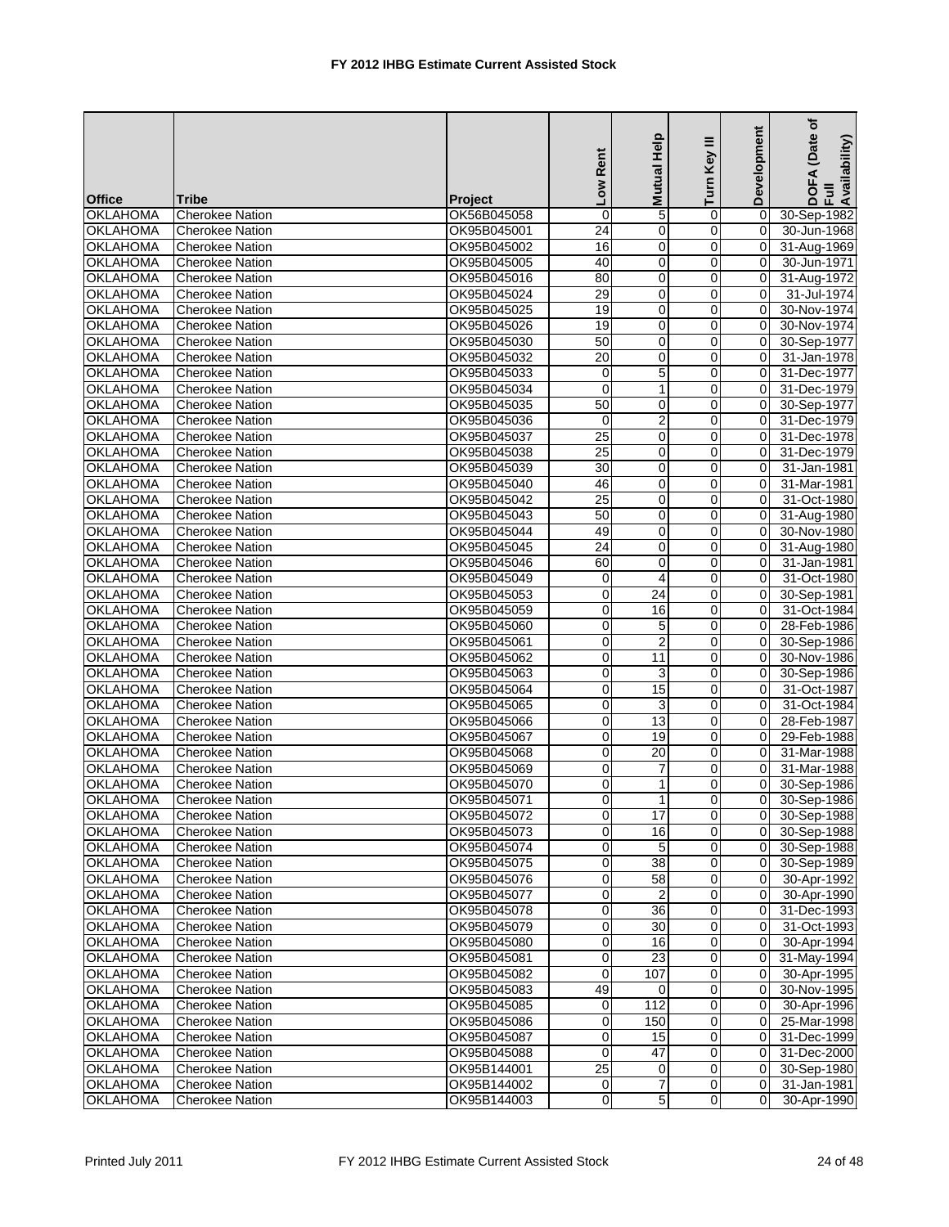|                                    |                        |                | Low Rent            | Help<br>Mutual          | Ξ<br>Turn Key  | Development   | (Date of<br>DOFA (Date<br>Full<br>Availability) |
|------------------------------------|------------------------|----------------|---------------------|-------------------------|----------------|---------------|-------------------------------------------------|
| <b>Office</b>                      | <b>Tribe</b>           | <b>Project</b> |                     |                         |                |               |                                                 |
| <b>OKLAHOMA</b>                    | <b>Cherokee Nation</b> | OK56B045058    | $\mathbf 0$         | 5                       | 0              | $\Omega$      | 30-Sep-1982                                     |
| <b>OKLAHOMA</b>                    | <b>Cherokee Nation</b> | OK95B045001    | $\overline{24}$     | $\mathbf 0$             | $\overline{0}$ | 0             | 30-Jun-1968                                     |
| <b>OKLAHOMA</b>                    | <b>Cherokee Nation</b> | OK95B045002    | 16                  | $\mathbf 0$             | 0              | 0             | 31-Aug-1969                                     |
| <b>OKLAHOMA</b>                    | Cherokee Nation        | OK95B045005    | 40                  | 0                       | 0              | $\Omega$      | 30-Jun-1971                                     |
| <b>OKLAHOMA</b>                    | <b>Cherokee Nation</b> | OK95B045016    | 80<br>29            | 0<br>0                  | $\overline{0}$ | 0             | 31-Aug-1972                                     |
| <b>OKLAHOMA</b><br><b>OKLAHOMA</b> | <b>Cherokee Nation</b> | OK95B045024    |                     | 0                       | 0              | 0<br>$\Omega$ | 31-Jul-1974                                     |
|                                    | <b>Cherokee Nation</b> | OK95B045025    | 19                  |                         | $\Omega$       |               | 30-Nov-1974                                     |
| <b>OKLAHOMA</b>                    | <b>Cherokee Nation</b> | OK95B045026    | 19                  | $\mathbf 0$             | 0              | $\Omega$      | 30-Nov-1974                                     |
| <b>OKLAHOMA</b>                    | <b>Cherokee Nation</b> | OK95B045030    | 50                  | 0                       | 0              | 0             | 30-Sep-1977                                     |
| <b>OKLAHOMA</b>                    | <b>Cherokee Nation</b> | OK95B045032    | 20                  | $\mathbf 0$             | 0              | $\Omega$      | 31-Jan-1978                                     |
| <b>OKLAHOMA</b>                    | <b>Cherokee Nation</b> | OK95B045033    | 0<br>$\overline{0}$ | 5                       | 0              | 0             | 31-Dec-1977                                     |
| <b>OKLAHOMA</b><br><b>OKLAHOMA</b> | <b>Cherokee Nation</b> | OK95B045034    |                     | 1                       | $\overline{0}$ | 0             | 31-Dec-1979                                     |
|                                    | <b>Cherokee Nation</b> | OK95B045035    | 50                  | $\mathbf 0$             | 0              | $\Omega$      | 30-Sep-1977                                     |
| <b>OKLAHOMA</b>                    | <b>Cherokee Nation</b> | OK95B045036    | 0                   | $\overline{\mathbf{c}}$ | 0              | $\Omega$      | 31-Dec-1979                                     |
| <b>OKLAHOMA</b>                    | <b>Cherokee Nation</b> | OK95B045037    | 25                  | 0                       | $\overline{0}$ | 0             | 31-Dec-1978                                     |
| <b>OKLAHOMA</b>                    | <b>Cherokee Nation</b> | OK95B045038    | 25                  | $\mathbf 0$             | 0              | 0             | 31-Dec-1979                                     |
| <b>OKLAHOMA</b>                    | <b>Cherokee Nation</b> | OK95B045039    | 30                  | 0                       | $\overline{0}$ | $\Omega$      | 31-Jan-1981                                     |
| <b>OKLAHOMA</b>                    | <b>Cherokee Nation</b> | OK95B045040    | 46                  | $\mathbf 0$             | $\Omega$       | $\Omega$      | 31-Mar-1981                                     |
| <b>OKLAHOMA</b>                    | <b>Cherokee Nation</b> | OK95B045042    | 25                  | 0                       | 0              | 0             | 31-Oct-1980                                     |
| <b>OKLAHOMA</b>                    | <b>Cherokee Nation</b> | OK95B045043    | 50                  | $\mathbf 0$             | 0              | $\Omega$      | 31-Aug-1980                                     |
| <b>OKLAHOMA</b>                    | <b>Cherokee Nation</b> | OK95B045044    | 49                  | $\mathbf 0$             | 0              | $\Omega$      | 30-Nov-1980                                     |
| <b>OKLAHOMA</b>                    | <b>Cherokee Nation</b> | OK95B045045    | $\overline{24}$     | 0                       | $\overline{0}$ | 0             | 31-Aug-1980                                     |
| <b>OKLAHOMA</b>                    | <b>Cherokee Nation</b> | OK95B045046    | 60                  | $\mathbf 0$             | 0              | $\Omega$      | 31-Jan-1981                                     |
| <b>OKLAHOMA</b>                    | <b>Cherokee Nation</b> | OK95B045049    | 0                   | 4                       | 0              | $\Omega$      | 31-Oct-1980                                     |
| <b>OKLAHOMA</b>                    | <b>Cherokee Nation</b> | OK95B045053    | $\pmb{0}$           | 24                      | $\overline{0}$ | 0             | 30-Sep-1981                                     |
| <b>OKLAHOMA</b>                    | <b>Cherokee Nation</b> | OK95B045059    | $\mathbf 0$         | 16                      | 0              | 0             | 31-Oct-1984                                     |
| <b>OKLAHOMA</b>                    | <b>Cherokee Nation</b> | OK95B045060    | 0                   | 5                       | $\Omega$       | $\Omega$      | 28-Feb-1986                                     |
| <b>OKLAHOMA</b>                    | <b>Cherokee Nation</b> | OK95B045061    | 0                   | $\overline{2}$          | $\Omega$       | $\Omega$      | 30-Sep-1986                                     |
| <b>OKLAHOMA</b>                    | <b>Cherokee Nation</b> | OK95B045062    | 0                   | 11                      | 0              | 0             | 30-Nov-1986                                     |
| <b>OKLAHOMA</b>                    | <b>Cherokee Nation</b> | OK95B045063    | 0                   | 3                       | 0              | $\Omega$      | 30-Sep-1986                                     |
| <b>OKLAHOMA</b>                    | <b>Cherokee Nation</b> | OK95B045064    | 0                   | 15                      | 0              | 0             | 31-Oct-1987                                     |
| <b>OKLAHOMA</b>                    | Cherokee Nation        | OK95B045065    | 0                   | 3                       | $\overline{0}$ | 0             | 31-Oct-1984                                     |
| <b>OKLAHOMA</b>                    | <b>Cherokee Nation</b> | OK95B045066    | 0                   | 13                      | 0              | $\Omega$      | 28-Feb-1987                                     |
| <b>OKLAHOMA</b>                    | <b>Cherokee Nation</b> | OK95B045067    | 0                   | 19                      | 0              | $\Omega$      | 29-Feb-1988                                     |
| <b>OKLAHOMA</b>                    | <b>Cherokee Nation</b> | OK95B045068    | 0                   | 20                      | $\overline{0}$ | 0             | 31-Mar-1988                                     |
| <b>OKLAHOMA</b>                    | <b>Cherokee Nation</b> | OK95B045069    | $\mathbf 0$         | $\overline{7}$          | $\overline{0}$ | $\Omega$      | 31-Mar-1988                                     |
| <b>OKLAHOMA</b>                    | <b>Cherokee Nation</b> | OK95B045070    | 0                   | 1                       | $\Omega$       | 0             | 30-Sep-1986                                     |
| <b>OKLAHOMA</b>                    | <b>Cherokee Nation</b> | OK95B045071    | $\Omega$            | 1                       | $\Omega$       | $\Omega$      | 30-Sep-1986                                     |
| <b>OKLAHOMA</b>                    | <b>Cherokee Nation</b> | OK95B045072    | 0                   | 17                      | $\overline{0}$ | 0             | 30-Sep-1988                                     |
| <b>OKLAHOMA</b>                    | <b>Cherokee Nation</b> | OK95B045073    | 0                   | 16                      | $\Omega$       | 0             | 30-Sep-1988                                     |
| <b>OKLAHOMA</b>                    | <b>Cherokee Nation</b> | OK95B045074    | 0                   | 5                       | $\overline{0}$ | 0             | 30-Sep-1988                                     |
| <b>OKLAHOMA</b>                    | <b>Cherokee Nation</b> | OK95B045075    | $\pmb{0}$           | 38                      | $\overline{0}$ | 0             | 30-Sep-1989                                     |
| <b>OKLAHOMA</b>                    | <b>Cherokee Nation</b> | OK95B045076    | 0                   | 58                      | $\overline{0}$ | 0             | 30-Apr-1992                                     |
| <b>OKLAHOMA</b>                    | <b>Cherokee Nation</b> | OK95B045077    | 0                   |                         | $\overline{0}$ | 0             | 30-Apr-1990                                     |
| <b>OKLAHOMA</b>                    | <b>Cherokee Nation</b> | OK95B045078    | 0                   | 36                      | $\overline{0}$ | 0             | 31-Dec-1993                                     |
| <b>OKLAHOMA</b>                    | <b>Cherokee Nation</b> | OK95B045079    | 0                   | 30                      | $\mathbf 0$    | 0             | 31-Oct-1993                                     |
| <b>OKLAHOMA</b>                    | Cherokee Nation        | OK95B045080    | 0                   | 16                      | $\overline{0}$ | 0             | 30-Apr-1994                                     |
| <b>OKLAHOMA</b>                    | Cherokee Nation        | OK95B045081    | 0                   | 23                      | $\overline{0}$ | 0             | 31-May-1994                                     |
| <b>OKLAHOMA</b>                    | <b>Cherokee Nation</b> | OK95B045082    | 0                   | 107                     | $\overline{0}$ | 0             | 30-Apr-1995                                     |
| <b>OKLAHOMA</b>                    | <b>Cherokee Nation</b> | OK95B045083    | 49                  | 0                       | $\overline{0}$ | 0             | 30-Nov-1995                                     |
| <b>OKLAHOMA</b>                    | Cherokee Nation        | OK95B045085    | 0                   | 112                     | $\overline{0}$ | 0             | 30-Apr-1996                                     |
| <b>OKLAHOMA</b>                    | <b>Cherokee Nation</b> | OK95B045086    | $\pmb{0}$           | 150                     | 0              | 0             | 25-Mar-1998                                     |
| <b>OKLAHOMA</b>                    | <b>Cherokee Nation</b> | OK95B045087    | 0                   | 15                      | $\overline{0}$ | 0             | 31-Dec-1999                                     |
| <b>OKLAHOMA</b>                    | <b>Cherokee Nation</b> | OK95B045088    | 0                   | 47                      | $\overline{0}$ | 0             | 31-Dec-2000                                     |
| <b>OKLAHOMA</b>                    | <b>Cherokee Nation</b> | OK95B144001    | $\overline{25}$     | 0                       | $\overline{0}$ | 0             | 30-Sep-1980                                     |
| <b>OKLAHOMA</b>                    | Cherokee Nation        | OK95B144002    | $\mathbf 0$         | $\overline{7}$          | $\overline{0}$ | 0             | $31 - Jan-1981$                                 |
| <b>OKLAHOMA</b>                    | <b>Cherokee Nation</b> | OK95B144003    | 0                   | 5                       | $\overline{0}$ | 0             | 30-Apr-1990                                     |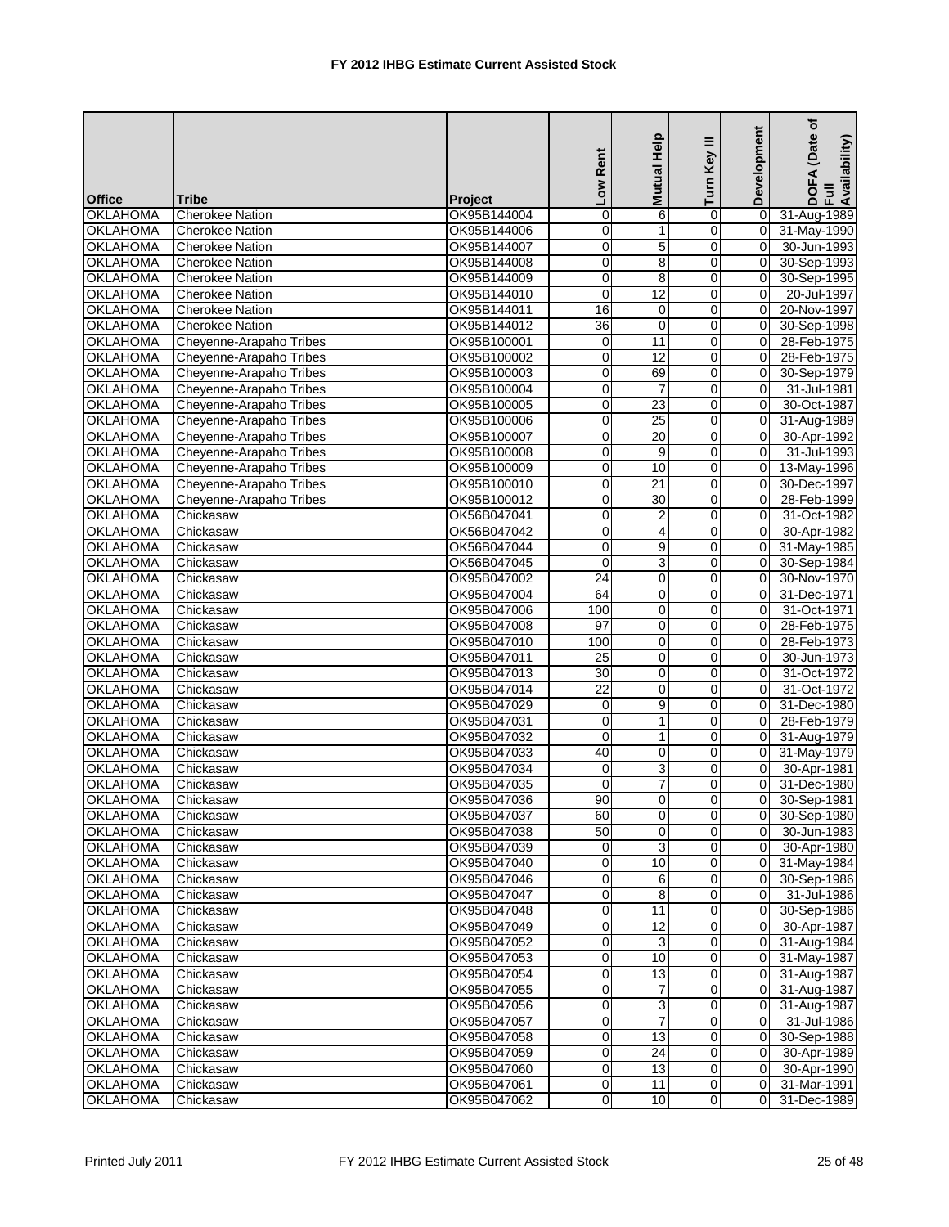|                                    |                                                  |                            | Low Rent       | Mutual Help          | ≡<br>Turn Key                    | Development    | (Date of<br>DOFA (Date<br>Full<br>Availability) |
|------------------------------------|--------------------------------------------------|----------------------------|----------------|----------------------|----------------------------------|----------------|-------------------------------------------------|
| <b>Office</b>                      | <b>Tribe</b>                                     | <b>Project</b>             |                |                      |                                  |                |                                                 |
| <b>OKLAHOMA</b>                    | <b>Cherokee Nation</b>                           | OK95B144004                | $\mathbf 0$    | 6                    | 0                                | 0              | 31-Aug-1989                                     |
| <b>OKLAHOMA</b>                    | <b>Cherokee Nation</b>                           | OK95B144006                | 0              | 1                    | $\overline{0}$                   | $\mathbf 0$    | 31-May-1990                                     |
| <b>OKLAHOMA</b>                    | <b>Cherokee Nation</b>                           | OK95B144007                | $\mathbf 0$    | 5                    | 0                                | 0              | 30-Jun-1993                                     |
| <b>OKLAHOMA</b>                    | <b>Cherokee Nation</b>                           | OK95B144008                | 0              | 8                    | 0                                | $\overline{0}$ | 30-Sep-1993                                     |
| <b>OKLAHOMA</b>                    | <b>Cherokee Nation</b>                           | OK95B144009                | $\pmb{0}$<br>0 | 8<br>$\overline{12}$ | $\overline{0}$                   | 0<br>$\Omega$  | 30-Sep-1995                                     |
| <b>OKLAHOMA</b><br><b>OKLAHOMA</b> | <b>Cherokee Nation</b><br><b>Cherokee Nation</b> | OK95B144010<br>OK95B144011 | 16             |                      | 0<br>$\overline{0}$              | $\Omega$       | 20-Jul-1997<br>20-Nov-1997                      |
| <b>OKLAHOMA</b>                    | <b>Cherokee Nation</b>                           | OK95B144012                | 36             | 0<br>$\mathbf 0$     | $\Omega$                         | $\Omega$       |                                                 |
| <b>OKLAHOMA</b>                    | Cheyenne-Arapaho Tribes                          | OK95B100001                | 0              | 11                   | 0                                | 0              | 30-Sep-1998<br>28-Feb-1975                      |
| <b>OKLAHOMA</b>                    | Cheyenne-Arapaho Tribes                          | OK95B100002                | $\pmb{0}$      | 12                   | 0                                | $\Omega$       | 28-Feb-1975                                     |
| <b>OKLAHOMA</b>                    | Cheyenne-Arapaho Tribes                          | OK95B100003                | 0              | 69                   | $\overline{0}$                   | 0              | 30-Sep-1979                                     |
| <b>OKLAHOMA</b>                    | Cheyenne-Arapaho Tribes                          | OK95B100004                | 0              | $\overline{7}$       | $\mathbf 0$                      | 0              | 31-Jul-1981                                     |
| <b>OKLAHOMA</b>                    | Cheyenne-Arapaho Tribes                          | OK95B100005                | 0              | 23                   | 0                                | $\Omega$       | 30-Oct-1987                                     |
| <b>OKLAHOMA</b>                    | Cheyenne-Arapaho Tribes                          | OK95B100006                | 0              | 25                   | 0                                | 0              | 31-Aug-1989                                     |
| <b>OKLAHOMA</b>                    | Cheyenne-Arapaho Tribes                          | OK95B100007                | $\pmb{0}$      | $\overline{20}$      | $\overline{0}$                   | 0              | 30-Apr-1992                                     |
| <b>OKLAHOMA</b>                    | Cheyenne-Arapaho Tribes                          | OK95B100008                | 0              | 9                    | 0                                | $\Omega$       | 31-Jul-1993                                     |
| <b>OKLAHOMA</b>                    | Cheyenne-Arapaho Tribes                          | OK95B100009                | 0              | 10                   | $\mathbf 0$                      | $\Omega$       | 13-May-1996                                     |
| <b>OKLAHOMA</b>                    | Cheyenne-Arapaho Tribes                          | OK95B100010                | 0              | 21                   | $\Omega$                         | 0              | 30-Dec-1997                                     |
| <b>OKLAHOMA</b>                    | Cheyenne-Arapaho Tribes                          | OK95B100012                | 0              | 30                   | 0                                | 0              | 28-Feb-1999                                     |
| <b>OKLAHOMA</b>                    | Chickasaw                                        | OK56B047041                | $\mathbf 0$    | $\overline{2}$       | 0                                | $\Omega$       | 31-Oct-1982                                     |
| <b>OKLAHOMA</b>                    | Chickasaw                                        | OK56B047042                | 0              | 4                    | 0                                | $\Omega$       | 30-Apr-1982                                     |
| <b>OKLAHOMA</b>                    | Chickasaw                                        | OK56B047044                | 0              | 9                    | $\mathbf 0$                      | 0              | 31-May-1985                                     |
| <b>OKLAHOMA</b>                    | Chickasaw                                        | OK56B047045                | $\mathbf 0$    | 3                    | 0                                | 0              | 30-Sep-1984                                     |
| <b>OKLAHOMA</b>                    | Chickasaw                                        | OK95B047002                | 24             | 0                    | 0                                | 0              | 30-Nov-1970                                     |
| <b>OKLAHOMA</b>                    | Chickasaw                                        | OK95B047004                | 64             | 0                    | $\overline{0}$                   | 0              | 31-Dec-1971                                     |
| <b>OKLAHOMA</b>                    | Chickasaw                                        | OK95B047006                | 100            | 0                    | 0                                | 0              | 31-Oct-1971                                     |
| <b>OKLAHOMA</b>                    | Chickasaw                                        | OK95B047008                | 97             | 0                    | $\overline{0}$                   | $\Omega$       | 28-Feb-1975                                     |
| <b>OKLAHOMA</b>                    | Chickasaw                                        | OK95B047010                | 100            | 0                    | $\Omega$                         | $\Omega$       | 28-Feb-1973                                     |
| <b>OKLAHOMA</b>                    | Chickasaw                                        | OK95B047011                | 25             | 0                    | 0                                | 0              | 30-Jun-1973                                     |
| <b>OKLAHOMA</b>                    | Chickasaw                                        | OK95B047013                | 30             | $\pmb{0}$            | 0                                | $\Omega$       | 31-Oct-1972                                     |
| <b>OKLAHOMA</b>                    | Chickasaw                                        | OK95B047014                | 22             | 0                    | 0                                | 0              | 31-Oct-1972                                     |
| <b>OKLAHOMA</b>                    | Chickasaw                                        | OK95B047029                | $\mathbf 0$    | 9                    | $\overline{0}$                   | 0              | 31-Dec-1980                                     |
| <b>OKLAHOMA</b>                    | Chickasaw                                        | OK95B047031                | $\mathbf 0$    | $\mathbf{1}$         | 0                                | $\Omega$       | 28-Feb-1979                                     |
| <b>OKLAHOMA</b>                    | Chickasaw                                        | OK95B047032                | 0              | 1                    | 0                                | $\Omega$       | 31-Aug-1979                                     |
| <b>OKLAHOMA</b>                    | Chickasaw                                        | OK95B047033                | 40             | 0                    | $\overline{0}$                   | 0              | 31-May-1979                                     |
| <b>OKLAHOMA</b>                    | Chickasaw                                        | OK95B047034                | $\mathbf 0$    | $\overline{3}$       | $\mathsf{O}\xspace$              | $\mathbf 0$    | 30-Apr-1981                                     |
| <b>OKLAHOMA</b>                    | Chickasaw                                        | OK95B047035                | 0              | $\overline{7}$       | $\overline{0}$                   | $\Omega$       | 31-Dec-1980                                     |
| <b>OKLAHOMA</b>                    | Chickasaw                                        | OK95B047036                | 90             | $\Omega$             | $\Omega$                         | 0              | 30-Sep-1981                                     |
| <b>OKLAHOMA</b>                    | Chickasaw                                        | OK95B047037                | 60             | $\mathbf 0$          | $\overline{0}$                   | 0              | 30-Sep-1980                                     |
| <b>OKLAHOMA</b>                    | Chickasaw                                        | OK95B047038                | 50             | $\mathbf 0$          | $\Omega$                         | $\overline{0}$ | 30-Jun-1983                                     |
| <b>OKLAHOMA</b>                    | Chickasaw                                        | OK95B047039                | 0              | 3                    | $\overline{0}$                   | 0              | 30-Apr-1980                                     |
| <b>OKLAHOMA</b>                    | Chickasaw                                        | OK95B047040                | $\pmb{0}$      | 10                   | $\overline{0}$                   | 0              | 31-May-1984                                     |
| <b>OKLAHOMA</b>                    | Chickasaw                                        | OK95B047046                | 0              | 6                    | $\overline{0}$                   | 0              | 30-Sep-1986                                     |
| <b>OKLAHOMA</b>                    | Chickasaw                                        | OK95B047047                | 0              | 8                    | $\overline{0}$                   | 0              | 31-Jul-1986                                     |
| <b>OKLAHOMA</b>                    | Chickasaw                                        | OK95B047048                | 0              | 11                   | $\overline{0}$                   | $\mathbf 0$    | 30-Sep-1986                                     |
| <b>OKLAHOMA</b>                    | Chickasaw                                        | OK95B047049                | $\pmb{0}$      | 12                   | $\mathbf 0$                      | 0              | 30-Apr-1987                                     |
| <b>OKLAHOMA</b>                    | Chickasaw                                        | OK95B047052                | 0              | 3                    | $\overline{0}$                   | 0              | 31-Aug-1984                                     |
| <b>OKLAHOMA</b>                    | Chickasaw                                        | OK95B047053                | $\mathbf 0$    | 10                   | $\overline{0}$                   | 0              | 31-May-1987                                     |
| <b>OKLAHOMA</b>                    | Chickasaw                                        | OK95B047054                | $\overline{0}$ | 13                   | $\overline{0}$                   | 0              | 31-Aug-1987                                     |
| <b>OKLAHOMA</b>                    | Chickasaw                                        | OK95B047055                | 0              | $\overline{7}$       | $\overline{0}$                   | 0              | 31-Aug-1987                                     |
| <b>OKLAHOMA</b>                    | Chickasaw                                        | OK95B047056                | 0              | 3                    | $\overline{0}$                   | 0              | 31-Aug-1987                                     |
| <b>OKLAHOMA</b>                    | Chickasaw                                        | OK95B047057                | $\pmb{0}$      | $\overline{7}$       | $\overline{0}$                   | $\overline{0}$ | 31-Jul-1986                                     |
| <b>OKLAHOMA</b>                    | Chickasaw                                        | OK95B047058                | 0              | 13                   | $\overline{0}$                   | 0              | 30-Sep-1988                                     |
| <b>OKLAHOMA</b>                    | Chickasaw                                        | OK95B047059                | 0              | 24                   | $\overline{0}$                   | 0              | 30-Apr-1989                                     |
| <b>OKLAHOMA</b>                    | Chickasaw                                        | OK95B047060                | 0              | 13                   | $\overline{0}$                   | 0              | 30-Apr-1990                                     |
| <b>OKLAHOMA</b>                    | Chickasaw<br>Chickasaw                           | OK95B047061<br>OK95B047062 | $\pmb{0}$      | 11<br>10             | $\overline{0}$<br>$\overline{0}$ | 0<br>$\Omega$  | 31-Mar-1991                                     |
| <b>OKLAHOMA</b>                    |                                                  |                            | 0              |                      |                                  |                | 31-Dec-1989                                     |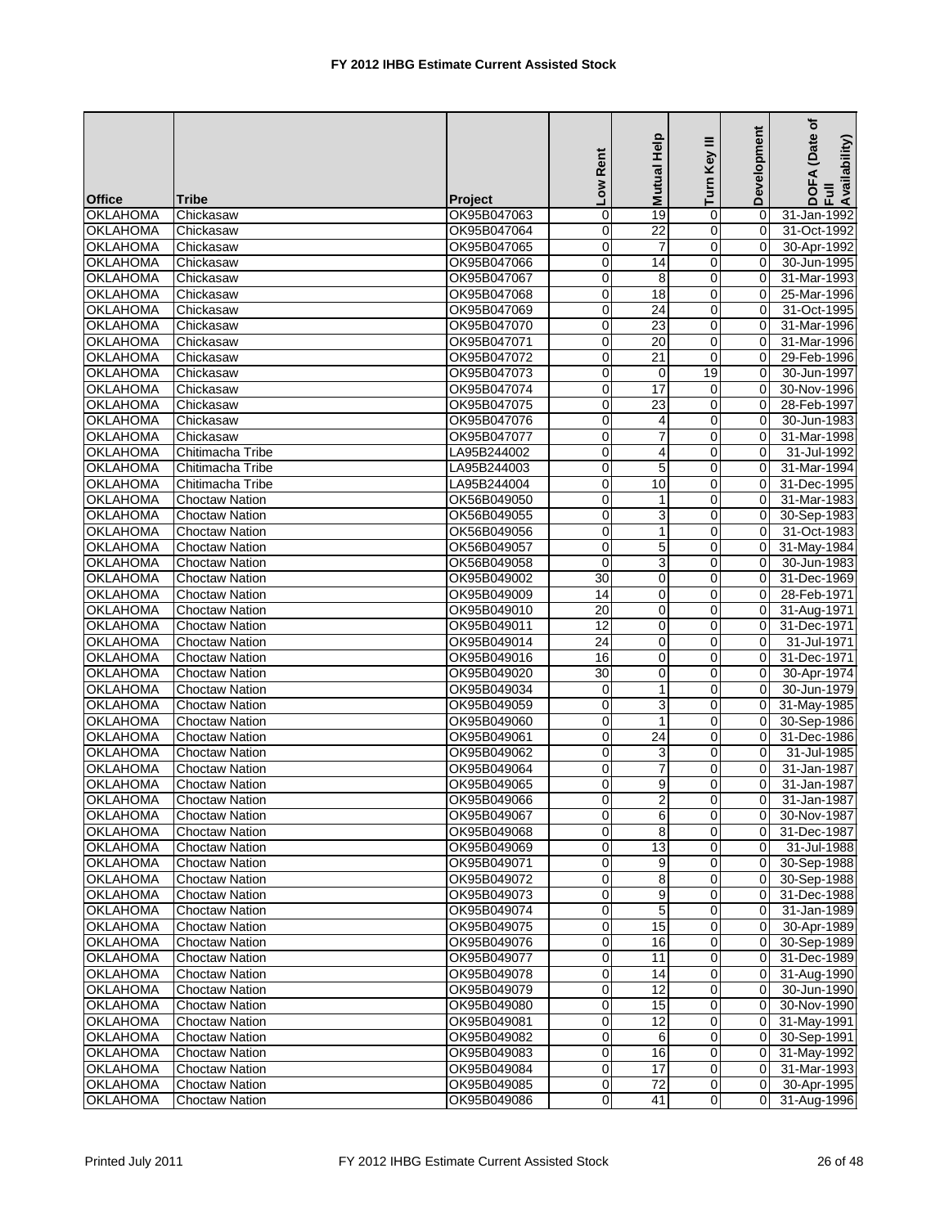|                 |                       |                | Low Rent        | Help<br>Mutual  | Ξ<br>Turn Key  | Development    | (Date of<br>DOFA (Date<br>Full<br>Availability) |
|-----------------|-----------------------|----------------|-----------------|-----------------|----------------|----------------|-------------------------------------------------|
| <b>Office</b>   | <b>Tribe</b>          | <b>Project</b> |                 |                 |                |                |                                                 |
| <b>OKLAHOMA</b> | Chickasaw             | OK95B047063    | $\pmb{0}$       | 19              | 0              | $\Omega$       | 31-Jan-1992                                     |
| <b>OKLAHOMA</b> | Chickasaw             | OK95B047064    | 0               | $\overline{22}$ | $\overline{0}$ | 0              | 31-Oct-1992                                     |
| <b>OKLAHOMA</b> | Chickasaw             | OK95B047065    | 0               | $\overline{7}$  | 0              | 0              | 30-Apr-1992                                     |
| <b>OKLAHOMA</b> | Chickasaw             | OK95B047066    | 0               | 14              | 0              | $\Omega$       | 30-Jun-1995                                     |
| <b>OKLAHOMA</b> | Chickasaw             | OK95B047067    | $\pmb{0}$       | 8               | $\overline{0}$ | 0              | 31-Mar-1993                                     |
| <b>OKLAHOMA</b> | Chickasaw             | OK95B047068    | 0               | 18              | 0              | 0              | 25-Mar-1996                                     |
| <b>OKLAHOMA</b> | Chickasaw             | OK95B047069    | 0               | $\overline{24}$ | $\Omega$       | $\Omega$       | 31-Oct-1995                                     |
| <b>OKLAHOMA</b> | Chickasaw             | OK95B047070    | 0               | 23              | $\Omega$       | $\Omega$       | 31-Mar-1996                                     |
| <b>OKLAHOMA</b> | Chickasaw             | OK95B047071    | 0               | 20              | 0              | 0              | 31-Mar-1996                                     |
| <b>OKLAHOMA</b> | Chickasaw             | OK95B047072    | 0               | 21              | 0              | $\Omega$       | 29-Feb-1996                                     |
| <b>OKLAHOMA</b> | Chickasaw             | OK95B047073    | 0               | 0               | 19             | $\Omega$       | 30-Jun-1997                                     |
| <b>OKLAHOMA</b> | Chickasaw             | OK95B047074    | 0               | $\overline{17}$ | $\overline{0}$ | $\mathbf 0$    | 30-Nov-1996                                     |
| <b>OKLAHOMA</b> | Chickasaw             | OK95B047075    | 0               | 23              | 0              | $\Omega$       | 28-Feb-1997                                     |
| <b>OKLAHOMA</b> | Chickasaw             | OK95B047076    | 0               | 4               | 0              | $\Omega$       | 30-Jun-1983                                     |
| <b>OKLAHOMA</b> | Chickasaw             | OK95B047077    | $\pmb{0}$       | $\overline{7}$  | $\overline{0}$ | 0              | 31-Mar-1998                                     |
| <b>OKLAHOMA</b> | Chitimacha Tribe      | LA95B244002    | 0               | $\overline{4}$  | 0              | 0              | 31-Jul-1992                                     |
| <b>OKLAHOMA</b> | Chitimacha Tribe      | LA95B244003    | 0               | 5               | $\overline{0}$ | $\Omega$       | 31-Mar-1994                                     |
| <b>OKLAHOMA</b> | Chitimacha Tribe      | LA95B244004    | $\mathbf 0$     | 10              | $\Omega$       | $\Omega$       | 31-Dec-1995                                     |
| <b>OKLAHOMA</b> | <b>Choctaw Nation</b> | OK56B049050    | 0               | $\mathbf{1}$    | 0              | 0              | 31-Mar-1983                                     |
| <b>OKLAHOMA</b> | <b>Choctaw Nation</b> | OK56B049055    | 0               | 3               | 0              | $\Omega$       | 30-Sep-1983                                     |
| <b>OKLAHOMA</b> | <b>Choctaw Nation</b> | OK56B049056    | 0               | 1               | 0              | $\Omega$       | 31-Oct-1983                                     |
| <b>OKLAHOMA</b> | <b>Choctaw Nation</b> | OK56B049057    | 0               | 5               | $\overline{0}$ | 0              | 31-May-1984                                     |
| <b>OKLAHOMA</b> | <b>Choctaw Nation</b> | OK56B049058    | $\mathbf 0$     | 3               | 0              | $\Omega$       | 30-Jun-1983                                     |
| <b>OKLAHOMA</b> | Choctaw Nation        | OK95B049002    | 30              | 0               | 0              | $\Omega$       | 31-Dec-1969                                     |
| <b>OKLAHOMA</b> | Choctaw Nation        | OK95B049009    | 14              | 0               | $\overline{0}$ | 0              | 28-Feb-1971                                     |
| <b>OKLAHOMA</b> | <b>Choctaw Nation</b> | OK95B049010    | 20              | 0               | 0              | $\Omega$       | 31-Aug-1971                                     |
| <b>OKLAHOMA</b> | Choctaw Nation        | OK95B049011    | $\overline{12}$ | 0               | $\Omega$       | $\Omega$       | 31-Dec-1971                                     |
| <b>OKLAHOMA</b> | Choctaw Nation        | OK95B049014    | 24              | $\mathbf 0$     | $\Omega$       | $\Omega$       | 31-Jul-1971                                     |
| <b>OKLAHOMA</b> | Choctaw Nation        | OK95B049016    | 16              | 0               | 0              | $\mathbf 0$    | 31-Dec-1971                                     |
| <b>OKLAHOMA</b> | Choctaw Nation        | OK95B049020    | 30              | $\pmb{0}$       | 0              | $\Omega$       | 30-Apr-1974                                     |
| <b>OKLAHOMA</b> | <b>Choctaw Nation</b> | OK95B049034    | 0               | 1               | 0              | 0              | 30-Jun-1979                                     |
| <b>OKLAHOMA</b> | Choctaw Nation        | OK95B049059    | $\mathbf 0$     | 3               | $\overline{0}$ | 0              | 31-May-1985                                     |
| <b>OKLAHOMA</b> | Choctaw Nation        | OK95B049060    | 0               | 1               | 0              | $\Omega$       | 30-Sep-1986                                     |
| <b>OKLAHOMA</b> | Choctaw Nation        | OK95B049061    | 0               | 24              | 0              | $\Omega$       | 31-Dec-1986                                     |
| <b>OKLAHOMA</b> | <b>Choctaw Nation</b> | OK95B049062    | 0               | 3               | $\overline{0}$ | 0              | 31-Jul-1985                                     |
| <b>OKLAHOMA</b> | <b>Choctaw Nation</b> | OK95B049064    | $\overline{0}$  | $\overline{7}$  | $\mathbf 0$    | $\Omega$       | 31-Jan-1987                                     |
| <b>OKLAHOMA</b> | <b>Choctaw Nation</b> | OK95B049065    | 0               | 9               | $\Omega$       | $\Omega$       | 31-Jan-1987                                     |
| <b>OKLAHOMA</b> | <b>Choctaw Nation</b> | OK95B049066    | $\Omega$        | $\overline{2}$  | $\Omega$       | 0              | 31-Jan-1987                                     |
| <b>OKLAHOMA</b> | <b>Choctaw Nation</b> | OK95B049067    | 0               | $\,6$           | $\overline{0}$ | 0              | 30-Nov-1987                                     |
| <b>OKLAHOMA</b> | <b>Choctaw Nation</b> | OK95B049068    | 0               | 8               | $\Omega$       | 0              | 31-Dec-1987                                     |
| <b>OKLAHOMA</b> | <b>Choctaw Nation</b> | OK95B049069    | 0               | 13              | $\overline{0}$ | 0              | 31-Jul-1988                                     |
| <b>OKLAHOMA</b> | <b>Choctaw Nation</b> | OK95B049071    | $\pmb{0}$       | 9               | $\overline{0}$ | 0              | 30-Sep-1988                                     |
| <b>OKLAHOMA</b> | <b>Choctaw Nation</b> | OK95B049072    | 0               | 8               | $\overline{0}$ | 0              | 30-Sep-1988                                     |
| <b>OKLAHOMA</b> | <b>Choctaw Nation</b> | OK95B049073    | 0               | 9               | $\overline{0}$ | 0              | 31-Dec-1988                                     |
| <b>OKLAHOMA</b> | <b>Choctaw Nation</b> | OK95B049074    | 0               | 5               | $\overline{0}$ | 0              | 31-Jan-1989                                     |
| <b>OKLAHOMA</b> | <b>Choctaw Nation</b> | OK95B049075    | 0               | 15              | $\mathbf 0$    | 0              | 30-Apr-1989                                     |
| <b>OKLAHOMA</b> | Choctaw Nation        | OK95B049076    | 0               | 16              | $\overline{0}$ | 0              | 30-Sep-1989                                     |
| <b>OKLAHOMA</b> | Choctaw Nation        | OK95B049077    | 0               | 11              | $\overline{0}$ | $\mathbf 0$    | 31-Dec-1989                                     |
| <b>OKLAHOMA</b> | <b>Choctaw Nation</b> | OK95B049078    | 0               | 14              | $\overline{0}$ | 0              | 31-Aug-1990                                     |
| <b>OKLAHOMA</b> | <b>Choctaw Nation</b> | OK95B049079    | 0               | $\overline{12}$ | $\overline{0}$ | 0              | 30-Jun-1990                                     |
| <b>OKLAHOMA</b> | <b>Choctaw Nation</b> | OK95B049080    | 0               | 15              | $\overline{0}$ | 0              | 30-Nov-1990                                     |
| <b>OKLAHOMA</b> | <b>Choctaw Nation</b> | OK95B049081    | $\pmb{0}$       | 12              | $\overline{0}$ | 0              | 31-May-1991                                     |
| <b>OKLAHOMA</b> | <b>Choctaw Nation</b> | OK95B049082    | 0               | 6               | $\overline{0}$ | 0              | 30-Sep-1991                                     |
| <b>OKLAHOMA</b> | <b>Choctaw Nation</b> | OK95B049083    | 0               | 16              | $\overline{0}$ | 0              | 31-May-1992                                     |
| <b>OKLAHOMA</b> | <b>Choctaw Nation</b> | OK95B049084    | 0               | 17              | $\overline{0}$ | 0              | 31-Mar-1993                                     |
| <b>OKLAHOMA</b> | <b>Choctaw Nation</b> | OK95B049085    | 0               | 72              | $\overline{0}$ | $\mathbf 0$    | 30-Apr-1995                                     |
| <b>OKLAHOMA</b> | <b>Choctaw Nation</b> | OK95B049086    | 0               | 41              | $\overline{0}$ | $\overline{0}$ | 31-Aug-1996                                     |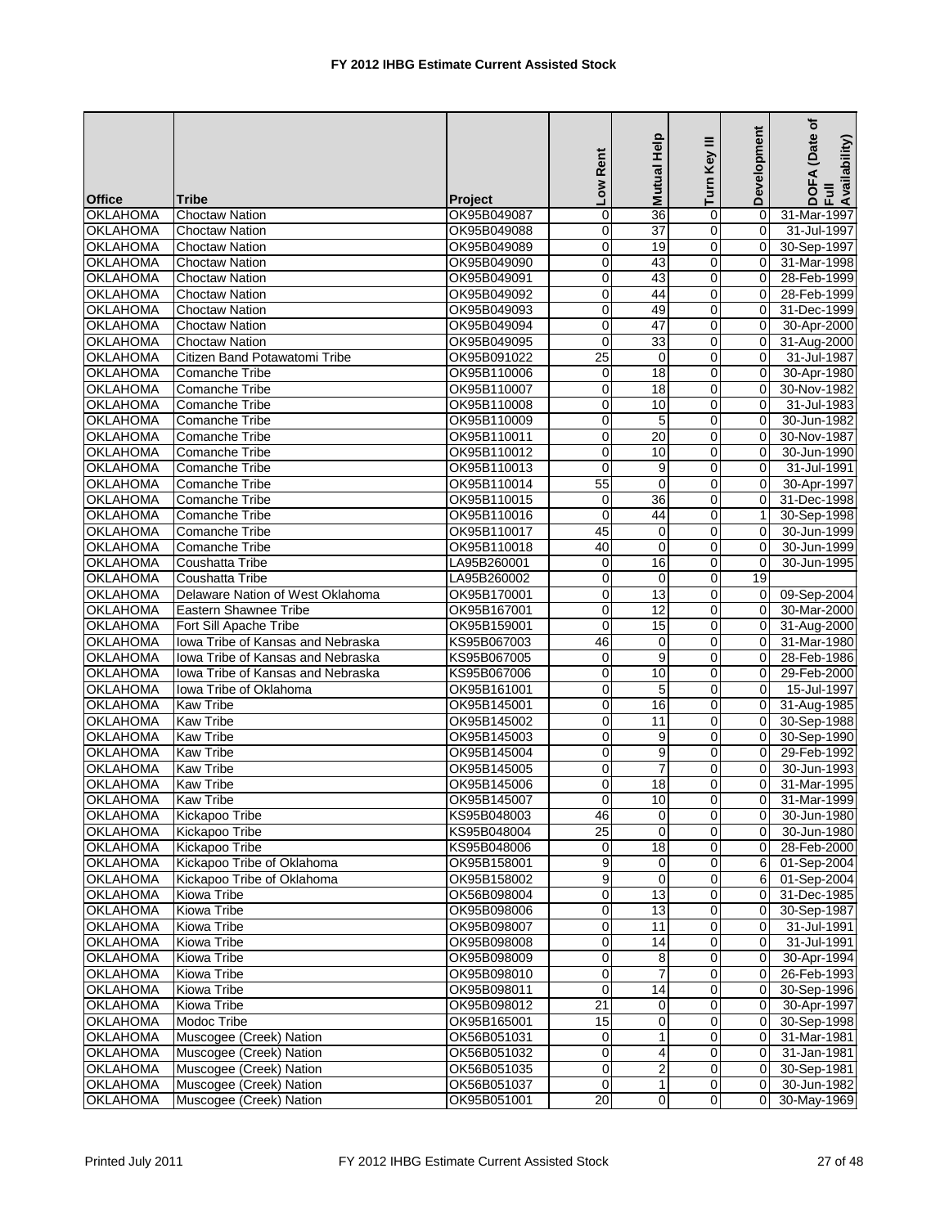|                 |                                   |                | Low Rent        | Mutual Help     | ≡<br>Turn Key       | Development | (Date of<br>DOFA (Date<br>Full<br>Availability) |
|-----------------|-----------------------------------|----------------|-----------------|-----------------|---------------------|-------------|-------------------------------------------------|
| <b>Office</b>   | <b>Tribe</b>                      | <b>Project</b> |                 |                 |                     |             |                                                 |
| <b>OKLAHOMA</b> | <b>Choctaw Nation</b>             | OK95B049087    | $\mathbf 0$     | 36              | 0                   | $\Omega$    | 31-Mar-1997                                     |
| <b>OKLAHOMA</b> | <b>Choctaw Nation</b>             | OK95B049088    | 0               | $\overline{37}$ | $\overline{0}$      | 0           | 31-Jul-1997                                     |
| <b>OKLAHOMA</b> | <b>Choctaw Nation</b>             | OK95B049089    | 0               | 19              | 0                   | $\Omega$    | 30-Sep-1997                                     |
| <b>OKLAHOMA</b> | <b>Choctaw Nation</b>             | OK95B049090    | 0               | 43              | 0                   | $\Omega$    | 31-Mar-1998                                     |
| <b>OKLAHOMA</b> | Choctaw Nation                    | OK95B049091    | $\pmb{0}$       | 43              | $\overline{0}$      | 0           | 28-Feb-1999                                     |
| <b>OKLAHOMA</b> | <b>Choctaw Nation</b>             | OK95B049092    | 0               | 44              | 0                   | $\Omega$    | 28-Feb-1999                                     |
| <b>OKLAHOMA</b> | <b>Choctaw Nation</b>             | OK95B049093    | 0               | 49              | $\Omega$            | $\Omega$    | 31-Dec-1999                                     |
| <b>OKLAHOMA</b> | <b>Choctaw Nation</b>             | OK95B049094    | $\mathbf 0$     | 47              | $\Omega$            | $\Omega$    | 30-Apr-2000                                     |
| <b>OKLAHOMA</b> | <b>Choctaw Nation</b>             | OK95B049095    | $\mathbf 0$     | 33              | 0                   | 0           | 31-Aug-2000                                     |
| <b>OKLAHOMA</b> | Citizen Band Potawatomi Tribe     | OK95B091022    | $\overline{25}$ | $\mathbf 0$     | 0                   | $\Omega$    | 31-Jul-1987                                     |
| <b>OKLAHOMA</b> | Comanche Tribe                    | OK95B110006    | 0               | 18              | 0                   | $\Omega$    | 30-Apr-1980                                     |
| <b>OKLAHOMA</b> | Comanche Tribe                    | OK95B110007    | $\overline{0}$  | $\overline{18}$ | $\mathbf 0$         | 0           | 30-Nov-1982                                     |
| <b>OKLAHOMA</b> | Comanche Tribe                    | OK95B110008    | 0               | 10              | 0                   | $\Omega$    | 31-Jul-1983                                     |
| <b>OKLAHOMA</b> | Comanche Tribe                    | OK95B110009    | 0               | 5               | 0                   | $\Omega$    | 30-Jun-1982                                     |
| <b>OKLAHOMA</b> | Comanche Tribe                    | OK95B110011    | $\pmb{0}$       | 20              | $\overline{0}$      | 0           | 30-Nov-1987                                     |
| <b>OKLAHOMA</b> | Comanche Tribe                    | OK95B110012    | $\mathbf 0$     | 10              | 0                   | 0           | 30-Jun-1990                                     |
| <b>OKLAHOMA</b> | Comanche Tribe                    | OK95B110013    | 0               | 9               | $\overline{0}$      | $\Omega$    | 31-Jul-1991                                     |
| <b>OKLAHOMA</b> | Comanche Tribe                    | OK95B110014    | 55              | $\mathbf 0$     | $\Omega$            | $\Omega$    | 30-Apr-1997                                     |
| <b>OKLAHOMA</b> | Comanche Tribe                    | OK95B110015    | $\mathbf 0$     | 36              | 0                   | 0           | 31-Dec-1998                                     |
| <b>OKLAHOMA</b> | Comanche Tribe                    | OK95B110016    | $\mathbf 0$     | 44              | 0                   | 1           | 30-Sep-1998                                     |
| <b>OKLAHOMA</b> | Comanche Tribe                    | OK95B110017    | 45              | 0               | 0                   | $\Omega$    | 30-Jun-1999                                     |
| <b>OKLAHOMA</b> | <b>Comanche Tribe</b>             | OK95B110018    | 40              | $\mathbf 0$     | $\mathbf 0$         | 0           | 30-Jun-1999                                     |
| <b>OKLAHOMA</b> | Coushatta Tribe                   | LA95B260001    | 0               | 16              | 0                   | $\Omega$    | 30-Jun-1995                                     |
| <b>OKLAHOMA</b> | Coushatta Tribe                   | LA95B260002    | 0               | 0               | $\mathbf 0$         | 19          |                                                 |
| <b>OKLAHOMA</b> | Delaware Nation of West Oklahoma  | OK95B170001    | $\pmb{0}$       | 13              | 0                   | 0           | 09-Sep-2004                                     |
| <b>OKLAHOMA</b> | <b>Eastern Shawnee Tribe</b>      | OK95B167001    | 0               | $\overline{12}$ | 0                   | $\Omega$    | 30-Mar-2000                                     |
| <b>OKLAHOMA</b> | Fort Sill Apache Tribe            | OK95B159001    | $\mathbf 0$     | 15              | $\Omega$            | $\Omega$    | 31-Aug-2000                                     |
| <b>OKLAHOMA</b> | Iowa Tribe of Kansas and Nebraska | KS95B067003    | 46              | 0               | $\Omega$            | $\Omega$    | 31-Mar-1980                                     |
| <b>OKLAHOMA</b> | Iowa Tribe of Kansas and Nebraska | KS95B067005    | $\mathbf 0$     | 9               | 0                   | $\mathbf 0$ | 28-Feb-1986                                     |
| <b>OKLAHOMA</b> | Iowa Tribe of Kansas and Nebraska | KS95B067006    | $\mathbf 0$     | 10              | 0                   | $\Omega$    | 29-Feb-2000                                     |
| <b>OKLAHOMA</b> | lowa Tribe of Oklahoma            | OK95B161001    | 0               | 5               | 0                   | 0           | 15-Jul-1997                                     |
| <b>OKLAHOMA</b> | Kaw Tribe                         | OK95B145001    | $\pmb{0}$       | 16              | $\overline{0}$      | 0           | 31-Aug-1985                                     |
| <b>OKLAHOMA</b> | <b>Kaw Tribe</b>                  | OK95B145002    | 0               | 11              | 0                   | $\Omega$    | 30-Sep-1988                                     |
| <b>OKLAHOMA</b> | Kaw Tribe                         | OK95B145003    | 0               | 9               | 0                   | $\Omega$    | 30-Sep-1990                                     |
| <b>OKLAHOMA</b> | Kaw Tribe                         | OK95B145004    | 0               | 9               | $\overline{0}$      | 0           | 29-Feb-1992                                     |
| <b>OKLAHOMA</b> | <b>Kaw Tribe</b>                  | OK95B145005    | $\pmb{0}$       | $\overline{7}$  | 0                   | $\Omega$    | 30-Jun-1993                                     |
| <b>OKLAHOMA</b> | <b>Kaw Tribe</b>                  | OK95B145006    | 0               | 18              | $\Omega$            | $\Omega$    | 31-Mar-1995                                     |
| <b>OKLAHOMA</b> | <b>Kaw Tribe</b>                  | OK95B145007    | $\Omega$        | 10              | $\Omega$            | 0           | 31-Mar-1999                                     |
| <b>OKLAHOMA</b> | Kickapoo Tribe                    | KS95B048003    | 46              | $\mathbf 0$     | $\overline{0}$      | 0           | 30-Jun-1980                                     |
| <b>OKLAHOMA</b> | Kickapoo Tribe                    | KS95B048004    | $\overline{25}$ | $\mathbf 0$     | $\overline{0}$      | 0           | 30-Jun-1980                                     |
| <b>OKLAHOMA</b> | Kickapoo Tribe                    | KS95B048006    | 0               | 18              | $\overline{0}$      | 0           | 28-Feb-2000                                     |
| <b>OKLAHOMA</b> | Kickapoo Tribe of Oklahoma        | OK95B158001    | 9               | 0               | 0                   | 6           | 01-Sep-2004                                     |
| <b>OKLAHOMA</b> | Kickapoo Tribe of Oklahoma        | OK95B158002    | 9               | $\mathbf 0$     | $\mathbf 0$         | 6           | 01-Sep-2004                                     |
| <b>OKLAHOMA</b> | Kiowa Tribe                       | OK56B098004    | 0               | 13              | $\mathbf 0$         | 0           | 31-Dec-1985                                     |
| <b>OKLAHOMA</b> | Kiowa Tribe                       | OK95B098006    | $\pmb{0}$       | 13              | 0                   | 0           | 30-Sep-1987                                     |
| <b>OKLAHOMA</b> | Kiowa Tribe                       | OK95B098007    | $\pmb{0}$       | 11              | $\mathsf{O}\xspace$ | 0           | 31-Jul-1991                                     |
| <b>OKLAHOMA</b> | Kiowa Tribe                       | OK95B098008    | $\pmb{0}$       | 14              | $\pmb{0}$           | 0           | 31-Jul-1991                                     |
| <b>OKLAHOMA</b> | Kiowa Tribe                       | OK95B098009    | $\pmb{0}$       | 8               | $\overline{0}$      | 0           | 30-Apr-1994                                     |
| <b>OKLAHOMA</b> | Kiowa Tribe                       | OK95B098010    | $\overline{0}$  | $\overline{7}$  | $\mathbf 0$         | 0           | 26-Feb-1993                                     |
| <b>OKLAHOMA</b> | Kiowa Tribe                       | OK95B098011    | 0               | 14              | $\mathbf 0$         | 0           | 30-Sep-1996                                     |
| <b>OKLAHOMA</b> | Kiowa Tribe                       | OK95B098012    | $\overline{21}$ | $\mathbf 0$     | $\overline{0}$      | 0           | 30-Apr-1997                                     |
| <b>OKLAHOMA</b> | Modoc Tribe                       | OK95B165001    | 15              | 0               | 0                   | 0           | 30-Sep-1998                                     |
| <b>OKLAHOMA</b> | Muscogee (Creek) Nation           | OK56B051031    | 0               | 1               | $\mathbf 0$         | 0           | 31-Mar-1981                                     |
| <b>OKLAHOMA</b> | Muscogee (Creek) Nation           | OK56B051032    | 0               | 4               | $\overline{0}$      | 0           | 31-Jan-1981                                     |
| <b>OKLAHOMA</b> | Muscogee (Creek) Nation           | OK56B051035    | 0               | 2               | $\overline{0}$      | 0           | 30-Sep-1981                                     |
| <b>OKLAHOMA</b> | Muscogee (Creek) Nation           | OK56B051037    | $\mathbf 0$     | $\mathbf{1}$    | $\overline{0}$      | 0           | 30-Jun-1982                                     |
| <b>OKLAHOMA</b> | Muscogee (Creek) Nation           | OK95B051001    | $\overline{20}$ | $\pmb{0}$       | $\overline{0}$      | $\Omega$    | 30-May-1969                                     |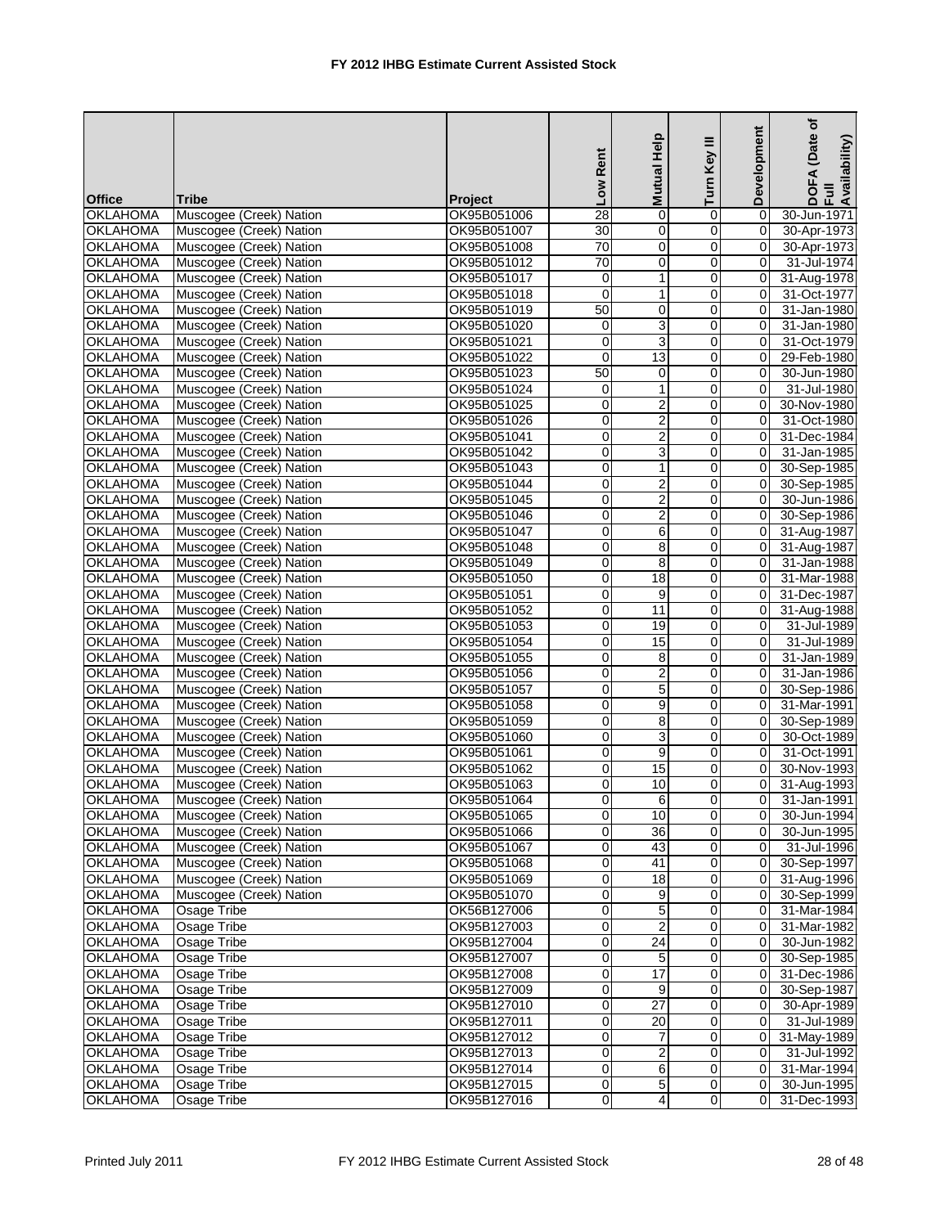|                 |                         |                | Low Rent        | Mutual Help             | Turn Key III        | Development    | (Date of<br>DOFA (Date<br>Full<br>Availability) |
|-----------------|-------------------------|----------------|-----------------|-------------------------|---------------------|----------------|-------------------------------------------------|
| <b>Office</b>   | <b>Tribe</b>            | <b>Project</b> |                 |                         |                     |                |                                                 |
| <b>OKLAHOMA</b> | Muscogee (Creek) Nation | OK95B051006    | $\overline{28}$ | $\mathbf 0$             | $\mathbf 0$         | $\Omega$       | 30-Jun-1971                                     |
| <b>OKLAHOMA</b> | Muscogee (Creek) Nation | OK95B051007    | $\overline{30}$ | $\overline{0}$          | $\overline{0}$      | $\overline{0}$ | 30-Apr-1973                                     |
| <b>OKLAHOMA</b> | Muscogee (Creek) Nation | OK95B051008    | 70              | $\mathbf 0$             | $\overline{0}$      | 0              | 30-Apr-1973                                     |
| <b>OKLAHOMA</b> | Muscogee (Creek) Nation | OK95B051012    | 70              | $\mathbf{0}$            | $\mathbf 0$         | $\Omega$       | 31-Jul-1974                                     |
| <b>OKLAHOMA</b> | Muscogee (Creek) Nation | OK95B051017    | 0               | $\mathbf{1}$            | $\overline{0}$      | 0              | 31-Aug-1978                                     |
| <b>OKLAHOMA</b> | Muscogee (Creek) Nation | OK95B051018    | $\overline{0}$  | $\mathbf{1}$            | $\mathsf{O}\xspace$ | $\mathbf 0$    | 31-Oct-1977                                     |
| <b>OKLAHOMA</b> | Muscogee (Creek) Nation | OK95B051019    | 50              | 0                       | Ō                   | $\Omega$       | 31-Jan-1980                                     |
| <b>OKLAHOMA</b> | Muscogee (Creek) Nation | OK95B051020    | 0               | 3                       | 0                   | $\Omega$       | 31-Jan-1980                                     |
| <b>OKLAHOMA</b> | Muscogee (Creek) Nation | OK95B051021    | 0               | 3                       | $\mathbf 0$         | $\mathbf 0$    | 31-Oct-1979                                     |
| <b>OKLAHOMA</b> | Muscogee (Creek) Nation | OK95B051022    | 0               | $\overline{13}$         | $\mathbf 0$         | 0              | 29-Feb-1980                                     |
| <b>OKLAHOMA</b> | Muscogee (Creek) Nation | OK95B051023    | 50              | 0                       | $\mathbf 0$         | $\Omega$       | 30-Jun-1980                                     |
| <b>OKLAHOMA</b> | Muscogee (Creek) Nation | OK95B051024    | $\mathbf 0$     | $\mathbf{1}$            | $\mathbf 0$         | $\overline{0}$ | 31-Jul-1980                                     |
| <b>OKLAHOMA</b> | Muscogee (Creek) Nation | OK95B051025    | 0               | $\overline{c}$          | 0                   | $\Omega$       | 30-Nov-1980                                     |
| <b>OKLAHOMA</b> | Muscogee (Creek) Nation | OK95B051026    | 0               | $\overline{2}$          | $\mathbf 0$         | $\Omega$       | 31-Oct-1980                                     |
| <b>OKLAHOMA</b> | Muscogee (Creek) Nation | OK95B051041    | 0               | $\overline{c}$          | $\overline{0}$      | $\mathbf 0$    | 31-Dec-1984                                     |
| <b>OKLAHOMA</b> | Muscogee (Creek) Nation | OK95B051042    | $\mathbf 0$     | $\overline{3}$          | $\mathsf{O}\xspace$ | 0              | 31-Jan-1985                                     |
| <b>OKLAHOMA</b> | Muscogee (Creek) Nation | OK95B051043    | 0               | $\mathbf{1}$            | $\mathbf 0$         | $\Omega$       | 30-Sep-1985                                     |
| <b>OKLAHOMA</b> | Muscogee (Creek) Nation | OK95B051044    | 0               | $\overline{\mathbf{c}}$ | $\Omega$            | $\mathbf 0$    | 30-Sep-1985                                     |
| <b>OKLAHOMA</b> | Muscogee (Creek) Nation | OK95B051045    | 0               | $\overline{2}$          | $\mathbf 0$         | 0              | 30-Jun-1986                                     |
| <b>OKLAHOMA</b> | Muscogee (Creek) Nation | OK95B051046    | 0               | $\overline{2}$          | $\overline{0}$      | $\mathbf 0$    | 30-Sep-1986                                     |
| <b>OKLAHOMA</b> | Muscogee (Creek) Nation | OK95B051047    | 0               | 6                       | $\overline{0}$      | $\mathbf 0$    | 31-Aug-1987                                     |
| <b>OKLAHOMA</b> | Muscogee (Creek) Nation | OK95B051048    | 0               | 8                       | $\mathbf 0$         | 0              | 31-Aug-1987                                     |
| <b>OKLAHOMA</b> | Muscogee (Creek) Nation | OK95B051049    | 0               | 8                       | $\overline{0}$      | $\Omega$       | 31-Jan-1988                                     |
| <b>OKLAHOMA</b> | Muscogee (Creek) Nation | OK95B051050    | 0               | 18                      | $\mathbf 0$         | $\Omega$       | 31-Mar-1988                                     |
| <b>OKLAHOMA</b> | Muscogee (Creek) Nation | OK95B051051    | $\mathbf 0$     | 9                       | $\overline{0}$      | 0              | 31-Dec-1987                                     |
| <b>OKLAHOMA</b> | Muscogee (Creek) Nation | OK95B051052    | $\mathbf 0$     | 11                      | $\mathsf{O}\xspace$ | 0              | 31-Aug-1988                                     |
| <b>OKLAHOMA</b> | Muscogee (Creek) Nation | OK95B051053    | $\mathbf 0$     | 19                      | $\overline{0}$      | $\Omega$       | 31-Jul-1989                                     |
| <b>OKLAHOMA</b> | Muscogee (Creek) Nation | OK95B051054    | 0               | 15                      | $\Omega$            | $\overline{0}$ | 31-Jul-1989                                     |
| <b>OKLAHOMA</b> | Muscogee (Creek) Nation | OK95B051055    | 0               | 8                       | $\mathbf 0$         | 0              | 31-Jan-1989                                     |
| <b>OKLAHOMA</b> | Muscogee (Creek) Nation | OK95B051056    | 0               | $\boldsymbol{2}$        | $\mathbf 0$         | 0              | 31-Jan-1986                                     |
| <b>OKLAHOMA</b> | Muscogee (Creek) Nation | OK95B051057    | 0               | 5                       | $\overline{0}$      | $\overline{0}$ | 30-Sep-1986                                     |
| <b>OKLAHOMA</b> | Muscogee (Creek) Nation | OK95B051058    | 0               | 9                       | $\mathbf 0$         | 0              | 31-Mar-1991                                     |
| <b>OKLAHOMA</b> | Muscogee (Creek) Nation | OK95B051059    | $\mathbf 0$     | 8                       | 0                   | 0              | 30-Sep-1989                                     |
| <b>OKLAHOMA</b> | Muscogee (Creek) Nation | OK95B051060    | $\mathbf 0$     | 3                       | $\overline{0}$      | $\Omega$       | 30-Oct-1989                                     |
| <b>OKLAHOMA</b> | Muscogee (Creek) Nation | OK95B051061    | 0               | 9                       | $\overline{0}$      | $\mathbf 0$    | 31-Oct-1991                                     |
| <b>OKLAHOMA</b> | Muscogee (Creek) Nation | OK95B051062    | 0               | 15                      | $\mathbf 0$         | 0              | 30-Nov-1993                                     |
| <b>OKLAHOMA</b> | Muscogee (Creek) Nation | OK95B051063    | 0               | 10                      | $\overline{0}$      | $\Omega$       | 31-Aug-1993                                     |
| <b>OKLAHOMA</b> | Muscogee (Creek) Nation | OK95B051064    | $\Omega$        | 6                       | $\overline{0}$      | $\Omega$       | 31-Jan-1991                                     |
| <b>OKLAHOMA</b> | Muscogee (Creek) Nation | OK95B051065    | $\pmb{0}$       | 10                      | $\overline{0}$      | $\mathbf 0$    | 30-Jun-1994                                     |
| <b>OKLAHOMA</b> | Muscogee (Creek) Nation | OK95B051066    | 0               | 36                      | $\overline{0}$      | 0              | 30-Jun-1995                                     |
| <b>OKLAHOMA</b> | Muscogee (Creek) Nation | OK95B051067    | 0               | 43                      | 0                   | 0              | 31-Jul-1996                                     |
| <b>OKLAHOMA</b> | Muscogee (Creek) Nation | OK95B051068    | $\overline{0}$  | 41                      | $\mathbf 0$         | 0              | 30-Sep-1997                                     |
| <b>OKLAHOMA</b> | Muscogee (Creek) Nation | OK95B051069    | 0               | $\overline{18}$         | $\overline{0}$      | 0              | 31-Aug-1996                                     |
| <b>OKLAHOMA</b> | Muscogee (Creek) Nation | OK95B051070    | 0               | 9                       | $\mathbf 0$         | 0              | 30-Sep-1999                                     |
| <b>OKLAHOMA</b> | Osage Tribe             | OK56B127006    | $\pmb{0}$       | 5                       | $\overline{0}$      | 0              | 31-Mar-1984                                     |
| <b>OKLAHOMA</b> | Osage Tribe             | OK95B127003    | $\overline{0}$  | $\overline{2}$          | $\pmb{0}$           | 0              | 31-Mar-1982                                     |
| <b>OKLAHOMA</b> | Osage Tribe             | OK95B127004    | $\overline{0}$  | $\overline{24}$         | $\mathbf 0$         | 0              | 30-Jun-1982                                     |
| <b>OKLAHOMA</b> | Osage Tribe             | OK95B127007    | 0               | 5                       | $\overline{0}$      | 0              | 30-Sep-1985                                     |
| <b>OKLAHOMA</b> | Osage Tribe             | OK95B127008    | 0               | 17                      | $\mathbf 0$         | 0              | 31-Dec-1986                                     |
| <b>OKLAHOMA</b> | Osage Tribe             | OK95B127009    | 0               | 9                       | $\mathbf 0$         | 0              | 30-Sep-1987                                     |
| <b>OKLAHOMA</b> | Osage Tribe             | OK95B127010    | 0               | 27                      | $\pmb{0}$           | 0              | 30-Apr-1989                                     |
| <b>OKLAHOMA</b> | Osage Tribe             | OK95B127011    | $\overline{0}$  | $\overline{20}$         | $\pmb{0}$           | $\overline{0}$ | 31-Jul-1989                                     |
| <b>OKLAHOMA</b> | Osage Tribe             | OK95B127012    | 0               | 7                       | $\mathbf 0$         | 0              | 31-May-1989                                     |
| <b>OKLAHOMA</b> | Osage Tribe             | OK95B127013    | 0               | $\overline{2}$          | $\mathbf 0$         | 0              | 31-Jul-1992                                     |
| <b>OKLAHOMA</b> | Osage Tribe             | OK95B127014    | $\mathbf 0$     | 6                       | $\overline{0}$      | $\mathbf 0$    | 31-Mar-1994                                     |
| <b>OKLAHOMA</b> | Osage Tribe             | OK95B127015    | $\overline{0}$  | 5                       | $\pmb{0}$           | 0              | 30-Jun-1995                                     |
| <b>OKLAHOMA</b> | Osage Tribe             | OK95B127016    | $\overline{0}$  | $\overline{4}$          | $\overline{0}$      | $\overline{0}$ | 31-Dec-1993                                     |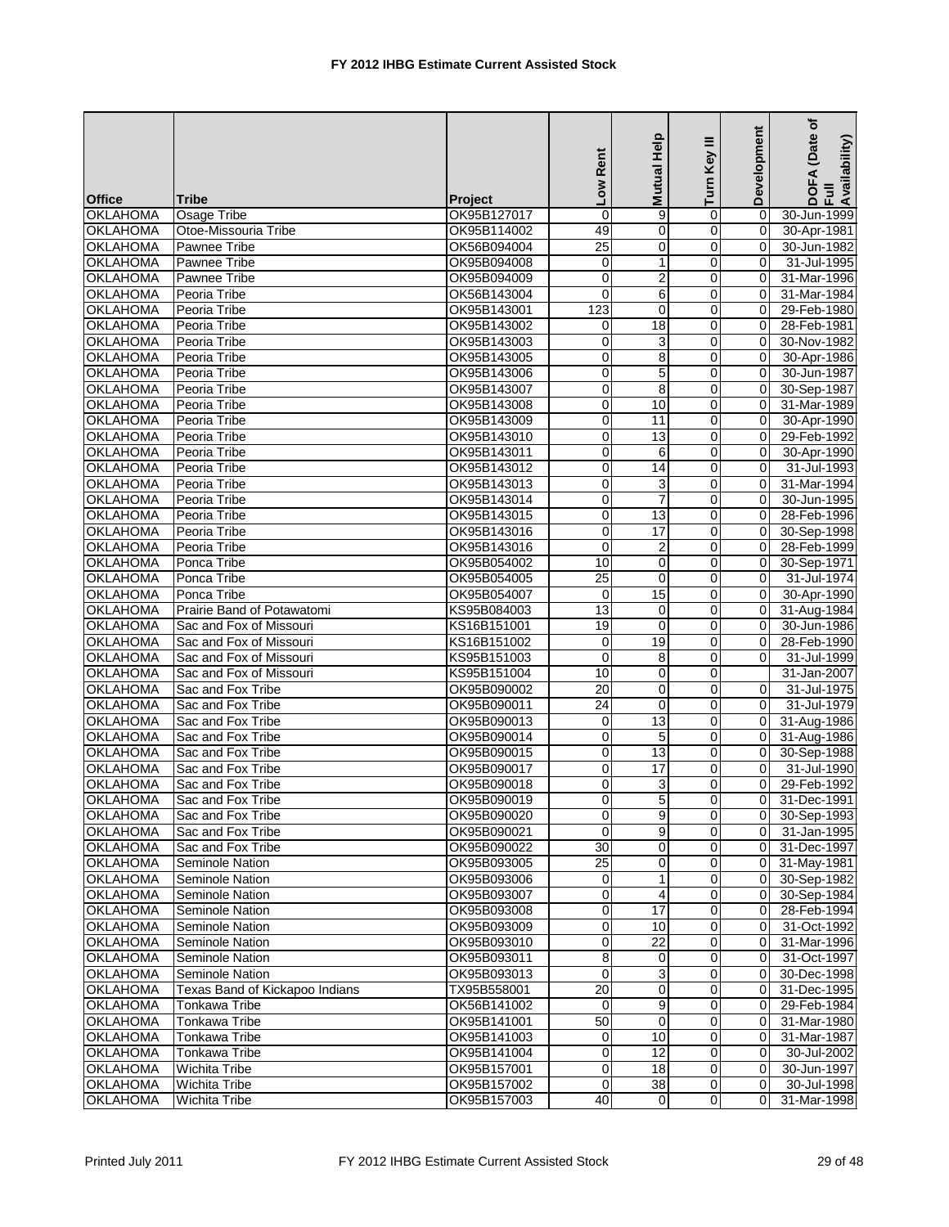|                 |                                |                | Low Rent        | Help<br>Mutual  | Ξ<br>Turn Key  | Development | (Date of<br>DOFA (Date<br>Full<br>Availability) |
|-----------------|--------------------------------|----------------|-----------------|-----------------|----------------|-------------|-------------------------------------------------|
| <b>Office</b>   | <b>Tribe</b>                   | <b>Project</b> |                 |                 |                |             |                                                 |
| <b>OKLAHOMA</b> | Osage Tribe                    | OK95B127017    | $\overline{0}$  | 9               | 0              | $\Omega$    | 30-Jun-1999                                     |
| <b>OKLAHOMA</b> | Otoe-Missouria Tribe           | OK95B114002    | 49              | $\mathbf 0$     | 0              | 0           | 30-Apr-1981                                     |
| <b>OKLAHOMA</b> | Pawnee Tribe                   | OK56B094004    | $\overline{25}$ | $\mathbf 0$     | 0              | $\Omega$    | 30-Jun-1982                                     |
| <b>OKLAHOMA</b> | Pawnee Tribe                   | OK95B094008    | 0               | 1               | 0              | 0           | 31-Jul-1995                                     |
| <b>OKLAHOMA</b> | Pawnee Tribe                   | OK95B094009    | $\mathbf 0$     | $\overline{2}$  | $\mathbf 0$    | 0           | 31-Mar-1996                                     |
| <b>OKLAHOMA</b> | Peoria Tribe                   | OK56B143004    | $\mathbf 0$     | 6               | 0              | $\Omega$    | 31-Mar-1984                                     |
| <b>OKLAHOMA</b> | Peoria Tribe                   | OK95B143001    | 123             | $\Omega$        | 0              | $\Omega$    | 29-Feb-1980                                     |
| <b>OKLAHOMA</b> | Peoria Tribe                   | OK95B143002    | 0               | 18              | 0              | $\Omega$    | 28-Feb-1981                                     |
| <b>OKLAHOMA</b> | Peoria Tribe                   | OK95B143003    | $\mathbf 0$     | 3               | 0              | $\mathbf 0$ | 30-Nov-1982                                     |
| <b>OKLAHOMA</b> | Peoria Tribe                   | OK95B143005    | $\mathbf 0$     | 8               | $\mathbf 0$    | $\Omega$    | 30-Apr-1986                                     |
| <b>OKLAHOMA</b> | Peoria Tribe                   | OK95B143006    | $\mathbf 0$     | 5               | 0              | $\Omega$    | 30-Jun-1987                                     |
| <b>OKLAHOMA</b> | Peoria Tribe                   | OK95B143007    | 0               | 8               | 0              | 0           | 30-Sep-1987                                     |
| <b>OKLAHOMA</b> | Peoria Tribe                   | OK95B143008    | $\mathbf 0$     | 10              | 0              | $\Omega$    | 31-Mar-1989                                     |
| <b>OKLAHOMA</b> | Peoria Tribe                   | OK95B143009    | 0               | 11              | 0              | 0           | 30-Apr-1990                                     |
| <b>OKLAHOMA</b> | Peoria Tribe                   | OK95B143010    | $\pmb{0}$       | 13              | 0              | $\mathbf 0$ | 29-Feb-1992                                     |
| <b>OKLAHOMA</b> | Peoria Tribe                   | OK95B143011    | $\mathbf 0$     | 6               | 0              | 0           | 30-Apr-1990                                     |
| <b>OKLAHOMA</b> | Peoria Tribe                   | OK95B143012    | $\overline{0}$  | 14              | 0              | $\Omega$    | 31-Jul-1993                                     |
| <b>OKLAHOMA</b> | Peoria Tribe                   | OK95B143013    | 0               | 3               | 0              | $\Omega$    | 31-Mar-1994                                     |
| <b>OKLAHOMA</b> | Peoria Tribe                   | OK95B143014    | $\mathbf 0$     | $\overline{7}$  | 0              | $\mathbf 0$ | 30-Jun-1995                                     |
| <b>OKLAHOMA</b> | Peoria Tribe                   | OK95B143015    | $\mathbf 0$     | 13              | $\mathbf 0$    | $\Omega$    | 28-Feb-1996                                     |
| <b>OKLAHOMA</b> | Peoria Tribe                   | OK95B143016    | 0               | 17              | $\mathbf 0$    | 0           | 30-Sep-1998                                     |
| <b>OKLAHOMA</b> | Peoria Tribe                   | OK95B143016    | $\mathbf 0$     | $\overline{2}$  | 0              | 0           | 28-Feb-1999                                     |
| <b>OKLAHOMA</b> | Ponca Tribe                    | OK95B054002    | 10              | $\mathbf 0$     | 0              | 0           | 30-Sep-1971                                     |
| <b>OKLAHOMA</b> | Ponca Tribe                    | OK95B054005    | 25              | $\mathbf 0$     | $\mathbf 0$    | $\Omega$    | 31-Jul-1974                                     |
| <b>OKLAHOMA</b> | Ponca Tribe                    | OK95B054007    | 0               | 15              | $\mathbf 0$    | 0           | 30-Apr-1990                                     |
| <b>OKLAHOMA</b> | Prairie Band of Potawatomi     | KS95B084003    | 13              | $\mathbf 0$     | 0              | 0           | 31-Aug-1984                                     |
| <b>OKLAHOMA</b> | Sac and Fox of Missouri        | KS16B151001    | 19              | $\mathbf 0$     | 0              | $\Omega$    | 30-Jun-1986                                     |
| <b>OKLAHOMA</b> | Sac and Fox of Missouri        | KS16B151002    | $\mathbf 0$     | 19              | 0              | $\Omega$    | 28-Feb-1990                                     |
| <b>OKLAHOMA</b> | Sac and Fox of Missouri        | KS95B151003    | $\mathbf 0$     | 8               | 0              | 0           | 31-Jul-1999                                     |
| <b>OKLAHOMA</b> | Sac and Fox of Missouri        | KS95B151004    | 10              | $\mathbf 0$     | $\mathbf 0$    |             | 31-Jan-2007                                     |
| <b>OKLAHOMA</b> | Sac and Fox Tribe              | OK95B090002    | 20              | 0               | 0              | 0           | 31-Jul-1975                                     |
| <b>OKLAHOMA</b> | Sac and Fox Tribe              | OK95B090011    | 24              | $\mathbf 0$     | 0              | 0           | 31-Jul-1979                                     |
| <b>OKLAHOMA</b> | Sac and Fox Tribe              | OK95B090013    | $\mathbf 0$     | 13              | 0              | $\Omega$    | 31-Aug-1986                                     |
| <b>OKLAHOMA</b> | Sac and Fox Tribe              | OK95B090014    | 0               | 5               | 0              | 0           | 31-Aug-1986                                     |
| <b>OKLAHOMA</b> | Sac and Fox Tribe              | OK95B090015    | 0               | 13              | 0              | 0           | 30-Sep-1988                                     |
| <b>OKLAHOMA</b> | Sac and Fox Tribe              | OK95B090017    | $\pmb{0}$       | 17              | 0              | $\Omega$    | 31-Jul-1990                                     |
| <b>OKLAHOMA</b> | Sac and Fox Tribe              | OK95B090018    | 0               | 3               | 0              | $\Omega$    | 29-Feb-1992                                     |
| <b>OKLAHOMA</b> | Sac and Fox Tribe              | OK95B090019    | $\Omega$        | 5               | $\Omega$       | 0           | 31-Dec-1991                                     |
| <b>OKLAHOMA</b> | Sac and Fox Tribe              | OK95B090020    | $\pmb{0}$       | 9               | $\pmb{0}$      | 0           | 30-Sep-1993                                     |
| <b>OKLAHOMA</b> | Sac and Fox Tribe              | OK95B090021    | 0               | 9               | 0              | 0           | 31-Jan-1995                                     |
| <b>OKLAHOMA</b> | Sac and Fox Tribe              | OK95B090022    | $\overline{30}$ | 0               | 0              | 0           | 31-Dec-1997                                     |
| <b>OKLAHOMA</b> | Seminole Nation                | OK95B093005    | $\overline{25}$ | 0               | 0              | 0           | 31-May-1981                                     |
| <b>OKLAHOMA</b> | Seminole Nation                | OK95B093006    | $\mathbf 0$     | 1               | 0              | 0           | 30-Sep-1982                                     |
| <b>OKLAHOMA</b> | Seminole Nation                | OK95B093007    | 0               | 4               | 0              | 0           | 30-Sep-1984                                     |
|                 | Seminole Nation                |                |                 | 17              |                |             |                                                 |
| <b>OKLAHOMA</b> |                                | OK95B093008    | 0               |                 | 0              | 0           | 28-Feb-1994                                     |
| <b>OKLAHOMA</b> | Seminole Nation                | OK95B093009    | $\pmb{0}$       | 10              | $\mathbf 0$    | 0           | 31-Oct-1992                                     |
| <b>OKLAHOMA</b> | Seminole Nation                | OK95B093010    | $\overline{0}$  | 22              | 0              | 0           | 31-Mar-1996                                     |
| <b>OKLAHOMA</b> | Seminole Nation                | OK95B093011    | $\overline{8}$  | 0               | 0              | 0           | 31-Oct-1997                                     |
| <b>OKLAHOMA</b> | Seminole Nation                | OK95B093013    | $\pmb{0}$       | 3               | 0              | 0           | 30-Dec-1998                                     |
| <b>OKLAHOMA</b> | Texas Band of Kickapoo Indians | TX95B558001    | $\overline{20}$ | 0               | 0              | 0           | 31-Dec-1995                                     |
| <b>OKLAHOMA</b> | Tonkawa Tribe                  | OK56B141002    | 0               | 9               | $\overline{0}$ | 0           | 29-Feb-1984                                     |
| <b>OKLAHOMA</b> | Tonkawa Tribe                  | OK95B141001    | 50              | $\mathbf 0$     | 0              | 0           | 31-Mar-1980                                     |
| <b>OKLAHOMA</b> | Tonkawa Tribe                  | OK95B141003    | $\mathbf 0$     | 10              | 0              | 0           | 31-Mar-1987                                     |
| <b>OKLAHOMA</b> | Tonkawa Tribe                  | OK95B141004    | 0               | 12              | 0              | 0           | 30-Jul-2002                                     |
| <b>OKLAHOMA</b> | <b>Wichita Tribe</b>           | OK95B157001    | $\pmb{0}$       | 18              | $\mathbf 0$    | 0           | 30-Jun-1997                                     |
| <b>OKLAHOMA</b> | <b>Wichita Tribe</b>           | OK95B157002    | $\pmb{0}$       | $\overline{38}$ | $\pmb{0}$      | 0           | 30-Jul-1998                                     |
| <b>OKLAHOMA</b> | <b>Wichita Tribe</b>           | OK95B157003    | 40              | $\overline{0}$  | $\mathbf 0$    | 0           | 31-Mar-1998                                     |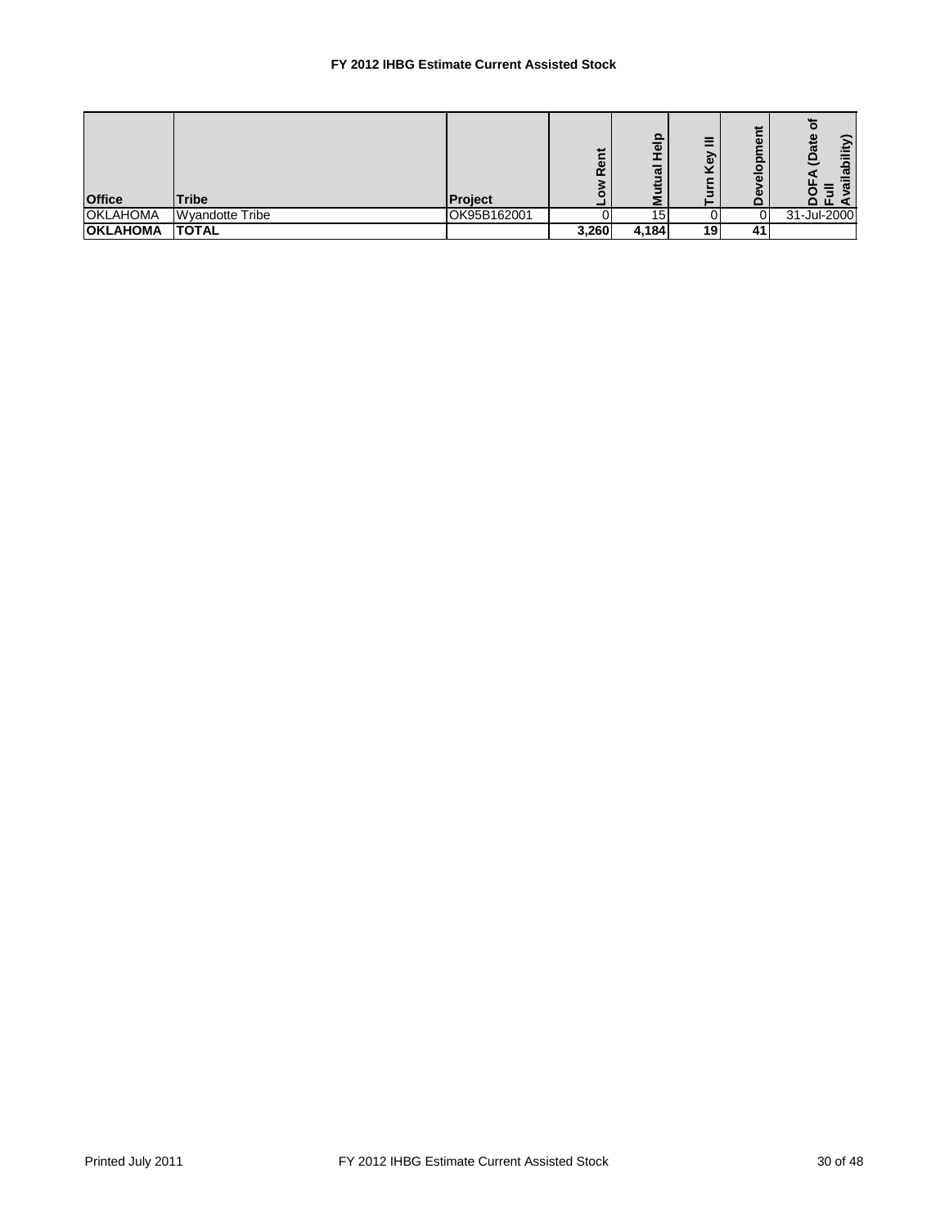## **FY 2012 IHBG Estimate Current Assisted Stock**

| <b>Office</b>   | <b>Tribe</b>    | Project     | Ĕ<br>Rei | 을<br>ಸ | Ξ<br>శె<br>×<br>ξ<br>– | ىپ<br>ω<br>o<br>ω<br>ω | ≗<br>ā<br>ω<br>π<br>o<br>ᅀᄄ |
|-----------------|-----------------|-------------|----------|--------|------------------------|------------------------|-----------------------------|
| <b>OKLAHOMA</b> | Wyandotte Tribe | OK95B162001 |          | 15     |                        |                        | 31-Jul-2000                 |
| <b>OKLAHOMA</b> | <b>TOTAL</b>    |             | 3,260    | 4,184  | 19                     | 41                     |                             |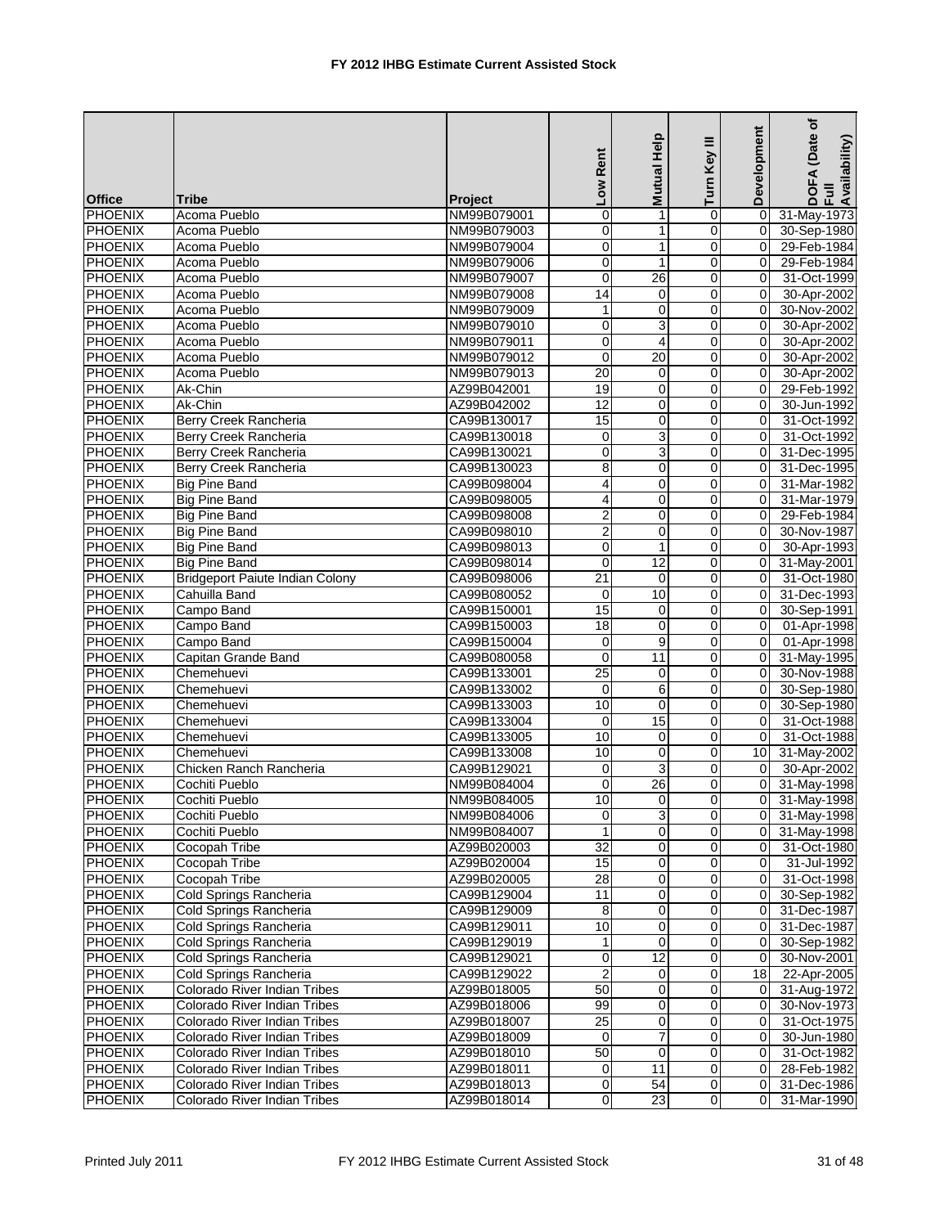|                |                                        |                | Low Rent        | Mutual Help     | Ξ<br>Turn Key  | Development | (Date of<br>DOFA (Date<br>Full<br>Availability) |
|----------------|----------------------------------------|----------------|-----------------|-----------------|----------------|-------------|-------------------------------------------------|
| <b>Office</b>  | <b>Tribe</b>                           | <b>Project</b> |                 |                 |                |             |                                                 |
| PHOENIX        | Acoma Pueblo                           | NM99B079001    | $\pmb{0}$       | 1               | 0              | 0           | 31-May-1973                                     |
| <b>PHOENIX</b> | Acoma Pueblo                           | NM99B079003    | 0               | 1               | 0              | 0           | 30-Sep-1980                                     |
| <b>PHOENIX</b> | Acoma Pueblo                           | NM99B079004    | $\mathbf 0$     | $\mathbf{1}$    | 0              | 0           | 29-Feb-1984                                     |
| <b>PHOENIX</b> | Acoma Pueblo                           | NM99B079006    | 0               | $\mathbf{1}$    | $\mathbf 0$    | 0           | 29-Feb-1984                                     |
| <b>PHOENIX</b> | Acoma Pueblo                           | NM99B079007    | $\overline{0}$  | $\overline{26}$ | $\mathbf 0$    | $\mathbf 0$ | 31-Oct-1999                                     |
| PHOENIX        | Acoma Pueblo                           | NM99B079008    | 14              | $\mathbf 0$     | 0              | 0           | 30-Apr-2002                                     |
| PHOENIX        | Acoma Pueblo                           | NM99B079009    | 1               | 0               | $\overline{0}$ | 0           | 30-Nov-2002                                     |
| <b>PHOENIX</b> | Acoma Pueblo                           | NM99B079010    | $\mathbf 0$     | 3               | 0              | 0           | 30-Apr-2002                                     |
| <b>PHOENIX</b> | Acoma Pueblo                           | NM99B079011    | $\mathbf 0$     | $\overline{4}$  | 0              | 0           | 30-Apr-2002                                     |
| <b>PHOENIX</b> | Acoma Pueblo                           | NM99B079012    | $\mathbf 0$     | 20              | $\mathbf 0$    | $\Omega$    | 30-Apr-2002                                     |
| <b>PHOENIX</b> | Acoma Pueblo                           | NM99B079013    | 20              | 0               | $\mathbf 0$    | 0           | 30-Apr-2002                                     |
| <b>PHOENIX</b> | Ak-Chin                                | AZ99B042001    | 19              | 0               | 0              | 0           | 29-Feb-1992                                     |
| PHOENIX        | Ak-Chin                                | AZ99B042002    | $\overline{12}$ | $\mathbf 0$     | 0              | $\Omega$    | 30-Jun-1992                                     |
| <b>PHOENIX</b> | Berry Creek Rancheria                  | CA99B130017    | 15              | $\mathbf 0$     | 0              | 0           | 31-Oct-1992                                     |
| <b>PHOENIX</b> | Berry Creek Rancheria                  | CA99B130018    | 0               | $\overline{3}$  | $\mathbf 0$    | $\mathbf 0$ | 31-Oct-1992                                     |
| PHOENIX        | Berry Creek Rancheria                  | CA99B130021    | $\mathbf 0$     | 3               | 0              | 0           | 31-Dec-1995                                     |
| <b>PHOENIX</b> | Berry Creek Rancheria                  | CA99B130023    | 8               | 0               | $\overline{0}$ | 0           | 31-Dec-1995                                     |
| <b>PHOENIX</b> | <b>Big Pine Band</b>                   | CA99B098004    | 4               | $\mathbf 0$     | 0              | $\Omega$    | 31-Mar-1982                                     |
| <b>PHOENIX</b> | <b>Big Pine Band</b>                   | CA99B098005    | 4               | $\mathbf 0$     | 0              | 0           | 31-Mar-1979                                     |
| <b>PHOENIX</b> | <b>Big Pine Band</b>                   | CA99B098008    | $\overline{2}$  | $\mathbf 0$     | $\mathbf 0$    | $\Omega$    | 29-Feb-1984                                     |
| <b>PHOENIX</b> | <b>Big Pine Band</b>                   | CA99B098010    | $\overline{2}$  | $\mathbf 0$     | 0              | 0           | 30-Nov-1987                                     |
| <b>PHOENIX</b> | <b>Big Pine Band</b>                   | CA99B098013    | $\overline{0}$  | $\mathbf{1}$    | 0              | 0           | 30-Apr-1993                                     |
| <b>PHOENIX</b> | <b>Big Pine Band</b>                   | CA99B098014    | $\mathbf 0$     | 12              | 0              | 0           | 31-May-2001                                     |
| <b>PHOENIX</b> | <b>Bridgeport Paiute Indian Colony</b> | CA99B098006    | $\overline{21}$ | $\mathbf 0$     | $\mathbf 0$    | 0           | 31-Oct-1980                                     |
| <b>PHOENIX</b> | Cahuilla Band                          | CA99B080052    | $\mathbf 0$     | 10              | $\mathbf 0$    | 0           | 31-Dec-1993                                     |
| <b>PHOENIX</b> | Campo Band                             | CA99B150001    | 15              | $\mathbf 0$     | 0              | $\Omega$    | 30-Sep-1991                                     |
| <b>PHOENIX</b> | Campo Band                             | CA99B150003    | $\overline{18}$ | 0               | 0              | $\Omega$    | 01-Apr-1998                                     |
| <b>PHOENIX</b> | Campo Band                             | CA99B150004    | 0               | 9               | 0              | $\Omega$    | 01-Apr-1998                                     |
| <b>PHOENIX</b> | Capitan Grande Band                    | CA99B080058    | $\mathbf 0$     | 11              | 0              | 0           | 31-May-1995                                     |
| <b>PHOENIX</b> | Chemehuevi                             | CA99B133001    | $\overline{25}$ | $\pmb{0}$       | $\mathbf 0$    | $\Omega$    | 30-Nov-1988                                     |
| <b>PHOENIX</b> | Chemehuevi                             | CA99B133002    | 0               | 6               | 0              | 0           | 30-Sep-1980                                     |
| <b>PHOENIX</b> | Chemehuevi                             | CA99B133003    | 10              | $\mathbf 0$     | $\mathbf 0$    | 0           | 30-Sep-1980                                     |
| <b>PHOENIX</b> | Chemehuevi                             | CA99B133004    | $\mathbf 0$     | 15              | 0              | 0           | 31-Oct-1988                                     |
| <b>PHOENIX</b> | Chemehuevi                             | CA99B133005    | 10              | $\mathbf 0$     | $\mathbf 0$    | $\Omega$    | 31-Oct-1988                                     |
| <b>PHOENIX</b> | Chemehuevi                             | CA99B133008    | 10              | 0               | 0              | 10          | 31-May-2002                                     |
| PHOENIX        | Chicken Ranch Rancheria                | CA99B129021    | $\mathbf 0$     | 3               | 0              | $\Omega$    | 30-Apr-2002                                     |
| PHOENIX        | Cochiti Pueblo                         | NM99B084004    | $\pmb{0}$       | 26              | 0              | $\Omega$    | 31-May-1998                                     |
| <b>PHOENIX</b> | Cochiti Pueblo                         | NM99B084005    | 10              | $\Omega$        | $\Omega$       | $\Omega$    | 31-May-1998                                     |
| <b>PHOENIX</b> | Cochiti Pueblo                         | NM99B084006    | $\overline{0}$  | 3               | $\pmb{0}$      | 0           | 31-May-1998                                     |
| <b>PHOENIX</b> | Cochiti Pueblo                         | NM99B084007    | $\mathbf{1}$    | 0               | 0              | 0           | 31-May-1998                                     |
| <b>PHOENIX</b> | Cocopah Tribe                          | AZ99B020003    | $\overline{32}$ | $\overline{0}$  | 0              | 0           | 31-Oct-1980                                     |
| <b>PHOENIX</b> | Cocopah Tribe                          | AZ99B020004    | 15              | 0               | 0              | 0           | 31-Jul-1992                                     |
| PHOENIX        | Cocopah Tribe                          | AZ99B020005    | 28              | 0               | 0              | 0           | 31-Oct-1998                                     |
| <b>PHOENIX</b> | Cold Springs Rancheria                 | CA99B129004    | 11              | $\mathbf 0$     | 0              | 0           | 30-Sep-1982                                     |
| <b>PHOENIX</b> | Cold Springs Rancheria                 | CA99B129009    | 8               | 0               | 0              | 0           | 31-Dec-1987                                     |
| <b>PHOENIX</b> | Cold Springs Rancheria                 | CA99B129011    | 10              | $\pmb{0}$       | 0              | 0           | 31-Dec-1987                                     |
| <b>PHOENIX</b> | Cold Springs Rancheria                 | CA99B129019    | 1               | $\mathbf 0$     | 0              | $\mathbf 0$ | 30-Sep-1982                                     |
| PHOENIX        | Cold Springs Rancheria                 | CA99B129021    | 0               | $\overline{12}$ | 0              | $\mathbf 0$ | 30-Nov-2001                                     |
| <b>PHOENIX</b> | Cold Springs Rancheria                 | CA99B129022    | $\overline{2}$  | 0               | 0              | 18          | 22-Apr-2005                                     |
| PHOENIX        | Colorado River Indian Tribes           | AZ99B018005    | 50              | 0               | 0              | 0           | 31-Aug-1972                                     |
| PHOENIX        | Colorado River Indian Tribes           | AZ99B018006    | 99              | 0               | 0              | $\mathbf 0$ | 30-Nov-1973                                     |
| <b>PHOENIX</b> | Colorado River Indian Tribes           | AZ99B018007    | $\overline{25}$ | 0               | 0              | 0           | 31-Oct-1975                                     |
| <b>PHOENIX</b> | Colorado River Indian Tribes           | AZ99B018009    | $\mathbf 0$     | $\overline{7}$  | 0              | $\mathbf 0$ | 30-Jun-1980                                     |
| <b>PHOENIX</b> | Colorado River Indian Tribes           | AZ99B018010    | 50              | 0               | 0              | 0           | 31-Oct-1982                                     |
| <b>PHOENIX</b> | Colorado River Indian Tribes           | AZ99B018011    | 0               | 11              | $\mathbf 0$    | 0           | 28-Feb-1982                                     |
| <b>PHOENIX</b> | Colorado River Indian Tribes           | AZ99B018013    | $\overline{0}$  | 54              | $\pmb{0}$      | 0           | 31-Dec-1986                                     |
| <b>PHOENIX</b> | Colorado River Indian Tribes           | AZ99B018014    | 0               | $\overline{23}$ | $\mathbf 0$    | 0           | 31-Mar-1990                                     |
|                |                                        |                |                 |                 |                |             |                                                 |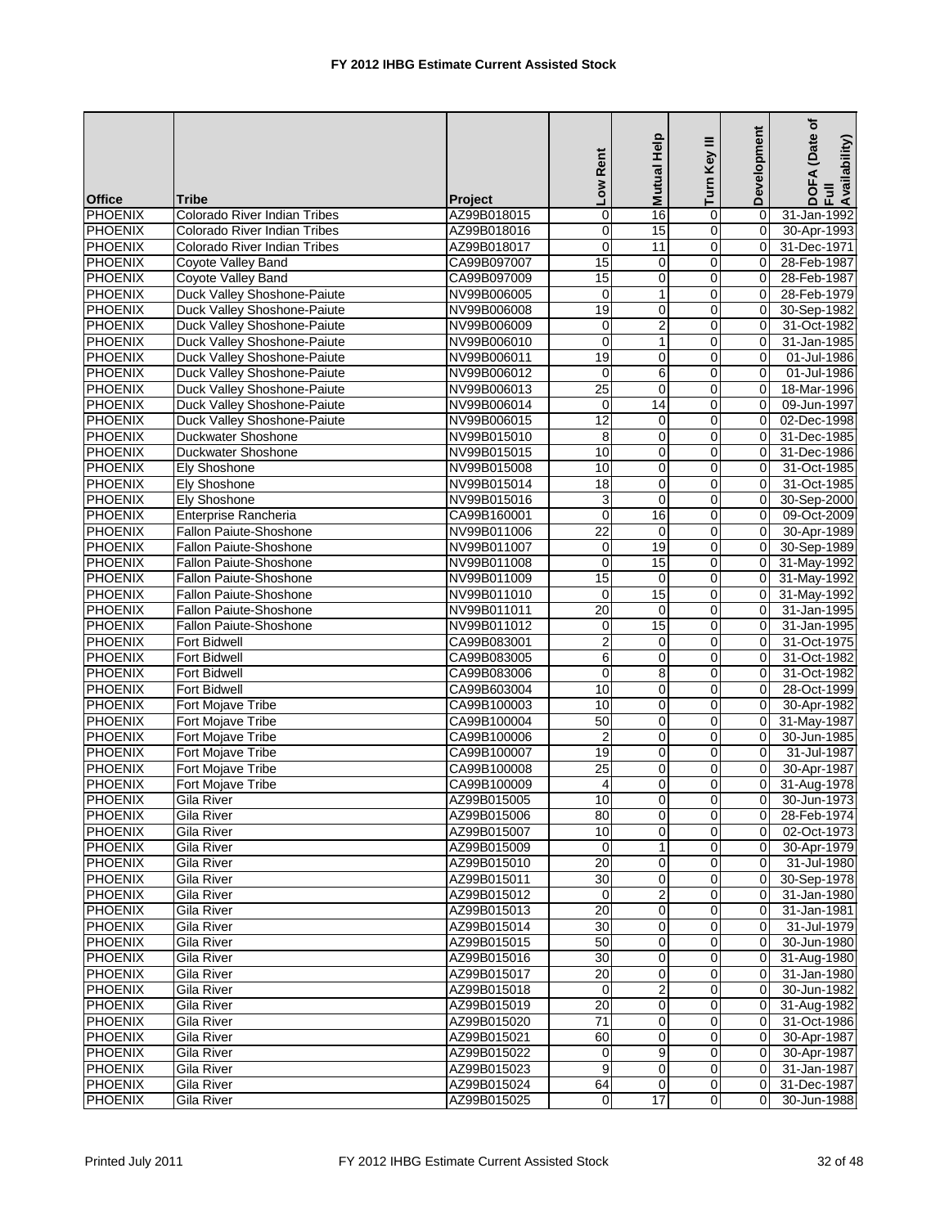|                |                               |                |                 | Help           | Ξ              | Development    | ৳<br>(Date<br>DOFA (Date<br>Full<br>Availability) |
|----------------|-------------------------------|----------------|-----------------|----------------|----------------|----------------|---------------------------------------------------|
|                |                               |                | Low Rent        | <b>Mutual</b>  | Turn Key       |                |                                                   |
| <b>Office</b>  | <b>Tribe</b>                  | <b>Project</b> |                 |                |                |                |                                                   |
| PHOENIX        | Colorado River Indian Tribes  | AZ99B018015    | 0               | 16             | 0              | $\Omega$       | 31-Jan-1992                                       |
| <b>PHOENIX</b> | Colorado River Indian Tribes  | AZ99B018016    | 0               | 15             | $\overline{0}$ | 0              | 30-Apr-1993                                       |
| PHOENIX        | Colorado River Indian Tribes  | AZ99B018017    | $\mathbf 0$     | 11             | $\mathbf 0$    | $\mathbf 0$    | 31-Dec-1971                                       |
| <b>PHOENIX</b> | Coyote Valley Band            | CA99B097007    | 15              | $\mathbf 0$    | $\mathbf 0$    | $\Omega$       | 28-Feb-1987                                       |
| <b>PHOENIX</b> | Coyote Valley Band            | CA99B097009    | 15              | $\mathbf 0$    | 0              | $\Omega$       | 28-Feb-1987                                       |
| PHOENIX        | Duck Valley Shoshone-Paiute   | NV99B006005    | $\mathbf 0$     | $\mathbf{1}$   | 0              | $\mathbf 0$    | 28-Feb-1979                                       |
| PHOENIX        | Duck Valley Shoshone-Paiute   | NV99B006008    | 19              | 0              | 0              | $\Omega$       | 30-Sep-1982                                       |
| <b>PHOENIX</b> | Duck Valley Shoshone-Paiute   | NV99B006009    | 0               | $\overline{2}$ | 0              | $\Omega$       | 31-Oct-1982                                       |
| PHOENIX        | Duck Valley Shoshone-Paiute   | NV99B006010    | $\mathbf 0$     | $\mathbf{1}$   | $\overline{0}$ | 0              | 31-Jan-1985                                       |
| PHOENIX        | Duck Valley Shoshone-Paiute   | NV99B006011    | 19              | $\mathbf 0$    | 0              | $\Omega$       | 01-Jul-1986                                       |
| <b>PHOENIX</b> | Duck Valley Shoshone-Paiute   | NV99B006012    | $\mathbf 0$     | 6              | 0              | $\Omega$       | 01-Jul-1986                                       |
| <b>PHOENIX</b> | Duck Valley Shoshone-Paiute   | NV99B006013    | $\overline{25}$ | 0              | $\overline{0}$ | 0              | 18-Mar-1996                                       |
| <b>PHOENIX</b> | Duck Valley Shoshone-Paiute   | NV99B006014    | $\mathbf 0$     | 14             | $\mathbf 0$    | 0              | 09-Jun-1997                                       |
| PHOENIX        | Duck Valley Shoshone-Paiute   | NV99B006015    | 12              | 0              | $\overline{0}$ | $\Omega$       | 02-Dec-1998                                       |
| PHOENIX        | Duckwater Shoshone            | NV99B015010    | 8               | $\mathbf 0$    | 0              | $\Omega$       | 31-Dec-1985                                       |
| <b>PHOENIX</b> | Duckwater Shoshone            | NV99B015015    | 10              | 0              | 0              | 0              | 31-Dec-1986                                       |
| PHOENIX        | <b>Ely Shoshone</b>           | NV99B015008    | 10              | $\mathbf 0$    | $\overline{0}$ | 0              | 31-Oct-1985                                       |
| <b>PHOENIX</b> | Ely Shoshone                  | NV99B015014    | $\overline{18}$ | $\mathbf{0}$   | $\mathbf 0$    | $\Omega$       | 31-Oct-1985                                       |
| <b>PHOENIX</b> | <b>Ely Shoshone</b>           | NV99B015016    | 3               | $\mathbf 0$    | $\overline{0}$ | 0              | 30-Sep-2000                                       |
| PHOENIX        | Enterprise Rancheria          | CA99B160001    | $\Omega$        | 16             | 0              | $\Omega$       | 09-Oct-2009                                       |
| <b>PHOENIX</b> | <b>Fallon Paiute-Shoshone</b> | NV99B011006    | 22              | $\mathbf 0$    | $\overline{0}$ | $\Omega$       | 30-Apr-1989                                       |
| PHOENIX        | Fallon Paiute-Shoshone        | NV99B011007    | 0               | 19             | $\mathbf 0$    | $\mathbf 0$    | 30-Sep-1989                                       |
| PHOENIX        | Fallon Paiute-Shoshone        | NV99B011008    | $\pmb{0}$       | 15             | $\mathbf 0$    | 0              | 31-May-1992                                       |
| PHOENIX        | Fallon Paiute-Shoshone        | NV99B011009    | 15              | $\mathbf 0$    | $\mathbf 0$    | $\Omega$       | 31-May-1992                                       |
| <b>PHOENIX</b> | Fallon Paiute-Shoshone        | NV99B011010    | 0               | 15             | 0              | 0              | 31-May-1992                                       |
| <b>PHOENIX</b> | Fallon Paiute-Shoshone        | NV99B011011    | 20              | $\mathbf 0$    | 0              | 0              | 31-Jan-1995                                       |
| PHOENIX        | Fallon Paiute-Shoshone        | NV99B011012    | 0               | 15             | $\overline{0}$ | $\Omega$       | 31-Jan-1995                                       |
| <b>PHOENIX</b> | Fort Bidwell                  | CA99B083001    | $\overline{2}$  | $\mathbf 0$    | 0              | $\Omega$       | 31-Oct-1975                                       |
| PHOENIX        | Fort Bidwell                  | CA99B083005    | 6               | 0              | $\overline{0}$ | $\mathbf 0$    | 31-Oct-1982                                       |
| PHOENIX        | Fort Bidwell                  | CA99B083006    | $\mathbf 0$     | 8              | 0              | $\Omega$       | 31-Oct-1982                                       |
| <b>PHOENIX</b> | <b>Fort Bidwell</b>           | CA99B603004    | 10              | $\mathbf 0$    | 0              | $\overline{0}$ | 28-Oct-1999                                       |
| <b>PHOENIX</b> | Fort Mojave Tribe             | CA99B100003    | 10              | 0              | $\overline{0}$ | $\mathbf 0$    | 30-Apr-1982                                       |
| <b>PHOENIX</b> | Fort Mojave Tribe             | CA99B100004    | 50              | 0              | $\mathbf 0$    | 0              | 31-May-1987                                       |
| <b>PHOENIX</b> | Fort Mojave Tribe             | CA99B100006    | $\overline{2}$  | 0              | $\overline{0}$ | $\Omega$       | 30-Jun-1985                                       |
| <b>PHOENIX</b> | Fort Mojave Tribe             | CA99B100007    | 19              | 0              | $\mathbf 0$    | $\Omega$       | 31-Jul-1987                                       |
| <b>PHOENIX</b> | Fort Mojave Tribe             | CA99B100008    | $\overline{25}$ | $\mathbf 0$    | $\mathbf 0$    | $\mathbf 0$    | 30-Apr-1987                                       |
| <b>PHOENIX</b> | Fort Mojave Tribe             | CA99B100009    | 4               | 0              | $\Omega$       | 0              | 31-Aug-1978                                       |
| PHOENIX        | Gila River                    | AZ99B015005    | 10              | $\Omega$       | $\overline{0}$ | $\Omega$       | 30-Jun-1973                                       |
| <b>PHOENIX</b> | Gila River                    | AZ99B015006    | 80              | $\mathbf 0$    | $\overline{0}$ | 0              | 28-Feb-1974                                       |
| <b>PHOENIX</b> | Gila River                    | AZ99B015007    | $\overline{10}$ | $\mathbf 0$    | 0              | 0              | 02-Oct-1973                                       |
| PHOENIX        | Gila River                    | AZ99B015009    | $\mathbf 0$     | $\mathbf{1}$   | $\overline{0}$ | 0              | 30-Apr-1979                                       |
| PHOENIX        | Gila River                    | AZ99B015010    | 20              | 0              | $\overline{0}$ | 0              | 31-Jul-1980                                       |
| <b>PHOENIX</b> | Gila River                    | AZ99B015011    | 30              | $\pmb{0}$      | $\overline{0}$ | 0              | 30-Sep-1978                                       |
| <b>PHOENIX</b> | Gila River                    | AZ99B015012    | $\mathbf 0$     | $\overline{c}$ | $\mathbf 0$    | 0              | 31-Jan-1980                                       |
| <b>PHOENIX</b> | Gila River                    | AZ99B015013    | 20              | 0              | $\mathbf 0$    | 0              | 31-Jan-1981                                       |
| PHOENIX        | Gila River                    | AZ99B015014    | 30              | $\mathbf 0$    | $\overline{0}$ | 0              | 31-Jul-1979                                       |
| <b>PHOENIX</b> | Gila River                    | AZ99B015015    | 50              | 0              | $\overline{0}$ | 0              | 30-Jun-1980                                       |
| <b>PHOENIX</b> | Gila River                    | AZ99B015016    | $\overline{30}$ | $\pmb{0}$      | $\overline{0}$ | 0              | 31-Aug-1980                                       |
| PHOENIX        | Gila River                    | AZ99B015017    | $\overline{20}$ | $\pmb{0}$      | $\overline{0}$ | 0              | 31-Jan-1980                                       |
| PHOENIX        | Gila River                    | AZ99B015018    | $\mathbf 0$     | $\overline{2}$ | $\Omega$       | 0              | 30-Jun-1982                                       |
| PHOENIX        | Gila River                    | AZ99B015019    | 20              | $\pmb{0}$      | $\mathbf 0$    | $\mathbf 0$    | 31-Aug-1982                                       |
| PHOENIX        | Gila River                    | AZ99B015020    | 71              | 0              | $\overline{0}$ | 0              | 31-Oct-1986                                       |
| <b>PHOENIX</b> | Gila River                    | AZ99B015021    | 60              | $\pmb{0}$      | $\mathbf 0$    | 0              | 30-Apr-1987                                       |
| <b>PHOENIX</b> | Gila River                    | AZ99B015022    | 0               | 9              | $\overline{0}$ | 0              | 30-Apr-1987                                       |
| PHOENIX        | Gila River                    | AZ99B015023    | 9               | 0              | $\mathbf 0$    | 0              | 31-Jan-1987                                       |
| PHOENIX        | Gila River                    | AZ99B015024    | 64              | $\mathbf 0$    | $\overline{0}$ | 0              | 31-Dec-1987                                       |
| PHOENIX        | Gila River                    | AZ99B015025    | $\pmb{0}$       | 17             | $\overline{0}$ | $\Omega$       | 30-Jun-1988                                       |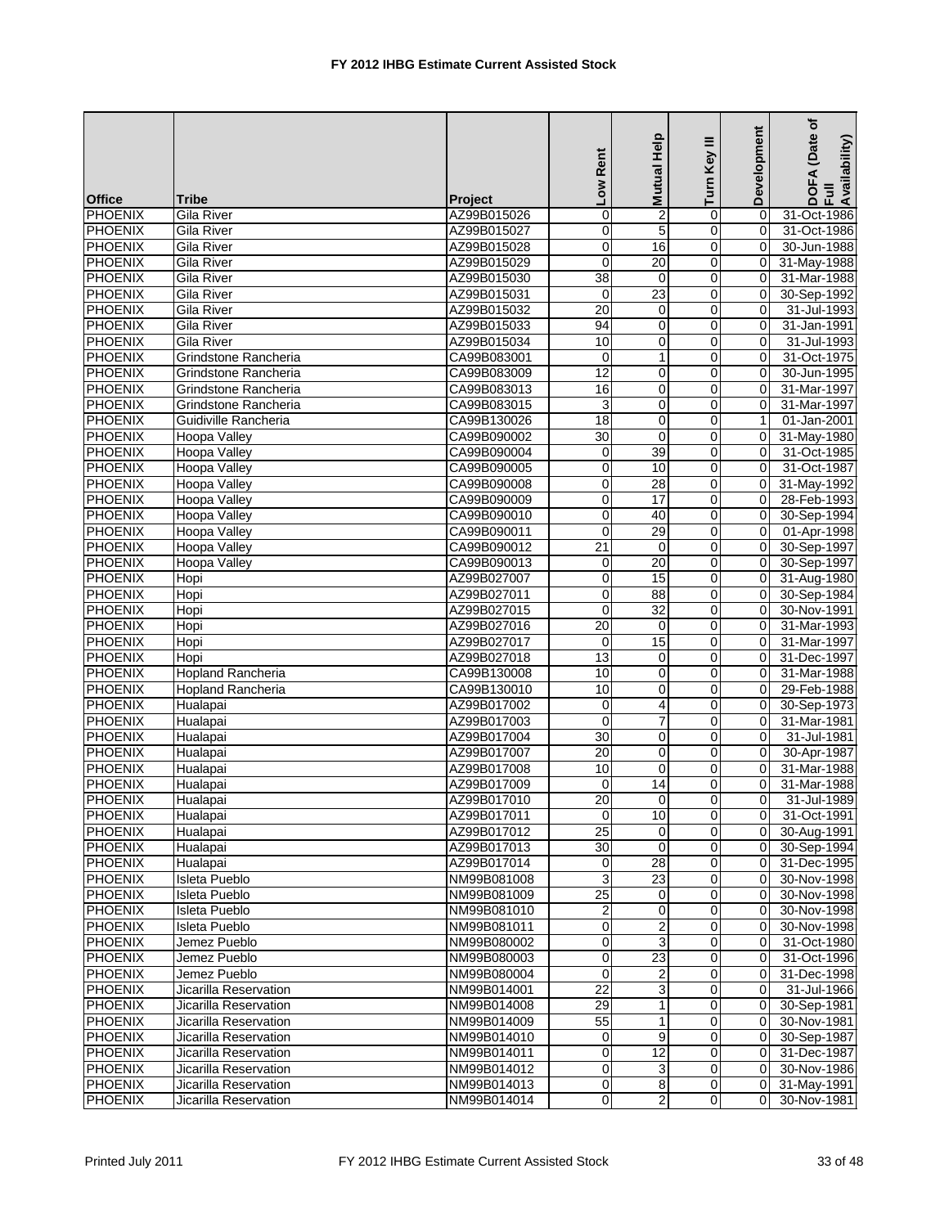|                |                          |                | Low Rent        | <b>Mutual Help</b> | Ξ<br>Turn Key  | Development    | (Date of<br>DOFA (Date<br>Full<br>Availability) |
|----------------|--------------------------|----------------|-----------------|--------------------|----------------|----------------|-------------------------------------------------|
| <b>Office</b>  | <b>Tribe</b>             | <b>Project</b> |                 |                    |                |                |                                                 |
| <b>PHOENIX</b> | Gila River               | AZ99B015026    | $\pmb{0}$       | 2                  | 0              | $\Omega$       | 31-Oct-1986                                     |
| <b>PHOENIX</b> | Gila River               | AZ99B015027    | 0               | 5                  | 0              | $\mathbf 0$    | 31-Oct-1986                                     |
| <b>PHOENIX</b> | Gila River               | AZ99B015028    | $\mathbf 0$     | 16                 | 0              | 0              | 30-Jun-1988                                     |
| <b>PHOENIX</b> | <b>Gila River</b>        | AZ99B015029    | $\mathbf 0$     | 20                 | $\pmb{0}$      | 0              | 31-May-1988                                     |
| <b>PHOENIX</b> | <b>Gila River</b>        | AZ99B015030    | 38              | $\mathbf 0$        | $\mathbf 0$    | $\mathbf 0$    | 31-Mar-1988                                     |
| <b>PHOENIX</b> | Gila River               | AZ99B015031    | $\mathbf 0$     | 23                 | 0              | 0              | 30-Sep-1992                                     |
| PHOENIX        | <b>Gila River</b>        | AZ99B015032    | $\overline{20}$ | $\mathbf 0$        | 0              | $\Omega$       | 31-Jul-1993                                     |
| <b>PHOENIX</b> | Gila River               | AZ99B015033    | 94              | $\mathbf 0$        | 0              | $\Omega$       | 31-Jan-1991                                     |
| <b>PHOENIX</b> | Gila River               | AZ99B015034    | 10              | $\mathbf 0$        | 0              | 0              | 31-Jul-1993                                     |
| <b>PHOENIX</b> | Grindstone Rancheria     | CA99B083001    | $\mathbf 0$     | $\mathbf{1}$       | $\mathbf 0$    | $\Omega$       | 31-Oct-1975                                     |
| <b>PHOENIX</b> | Grindstone Rancheria     | CA99B083009    | 12              | 0                  | 0              | 0              | 30-Jun-1995                                     |
| <b>PHOENIX</b> | Grindstone Rancheria     | CA99B083013    | 16              | 0                  | 0              | $\mathbf 0$    | 31-Mar-1997                                     |
| <b>PHOENIX</b> | Grindstone Rancheria     | CA99B083015    | 3               | $\mathbf 0$        | 0              | 0              | 31-Mar-1997                                     |
| <b>PHOENIX</b> | Guidiville Rancheria     | CA99B130026    | 18              | $\mathbf 0$        | 0              | 1              | 01-Jan-2001                                     |
| <b>PHOENIX</b> | Hoopa Valley             | CA99B090002    | $\overline{30}$ | $\mathbf 0$        | $\mathbf 0$    | 0              | 31-May-1980                                     |
| <b>PHOENIX</b> | Hoopa Valley             | CA99B090004    | 0               | 39                 | 0              | 0              | 31-Oct-1985                                     |
| <b>PHOENIX</b> | <b>Hoopa Valley</b>      | CA99B090005    | 0               | 10                 | 0              | 0              | 31-Oct-1987                                     |
| <b>PHOENIX</b> | <b>Hoopa Valley</b>      | CA99B090008    | 0               | 28                 | 0              | $\mathbf 0$    | 31-May-1992                                     |
| <b>PHOENIX</b> | Hoopa Valley             | CA99B090009    | $\mathbf 0$     | 17                 | 0              | $\mathbf 0$    | 28-Feb-1993                                     |
| <b>PHOENIX</b> | <b>Hoopa Valley</b>      | CA99B090010    | $\mathbf 0$     | 40                 | $\mathbf 0$    | $\Omega$       | 30-Sep-1994                                     |
| <b>PHOENIX</b> | Hoopa Valley             | CA99B090011    | $\mathbf 0$     | 29                 | 0              | 0              | 01-Apr-1998                                     |
| <b>PHOENIX</b> | <b>Hoopa Valley</b>      | CA99B090012    | $\overline{21}$ | $\mathbf 0$        | 0              | 0              | 30-Sep-1997                                     |
| <b>PHOENIX</b> | <b>Hoopa Valley</b>      | CA99B090013    | $\mathbf 0$     | 20                 | 0              | 0              | 30-Sep-1997                                     |
| <b>PHOENIX</b> | Hopi                     | AZ99B027007    | $\mathbf 0$     | 15                 | $\mathbf 0$    | 0              | 31-Aug-1980                                     |
| <b>PHOENIX</b> | Hopi                     | AZ99B027011    | $\pmb{0}$       | 88                 | $\mathbf 0$    | 0              | 30-Sep-1984                                     |
| <b>PHOENIX</b> | Hopi                     | AZ99B027015    | $\mathbf 0$     | $\overline{32}$    | 0              | 0              | 30-Nov-1991                                     |
| <b>PHOENIX</b> | Hopi                     | AZ99B027016    | $\overline{20}$ | $\mathbf 0$        | 0              | $\Omega$       | 31-Mar-1993                                     |
| <b>PHOENIX</b> | Hopi                     | AZ99B027017    | 0               | 15                 | 0              | $\Omega$       | 31-Mar-1997                                     |
| <b>PHOENIX</b> | Hopi                     | AZ99B027018    | 13              | 0                  | 0              | $\mathbf 0$    | 31-Dec-1997                                     |
| <b>PHOENIX</b> | <b>Hopland Rancheria</b> | CA99B130008    | 10              | $\mathbf 0$        | $\mathbf 0$    | $\Omega$       | 31-Mar-1988                                     |
| <b>PHOENIX</b> | Hopland Rancheria        | CA99B130010    | 10              | 0                  | 0              | 0              | 29-Feb-1988                                     |
| <b>PHOENIX</b> | Hualapai                 | AZ99B017002    | $\mathbf 0$     | 4                  | 0              | 0              | 30-Sep-1973                                     |
| <b>PHOENIX</b> | Hualapai                 | AZ99B017003    | $\Omega$        | $\overline{7}$     | 0              | 0              | 31-Mar-1981                                     |
| <b>PHOENIX</b> | Hualapai                 | AZ99B017004    | 30              | $\mathbf 0$        | 0              | 0              | 31-Jul-1981                                     |
| <b>PHOENIX</b> |                          | AZ99B017007    | 20              | 0                  | 0              | 0              | 30-Apr-1987                                     |
|                | Hualapai                 |                | 10              | 0                  |                |                |                                                 |
| <b>PHOENIX</b> | Hualapai                 | AZ99B017008    |                 |                    | 0              | $\mathbf 0$    | 31-Mar-1988                                     |
| <b>PHOENIX</b> | Hualapai                 | AZ99B017009    | $\mathbf 0$     | 14                 | 0              | $\Omega$       | 31-Mar-1988                                     |
| <b>PHOENIX</b> | Hualapai                 | AZ99B017010    | 20              | $\Omega$           | $\Omega$       | $\overline{0}$ | 31-Jul-1989                                     |
| PHOENIX        | Hualapai                 | AZ99B017011    | $\pmb{0}$       | 10                 | $\mathbf 0$    | 0              | 31-Oct-1991                                     |
| <b>PHOENIX</b> | Hualapai                 | AZ99B017012    | 25              | $\mathbf 0$        | 0              | 0              | 30-Aug-1991                                     |
| <b>PHOENIX</b> | Hualapai                 | AZ99B017013    | $\overline{30}$ | 0                  | 0              | $\mathbf 0$    | 30-Sep-1994                                     |
| <b>PHOENIX</b> | Hualapai                 | AZ99B017014    | $\pmb{0}$       | 28                 | 0              | 0              | 31-Dec-1995                                     |
| PHOENIX        | Isleta Pueblo            | NM99B081008    | 3               | 23                 | 0              | 0              | 30-Nov-1998                                     |
| <b>PHOENIX</b> | Isleta Pueblo            | NM99B081009    | $\overline{25}$ | $\mathbf 0$        | 0              | 0              | 30-Nov-1998                                     |
| <b>PHOENIX</b> | Isleta Pueblo            | NM99B081010    | 2               | 0                  | 0              | 0              | 30-Nov-1998                                     |
| <b>PHOENIX</b> | Isleta Pueblo            | NM99B081011    | $\pmb{0}$       | $\overline{2}$     | 0              | 0              | 30-Nov-1998                                     |
| <b>PHOENIX</b> | Jemez Pueblo             | NM99B080002    | 0               | 3                  | $\mathbf 0$    | 0              | 31-Oct-1980                                     |
| PHOENIX        | Jemez Pueblo             | NM99B080003    | 0               | $\overline{23}$    | $\mathbf 0$    | $\mathbf 0$    | 31-Oct-1996                                     |
| <b>PHOENIX</b> | Jemez Pueblo             | NM99B080004    | $\mathbf 0$     | 2                  | $\overline{0}$ | 0              | 31-Dec-1998                                     |
| <b>PHOENIX</b> | Jicarilla Reservation    | NM99B014001    | $\overline{22}$ | 3                  | 0              | 0              | 31-Jul-1966                                     |
| PHOENIX        | Jicarilla Reservation    | NM99B014008    | $\overline{29}$ | 1                  | 0              | 0              | 30-Sep-1981                                     |
| <b>PHOENIX</b> | Jicarilla Reservation    | NM99B014009    | 55              | 1                  | 0              | 0              | 30-Nov-1981                                     |
| <b>PHOENIX</b> | Jicarilla Reservation    | NM99B014010    | $\mathbf 0$     | 9                  | 0              | $\mathbf 0$    | 30-Sep-1987                                     |
| <b>PHOENIX</b> | Jicarilla Reservation    | NM99B014011    | 0               | 12                 | 0              | 0              | 31-Dec-1987                                     |
| <b>PHOENIX</b> | Jicarilla Reservation    | NM99B014012    | $\mathbf 0$     | 3                  | $\overline{0}$ | 0              | 30-Nov-1986                                     |
| <b>PHOENIX</b> | Jicarilla Reservation    | NM99B014013    | $\overline{0}$  | $\overline{8}$     | $\pmb{0}$      | 0              | 31-May-1991                                     |
| PHOENIX        | Jicarilla Reservation    | NM99B014014    | $\pmb{0}$       | $\overline{c}$     | $\mathbf 0$    | $\Omega$       | 30-Nov-1981                                     |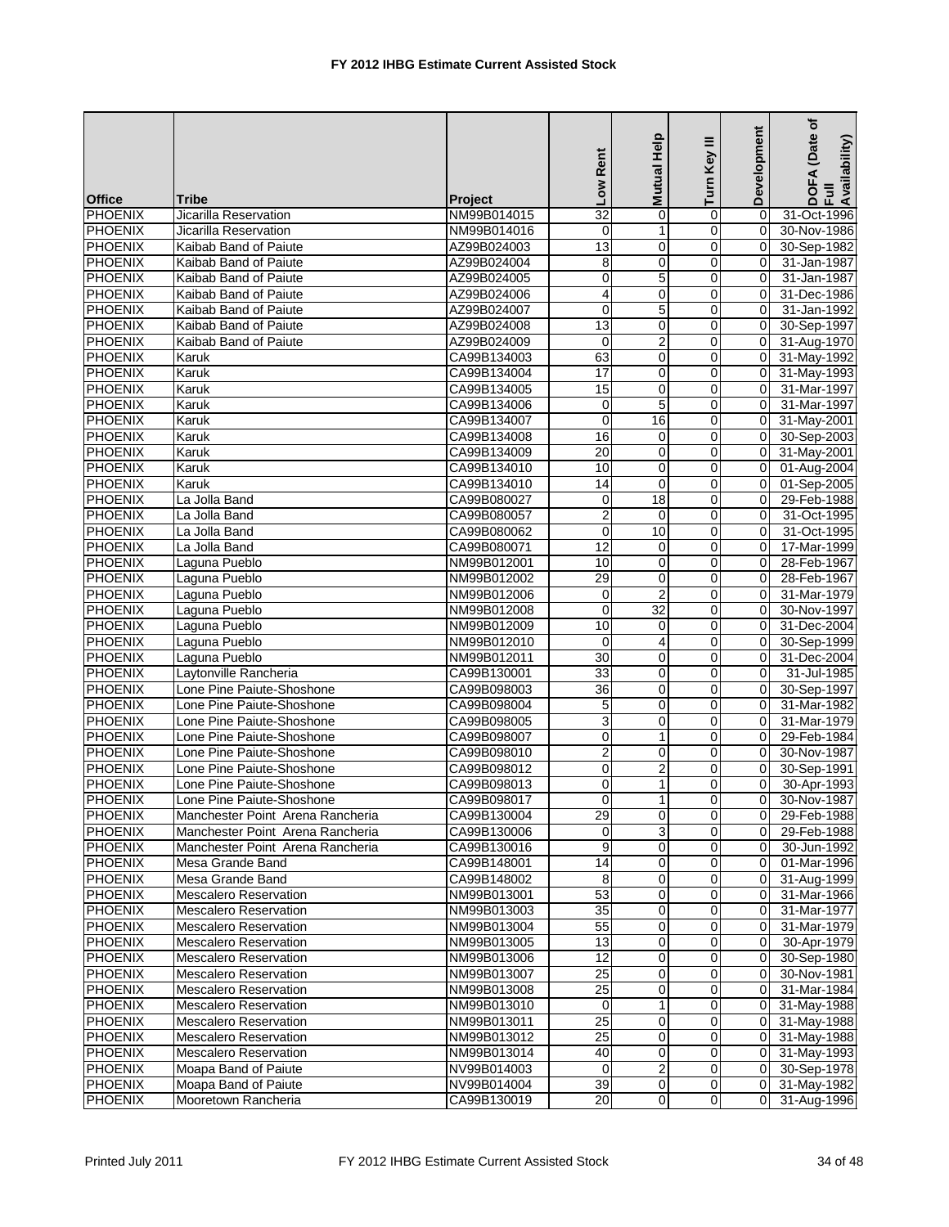|                |                                  |                            | Low Rent                | Mutual Help                       | Turn Key III     | Development    | ৳<br>(Date<br>DOFA (Date<br>Full<br>Availability) |
|----------------|----------------------------------|----------------------------|-------------------------|-----------------------------------|------------------|----------------|---------------------------------------------------|
| <b>Office</b>  | Tribe                            | <b>Project</b>             |                         |                                   |                  |                |                                                   |
| PHOENIX        | Jicarilla Reservation            | NM99B014015                | $\overline{32}$         | $\mathbf 0$                       | 0                | $\Omega$       | 31-Oct-1996                                       |
| PHOENIX        | Jicarilla Reservation            | NM99B014016                | $\mathbf 0$             | 1                                 | $\overline{0}$   | 0              | 30-Nov-1986                                       |
| <b>PHOENIX</b> | Kaibab Band of Paiute            | AZ99B024003                | 13                      | 0                                 | 0                | 0              | 30-Sep-1982                                       |
| PHOENIX        | Kaibab Band of Paiute            | AZ99B024004                | 8                       | 0                                 | 0                | $\Omega$       | 31-Jan-1987                                       |
| <b>PHOENIX</b> | Kaibab Band of Paiute            | AZ99B024005                | 0                       | 5                                 | 0                | $\mathbf 0$    | 31-Jan-1987                                       |
| <b>PHOENIX</b> | Kaibab Band of Paiute            | AZ99B024006                | $\overline{\mathbf{4}}$ | $\mathbf 0$                       | $\mathbf 0$      | $\mathbf 0$    | 31-Dec-1986                                       |
| PHOENIX        | Kaibab Band of Paiute            | AZ99B024007                | $\mathbf 0$             | $\overline{5}$                    | $\mathbf 0$      | $\Omega$       | 31-Jan-1992                                       |
| <b>PHOENIX</b> | Kaibab Band of Paiute            | AZ99B024008                | 13                      | 0                                 | $\mathbf 0$      | $\Omega$       | 30-Sep-1997                                       |
| <b>PHOENIX</b> | Kaibab Band of Paiute            | AZ99B024009                | 0                       | $\overline{2}$                    | 0                | 0              | 31-Aug-1970                                       |
| <b>PHOENIX</b> | Karuk                            | CA99B134003                | 63                      | 0                                 | 0                | $\mathbf 0$    | 31-May-1992                                       |
| <b>PHOENIX</b> | Karuk                            | CA99B134004                | 17                      | $\mathbf 0$                       | 0                | $\mathbf 0$    | 31-May-1993                                       |
| <b>PHOENIX</b> | Karuk                            | CA99B134005                | 15                      | 0                                 | 0                | 0              | 31-Mar-1997                                       |
| <b>PHOENIX</b> | Karuk                            | CA99B134006                | $\mathbf 0$             | 5                                 | 0                | 0              | 31-Mar-1997                                       |
| PHOENIX        | Karuk                            | CA99B134007                | $\mathbf 0$             | 16                                | 0                | 0              | 31-May-2001                                       |
| <b>PHOENIX</b> | Karuk                            | CA99B134008                | 16                      | 0                                 | 0                | $\mathbf 0$    | 30-Sep-2003                                       |
| <b>PHOENIX</b> | Karuk                            | CA99B134009                | 20                      | $\mathbf 0$                       | $\mathbf 0$      | $\mathbf 0$    | 31-May-2001                                       |
| PHOENIX        | Karuk                            | CA99B134010                | 10                      | 0                                 | $\mathbf 0$      | $\mathbf 0$    | 01-Aug-2004                                       |
| <b>PHOENIX</b> | Karuk                            | CA99B134010                | 14                      | $\mathbf 0$                       | 0                | $\mathbf 0$    | 01-Sep-2005                                       |
| <b>PHOENIX</b> | La Jolla Band                    | CA99B080027                | 0                       | 18                                | 0                | $\mathbf 0$    | 29-Feb-1988                                       |
| <b>PHOENIX</b> | La Jolla Band                    | CA99B080057                | $\overline{2}$          | $\mathbf 0$                       | 0                | 0              | 31-Oct-1995                                       |
| <b>PHOENIX</b> | La Jolla Band                    | CA99B080062                | $\mathbf 0$             | 10                                | 0                | $\Omega$       | 31-Oct-1995                                       |
| <b>PHOENIX</b> | La Jolla Band                    | CA99B080071                | $\overline{12}$         | $\mathbf 0$                       | 0                | 0              | 17-Mar-1999                                       |
| <b>PHOENIX</b> | Laguna Pueblo                    | NM99B012001                | 10                      | $\mathbf 0$                       | $\mathbf 0$      | $\Omega$       | 28-Feb-1967                                       |
| PHOENIX        |                                  | NM99B012002                | 29                      | 0                                 | 0                | 0              | 28-Feb-1967                                       |
| <b>PHOENIX</b> | Laguna Pueblo                    |                            |                         |                                   |                  |                |                                                   |
| <b>PHOENIX</b> | Laguna Pueblo                    | NM99B012006                | 0<br>$\mathbf 0$        | $\overline{2}$<br>$\overline{32}$ | 0<br>$\mathbf 0$ | 0<br>$\Omega$  | 31-Mar-1979<br>30-Nov-1997                        |
| <b>PHOENIX</b> | Laguna Pueblo                    | NM99B012008<br>NM99B012009 | 10                      | $\mathbf 0$                       | $\mathbf 0$      | $\Omega$       | 31-Dec-2004                                       |
|                | Laguna Pueblo                    |                            |                         |                                   |                  |                |                                                   |
| <b>PHOENIX</b> | Laguna Pueblo                    | NM99B012010                | $\mathbf 0$             | 4                                 | 0                | $\Omega$       | 30-Sep-1999                                       |
| <b>PHOENIX</b> | Laguna Pueblo                    | NM99B012011                | 30                      | 0                                 | 0                | 0              | 31-Dec-2004                                       |
| <b>PHOENIX</b> | Laytonville Rancheria            | CA99B130001                | 33                      | $\mathbf 0$                       | 0                | 0              | 31-Jul-1985                                       |
| <b>PHOENIX</b> | Lone Pine Paiute-Shoshone        | CA99B098003                | 36                      | 0                                 | 0                | $\overline{0}$ | 30-Sep-1997                                       |
| <b>PHOENIX</b> | Lone Pine Paiute-Shoshone        | CA99B098004                | $\,$ 5 $\,$             | 0                                 | $\mathbf 0$      | 0              | 31-Mar-1982                                       |
| <b>PHOENIX</b> | Lone Pine Paiute-Shoshone        | CA99B098005                | 3                       | $\mathbf 0$                       | 0                | $\Omega$       | 31-Mar-1979                                       |
| <b>PHOENIX</b> | Lone Pine Paiute-Shoshone        | CA99B098007                | 0                       | $\mathbf{1}$                      | 0                | $\Omega$       | 29-Feb-1984                                       |
| <b>PHOENIX</b> | Lone Pine Paiute-Shoshone        | CA99B098010                | $\overline{2}$          | 0                                 | 0                | $\mathbf 0$    | 30-Nov-1987                                       |
| <b>PHOENIX</b> | Lone Pine Paiute-Shoshone        | CA99B098012                | $\boldsymbol{0}$        | $\overline{c}$                    | 0                | $\mathbf 0$    | 30-Sep-1991                                       |
| <b>PHOENIX</b> | Lone Pine Paiute-Shoshone        | CA99B098013                | $\mathbf 0$             | $\mathbf{1}$                      | 0                | $\Omega$       | 30-Apr-1993                                       |
| PHOENIX        | Lone Pine Paiute-Shoshone        | CA99B098017                | $\Omega$                | 1 <sup>1</sup>                    | $\Omega$         | 0              | 30-Nov-1987                                       |
| <b>PHOENIX</b> | Manchester Point Arena Rancheria | CA99B130004                | 29                      | $\overline{0}$                    | $\overline{0}$   | $\mathbf 0$    | 29-Feb-1988                                       |
| <b>PHOENIX</b> | Manchester Point Arena Rancheria | CA99B130006                | $\mathbf 0$             | 3                                 | 0                | 0              | 29-Feb-1988                                       |
| <b>PHOENIX</b> | Manchester Point Arena Rancheria | CA99B130016                | 9                       | 0                                 | 0                | 0              | 30-Jun-1992                                       |
| <b>PHOENIX</b> | Mesa Grande Band                 | CA99B148001                | $\overline{14}$         | 0                                 | $\pmb{0}$        | 0              | 01-Mar-1996                                       |
| <b>PHOENIX</b> | Mesa Grande Band                 | CA99B148002                | 8                       | 0                                 | 0                | 0              | 31-Aug-1999                                       |
| <b>PHOENIX</b> | <b>Mescalero Reservation</b>     | NM99B013001                | 53                      | 0                                 | 0                | $\mathbf 0$    | 31-Mar-1966                                       |
| PHOENIX        | <b>Mescalero Reservation</b>     | NM99B013003                | 35                      | 0                                 | 0                | 0              | 31-Mar-1977                                       |
| <b>PHOENIX</b> | Mescalero Reservation            | NM99B013004                | $\overline{55}$         | $\mathbf 0$                       | 0                | 0              | 31-Mar-1979                                       |
| <b>PHOENIX</b> | <b>Mescalero Reservation</b>     | NM99B013005                | $\overline{13}$         | $\mathbf 0$                       | $\mathbf 0$      | 0              | 30-Apr-1979                                       |
| PHOENIX        | <b>Mescalero Reservation</b>     | NM99B013006                | 12                      | $\mathbf 0$                       | $\mathbf 0$      | 0              | 30-Sep-1980                                       |
| <b>PHOENIX</b> | <b>Mescalero Reservation</b>     | NM99B013007                | $\overline{25}$         | 0                                 | $\mathbf 0$      | 0              | 30-Nov-1981                                       |
| PHOENIX        | <b>Mescalero Reservation</b>     | NM99B013008                | $\overline{25}$         | 0                                 | 0                | 0              | 31-Mar-1984                                       |
| <b>PHOENIX</b> | <b>Mescalero Reservation</b>     | NM99B013010                | $\mathbf 0$             | $\mathbf{1}$                      | 0                | 0              | 31-May-1988                                       |
| <b>PHOENIX</b> | <b>Mescalero Reservation</b>     | NM99B013011                | $\overline{25}$         | 0                                 | $\pmb{0}$        | $\mathbf 0$    | 31-May-1988                                       |
| <b>PHOENIX</b> | <b>Mescalero Reservation</b>     | NM99B013012                | 25                      | 0                                 | 0                | 0              | 31-May-1988                                       |
| <b>PHOENIX</b> | <b>Mescalero Reservation</b>     | NM99B013014                | 40                      | 0                                 | 0                | $\mathbf 0$    | 31-May-1993                                       |
| <b>PHOENIX</b> | Moapa Band of Paiute             | NV99B014003                | 0                       | $\overline{\mathbf{c}}$           | $\mathbf 0$      | $\mathbf 0$    | 30-Sep-1978                                       |
| <b>PHOENIX</b> | Moapa Band of Paiute             | NV99B014004                | 39                      | 0                                 | $\mathbf 0$      | 0              | 31-May-1982                                       |
| <b>PHOENIX</b> | Mooretown Rancheria              | CA99B130019                | 20                      | $\overline{0}$                    | $\mathbf 0$      | $\Omega$       | 31-Aug-1996                                       |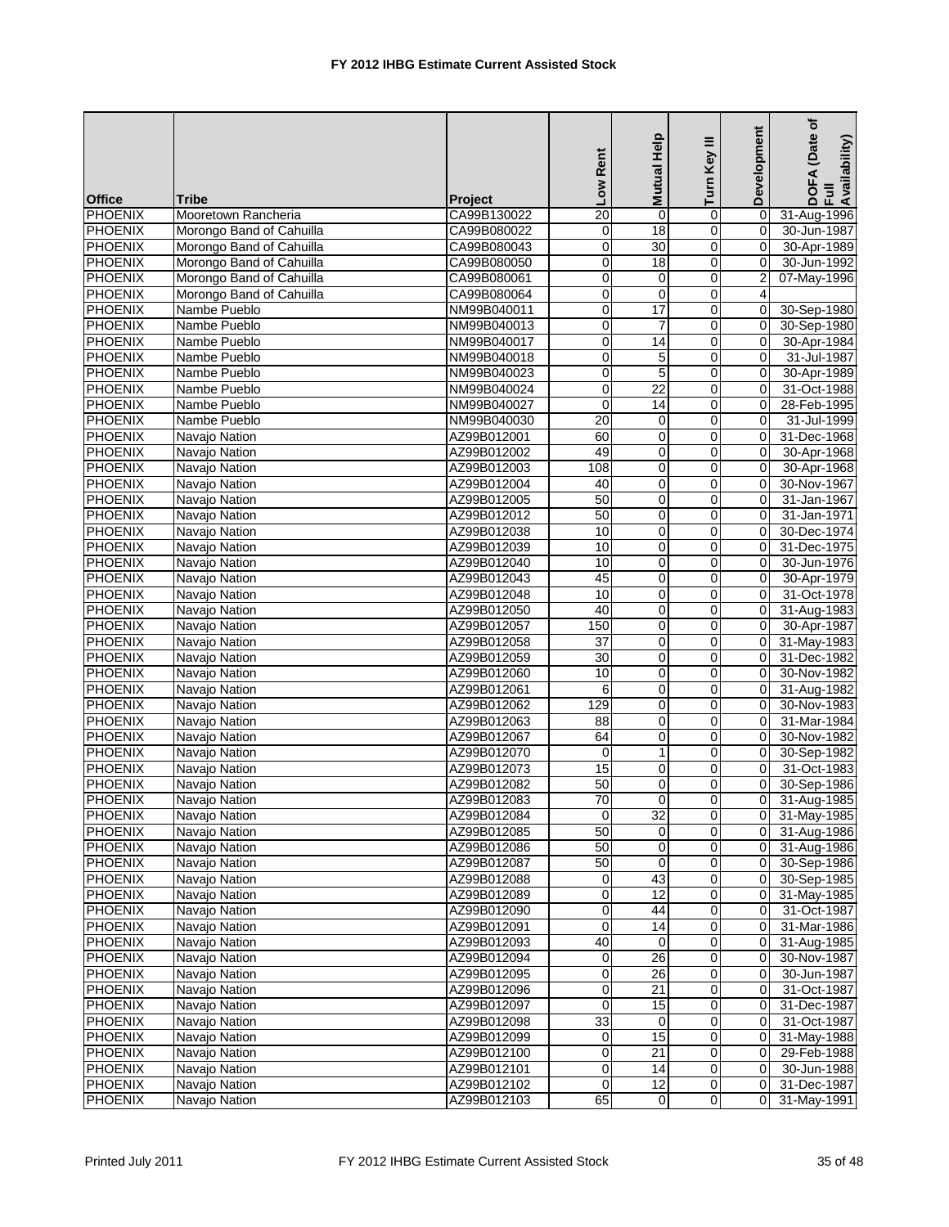|                |                          |                | Low Rent        | Mutual Help     | Ξ<br>Turn Key              | Development    | ৳<br>(Date<br>DOFA (Date<br>Full<br>Availability) |
|----------------|--------------------------|----------------|-----------------|-----------------|----------------------------|----------------|---------------------------------------------------|
| <b>Office</b>  | <b>Tribe</b>             | <b>Project</b> |                 |                 |                            |                |                                                   |
| <b>PHOENIX</b> | Mooretown Rancheria      | CA99B130022    | $\overline{20}$ | 0               | 0                          | $\mathbf 0$    | 31-Aug-1996                                       |
| <b>PHOENIX</b> | Morongo Band of Cahuilla | CA99B080022    | 0               | 18              | 0                          | 0              | 30-Jun-1987                                       |
| <b>PHOENIX</b> | Morongo Band of Cahuilla | CA99B080043    | $\pmb{0}$       | 30              | $\mathbf 0$                | $\mathbf 0$    | 30-Apr-1989                                       |
| <b>PHOENIX</b> | Morongo Band of Cahuilla | CA99B080050    | 0               | 18              | $\mathbf 0$                | $\Omega$       | 30-Jun-1992                                       |
| <b>PHOENIX</b> | Morongo Band of Cahuilla | CA99B080061    | $\mathbf 0$     | 0               | 0                          | $\overline{2}$ | 07-May-1996                                       |
| <b>PHOENIX</b> | Morongo Band of Cahuilla | CA99B080064    | 0               | $\mathbf 0$     | 0                          | 4              |                                                   |
| <b>PHOENIX</b> | Nambe Pueblo             | NM99B040011    | $\mathbf 0$     | $\overline{17}$ | 0                          | 0              | 30-Sep-1980                                       |
| <b>PHOENIX</b> | Nambe Pueblo             | NM99B040013    | $\mathbf 0$     | $\overline{7}$  | 0                          | $\Omega$       | 30-Sep-1980                                       |
| <b>PHOENIX</b> | Nambe Pueblo             | NM99B040017    | $\pmb{0}$       | 14              | 0                          | $\mathbf 0$    | 30-Apr-1984                                       |
| <b>PHOENIX</b> | Nambe Pueblo             | NM99B040018    | $\mathbf 0$     | 5               | 0                          | $\Omega$       | 31-Jul-1987                                       |
| <b>PHOENIX</b> | Nambe Pueblo             | NM99B040023    | 0               | 5               | 0                          | 0              | 30-Apr-1989                                       |
| <b>PHOENIX</b> | Nambe Pueblo             | NM99B040024    | 0               | $\overline{22}$ | 0                          | 0              | 31-Oct-1988                                       |
| <b>PHOENIX</b> | Nambe Pueblo             | NM99B040027    | $\mathbf 0$     | 14              | 0                          | $\mathbf 0$    | 28-Feb-1995                                       |
| <b>PHOENIX</b> | Nambe Pueblo             | NM99B040030    | 20              | $\mathbf 0$     | 0                          | $\Omega$       | 31-Jul-1999                                       |
| <b>PHOENIX</b> | Navajo Nation            | AZ99B012001    | 60              | $\mathbf 0$     | 0                          | $\Omega$       | 31-Dec-1968                                       |
| <b>PHOENIX</b> | Navajo Nation            | AZ99B012002    | 49              | $\mathbf 0$     | 0                          | 0              | 30-Apr-1968                                       |
| <b>PHOENIX</b> | Navajo Nation            | AZ99B012003    | 108             | 0               | 0                          | 0              | 30-Apr-1968                                       |
| <b>PHOENIX</b> | Navajo Nation            | AZ99B012004    | 40              | 0               | 0                          | $\Omega$       | 30-Nov-1967                                       |
| <b>PHOENIX</b> | Navajo Nation            | AZ99B012005    | 50              | 0               | $\pmb{0}$                  | 0              | 31-Jan-1967                                       |
| <b>PHOENIX</b> | Navajo Nation            | AZ99B012012    | $\overline{50}$ | $\mathbf 0$     | 0                          | 0              | 31-Jan-1971                                       |
| <b>PHOENIX</b> | Navajo Nation            | AZ99B012038    | 10              | $\mathbf 0$     | 0                          | 0              | 30-Dec-1974                                       |
| <b>PHOENIX</b> | Navajo Nation            | AZ99B012039    | 10              | 0               | 0                          | 0              | 31-Dec-1975                                       |
| <b>PHOENIX</b> | Navajo Nation            | AZ99B012040    | 10              | $\pmb{0}$       | $\pmb{0}$                  | $\mathbf 0$    | 30-Jun-1976                                       |
| <b>PHOENIX</b> | Navajo Nation            | AZ99B012043    | 45              | 0               | $\mathbf 0$                | $\Omega$       | 30-Apr-1979                                       |
| <b>PHOENIX</b> | Navajo Nation            | AZ99B012048    | 10              | $\mathbf 0$     | 0                          | $\Omega$       | 31-Oct-1978                                       |
| <b>PHOENIX</b> | Navajo Nation            | AZ99B012050    | 40              | $\mathbf 0$     | 0                          | 0              | 31-Aug-1983                                       |
| <b>PHOENIX</b> | Navajo Nation            | AZ99B012057    | 150             | 0               | 0                          | $\Omega$       | 30-Apr-1987                                       |
| <b>PHOENIX</b> | Navajo Nation            | AZ99B012058    | 37              | 0               | 0                          | $\Omega$       | 31-May-1983                                       |
| <b>PHOENIX</b> | Navajo Nation            | AZ99B012059    | 30              | 0               | 0                          | 0              | 31-Dec-1982                                       |
| PHOENIX        | Navajo Nation            | AZ99B012060    | 10              | $\mathbf 0$     | 0                          | $\Omega$       | 30-Nov-1982                                       |
| <b>PHOENIX</b> | Navajo Nation            | AZ99B012061    | 6               | 0               | 0                          | 0              | 31-Aug-1982                                       |
| <b>PHOENIX</b> | Navajo Nation            | AZ99B012062    | 129             | 0               | 0                          | $\mathbf 0$    | 30-Nov-1983                                       |
| <b>PHOENIX</b> | Navajo Nation            | AZ99B012063    | 88              | 0               | 0                          | $\mathbf 0$    | 31-Mar-1984                                       |
| <b>PHOENIX</b> | Navajo Nation            | AZ99B012067    | 64              | 0               | $\mathbf 0$                | $\Omega$       | 30-Nov-1982                                       |
| <b>PHOENIX</b> | Navajo Nation            | AZ99B012070    | 0               | $\mathbf{1}$    | 0                          | $\Omega$       | 30-Sep-1982                                       |
| <b>PHOENIX</b> | Navajo Nation            | AZ99B012073    | 15              | 0               | 0                          | 0              | 31-Oct-1983                                       |
| <b>PHOENIX</b> | Navajo Nation            | AZ99B012082    | 50              | 0               | 0                          | 0              | 30-Sep-1986                                       |
| PHOENIX        | Navaio Nation            | AZ99B012083    | 70              | $\Omega$        | $\overline{0}$             | $\Omega$       | 31-Aug-1985                                       |
| PHOENIX        | Navajo Nation            | AZ99B012084    | $\pmb{0}$       | 32              | 0                          | $\mathbf 0$    | 31-May-1985                                       |
| PHOENIX        | Navajo Nation            | AZ99B012085    | 50              | 0               | 0                          | 0              | 31-Aug-1986                                       |
| <b>PHOENIX</b> | Navajo Nation            | AZ99B012086    | 50              | 0               | $\pmb{0}$                  | 0              | 31-Aug-1986                                       |
| <b>PHOENIX</b> | Navajo Nation            | AZ99B012087    | 50              | 0               | $\pmb{0}$                  | 0              | 30-Sep-1986                                       |
| <b>PHOENIX</b> | Navajo Nation            | AZ99B012088    | $\pmb{0}$       | 43              | O                          | 0              | 30-Sep-1985                                       |
| PHOENIX        | Navajo Nation            | AZ99B012089    | $\overline{0}$  | 12              | 0                          | $\mathbf 0$    | 31-May-1985                                       |
| PHOENIX        | Navajo Nation            | AZ99B012090    | $\pmb{0}$       | 44              | 0                          | 0              | 31-Oct-1987                                       |
| <b>PHOENIX</b> | Navajo Nation            | AZ99B012091    | $\overline{0}$  | 14              | $\pmb{0}$                  | 0              | 31-Mar-1986                                       |
| PHOENIX        | Navajo Nation            | AZ99B012093    | 40              | 0               | 0                          | 0              | 31-Aug-1985                                       |
| <b>PHOENIX</b> | Navajo Nation            | AZ99B012094    | $\pmb{0}$       | $\overline{26}$ | $\pmb{0}$                  | 0              | 30-Nov-1987                                       |
| <b>PHOENIX</b> | Navajo Nation            | AZ99B012095    | $\overline{0}$  | 26              | 0                          | 0              | 30-Jun-1987                                       |
| PHOENIX        | Navajo Nation            | AZ99B012096    | 0               | $\overline{21}$ | 0                          | 0              | 31-Oct-1987                                       |
| <b>PHOENIX</b> | Navajo Nation            | AZ99B012097    | 0               | 15              | 0                          | $\mathbf 0$    | 31-Dec-1987                                       |
| PHOENIX        | Navajo Nation            | AZ99B012098    | 33              | 0<br>15         | $\mathbf 0$                | 0              | 31-Oct-1987                                       |
| <b>PHOENIX</b> | Navajo Nation            | AZ99B012099    | $\overline{0}$  |                 | O                          | 0              | 31-May-1988                                       |
| <b>PHOENIX</b> | Navajo Nation            | AZ99B012100    | $\overline{0}$  | 21              | $\mathbf 0$<br>$\mathbf 0$ | $\mathbf 0$    | 29-Feb-1988                                       |
| PHOENIX        | Navajo Nation            | AZ99B012101    | 0               | 14              |                            | 0              | 30-Jun-1988                                       |
| <b>PHOENIX</b> | Navajo Nation            | AZ99B012102    | $\pmb{0}$       | 12              | $\pmb{0}$                  | 0<br>$\Omega$  | 31-Dec-1987                                       |
| PHOENIX        | Navajo Nation            | AZ99B012103    | 65              | $\overline{0}$  | $\overline{0}$             |                | 31-May-1991                                       |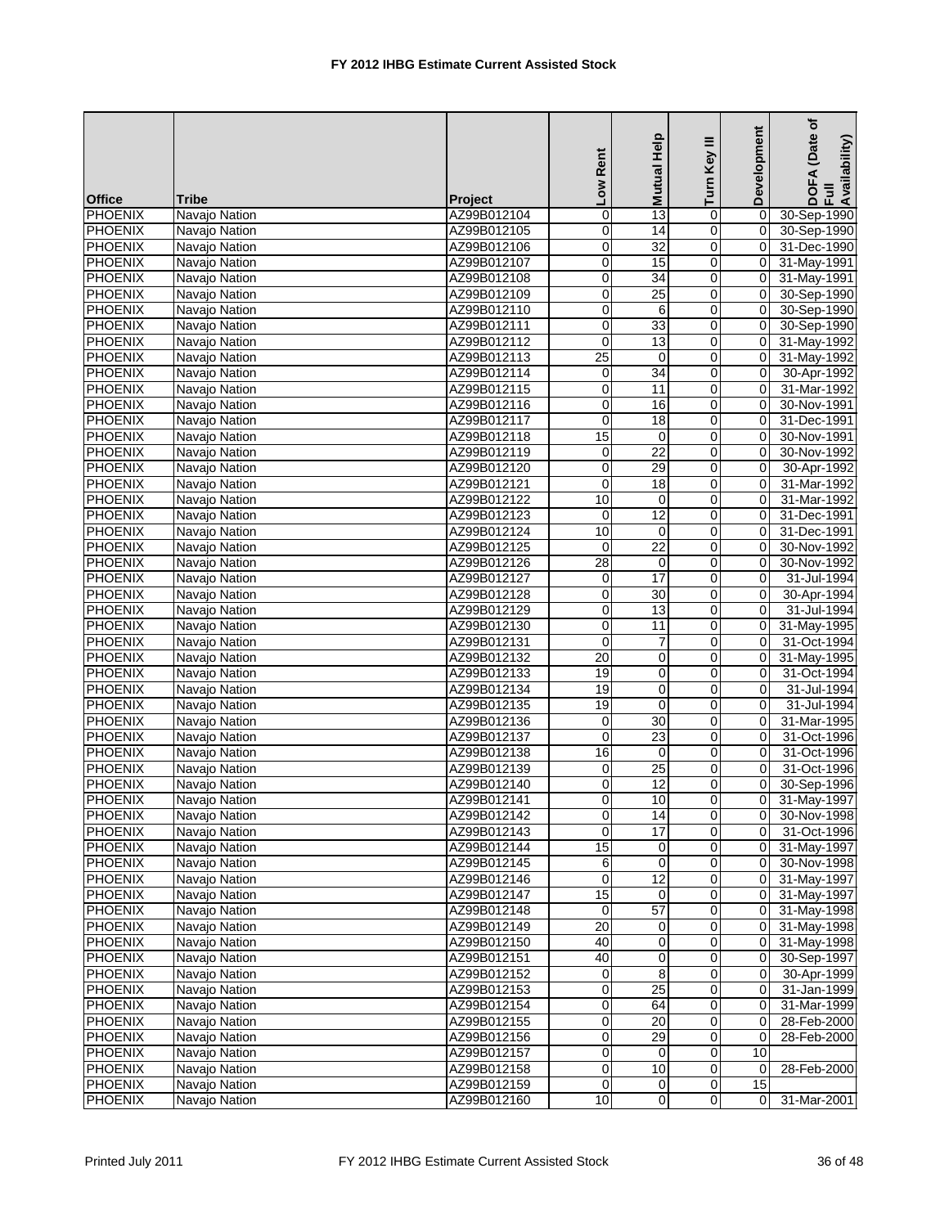|                |               |                | Low Rent         | Mutual Help     | Turn Key III            | Development    | (Date of<br>DOFA (Date<br>Full<br>Availability) |
|----------------|---------------|----------------|------------------|-----------------|-------------------------|----------------|-------------------------------------------------|
| <b>Office</b>  | <b>Tribe</b>  | <b>Project</b> |                  |                 |                         |                |                                                 |
| <b>PHOENIX</b> | Navajo Nation | AZ99B012104    | $\overline{0}$   | 13              | 0                       | $\mathbf 0$    | 30-Sep-1990                                     |
| PHOENIX        | Navajo Nation | AZ99B012105    | $\overline{0}$   | $\overline{14}$ | $\overline{0}$          | $\mathbf 0$    | 30-Sep-1990                                     |
| <b>PHOENIX</b> | Navajo Nation | AZ99B012106    | $\boldsymbol{0}$ | 32              | 0                       | 0              | 31-Dec-1990                                     |
| <b>PHOENIX</b> | Navajo Nation | AZ99B012107    | $\pmb{0}$        | 15              | 0                       | $\mathbf 0$    | 31-May-1991                                     |
| <b>PHOENIX</b> | Navajo Nation | AZ99B012108    | $\overline{0}$   | 34              | $\mathbf 0$             | 0              | 31-May-1991                                     |
| <b>PHOENIX</b> | Navajo Nation | AZ99B012109    | $\pmb{0}$        | $\overline{25}$ | 0                       | 0              | 30-Sep-1990                                     |
| <b>PHOENIX</b> | Navajo Nation | AZ99B012110    | $\mathbf 0$      | 6               | 0                       | $\Omega$       | 30-Sep-1990                                     |
| <b>PHOENIX</b> | Navajo Nation | AZ99B012111    | 0                | 33              | 0                       | 0              | 30-Sep-1990                                     |
| <b>PHOENIX</b> | Navajo Nation | AZ99B012112    | $\mathbf 0$      | 13              | 0                       | 0              | 31-May-1992                                     |
| <b>PHOENIX</b> | Navajo Nation | AZ99B012113    | $\overline{25}$  | 0               | $\mathbf 0$             | $\mathbf 0$    | 31-May-1992                                     |
| <b>PHOENIX</b> | Navajo Nation | AZ99B012114    | $\pmb{0}$        | 34              | 0                       | 0              | 30-Apr-1992                                     |
| <b>PHOENIX</b> | Navajo Nation | AZ99B012115    | $\overline{0}$   | 11              | 0                       | 0              | 31-Mar-1992                                     |
| <b>PHOENIX</b> | Navajo Nation | AZ99B012116    | $\boldsymbol{0}$ | 16              | 0                       | $\Omega$       | 30-Nov-1991                                     |
| <b>PHOENIX</b> | Navajo Nation | AZ99B012117    | $\mathbf 0$      | 18              | $\mathbf 0$             | $\mathbf 0$    | 31-Dec-1991                                     |
| <b>PHOENIX</b> | Navajo Nation | AZ99B012118    | 15               | $\mathbf 0$     | $\mathbf 0$             | 0              | 30-Nov-1991                                     |
| <b>PHOENIX</b> | Navajo Nation | AZ99B012119    | $\mathbf 0$      | $\overline{22}$ | 0                       | $\mathbf 0$    | 30-Nov-1992                                     |
| <b>PHOENIX</b> | Navajo Nation | AZ99B012120    | $\mathbf 0$      | 29              | $\mathbf 0$             | $\Omega$       | 30-Apr-1992                                     |
| <b>PHOENIX</b> | Navajo Nation | AZ99B012121    | 0                | 18              | 0                       | $\Omega$       | 31-Mar-1992                                     |
| <b>PHOENIX</b> | Navajo Nation | AZ99B012122    | 10               | 0               | 0                       | 0              | 31-Mar-1992                                     |
| <b>PHOENIX</b> | Navajo Nation | AZ99B012123    | $\mathbf 0$      | 12              | $\mathbf 0$             | 0              | 31-Dec-1991                                     |
| <b>PHOENIX</b> | Navajo Nation | AZ99B012124    | 10               | 0               | 0                       | $\Omega$       | 31-Dec-1991                                     |
| <b>PHOENIX</b> | Navajo Nation | AZ99B012125    | $\mathbf 0$      | $\overline{22}$ | 0                       | 0              | 30-Nov-1992                                     |
| <b>PHOENIX</b> | Navajo Nation | AZ99B012126    | 28               | $\mathbf 0$     | 0                       | $\mathbf 0$    | 30-Nov-1992                                     |
| <b>PHOENIX</b> | Navajo Nation | AZ99B012127    | $\pmb{0}$        | 17              | 0                       | 0              | 31-Jul-1994                                     |
| <b>PHOENIX</b> | Navajo Nation | AZ99B012128    | $\overline{0}$   | 30              | $\mathbf 0$             | 0              | 30-Apr-1994                                     |
| <b>PHOENIX</b> | Navajo Nation | AZ99B012129    | $\mathbf 0$      | 13              | 0                       | $\Omega$       | 31-Jul-1994                                     |
| <b>PHOENIX</b> | Navajo Nation | AZ99B012130    | $\mathbf 0$      | $\overline{11}$ | $\mathbf 0$             | $\Omega$       | 31-May-1995                                     |
| <b>PHOENIX</b> | Navajo Nation | AZ99B012131    | $\mathbf 0$      | $\overline{7}$  | 0                       | $\mathbf 0$    | 31-Oct-1994                                     |
| <b>PHOENIX</b> | Navajo Nation | AZ99B012132    | $\overline{20}$  | 0               | 0                       | 0              | 31-May-1995                                     |
| <b>PHOENIX</b> | Navajo Nation | AZ99B012133    | 19               | $\pmb{0}$       | $\mathbf 0$             | $\mathbf 0$    | 31-Oct-1994                                     |
| <b>PHOENIX</b> | Navajo Nation | AZ99B012134    | 19               | 0               | 0                       | 0              | 31-Jul-1994                                     |
| <b>PHOENIX</b> | Navajo Nation | AZ99B012135    | 19               | $\mathbf 0$     | $\mathbf 0$             | 0              | 31-Jul-1994                                     |
| <b>PHOENIX</b> | Navajo Nation | AZ99B012136    | 0                | 30              | 0                       | 0              | 31-Mar-1995                                     |
| <b>PHOENIX</b> | Navajo Nation | AZ99B012137    | 0                | 23              | 0                       | 0              | 31-Oct-1996                                     |
| <b>PHOENIX</b> | Navajo Nation | AZ99B012138    | 16               | 0               | 0                       | 0              | 31-Oct-1996                                     |
| <b>PHOENIX</b> | Navajo Nation | AZ99B012139    | $\pmb{0}$        | $\overline{25}$ | $\pmb{0}$               | $\mathbf 0$    | 31-Oct-1996                                     |
| <b>PHOENIX</b> | Navajo Nation | AZ99B012140    | 0                | 12              | 0                       | 0              | 30-Sep-1996                                     |
| PHOENIX        | Navajo Nation | AZ99B012141    | $\Omega$         | 10              | $\Omega$                | 0              | 31-May-1997                                     |
| <b>PHOENIX</b> | Navajo Nation | AZ99B012142    | $\overline{0}$   | 14              | $\overline{\mathbf{0}}$ | 0              | 30-Nov-1998                                     |
| <b>PHOENIX</b> | Navajo Nation | AZ99B012143    | 0                | $\overline{17}$ | 0                       | 0              | 31-Oct-1996                                     |
| <b>PHOENIX</b> | Navajo Nation | AZ99B012144    | 15               | 0               | $\pmb{0}$               | 0              | 31-May-1997                                     |
| PHOENIX        | Navajo Nation | AZ99B012145    | 6                | $\mathbf 0$     | 0                       | $\pmb{0}$      | 30-Nov-1998                                     |
| PHOENIX        | Navajo Nation | AZ99B012146    | $\mathbf 0$      | 12              | 0                       | 0              | 31-May-1997                                     |
| <b>PHOENIX</b> | Navajo Nation | AZ99B012147    | 15               | 0               | 0                       | 0              | 31-May-1997                                     |
| <b>PHOENIX</b> | Navajo Nation | AZ99B012148    | 0                | 57              | $\mathbf 0$             | 0              | 31-May-1998                                     |
| <b>PHOENIX</b> | Navajo Nation | AZ99B012149    | 20               | 0               | $\overline{0}$          | 0              | 31-May-1998                                     |
| <b>PHOENIX</b> | Navajo Nation | AZ99B012150    | 40               | $\mathbf 0$     | $\mathbf 0$             | $\mathbf 0$    | 31-May-1998                                     |
| <b>PHOENIX</b> | Navajo Nation | AZ99B012151    | 40               | 0               | 0                       | 0              | 30-Sep-1997                                     |
| <b>PHOENIX</b> | Navajo Nation | AZ99B012152    | $\pmb{0}$        | 8               | 0                       | 0              | 30-Apr-1999                                     |
| PHOENIX        | Navajo Nation | AZ99B012153    | $\pmb{0}$        | 25              | $\overline{0}$          | 0              | 31-Jan-1999                                     |
| PHOENIX        | Navajo Nation | AZ99B012154    | $\overline{0}$   | 64              | 0                       | $\mathbf 0$    | 31-Mar-1999                                     |
| <b>PHOENIX</b> | Navajo Nation | AZ99B012155    | $\overline{0}$   | $\overline{20}$ | $\pmb{0}$               | 0              | 28-Feb-2000                                     |
| PHOENIX        | Navajo Nation | AZ99B012156    | $\pmb{0}$        | 29              | 0                       | $\mathbf 0$    | 28-Feb-2000                                     |
| <b>PHOENIX</b> | Navajo Nation | AZ99B012157    | 0                | 0               | 0                       | 10             |                                                 |
| <b>PHOENIX</b> | Navajo Nation | AZ99B012158    | $\pmb{0}$        | 10              | $\overline{0}$          | 0              | 28-Feb-2000                                     |
| <b>PHOENIX</b> | Navajo Nation | AZ99B012159    | $\pmb{0}$        | $\overline{0}$  | $\pmb{0}$               | 15             |                                                 |
| <b>PHOENIX</b> | Navajo Nation | AZ99B012160    | 10               | $\overline{0}$  | $\mathbf 0$             | $\overline{0}$ | 31-Mar-2001                                     |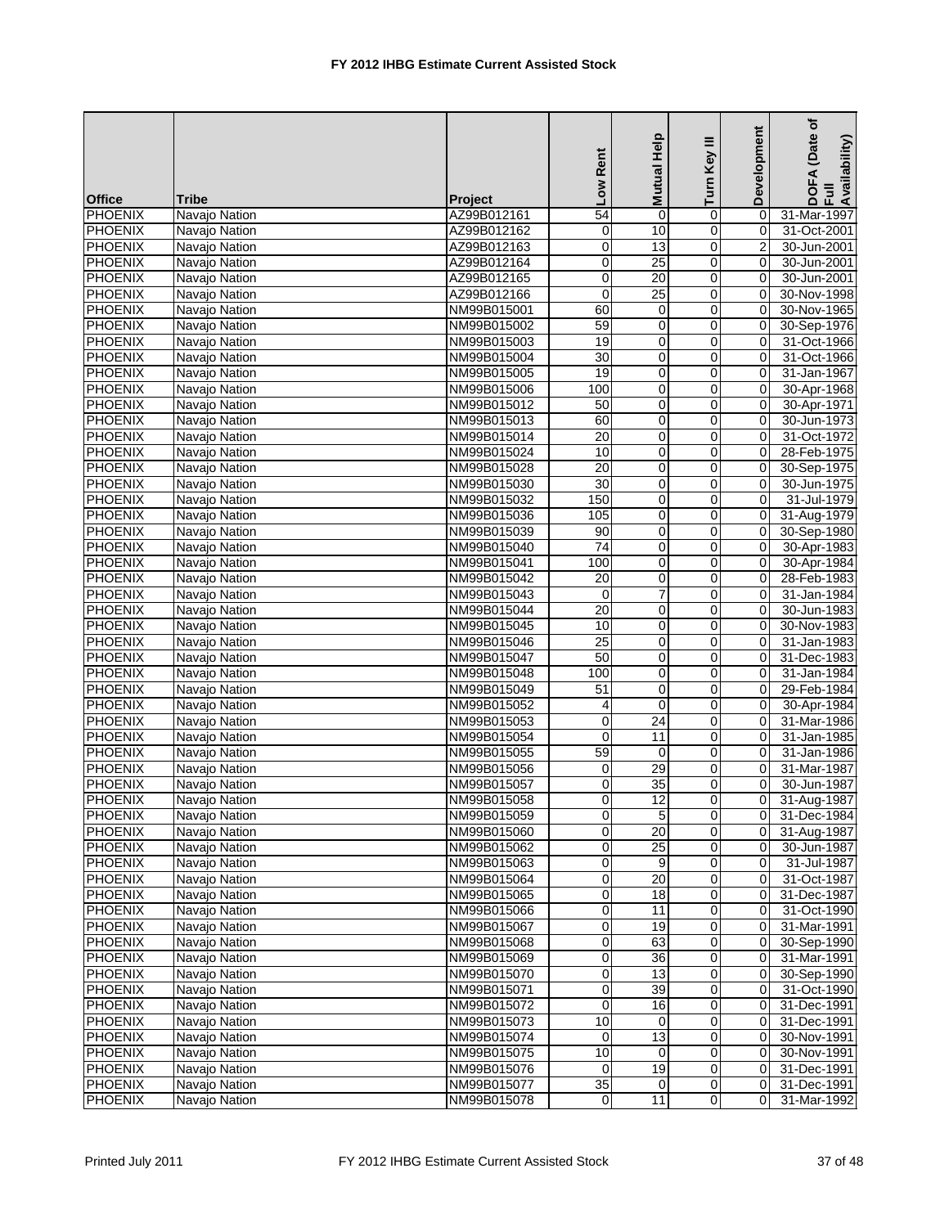|                                  |               |                            | Low Rent               | Mutual Help     | Ξ<br>Turn Key    | Development    | (Date of<br>DOFA (Date<br>Full<br>Availability) |
|----------------------------------|---------------|----------------------------|------------------------|-----------------|------------------|----------------|-------------------------------------------------|
| <b>Office</b>                    | <b>Tribe</b>  | <b>Project</b>             | 54                     |                 |                  |                |                                                 |
| <b>PHOENIX</b><br><b>PHOENIX</b> | Navajo Nation | AZ99B012161                | 0                      | 0<br>10         | 0<br>0           | 0<br>0         | 31-Mar-1997                                     |
| <b>PHOENIX</b>                   | Navajo Nation | AZ99B012162<br>AZ99B012163 | $\boldsymbol{0}$       | 13              | 0                | $\overline{2}$ | 31-Oct-2001<br>30-Jun-2001                      |
| <b>PHOENIX</b>                   | Navajo Nation |                            |                        | 25              |                  | 0              | 30-Jun-2001                                     |
| <b>PHOENIX</b>                   | Navajo Nation | AZ99B012164                | $\pmb{0}$<br>$\pmb{0}$ | 20              | 0<br>$\mathbf 0$ | 0              |                                                 |
|                                  | Navajo Nation | AZ99B012165                | $\mathbf 0$            | $\overline{25}$ |                  | $\Omega$       | 30-Jun-2001                                     |
| <b>PHOENIX</b><br><b>PHOENIX</b> | Navajo Nation | AZ99B012166<br>NM99B015001 | 60                     | 0               | 0<br>0           | 0              | 30-Nov-1998<br>30-Nov-1965                      |
|                                  | Navajo Nation |                            |                        |                 |                  |                |                                                 |
| <b>PHOENIX</b>                   | Navajo Nation | NM99B015002                | 59                     | 0               | 0                | $\mathbf 0$    | 30-Sep-1976                                     |
| <b>PHOENIX</b>                   | Navajo Nation | NM99B015003                | 19                     | $\mathbf 0$     | 0                | 0              | 31-Oct-1966                                     |
| <b>PHOENIX</b>                   | Navajo Nation | NM99B015004                | 30                     | $\pmb{0}$       | $\mathbf 0$      | $\mathbf 0$    | 31-Oct-1966                                     |
| <b>PHOENIX</b>                   | Navajo Nation | NM99B015005                | 19                     | 0               | 0                | $\Omega$       | 31-Jan-1967                                     |
| <b>PHOENIX</b>                   | Navajo Nation | NM99B015006                | 100                    | 0               | 0                | 0              | 30-Apr-1968                                     |
| <b>PHOENIX</b>                   | Navajo Nation | NM99B015012                | $\overline{50}$        | $\pmb{0}$       | 0                | 0              | 30-Apr-1971                                     |
| <b>PHOENIX</b>                   | Navajo Nation | NM99B015013                | 60                     | 0               | 0                | 0              | 30-Jun-1973                                     |
| <b>PHOENIX</b>                   | Navajo Nation | NM99B015014                | 20                     | $\mathbf 0$     | $\mathbf 0$      | $\mathbf 0$    | 31-Oct-1972                                     |
| <b>PHOENIX</b>                   | Navajo Nation | NM99B015024                | 10                     | $\mathbf 0$     | 0                | 0              | 28-Feb-1975                                     |
| <b>PHOENIX</b>                   | Navajo Nation | NM99B015028                | $\overline{20}$        | 0               | 0                | $\mathbf 0$    | 30-Sep-1975                                     |
| <b>PHOENIX</b>                   | Navajo Nation | NM99B015030                | 30                     | $\mathbf 0$     | 0                | $\mathbf 0$    | 30-Jun-1975                                     |
| <b>PHOENIX</b>                   | Navajo Nation | NM99B015032                | 150                    | 0               | 0                | 0              | 31-Jul-1979                                     |
| <b>PHOENIX</b>                   | Navajo Nation | NM99B015036                | 105                    | $\pmb{0}$       | $\mathbf 0$      | $\Omega$       | 31-Aug-1979                                     |
| <b>PHOENIX</b>                   | Navajo Nation | NM99B015039                | 90                     | 0               | 0                | $\Omega$       | 30-Sep-1980                                     |
| <b>PHOENIX</b>                   | Navajo Nation | NM99B015040                | $\overline{74}$        | 0               | 0                | 0              | 30-Apr-1983                                     |
| <b>PHOENIX</b>                   | Navajo Nation | NM99B015041                | 100                    | 0               | 0                | $\Omega$       | 30-Apr-1984                                     |
| <b>PHOENIX</b>                   | Navajo Nation | NM99B015042                | 20                     | 0               | 0                | 0              | 28-Feb-1983                                     |
| <b>PHOENIX</b>                   | Navajo Nation | NM99B015043                | 0                      | $\overline{7}$  | $\mathbf 0$      | 0              | 31-Jan-1984                                     |
| <b>PHOENIX</b>                   | Navajo Nation | NM99B015044                | 20                     | 0               | 0                | 0              | 30-Jun-1983                                     |
| <b>PHOENIX</b>                   | Navajo Nation | NM99B015045                | 10                     | 0               | $\mathbf 0$      | 0              | 30-Nov-1983                                     |
| <b>PHOENIX</b>                   | Navajo Nation | NM99B015046                | $\overline{25}$        | 0               | 0                | $\Omega$       | 31-Jan-1983                                     |
| <b>PHOENIX</b>                   | Navajo Nation | NM99B015047                | 50                     | 0               | 0                | 0              | 31-Dec-1983                                     |
| <b>PHOENIX</b>                   | Navajo Nation | NM99B015048                | 100                    | $\pmb{0}$       | $\mathbf 0$      | 0              | 31-Jan-1984                                     |
| <b>PHOENIX</b>                   | Navajo Nation | NM99B015049                | 51                     | 0               | 0                | 0              | 29-Feb-1984                                     |
| <b>PHOENIX</b>                   | Navajo Nation | NM99B015052                | 4                      | $\mathbf 0$     | $\mathbf 0$      | 0              | 30-Apr-1984                                     |
| <b>PHOENIX</b>                   | Navajo Nation | NM99B015053                | $\mathbf 0$            | 24              | 0                | 0              | 31-Mar-1986                                     |
| <b>PHOENIX</b>                   | Navajo Nation | NM99B015054                | 0                      | 11              | 0                | 0              | 31-Jan-1985                                     |
| <b>PHOENIX</b>                   | Navajo Nation | NM99B015055                | 59                     | 0               | 0                | 0              | 31-Jan-1986                                     |
| <b>PHOENIX</b>                   | Navajo Nation | NM99B015056                | $\mathbf 0$            | 29              | 0                | $\mathbf 0$    | 31-Mar-1987                                     |
| PHOENIX                          | Navajo Nation | NM99B015057                | 0                      | 35              | 0                | 0              | 30-Jun-1987                                     |
| PHOENIX                          | Navajo Nation | NM99B015058                | $\Omega$               | 12              | $\Omega$         | 0              | 31-Aug-1987                                     |
| PHOENIX                          | Navajo Nation | NM99B015059                | $\overline{0}$         | 5 <sub>5</sub>  | $\pmb{0}$        | 0              | 31-Dec-1984                                     |
| <b>PHOENIX</b>                   | Navajo Nation | NM99B015060                | $\overline{0}$         | 20              | 0                | 0              | 31-Aug-1987                                     |
| <b>PHOENIX</b>                   | Navaio Nation | NM99B015062                | $\overline{0}$         | $\overline{25}$ | 0                | 0              | 30-Jun-1987                                     |
| <b>PHOENIX</b>                   | Navajo Nation | NM99B015063                | $\overline{0}$         | 9               | 0                | 0              | 31-Jul-1987                                     |
| PHOENIX                          | Navajo Nation | NM99B015064                | 0                      | 20              | 0                | 0              | 31-Oct-1987                                     |
| <b>PHOENIX</b>                   | Navajo Nation | NM99B015065                | $\pmb{0}$              | 18              | 0                | 0              | 31-Dec-1987                                     |
| <b>PHOENIX</b>                   | Navajo Nation | NM99B015066                | $\pmb{0}$              | 11              | 0                | 0              | 31-Oct-1990                                     |
| <b>PHOENIX</b>                   | Navajo Nation | NM99B015067                | $\overline{0}$         | 19              | $\overline{0}$   | 0              | 31-Mar-1991                                     |
| <b>PHOENIX</b>                   | Navajo Nation | NM99B015068                | $\overline{0}$         | 63              | 0                | 0              | 30-Sep-1990                                     |
| PHOENIX                          | Navajo Nation | NM99B015069                | $\mathbf 0$            | 36              | 0                | 0              | 31-Mar-1991                                     |
| <b>PHOENIX</b>                   | Navajo Nation | NM99B015070                | $\overline{0}$         | 13              | 0                | 0              | 30-Sep-1990                                     |
| PHOENIX                          | Navajo Nation | NM99B015071                | $\pmb{0}$              | 39              | $\overline{0}$   | 0              | 31-Oct-1990                                     |
| PHOENIX                          | Navaio Nation | NM99B015072                | 0                      | 16              | 0                | $\mathbf 0$    | 31-Dec-1991                                     |
| <b>PHOENIX</b>                   | Navajo Nation | NM99B015073                | 10                     | 0               | 0                | 0              | 31-Dec-1991                                     |
| PHOENIX                          | Navajo Nation | NM99B015074                | $\mathbf 0$            | 13              | 0                | 0              | 30-Nov-1991                                     |
| <b>PHOENIX</b>                   | Navajo Nation | NM99B015075                | 10                     | 0               | 0                | 0              | 30-Nov-1991                                     |
| <b>PHOENIX</b>                   | Navajo Nation | NM99B015076                | 0                      | 19              | $\overline{0}$   | 0              | 31-Dec-1991                                     |
| <b>PHOENIX</b>                   | Navajo Nation | NM99B015077                | $\overline{35}$        | 0               | $\pmb{0}$        | 0              | 31-Dec-1991                                     |
| <b>PHOENIX</b>                   | Navajo Nation | NM99B015078                | $\mathsf{O}\xspace$    | 11              | $\mathbf 0$      | 0              | 31-Mar-1992                                     |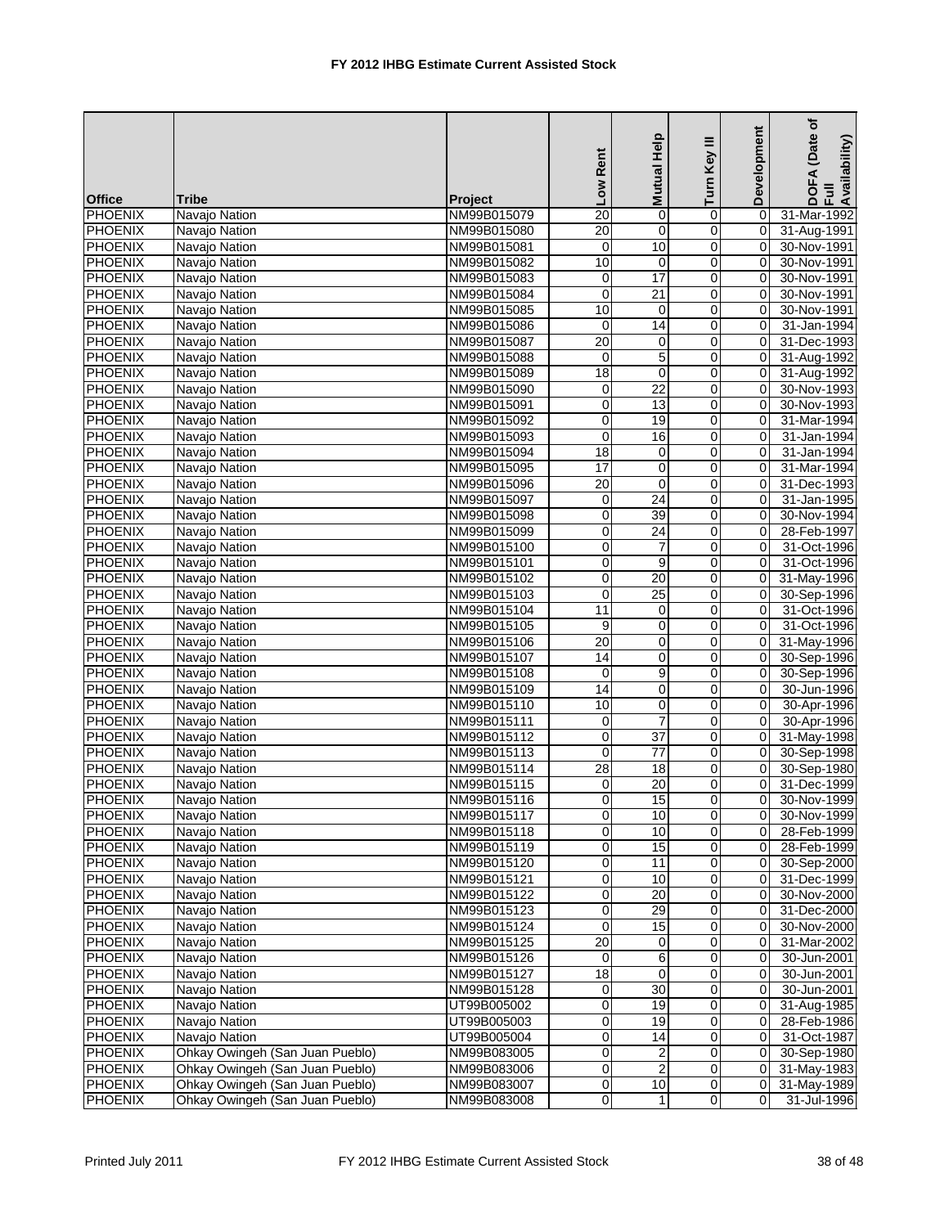|                |                                 |                | Low Rent        | Mutual Help     | Turn Key III   | Development    | (Date of<br>DOFA (Date<br>Full<br>Availability) |
|----------------|---------------------------------|----------------|-----------------|-----------------|----------------|----------------|-------------------------------------------------|
| <b>Office</b>  | <b>Tribe</b>                    | <b>Project</b> |                 |                 |                |                |                                                 |
| PHOENIX        | Navajo Nation                   | NM99B015079    | $\overline{20}$ | 0               | 0              | $\Omega$       | 31-Mar-1992                                     |
| <b>PHOENIX</b> | Navajo Nation                   | NM99B015080    | $\overline{20}$ | $\mathbf 0$     | 0              | 0              | 31-Aug-1991                                     |
| PHOENIX        | Navajo Nation                   | NM99B015081    | $\mathbf 0$     | 10              | 0              | 0              | 30-Nov-1991                                     |
| <b>PHOENIX</b> | Navajo Nation                   | NM99B015082    | 10              | 0               | $\pmb{0}$      | 0              | 30-Nov-1991                                     |
| <b>PHOENIX</b> | Navajo Nation                   | NM99B015083    | $\pmb{0}$       | 17              | 0              | 0              | 30-Nov-1991                                     |
| <b>PHOENIX</b> | Navajo Nation                   | NM99B015084    | $\overline{0}$  | $\overline{21}$ | 0              | 0              | 30-Nov-1991                                     |
| <b>PHOENIX</b> | Navajo Nation                   | NM99B015085    | 10              | 0               | 0              | 0              | 30-Nov-1991                                     |
| <b>PHOENIX</b> | Navajo Nation                   | NM99B015086    | 0               | 14              | 0              | 0              | 31-Jan-1994                                     |
| <b>PHOENIX</b> | Navajo Nation                   | NM99B015087    | $\overline{20}$ | 0               | 0              | 0              | 31-Dec-1993                                     |
| <b>PHOENIX</b> | Navajo Nation                   | NM99B015088    | 0               | $\overline{5}$  | 0              | $\mathbf 0$    | 31-Aug-1992                                     |
| <b>PHOENIX</b> | Navajo Nation                   | NM99B015089    | 18              | 0               | 0              | 0              | 31-Aug-1992                                     |
| <b>PHOENIX</b> | Navajo Nation                   | NM99B015090    | $\mathbf 0$     | $\overline{22}$ | 0              | 0              | 30-Nov-1993                                     |
| PHOENIX        | Navajo Nation                   | NM99B015091    | $\overline{0}$  | 13              | 0              | 0              | 30-Nov-1993                                     |
| <b>PHOENIX</b> | Navajo Nation                   | NM99B015092    | $\mathbf 0$     | 19              | 0              | 0              | 31-Mar-1994                                     |
| <b>PHOENIX</b> | Navajo Nation                   | NM99B015093    | $\pmb{0}$       | 16              | 0              | $\mathbf 0$    | 31-Jan-1994                                     |
| <b>PHOENIX</b> | Navajo Nation                   | NM99B015094    | 18              | 0               | 0              | 0              | 31-Jan-1994                                     |
| <b>PHOENIX</b> | Navajo Nation                   | NM99B015095    | 17              | $\mathbf 0$     | 0              | $\Omega$       | 31-Mar-1994                                     |
| <b>PHOENIX</b> | Navajo Nation                   | NM99B015096    | 20              | $\mathbf 0$     | 0              | $\mathbf 0$    | 31-Dec-1993                                     |
| <b>PHOENIX</b> | Navajo Nation                   | NM99B015097    | $\mathbf 0$     | 24              | 0              | 0              | 31-Jan-1995                                     |
| <b>PHOENIX</b> | Navajo Nation                   | NM99B015098    | $\mathbf 0$     | 39              | 0              | $\mathbf 0$    | 30-Nov-1994                                     |
| <b>PHOENIX</b> | Navajo Nation                   | NM99B015099    | $\mathbf 0$     | 24              | 0              | 0              | 28-Feb-1997                                     |
| <b>PHOENIX</b> | Navajo Nation                   | NM99B015100    | 0               | $\overline{7}$  | 0              | $\mathbf 0$    | 31-Oct-1996                                     |
| PHOENIX        | Navajo Nation                   | NM99B015101    | $\mathbf 0$     | 9               | 0              | 0              | 31-Oct-1996                                     |
| <b>PHOENIX</b> | Navajo Nation                   | NM99B015102    | $\,0\,$         | 20              | 0              | $\mathbf 0$    | 31-May-1996                                     |
| <b>PHOENIX</b> | Navajo Nation                   | NM99B015103    | $\overline{0}$  | 25              | 0              | 0              | 30-Sep-1996                                     |
| <b>PHOENIX</b> | Navajo Nation                   | NM99B015104    | 11              | $\mathbf 0$     | 0              | 0              | 31-Oct-1996                                     |
| <b>PHOENIX</b> | Navajo Nation                   | NM99B015105    | 9               | 0               | 0              | 0              | 31-Oct-1996                                     |
| <b>PHOENIX</b> | Navajo Nation                   | NM99B015106    | 20              | 0               | 0              | 0              | 31-May-1996                                     |
| <b>PHOENIX</b> | Navajo Nation                   | NM99B015107    | 14              | 0               | 0              | 0              | 30-Sep-1996                                     |
| <b>PHOENIX</b> | Navajo Nation                   | NM99B015108    | $\mathbf 0$     | 9               | $\mathbf 0$    | $\mathbf 0$    | 30-Sep-1996                                     |
| <b>PHOENIX</b> | Navajo Nation                   | NM99B015109    | 14              | 0               | 0              | 0              | 30-Jun-1996                                     |
| <b>PHOENIX</b> | Navajo Nation                   | NM99B015110    | 10              | 0               | $\mathbf 0$    | 0              | 30-Apr-1996                                     |
| <b>PHOENIX</b> | Navajo Nation                   | NM99B015111    | $\mathbf 0$     | $\overline{7}$  | 0              | 0              | 30-Apr-1996                                     |
| <b>PHOENIX</b> | Navajo Nation                   | NM99B015112    | 0               | 37              | 0              | 0              | 31-May-1998                                     |
| <b>PHOENIX</b> | Navajo Nation                   | NM99B015113    | 0               | 77              | 0              | 0              | 30-Sep-1998                                     |
| <b>PHOENIX</b> | Navajo Nation                   | NM99B015114    | 28              | 18              | 0              | $\mathbf 0$    | 30-Sep-1980                                     |
| PHOENIX        | Navajo Nation                   | NM99B015115    | 0               | 20              | 0              | 0              | 31-Dec-1999                                     |
| PHOENIX        | Navajo Nation                   | NM99B015116    | $\Omega$        | 15              | $\Omega$       | $\overline{0}$ | 30-Nov-1999                                     |
| PHOENIX        | Navajo Nation                   | NM99B015117    | 0               | 10              | $\pmb{0}$      | 0              | 30-Nov-1999                                     |
| <b>PHOENIX</b> | Navajo Nation                   | NM99B015118    | 0               | 10              | 0              | 0              | 28-Feb-1999                                     |
| <b>PHOENIX</b> | Navajo Nation                   | NM99B015119    | 0               | 15              | 0              | $\mathbf 0$    | 28-Feb-1999                                     |
| <b>PHOENIX</b> | Navajo Nation                   | NM99B015120    | $\overline{0}$  | 11              | 0              | 0              | 30-Sep-2000                                     |
| PHOENIX        | Navajo Nation                   | NM99B015121    | 0               | 10              | 0              | 0              | 31-Dec-1999                                     |
| <b>PHOENIX</b> | Navajo Nation                   |                |                 | 20              |                | 0              |                                                 |
| <b>PHOENIX</b> |                                 | NM99B015122    | 0               | 29              | 0              |                | 30-Nov-2000                                     |
|                | Navajo Nation                   | NM99B015123    | $\pmb{0}$       | 15              | 0              | 0              | 31-Dec-2000                                     |
| <b>PHOENIX</b> | Navajo Nation                   | NM99B015124    | $\pmb{0}$       |                 | $\overline{0}$ | 0              | 30-Nov-2000                                     |
| <b>PHOENIX</b> | Navajo Nation                   | NM99B015125    | $\overline{20}$ | 0               | 0              | $\mathbf 0$    | 31-Mar-2002                                     |
| PHOENIX        | Navajo Nation                   | NM99B015126    | 0               | 6               | 0              | $\mathbf 0$    | 30-Jun-2001                                     |
| <b>PHOENIX</b> | Navajo Nation                   | NM99B015127    | 18              | $\mathbf 0$     | 0              | 0              | 30-Jun-2001                                     |
| PHOENIX        | Navajo Nation                   | NM99B015128    | $\pmb{0}$       | 30              | 0              | 0              | 30-Jun-2001                                     |
| PHOENIX        | Navajo Nation                   | UT99B005002    | $\pmb{0}$       | 19              | 0              | 0              | 31-Aug-1985                                     |
| <b>PHOENIX</b> | Navajo Nation                   | UT99B005003    | $\pmb{0}$       | 19              | 0              | 0              | 28-Feb-1986                                     |
| <b>PHOENIX</b> | Navajo Nation                   | UT99B005004    | $\mathbf 0$     | 14              | 0              | $\mathbf 0$    | 31-Oct-1987                                     |
| <b>PHOENIX</b> | Ohkay Owingeh (San Juan Pueblo) | NM99B083005    | 0               | $\overline{2}$  | 0              | 0              | 30-Sep-1980                                     |
| <b>PHOENIX</b> | Ohkay Owingeh (San Juan Pueblo) | NM99B083006    | $\pmb{0}$       | $\overline{c}$  | 0              | 0              | 31-May-1983                                     |
| <b>PHOENIX</b> | Ohkay Owingeh (San Juan Pueblo) | NM99B083007    | $\overline{0}$  | 10              | $\pmb{0}$      | 0              | 31-May-1989                                     |
| <b>PHOENIX</b> | Ohkay Owingeh (San Juan Pueblo) | NM99B083008    | $\pmb{0}$       | $\mathbf{1}$    | $\mathbf 0$    | 0              | 31-Jul-1996                                     |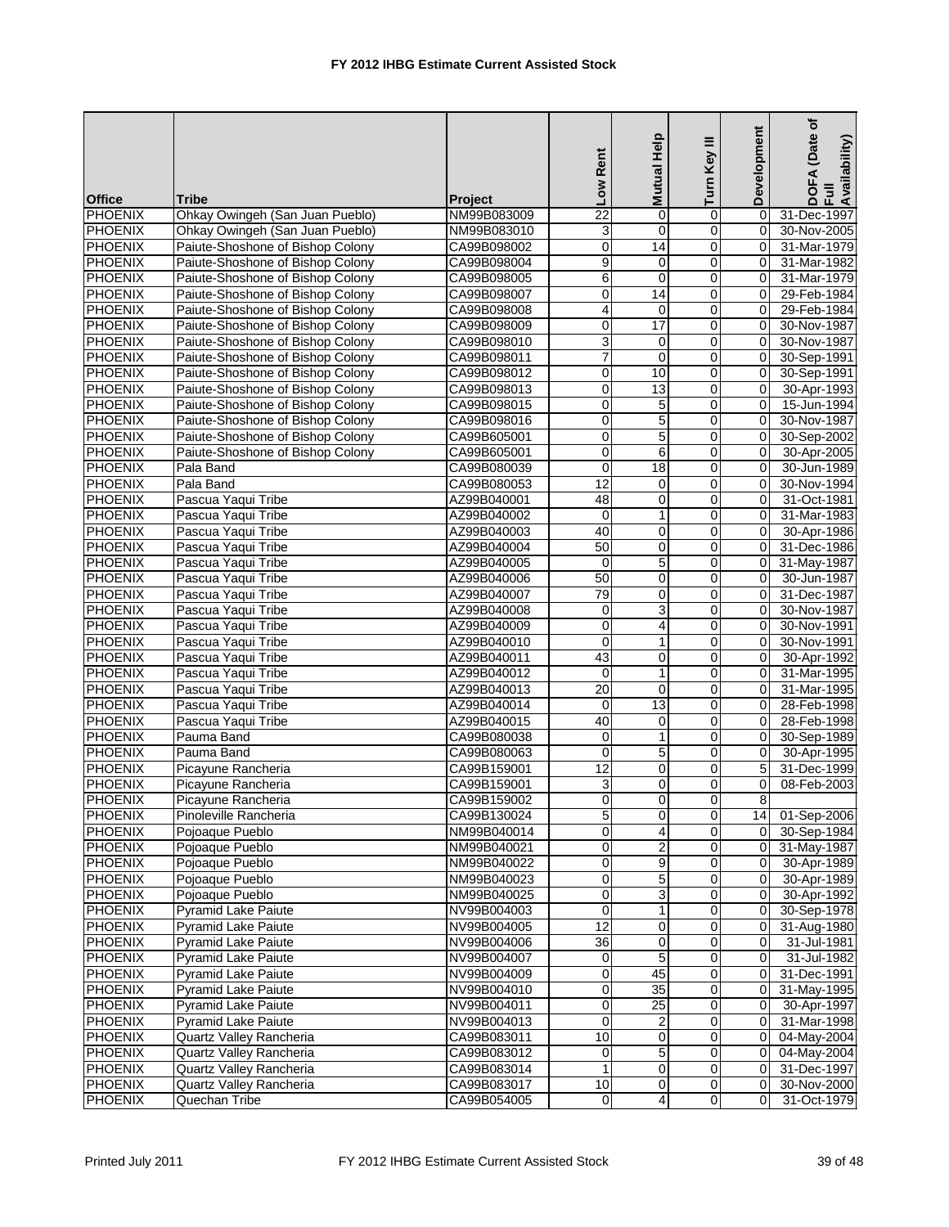|                |                                                   |             | Low Rent            | Mutual Help         | Turn Key III        | Development     | (Date of<br>Availability)<br>⋖ |
|----------------|---------------------------------------------------|-------------|---------------------|---------------------|---------------------|-----------------|--------------------------------|
| <b>Office</b>  | <b>Tribe</b>                                      | Project     |                     |                     |                     |                 | DOF<br>Ful                     |
| PHOENIX        | Ohkay Owingeh (San Juan Pueblo)                   | NM99B083009 | $\overline{22}$     | $\mathbf 0$         | 0                   | $\Omega$        | 31-Dec-1997                    |
| <b>PHOENIX</b> | Ohkay Owingeh (San Juan Pueblo)                   | NM99B083010 | 3                   | $\mathbf 0$         | 0                   | 0               | 30-Nov-2005                    |
| <b>PHOENIX</b> | Paiute-Shoshone of Bishop Colony                  | CA99B098002 | $\pmb{0}$           | 14                  | 0                   | 0               | 31-Mar-1979                    |
| <b>PHOENIX</b> | Paiute-Shoshone of Bishop Colony                  | CA99B098004 | $\overline{9}$      | $\mathbf 0$         | $\mathbf 0$         | $\Omega$        | 31-Mar-1982                    |
| <b>PHOENIX</b> | Paiute-Shoshone of Bishop Colony                  | CA99B098005 | 6                   | $\mathbf 0$         | 0                   | $\Omega$        | 31-Mar-1979                    |
| <b>PHOENIX</b> | Paiute-Shoshone of Bishop Colony                  | CA99B098007 | $\mathbf 0$         | 14                  | 0                   | 0               | 29-Feb-1984                    |
| <b>PHOENIX</b> | Paiute-Shoshone of Bishop Colony                  | CA99B098008 | 4                   | $\mathbf 0$         | 0                   | $\Omega$        | 29-Feb-1984                    |
| <b>PHOENIX</b> | Paiute-Shoshone of Bishop Colony                  | CA99B098009 | $\mathbf 0$         | 17                  | 0                   | $\Omega$        | 30-Nov-1987                    |
| <b>PHOENIX</b> | Paiute-Shoshone of Bishop Colony                  | CA99B098010 | 3                   | 0                   | 0                   | 0               | 30-Nov-1987                    |
| <b>PHOENIX</b> | Paiute-Shoshone of Bishop Colony                  | CA99B098011 | $\overline{7}$      | $\mathbf 0$         | 0                   | 0               | 30-Sep-1991                    |
| <b>PHOENIX</b> | Paiute-Shoshone of Bishop Colony                  | CA99B098012 | $\pmb{0}$           | 10                  | 0                   | 0               | 30-Sep-1991                    |
| <b>PHOENIX</b> | Paiute-Shoshone of Bishop Colony                  | CA99B098013 | 0                   | 13                  | 0                   | 0               | 30-Apr-1993                    |
| <b>PHOENIX</b> | Paiute-Shoshone of Bishop Colony                  | CA99B098015 | $\boldsymbol{0}$    | $\overline{5}$      | $\mathsf 0$         | 0               | 15-Jun-1994                    |
| <b>PHOENIX</b> | Paiute-Shoshone of Bishop Colony                  | CA99B098016 | $\mathbf 0$         | 5                   | 0                   | $\Omega$        | 30-Nov-1987                    |
| <b>PHOENIX</b> | Paiute-Shoshone of Bishop Colony                  | CA99B605001 | $\mathbf 0$         | 5                   | 0                   | $\Omega$        | 30-Sep-2002                    |
| <b>PHOENIX</b> | Paiute-Shoshone of Bishop Colony                  | CA99B605001 | $\pmb{0}$           | 6                   | 0                   | 0               | 30-Apr-2005                    |
| <b>PHOENIX</b> | Pala Band                                         | CA99B080039 | 0                   | 18                  | 0                   | 0               | 30-Jun-1989                    |
| <b>PHOENIX</b> | Pala Band                                         | CA99B080053 | 12                  | $\mathbf 0$         | 0                   | $\Omega$        | 30-Nov-1994                    |
| <b>PHOENIX</b> | Pascua Yaqui Tribe                                | AZ99B040001 | 48                  | 0                   | 0                   | 0               | 31-Oct-1981                    |
| <b>PHOENIX</b> | Pascua Yaqui Tribe                                | AZ99B040002 | $\mathbf 0$         | 1                   | 0                   | 0               | 31-Mar-1983                    |
| <b>PHOENIX</b> | Pascua Yaqui Tribe                                | AZ99B040003 | 40                  | $\mathbf 0$         | 0                   | 0               | 30-Apr-1986                    |
| <b>PHOENIX</b> | Pascua Yaqui Tribe                                | AZ99B040004 | 50                  | 0                   | 0                   | $\mathbf 0$     | 31-Dec-1986                    |
| <b>PHOENIX</b> | Pascua Yaqui Tribe                                | AZ99B040005 | $\mathbf 0$         | $\overline{5}$      | $\mathsf 0$         | $\mathbf 0$     | 31-May-1987                    |
| <b>PHOENIX</b> | Pascua Yaqui Tribe                                | AZ99B040006 | 50                  | $\mathbf 0$         | 0                   | $\Omega$        | 30-Jun-1987                    |
| <b>PHOENIX</b> | Pascua Yaqui Tribe                                | AZ99B040007 | 79                  | $\mathbf 0$         | 0                   | 0               | 31-Dec-1987                    |
| <b>PHOENIX</b> | Pascua Yaqui Tribe                                | AZ99B040008 | 0                   | 3                   | 0                   | 0               | 30-Nov-1987                    |
| <b>PHOENIX</b> | Pascua Yaqui Tribe                                | AZ99B040009 | 0                   | 4                   | 0                   | 0               | 30-Nov-1991                    |
| <b>PHOENIX</b> | Pascua Yaqui Tribe                                | AZ99B040010 | 0                   | $\mathbf{1}$        | 0                   | $\Omega$        | 30-Nov-1991                    |
| <b>PHOENIX</b> | Pascua Yaqui Tribe                                | AZ99B040011 | 43                  | 0                   | 0                   | 0               | 30-Apr-1992                    |
| <b>PHOENIX</b> | Pascua Yaqui Tribe                                | AZ99B040012 | $\mathbf 0$         | 1                   | 0                   | 0               | 31-Mar-1995                    |
| <b>PHOENIX</b> | Pascua Yaqui Tribe                                | AZ99B040013 | $\overline{20}$     | 0                   | 0                   | 0               | 31-Mar-1995                    |
| <b>PHOENIX</b> | Pascua Yaqui Tribe                                | AZ99B040014 | 0                   | $\overline{13}$     | 0                   | $\mathbf 0$     | 28-Feb-1998                    |
| <b>PHOENIX</b> | Pascua Yaqui Tribe                                | AZ99B040015 | 40                  | $\mathbf 0$         | 0                   | $\mathbf 0$     | 28-Feb-1998                    |
| <b>PHOENIX</b> | Pauma Band                                        | CA99B080038 | 0                   | $\mathbf{1}$        | 0                   | $\Omega$        | 30-Sep-1989                    |
| <b>PHOENIX</b> | Pauma Band                                        | CA99B080063 | 0                   | 5                   | $\mathbf 0$         | 0               | 30-Apr-1995                    |
| <b>PHOENIX</b> | Picayune Rancheria                                | CA99B159001 | 12                  | 0                   | 0                   | 5               | 31-Dec-1999                    |
| <b>PHOENIX</b> | Picayune Rancheria                                | CA99B159001 | 3                   | $\mathbf 0$         | 0                   | $\Omega$        | 08-Feb-2003                    |
| PHOENIX        | Picayune Rancheria                                | CA99B159002 | $\Omega$            | $\overline{0}$      | $\Omega$            | 8               |                                |
| PHOENIX        | Pinoleville Rancheria                             | CA99B130024 | $\mathbf 5$         | 0                   | 0                   | 14 <sup>1</sup> | 01-Sep-2006                    |
| <b>PHOENIX</b> | Pojoaque Pueblo                                   | NM99B040014 | $\mathbf 0$         | 4                   | 0                   | 0               | 30-Sep-1984                    |
| <b>PHOENIX</b> | Pojoaque Pueblo                                   | NM99B040021 | $\overline{0}$      | $\overline{2}$      | $\pmb{0}$           | $\mathbf 0$     | 31-May-1987                    |
| <b>PHOENIX</b> | Pojoaque Pueblo                                   | NM99B040022 | $\pmb{0}$           |                     | $\pmb{0}$           | 0               | 30-Apr-1989                    |
| <b>PHOENIX</b> | Pojoaque Pueblo                                   | NM99B040023 | 0                   | 9<br>$\overline{5}$ | O                   | 0               | 30-Apr-1989                    |
| <b>PHOENIX</b> | Pojoaque Pueblo                                   | NM99B040025 | 0                   | 3                   | 0                   | 0               | 30-Apr-1992                    |
| PHOENIX        | Pyramid Lake Paiute                               | NV99B004003 | 0                   | 1                   | 0                   | $\mathbf 0$     | 30-Sep-1978                    |
| <b>PHOENIX</b> |                                                   |             | 12                  |                     |                     |                 |                                |
|                | Pyramid Lake Paiute<br><b>Pyramid Lake Paiute</b> | NV99B004005 | $\overline{36}$     | 0                   | $\pmb{0}$           | 0               | 31-Aug-1980                    |
| <b>PHOENIX</b> |                                                   | NV99B004006 |                     | $\pmb{0}$           | 0                   | 0               | 31-Jul-1981                    |
| <b>PHOENIX</b> | Pyramid Lake Paiute                               | NV99B004007 | 0<br>$\overline{0}$ | $\,$ 5 $\,$<br>45   | $\pmb{0}$           | $\mathbf 0$     | 31-Jul-1982                    |
| <b>PHOENIX</b> | Pyramid Lake Paiute                               | NV99B004009 |                     | $\overline{35}$     | 0                   | 0               | 31-Dec-1991                    |
| PHOENIX        | Pyramid Lake Paiute                               | NV99B004010 | $\mathbf 0$         |                     | 0                   | 0               | 31-May-1995                    |
| <b>PHOENIX</b> | Pyramid Lake Paiute                               | NV99B004011 | 0                   | $\overline{25}$     | $\mathbf 0$         | $\mathbf 0$     | 30-Apr-1997                    |
| PHOENIX        | Pyramid Lake Paiute                               | NV99B004013 | $\pmb{0}$           | 2                   | 0                   | $\mathbf 0$     | 31-Mar-1998                    |
| <b>PHOENIX</b> | Quartz Valley Rancheria                           | CA99B083011 | 10                  | $\mathbf 0$         | $\mathsf{O}\xspace$ | 0               | 04-May-2004                    |
| <b>PHOENIX</b> | Quartz Valley Rancheria                           | CA99B083012 | $\pmb{0}$           | $\,$ 5 $\,$         | $\mathbf 0$         | 0               | 04-May-2004                    |
| PHOENIX        | Quartz Valley Rancheria                           | CA99B083014 | 1                   | 0                   | 0                   | 0               | 31-Dec-1997                    |
| <b>PHOENIX</b> | Quartz Valley Rancheria                           | CA99B083017 | 10                  | 0                   | $\mathbf 0$         | 0               | 30-Nov-2000                    |
| <b>PHOENIX</b> | Quechan Tribe                                     | CA99B054005 | $\overline{0}$      | 4                   | $\mathbf 0$         | 0               | 31-Oct-1979                    |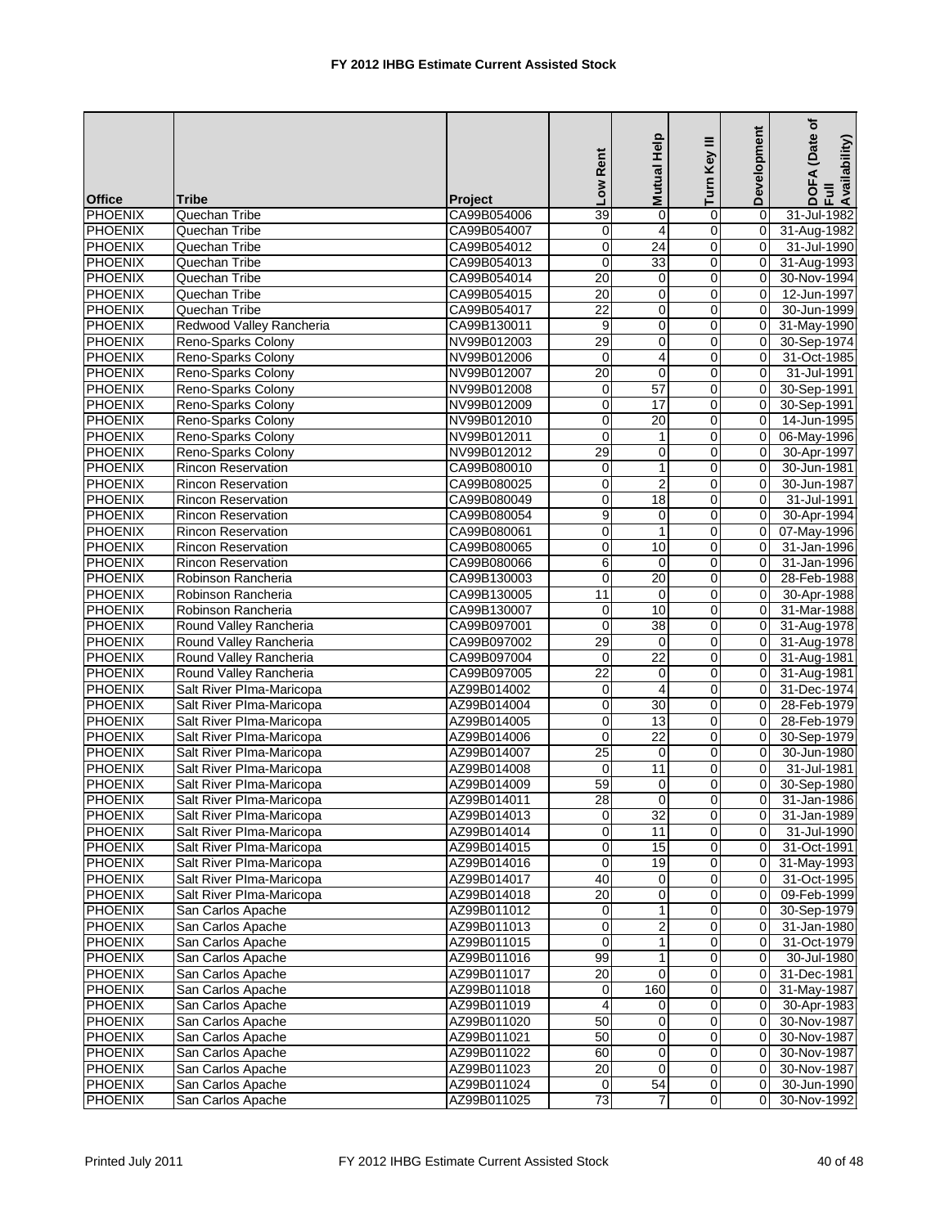|                |                           |                | Low Rent         | Mutual Help     | Ξ<br>Turn Key  | Development | (Date of<br>DOFA (Date<br>Full<br>Availability) |
|----------------|---------------------------|----------------|------------------|-----------------|----------------|-------------|-------------------------------------------------|
| <b>Office</b>  | <b>Tribe</b>              | <b>Project</b> |                  |                 |                |             |                                                 |
| PHOENIX        | Quechan Tribe             | CA99B054006    | 39               | 0               | 0              | $\Omega$    | 31-Jul-1982                                     |
| PHOENIX        | Quechan Tribe             | CA99B054007    | 0                | 4               | 0              | 0           | 31-Aug-1982                                     |
| <b>PHOENIX</b> | Quechan Tribe             | CA99B054012    | $\boldsymbol{0}$ | $\overline{24}$ | 0              | $\Omega$    | 31-Jul-1990                                     |
| <b>PHOENIX</b> | Quechan Tribe             | CA99B054013    | $\mathbf 0$      | 33              | $\pmb{0}$      | 0           | 31-Aug-1993                                     |
| <b>PHOENIX</b> | Quechan Tribe             | CA99B054014    | 20               | $\mathbf 0$     | $\mathbf 0$    | 0           | 30-Nov-1994                                     |
| <b>PHOENIX</b> | Quechan Tribe             | CA99B054015    | $\overline{20}$  | $\mathbf 0$     | 0              | 0           | 12-Jun-1997                                     |
| PHOENIX        | Quechan Tribe             | CA99B054017    | $\overline{22}$  | $\mathbf 0$     | 0              | $\Omega$    | 30-Jun-1999                                     |
| <b>PHOENIX</b> | Redwood Valley Rancheria  | CA99B130011    | 9                | 0               | 0              | $\Omega$    | 31-May-1990                                     |
| <b>PHOENIX</b> | Reno-Sparks Colony        | NV99B012003    | 29               | $\mathbf 0$     | 0              | 0           | 30-Sep-1974                                     |
| <b>PHOENIX</b> | Reno-Sparks Colony        | NV99B012006    | $\mathbf 0$      | $\overline{4}$  | $\mathbf 0$    | $\Omega$    | 31-Oct-1985                                     |
| <b>PHOENIX</b> | Reno-Sparks Colony        | NV99B012007    | 20               | $\mathbf 0$     | 0              | $\Omega$    | 31-Jul-1991                                     |
| <b>PHOENIX</b> | Reno-Sparks Colony        | NV99B012008    | $\mathbf 0$      | $\overline{57}$ | 0              | 0           | 30-Sep-1991                                     |
| PHOENIX        | Reno-Sparks Colony        | NV99B012009    | $\mathbf 0$      | $\overline{17}$ | 0              | $\Omega$    | 30-Sep-1991                                     |
| <b>PHOENIX</b> | Reno-Sparks Colony        | NV99B012010    | $\mathbf 0$      | 20              | 0              | $\Omega$    | 14-Jun-1995                                     |
| <b>PHOENIX</b> | Reno-Sparks Colony        | NV99B012011    | $\overline{0}$   | $\mathbf{1}$    | $\mathbf 0$    | 0           | 06-May-1996                                     |
| PHOENIX        | Reno-Sparks Colony        | NV99B012012    | 29               | 0               | 0              | 0           | 30-Apr-1997                                     |
| <b>PHOENIX</b> | Rincon Reservation        | CA99B080010    | $\overline{0}$   | $\mathbf{1}$    | 0              | $\Omega$    | 30-Jun-1981                                     |
| <b>PHOENIX</b> | <b>Rincon Reservation</b> | CA99B080025    | $\mathbf 0$      | $\overline{2}$  | 0              | $\Omega$    | 30-Jun-1987                                     |
| <b>PHOENIX</b> | Rincon Reservation        | CA99B080049    | $\mathbf 0$      | 18              | 0              | 0           | 31-Jul-1991                                     |
| <b>PHOENIX</b> | <b>Rincon Reservation</b> | CA99B080054    | 9                | $\mathbf 0$     | $\mathbf 0$    | $\Omega$    | 30-Apr-1994                                     |
| <b>PHOENIX</b> | Rincon Reservation        | CA99B080061    | 0                | $\mathbf{1}$    | 0              | $\Omega$    | 07-May-1996                                     |
| <b>PHOENIX</b> | <b>Rincon Reservation</b> | CA99B080065    | $\overline{0}$   | 10              | 0              | 0           | 31-Jan-1996                                     |
| <b>PHOENIX</b> | <b>Rincon Reservation</b> | CA99B080066    | 6                | $\mathbf 0$     | 0              | $\Omega$    | 31-Jan-1996                                     |
| <b>PHOENIX</b> | Robinson Rancheria        | CA99B130003    | $\mathbf 0$      | 20              | $\mathbf 0$    | 0           | 28-Feb-1988                                     |
| <b>PHOENIX</b> | Robinson Rancheria        | CA99B130005    | 11               | $\mathbf 0$     | $\mathbf 0$    | 0           | 30-Apr-1988                                     |
| <b>PHOENIX</b> | Robinson Rancheria        | CA99B130007    | 0                | 10              | 0              | 0           | 31-Mar-1988                                     |
| <b>PHOENIX</b> | Round Valley Rancheria    | CA99B097001    | $\mathbf 0$      | $\overline{38}$ | 0              | $\Omega$    | 31-Aug-1978                                     |
| <b>PHOENIX</b> | Round Valley Rancheria    | CA99B097002    | 29               | 0               | 0              | $\mathbf 0$ | 31-Aug-1978                                     |
| <b>PHOENIX</b> | Round Valley Rancheria    | CA99B097004    | 0                | $\overline{22}$ | 0              | 0           | 31-Aug-1981                                     |
| <b>PHOENIX</b> | Round Valley Rancheria    | CA99B097005    | $\overline{22}$  | $\mathbf 0$     | $\mathbf 0$    | $\mathbf 0$ | 31-Aug-1981                                     |
| <b>PHOENIX</b> | Salt River Plma-Maricopa  | AZ99B014002    | 0                | 4               | 0              | 0           | 31-Dec-1974                                     |
| <b>PHOENIX</b> | Salt River Plma-Maricopa  | AZ99B014004    | $\overline{0}$   | 30              | 0              | 0           | 28-Feb-1979                                     |
| <b>PHOENIX</b> | Salt River Plma-Maricopa  | AZ99B014005    | $\mathbf 0$      | 13              | 0              | $\Omega$    | 28-Feb-1979                                     |
| <b>PHOENIX</b> | Salt River Plma-Maricopa  | AZ99B014006    | 0                | 22              | 0              | $\Omega$    | 30-Sep-1979                                     |
| <b>PHOENIX</b> | Salt River Plma-Maricopa  | AZ99B014007    | 25               | 0               | 0              | 0           | 30-Jun-1980                                     |
| PHOENIX        | Salt River Plma-Maricopa  | AZ99B014008    | $\mathbf 0$      | 11              | 0              | $\Omega$    | 31-Jul-1981                                     |
| PHOENIX        | Salt River Plma-Maricopa  | AZ99B014009    | 59               | 0               | 0              | 0           | 30-Sep-1980                                     |
| PHOENIX        | Salt River PIma-Maricopa  | AZ99B014011    | 28               | $\Omega$        | $\overline{0}$ | $\Omega$    | 31-Jan-1986                                     |
| <b>PHOENIX</b> | Salt River Plma-Maricopa  | AZ99B014013    | $\pmb{0}$        | 32              | $\pmb{0}$      | 0           | $\overline{31}$ -Jan-1989                       |
| <b>PHOENIX</b> | Salt River Plma-Maricopa  | AZ99B014014    | 0                | 11              | 0              | 0           | 31-Jul-1990                                     |
| PHOENIX        | Salt River Plma-Maricopa  | AZ99B014015    | 0                | 15              | 0              | 0           | 31-Oct-1991                                     |
| <b>PHOENIX</b> | Salt River Plma-Maricopa  | AZ99B014016    | $\mathbf 0$      | 19              | 0              | 0           | 31-May-1993                                     |
| PHOENIX        | Salt River Plma-Maricopa  | AZ99B014017    | 40               | 0               | 0              | 0           | 31-Oct-1995                                     |
| <b>PHOENIX</b> | Salt River Plma-Maricopa  | AZ99B014018    | $\overline{20}$  | $\mathbf 0$     | 0              | $\mathbf 0$ | 09-Feb-1999                                     |
| <b>PHOENIX</b> | San Carlos Apache         | AZ99B011012    | 0                | 1               | 0              | 0           | 30-Sep-1979                                     |
| <b>PHOENIX</b> | San Carlos Apache         | AZ99B011013    | $\mathbf 0$      | $\overline{2}$  | 0              | 0           | 31-Jan-1980                                     |
| <b>PHOENIX</b> | San Carlos Apache         | AZ99B011015    | 0                | $\mathbf{1}$    | 0              | 0           | 31-Oct-1979                                     |
| PHOENIX        | San Carlos Apache         | AZ99B011016    | 99               | 1               | 0              | 0           | 30-Jul-1980                                     |
| <b>PHOENIX</b> | San Carlos Apache         | AZ99B011017    | 20               | $\mathbf 0$     | 0              | 0           | 31-Dec-1981                                     |
| PHOENIX        | San Carlos Apache         | AZ99B011018    | 0                | 160             | $\overline{0}$ | 0           | 31-May-1987                                     |
| PHOENIX        | San Carlos Apache         | AZ99B011019    | 4                | 0               | 0              | $\mathbf 0$ | 30-Apr-1983                                     |
| <b>PHOENIX</b> | San Carlos Apache         | AZ99B011020    | 50               | 0               | 0              | 0           | 30-Nov-1987                                     |
| <b>PHOENIX</b> | San Carlos Apache         | AZ99B011021    | 50               | 0               | 0              | 0           | 30-Nov-1987                                     |
| <b>PHOENIX</b> | San Carlos Apache         | AZ99B011022    | 60               | 0               | 0              | 0           | 30-Nov-1987                                     |
| PHOENIX        | San Carlos Apache         | AZ99B011023    | 20               | 0               | $\overline{0}$ | 0           | 30-Nov-1987                                     |
| PHOENIX        | San Carlos Apache         | AZ99B011024    | $\mathbf 0$      | 54              | $\pmb{0}$      | 0           | 30-Jun-1990                                     |
| <b>PHOENIX</b> | San Carlos Apache         | AZ99B011025    | $\overline{73}$  | $\overline{7}$  | $\mathbf 0$    | $\Omega$    | 30-Nov-1992                                     |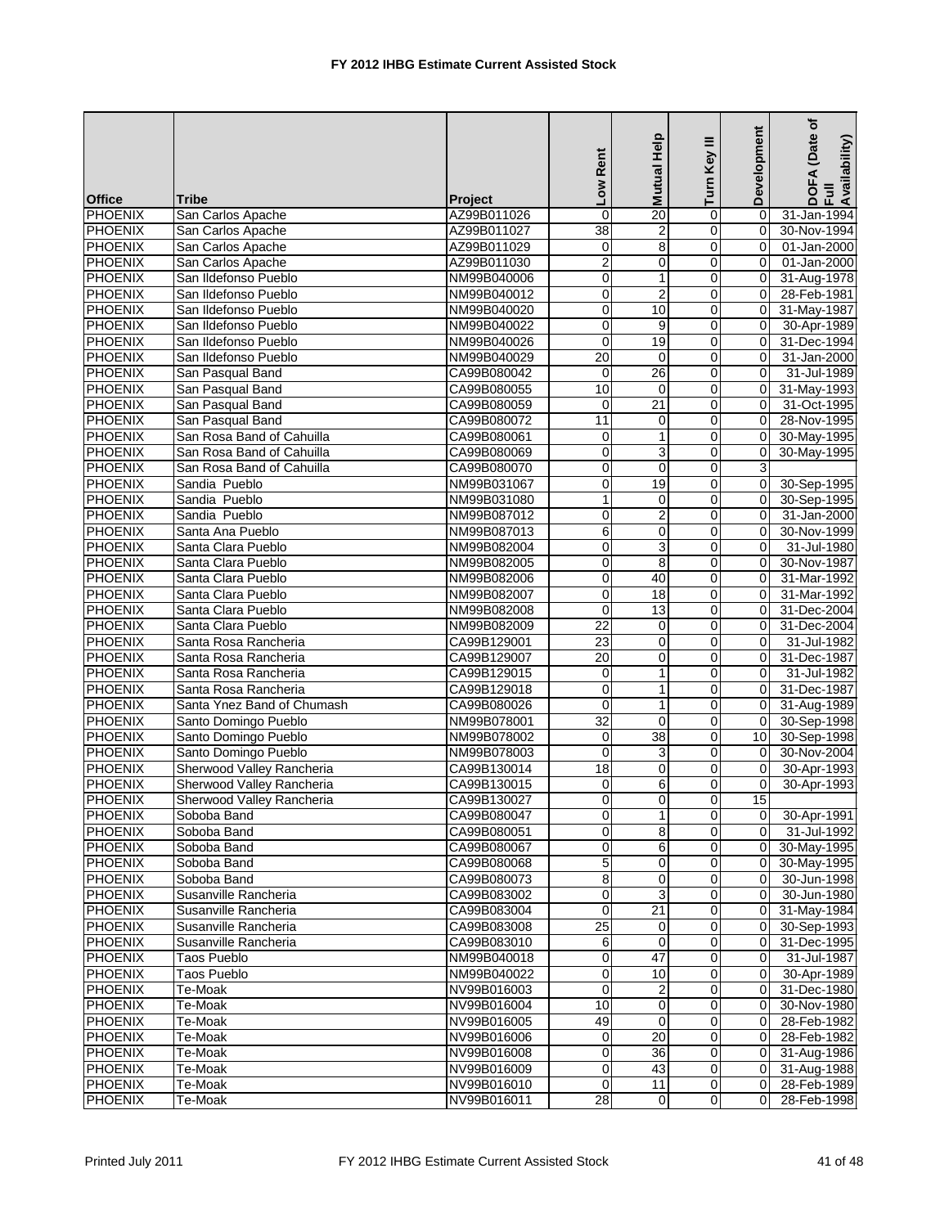|                |                            |                | Low Rent        | Mutual Help     | Turn Key III                 | Development    | (Date of<br>DOFA (Date<br>Full<br>Availability) |
|----------------|----------------------------|----------------|-----------------|-----------------|------------------------------|----------------|-------------------------------------------------|
| <b>Office</b>  | Tribe                      | <b>Project</b> |                 |                 |                              |                |                                                 |
| <b>PHOENIX</b> | San Carlos Apache          | AZ99B011026    | $\mathbf 0$     | 20              | 0                            | $\Omega$       | 31-Jan-1994                                     |
| <b>PHOENIX</b> | San Carlos Apache          | AZ99B011027    | 38              | $\overline{2}$  | $\mathbf 0$                  | $\mathbf 0$    | 30-Nov-1994                                     |
| PHOENIX        | San Carlos Apache          | AZ99B011029    | $\mathbf 0$     | $\overline{8}$  | 0                            | $\mathbf 0$    | 01-Jan-2000                                     |
| PHOENIX        | San Carlos Apache          | AZ99B011030    | $\overline{2}$  | 0               | 0                            | 0              | 01-Jan-2000                                     |
| <b>PHOENIX</b> | San Ildefonso Pueblo       | NM99B040006    | $\mathbf 0$     | 1               | 0                            | $\mathbf 0$    | 31-Aug-1978                                     |
| <b>PHOENIX</b> | San Ildefonso Pueblo       | NM99B040012    | $\mathbf 0$     | $\overline{2}$  | $\pmb{0}$                    | $\mathbf 0$    | 28-Feb-1981                                     |
| PHOENIX        | San Ildefonso Pueblo       | NM99B040020    | $\mathbf 0$     | 10              | $\mathbf 0$                  | $\mathbf 0$    | 31-May-1987                                     |
| <b>PHOENIX</b> | San Ildefonso Pueblo       | NM99B040022    | $\mathbf 0$     | 9               | 0                            | 0              | 30-Apr-1989                                     |
| <b>PHOENIX</b> | San Ildefonso Pueblo       | NM99B040026    | $\mathbf 0$     | 19              | 0                            | $\mathbf 0$    | 31-Dec-1994                                     |
| <b>PHOENIX</b> | San Ildefonso Pueblo       | NM99B040029    | 20              | $\mathbf 0$     | 0                            | 0              | 31-Jan-2000                                     |
| <b>PHOENIX</b> | San Pasqual Band           | CA99B080042    | 0               | 26              | $\mathbf 0$                  | $\overline{0}$ | 31-Jul-1989                                     |
| <b>PHOENIX</b> | San Pasqual Band           | CA99B080055    | 10              | $\mathbf 0$     | $\mathbf 0$                  | 0              | 31-May-1993                                     |
| <b>PHOENIX</b> | San Pasqual Band           | CA99B080059    | $\mathbf 0$     | $\overline{21}$ | 0                            | 0              | 31-Oct-1995                                     |
| <b>PHOENIX</b> | San Pasqual Band           | CA99B080072    | 11              | 0               | 0                            | $\Omega$       | 28-Nov-1995                                     |
| <b>PHOENIX</b> | San Rosa Band of Cahuilla  | CA99B080061    | 0               | 1               | 0                            | $\mathbf 0$    | 30-May-1995                                     |
| <b>PHOENIX</b> | San Rosa Band of Cahuilla  | CA99B080069    | $\pmb{0}$       | $\overline{3}$  | $\mathbf 0$                  | $\mathbf 0$    | 30-May-1995                                     |
| <b>PHOENIX</b> | San Rosa Band of Cahuilla  | CA99B080070    | 0               | 0               | 0                            | 3              |                                                 |
| <b>PHOENIX</b> | Sandia Pueblo              | NM99B031067    | 0               | 19              | 0                            | $\mathbf 0$    | 30-Sep-1995                                     |
| <b>PHOENIX</b> | Sandia Pueblo              | NM99B031080    | $\mathbf{1}$    | $\mathbf 0$     | 0                            | 0              | 30-Sep-1995                                     |
| <b>PHOENIX</b> | Sandia Pueblo              | NM99B087012    | 0               | $\overline{2}$  | 0                            | 0              | $31$ -Jan-2000                                  |
| <b>PHOENIX</b> | Santa Ana Pueblo           | NM99B087013    | 6               | 0               | 0                            | $\Omega$       | 30-Nov-1999                                     |
| <b>PHOENIX</b> | Santa Clara Pueblo         | NM99B082004    | $\overline{0}$  | $\overline{3}$  | $\mathbf 0$                  | $\mathbf 0$    | 31-Jul-1980                                     |
| PHOENIX        | Santa Clara Pueblo         | NM99B082005    | $\mathbf 0$     | 8               | $\mathbf 0$                  | 0              | 30-Nov-1987                                     |
| PHOENIX        | Santa Clara Pueblo         | NM99B082006    | $\mathbf 0$     | 40              | 0                            | 0              | 31-Mar-1992                                     |
| <b>PHOENIX</b> | Santa Clara Pueblo         | NM99B082007    | $\mathbf 0$     | 18              | 0                            | 0              | 31-Mar-1992                                     |
| <b>PHOENIX</b> | Santa Clara Pueblo         | NM99B082008    | $\mathbf 0$     | 13              | $\mathbf 0$                  | $\mathbf 0$    | 31-Dec-2004                                     |
| <b>PHOENIX</b> | Santa Clara Pueblo         | NM99B082009    | $\overline{22}$ | $\mathbf 0$     | $\mathbf 0$                  | $\mathbf 0$    | 31-Dec-2004                                     |
| <b>PHOENIX</b> | Santa Rosa Rancheria       | CA99B129001    | $\overline{23}$ | 0               | 0                            | 0              | 31-Jul-1982                                     |
| <b>PHOENIX</b> | Santa Rosa Rancheria       | CA99B129007    | $\overline{20}$ | 0               | 0                            | 0              | 31-Dec-1987                                     |
| <b>PHOENIX</b> | Santa Rosa Rancheria       | CA99B129015    | $\mathbf 0$     | $\mathbf{1}$    | 0                            | 0              | 31-Jul-1982                                     |
| <b>PHOENIX</b> | Santa Rosa Rancheria       | CA99B129018    | 0               | $\mathbf{1}$    | 0                            | 0              | 31-Dec-1987                                     |
| <b>PHOENIX</b> | Santa Ynez Band of Chumash | CA99B080026    | $\mathbf 0$     | $\mathbf{1}$    | 0                            | 0              | 31-Aug-1989                                     |
| <b>PHOENIX</b> | Santo Domingo Pueblo       | NM99B078001    | $\overline{32}$ | $\mathbf 0$     | $\mathbf 0$                  | $\Omega$       | 30-Sep-1998                                     |
| <b>PHOENIX</b> | Santo Domingo Pueblo       | NM99B078002    | 0               | 38              | 0                            | 10             | 30-Sep-1998                                     |
| <b>PHOENIX</b> | Santo Domingo Pueblo       | NM99B078003    | 0               | 3               | 0                            | $\mathbf 0$    | 30-Nov-2004                                     |
| <b>PHOENIX</b> | Sherwood Valley Rancheria  | CA99B130014    | 18              | $\mathbf 0$     | 0                            | 0              | 30-Apr-1993                                     |
| <b>PHOENIX</b> | Sherwood Valley Rancheria  | CA99B130015    | 0               | 6               | 0                            | $\Omega$       | 30-Apr-1993                                     |
| PHOENIX        | Sherwood Valley Rancheria  | CA99B130027    | $\overline{0}$  | $\Omega$        | $\Omega$                     | 15             |                                                 |
| PHOENIX        | Soboba Band                | CA99B080047    | $\pmb{0}$       | $\mathbf{1}$    | $\overline{0}$               | $\mathbf 0$    | 30-Apr-1991                                     |
| <b>PHOENIX</b> | Soboba Band                | CA99B080051    | $\mathbf 0$     | 8               | 0                            | $\overline{0}$ | 31-Jul-1992                                     |
| <b>PHOENIX</b> | Soboba Band                | CA99B080067    | $\pmb{0}$       | 6               | 0                            | 0              | 30-May-1995                                     |
| <b>PHOENIX</b> | Soboba Band                | CA99B080068    | $\overline{5}$  | 0               | $\pmb{0}$                    | 0              | 30-May-1995                                     |
| PHOENIX        | Soboba Band                | CA99B080073    | 8               | 0               | 0                            | 0              | 30-Jun-1998                                     |
| <b>PHOENIX</b> | Susanville Rancheria       | CA99B083002    | 0               | 3               | 0                            | $\mathbf 0$    | 30-Jun-1980                                     |
| PHOENIX        | Susanville Rancheria       | CA99B083004    | $\mathbf 0$     | 21              | 0                            | $\mathbf 0$    | 31-May-1984                                     |
| <b>PHOENIX</b> | Susanville Rancheria       | CA99B083008    | $\overline{25}$ | 0               | 0                            | 0              | 30-Sep-1993                                     |
| PHOENIX        | Susanville Rancheria       | CA99B083010    | 6               | $\mathbf 0$     | $\mathbf 0$                  | 0              | 31-Dec-1995                                     |
| PHOENIX        | <b>Taos Pueblo</b>         | NM99B040018    | $\mathbf 0$     | 47              | 0                            | $\Omega$       | 31-Jul-1987                                     |
| PHOENIX        | <b>Taos Pueblo</b>         | NM99B040022    | $\pmb{0}$       | 10              | $\mathbf 0$                  | 0              | 30-Apr-1989                                     |
| PHOENIX        | Te-Moak                    | NV99B016003    | $\mathbf 0$     | $\overline{2}$  | 0                            | 0              | 31-Dec-1980                                     |
| <b>PHOENIX</b> |                            | NV99B016004    |                 | 0               |                              | $\mathbf 0$    | 30-Nov-1980                                     |
| <b>PHOENIX</b> | Te-Moak<br>Te-Moak         | NV99B016005    | 10<br>49        | $\mathbf 0$     | 0<br>$\overline{\mathbf{0}}$ | 0              | 28-Feb-1982                                     |
| <b>PHOENIX</b> | Te-Moak                    | NV99B016006    | 0               | 20              | 0                            | 0              | 28-Feb-1982                                     |
| <b>PHOENIX</b> | Te-Moak                    | NV99B016008    | 0               | 36              | $\mathbf 0$                  | 0              | 31-Aug-1986                                     |
| <b>PHOENIX</b> | Te-Moak                    | NV99B016009    | $\mathbf 0$     | 43              | $\overline{0}$               | $\mathbf 0$    | 31-Aug-1988                                     |
|                |                            |                | $\pmb{0}$       | 11              |                              |                |                                                 |
| <b>PHOENIX</b> | Te-Moak                    | NV99B016010    |                 |                 | 0                            | 0              | 28-Feb-1989                                     |
| <b>PHOENIX</b> | Te-Moak                    | NV99B016011    | $\overline{28}$ | $\overline{0}$  | $\overline{0}$               | $\mathbf 0$    | 28-Feb-1998                                     |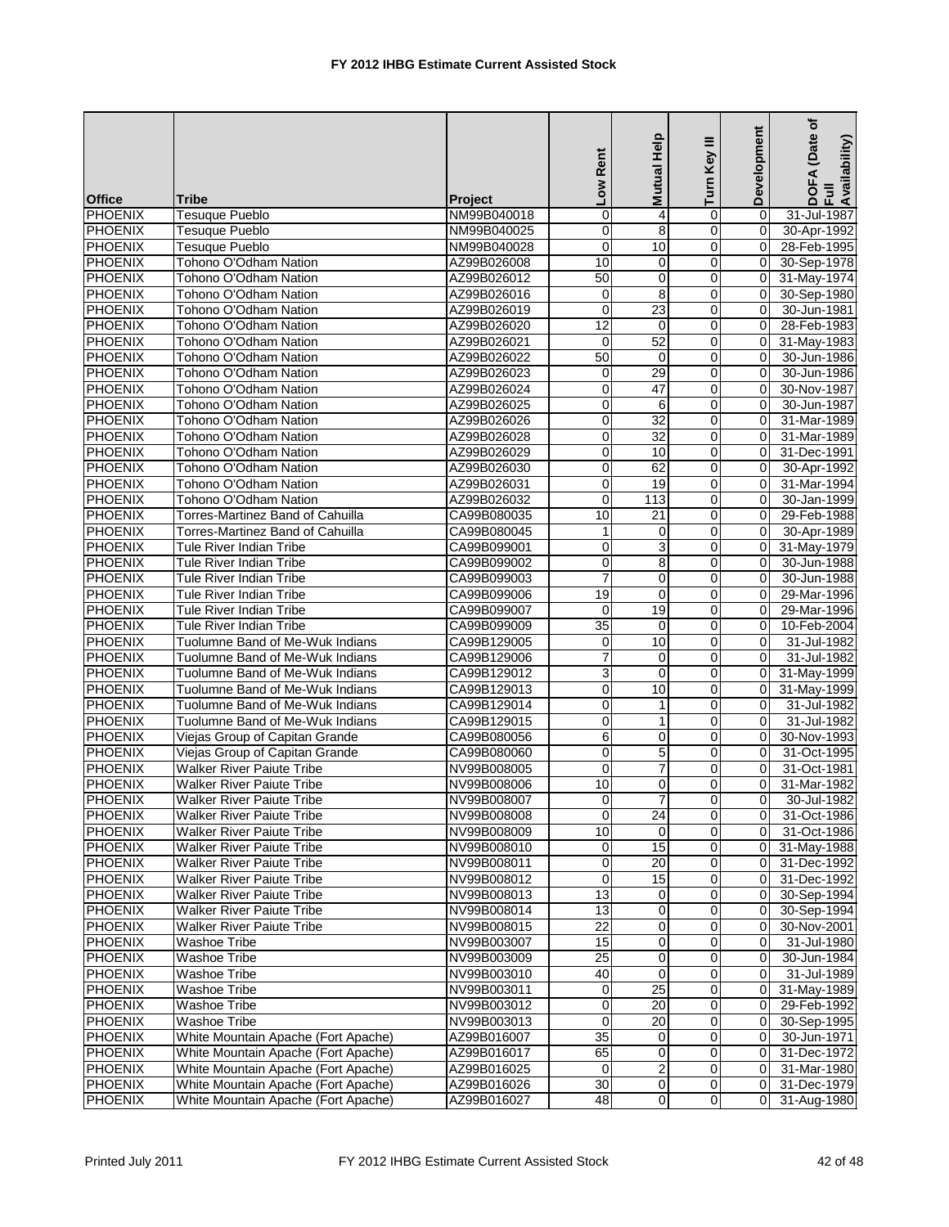|                |                                         |                | Low Rent        | Help<br><b>Mutual</b> | Turn Key III   | Development    | (Date of<br>DOFA (Date<br>Full<br>Availability) |
|----------------|-----------------------------------------|----------------|-----------------|-----------------------|----------------|----------------|-------------------------------------------------|
| <b>Office</b>  | Tribe                                   | <b>Project</b> |                 |                       |                |                |                                                 |
| PHOENIX        | <b>Tesuque Pueblo</b>                   | NM99B040018    | $\mathbf 0$     | $\overline{4}$        | 0              | $\Omega$       | 31-Jul-1987                                     |
| <b>PHOENIX</b> | Tesuque Pueblo                          | NM99B040025    | $\overline{0}$  | 8                     | $\mathbf 0$    | $\mathbf 0$    | 30-Apr-1992                                     |
| PHOENIX        | Tesuque Pueblo                          | NM99B040028    | $\mathbf 0$     | 10                    | 0              | $\Omega$       | 28-Feb-1995                                     |
| <b>PHOENIX</b> | Tohono O'Odham Nation                   | AZ99B026008    | 10              | $\mathbf 0$           | 0              | 0              | 30-Sep-1978                                     |
| <b>PHOENIX</b> | Tohono O'Odham Nation                   | AZ99B026012    | 50              | 0                     | 0              | $\mathbf 0$    | 31-May-1974                                     |
| <b>PHOENIX</b> | Tohono O'Odham Nation                   | AZ99B026016    | $\mathbf 0$     | 8                     | $\mathbf 0$    | $\mathbf 0$    | 30-Sep-1980                                     |
| <b>PHOENIX</b> | Tohono O'Odham Nation                   | AZ99B026019    | $\overline{0}$  | $\overline{23}$       | $\mathbf 0$    | $\Omega$       | 30-Jun-1981                                     |
| <b>PHOENIX</b> | Tohono O'Odham Nation                   | AZ99B026020    | 12              | 0                     | $\mathbf 0$    | $\Omega$       | 28-Feb-1983                                     |
| <b>PHOENIX</b> | Tohono O'Odham Nation                   | AZ99B026021    | $\mathbf 0$     | $\overline{52}$       | 0              | $\mathbf 0$    | 31-May-1983                                     |
| PHOENIX        | Tohono O'Odham Nation                   | AZ99B026022    | 50              | $\mathbf 0$           | 0              | 0              | 30-Jun-1986                                     |
| <b>PHOENIX</b> | Tohono O'Odham Nation                   | AZ99B026023    | $\mathbf 0$     | 29                    | 0              | $\Omega$       | 30-Jun-1986                                     |
| <b>PHOENIX</b> | Tohono O'Odham Nation                   | AZ99B026024    | $\overline{0}$  | $\overline{47}$       | 0              | $\mathbf 0$    | 30-Nov-1987                                     |
| PHOENIX        | Tohono O'Odham Nation                   | AZ99B026025    | $\mathbf 0$     | 6                     | 0              | 0              | 30-Jun-1987                                     |
| <b>PHOENIX</b> | Tohono O'Odham Nation                   | AZ99B026026    | 0               | 32                    | 0              | 0              | 31-Mar-1989                                     |
| <b>PHOENIX</b> | Tohono O'Odham Nation                   | AZ99B026028    | $\mathbf 0$     | 32                    | 0              | 0              | 31-Mar-1989                                     |
| <b>PHOENIX</b> | Tohono O'Odham Nation                   | AZ99B026029    | $\pmb{0}$       | 10                    | $\mathbf 0$    | $\mathbf 0$    | 31-Dec-1991                                     |
| <b>PHOENIX</b> | Tohono O'Odham Nation                   | AZ99B026030    | $\overline{0}$  | 62                    | $\mathbf 0$    | $\Omega$       | 30-Apr-1992                                     |
| <b>PHOENIX</b> | Tohono O'Odham Nation                   | AZ99B026031    | 0               | 19                    | 0              | $\Omega$       | 31-Mar-1994                                     |
| <b>PHOENIX</b> | Tohono O'Odham Nation                   | AZ99B026032    | $\pmb{0}$       | 113                   | 0              | $\mathbf 0$    | 30-Jan-1999                                     |
| PHOENIX        | <b>Torres-Martinez Band of Cahuilla</b> | CA99B080035    | 10              | 21                    | 0              | 0              | 29-Feb-1988                                     |
| <b>PHOENIX</b> | Torres-Martinez Band of Cahuilla        | CA99B080045    | 1               | $\mathbf 0$           | 0              | $\Omega$       | 30-Apr-1989                                     |
| <b>PHOENIX</b> | Tule River Indian Tribe                 | CA99B099001    | $\overline{0}$  | 3                     | 0              | $\mathbf 0$    | 31-May-1979                                     |
| PHOENIX        | Tule River Indian Tribe                 | CA99B099002    | $\mathbf 0$     | 8                     | $\mathbf 0$    | 0              | 30-Jun-1988                                     |
| <b>PHOENIX</b> | Tule River Indian Tribe                 | CA99B099003    | $\overline{7}$  | 0                     | 0              | 0              | 30-Jun-1988                                     |
| PHOENIX        | Tule River Indian Tribe                 | CA99B099006    | 19              | 0                     | 0              | 0              | 29-Mar-1996                                     |
| <b>PHOENIX</b> | Tule River Indian Tribe                 | CA99B099007    | $\mathbf 0$     | 19                    | $\mathbf 0$    | $\mathbf 0$    | 29-Mar-1996                                     |
| <b>PHOENIX</b> | Tule River Indian Tribe                 | CA99B099009    | 35              | $\mathbf 0$           | $\mathbf 0$    | $\Omega$       | 10-Feb-2004                                     |
| <b>PHOENIX</b> | Tuolumne Band of Me-Wuk Indians         | CA99B129005    | 0               | 10                    | 0              | $\Omega$       | 31-Jul-1982                                     |
| <b>PHOENIX</b> | Tuolumne Band of Me-Wuk Indians         | CA99B129006    | $\overline{7}$  | 0                     | 0              | 0              | 31-Jul-1982                                     |
| PHOENIX        | Tuolumne Band of Me-Wuk Indians         | CA99B129012    | $\overline{3}$  | $\mathbf 0$           | 0              | $\mathbf 0$    | 31-May-1999                                     |
| <b>PHOENIX</b> | Tuolumne Band of Me-Wuk Indians         | CA99B129013    | 0               | 10                    | 0              | 0              | 31-May-1999                                     |
| <b>PHOENIX</b> | Tuolumne Band of Me-Wuk Indians         | CA99B129014    | $\pmb{0}$       | $\mathbf{1}$          | $\mathbf 0$    | $\mathbf 0$    | 31-Jul-1982                                     |
| <b>PHOENIX</b> | Tuolumne Band of Me-Wuk Indians         | CA99B129015    | $\mathbf 0$     | $\mathbf{1}$          | 0              | $\Omega$       | 31-Jul-1982                                     |
| <b>PHOENIX</b> | Viejas Group of Capitan Grande          | CA99B080056    | 6               | 0                     | 0              | 0              | 30-Nov-1993                                     |
| <b>PHOENIX</b> | Viejas Group of Capitan Grande          | CA99B080060    | 0               | 5                     | 0              | $\mathbf 0$    | 31-Oct-1995                                     |
| <b>PHOENIX</b> | <b>Walker River Paiute Tribe</b>        | NV99B008005    | $\mathbf 0$     | $\overline{7}$        | 0              | 0              | 31-Oct-1981                                     |
| <b>PHOENIX</b> | <b>Walker River Paiute Tribe</b>        | NV99B008006    | 10              | 0                     | 0              | $\Omega$       | 31-Mar-1982                                     |
| PHOENIX        | <b>Walker River Paiute Tribe</b>        | NV99B008007    | $\Omega$        | 7                     | $\Omega$       | $\overline{0}$ | 30-Jul-1982                                     |
| PHOENIX        | <b>Walker River Paiute Tribe</b>        | NV99B008008    | $\pmb{0}$       | $\overline{24}$       | $\overline{0}$ | 0              | 31-Oct-1986                                     |
| <b>PHOENIX</b> | <b>Walker River Paiute Tribe</b>        | NV99B008009    | 10              | $\Omega$              | 0              | 0              | 31-Oct-1986                                     |
| <b>PHOENIX</b> | <b>Walker River Paiute Tribe</b>        | NV99B008010    | $\pmb{0}$       | 15                    | 0              | 0              | 31-May-1988                                     |
| <b>PHOENIX</b> | <b>Walker River Paiute Tribe</b>        | NV99B008011    | $\pmb{0}$       | 20                    | 0              | 0              | 31-Dec-1992                                     |
| <b>PHOENIX</b> | <b>Walker River Paiute Tribe</b>        | NV99B008012    | $\mathbf 0$     | 15                    | 0              | 0              | 31-Dec-1992                                     |
| <b>PHOENIX</b> | <b>Walker River Paiute Tribe</b>        | NV99B008013    | $\overline{13}$ | $\mathbf 0$           | 0              | $\mathbf 0$    | 30-Sep-1994                                     |
| <b>PHOENIX</b> | Walker River Paiute Tribe               | NV99B008014    | 13              | 0                     | 0              | $\mathbf 0$    | 30-Sep-1994                                     |
| <b>PHOENIX</b> | Walker River Paiute Tribe               | NV99B008015    | $\overline{22}$ | $\mathbf 0$           | 0              | 0              | 30-Nov-2001                                     |
| PHOENIX        | <b>Washoe Tribe</b>                     | NV99B003007    | 15              | 0                     | $\mathbf 0$    | $\mathbf 0$    | 31-Jul-1980                                     |
| <b>PHOENIX</b> | Washoe Tribe                            | NV99B003009    | $\overline{25}$ | 0                     | 0              | 0              | 30-Jun-1984                                     |
| <b>PHOENIX</b> | Washoe Tribe                            | NV99B003010    | 40              | 0                     | 0              | 0              | 31-Jul-1989                                     |
| <b>PHOENIX</b> | <b>Washoe Tribe</b>                     | NV99B003011    | $\overline{0}$  | $\overline{25}$       | 0              | 0              | 31-May-1989                                     |
| <b>PHOENIX</b> | <b>Washoe Tribe</b>                     | NV99B003012    | 0               | 20                    | 0              | 0              | 29-Feb-1992                                     |
| <b>PHOENIX</b> | Washoe Tribe                            | NV99B003013    | $\pmb{0}$       | $\overline{20}$       | 0              | 0              | 30-Sep-1995                                     |
| <b>PHOENIX</b> | White Mountain Apache (Fort Apache)     | AZ99B016007    | $\overline{35}$ | 0                     | 0              | 0              | 30-Jun-1971                                     |
| <b>PHOENIX</b> | White Mountain Apache (Fort Apache)     | AZ99B016017    | 65              | 0                     | 0              | 0              | 31-Dec-1972                                     |
| <b>PHOENIX</b> | White Mountain Apache (Fort Apache)     | AZ99B016025    | 0               | $\overline{c}$        | 0              | 0              | 31-Mar-1980                                     |
| <b>PHOENIX</b> | White Mountain Apache (Fort Apache)     | AZ99B016026    | 30              | 0                     | 0              | 0              | 31-Dec-1979                                     |
| <b>PHOENIX</b> | White Mountain Apache (Fort Apache)     | AZ99B016027    | 48              | $\overline{0}$        | $\overline{0}$ | $\Omega$       | 31-Aug-1980                                     |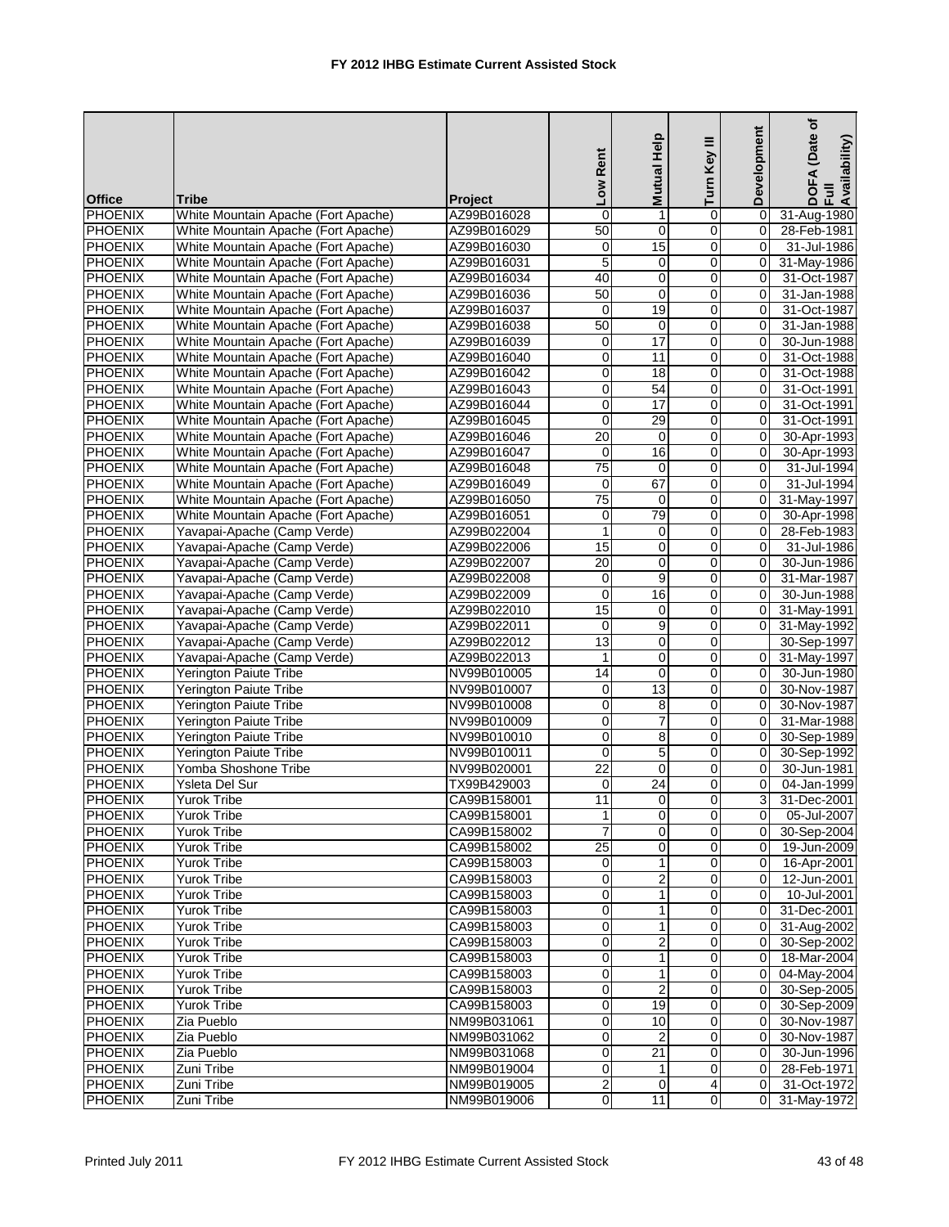|                           |                                     |                | Low Rent            | Mutual Help      | Turn Key III   | Development    | (Date of<br>DOFA (Date<br>Full<br>Availability) |
|---------------------------|-------------------------------------|----------------|---------------------|------------------|----------------|----------------|-------------------------------------------------|
| <b>Office</b>             | Tribe                               | <b>Project</b> |                     |                  |                |                |                                                 |
| PHOENIX                   | White Mountain Apache (Fort Apache) | AZ99B016028    | $\mathbf 0$         | 1                | 0              | $\mathbf 0$    | 31-Aug-1980                                     |
| <b>PHOENIX</b>            | White Mountain Apache (Fort Apache) | AZ99B016029    | 50                  | $\overline{0}$   | 0              | $\mathbf 0$    | 28-Feb-1981                                     |
| PHOENIX                   | White Mountain Apache (Fort Apache) | AZ99B016030    | $\mathbf 0$         | 15               | 0              | $\Omega$       | 31-Jul-1986                                     |
| <b>PHOENIX</b>            | White Mountain Apache (Fort Apache) | AZ99B016031    | 5                   | $\mathbf 0$      | 0              | $\overline{0}$ | 31-May-1986                                     |
| <b>PHOENIX</b>            | White Mountain Apache (Fort Apache) | AZ99B016034    | 40                  | 0                | 0              | $\mathbf 0$    | 31-Oct-1987                                     |
| <b>PHOENIX</b>            | White Mountain Apache (Fort Apache) | AZ99B016036    | 50                  | $\mathbf 0$      | $\mathbf 0$    | 0              | 31-Jan-1988                                     |
| <b>PHOENIX</b>            | White Mountain Apache (Fort Apache) | AZ99B016037    | $\overline{0}$      | 19               | $\mathbf 0$    | $\Omega$       | 31-Oct-1987                                     |
| <b>PHOENIX</b>            | White Mountain Apache (Fort Apache) | AZ99B016038    | 50                  | 0                | 0              | $\Omega$       | 31-Jan-1988                                     |
| <b>PHOENIX</b>            | White Mountain Apache (Fort Apache) | AZ99B016039    | 0                   | $\overline{17}$  | 0              | $\mathbf 0$    | 30-Jun-1988                                     |
| <b>PHOENIX</b>            | White Mountain Apache (Fort Apache) | AZ99B016040    | 0                   | 11               | 0              | $\mathbf 0$    | 31-Oct-1988                                     |
| <b>PHOENIX</b>            | White Mountain Apache (Fort Apache) | AZ99B016042    | $\mathbf 0$         | 18               | $\mathbf 0$    | $\Omega$       | 31-Oct-1988                                     |
| <b>PHOENIX</b>            | White Mountain Apache (Fort Apache) | AZ99B016043    | $\overline{0}$      | $\overline{54}$  | 0              | $\mathbf 0$    | 31-Oct-1991                                     |
| <b>PHOENIX</b>            | White Mountain Apache (Fort Apache) | AZ99B016044    | $\mathbf 0$         | 17               | 0              | 0              | 31-Oct-1991                                     |
| PHOENIX                   | White Mountain Apache (Fort Apache) | AZ99B016045    | $\mathbf 0$         | 29               | 0              | 0              | 31-Oct-1991                                     |
| <b>PHOENIX</b>            | White Mountain Apache (Fort Apache) | AZ99B016046    | 20                  | 0                | 0              | $\mathbf 0$    | 30-Apr-1993                                     |
| <b>PHOENIX</b>            | White Mountain Apache (Fort Apache) | AZ99B016047    | $\mathbf 0$         | 16               | $\mathbf 0$    | $\mathbf 0$    | 30-Apr-1993                                     |
| <b>PHOENIX</b>            | White Mountain Apache (Fort Apache) | AZ99B016048    | $\overline{75}$     | $\mathbf 0$      | 0              | $\Omega$       | 31-Jul-1994                                     |
| <b>PHOENIX</b>            | White Mountain Apache (Fort Apache) | AZ99B016049    | 0                   | 67               | 0              | 0              | 31-Jul-1994                                     |
| <b>PHOENIX</b>            | White Mountain Apache (Fort Apache) | AZ99B016050    | $\overline{75}$     | $\pmb{0}$        | 0              | 0              | 31-May-1997                                     |
| <b>PHOENIX</b>            | White Mountain Apache (Fort Apache) | AZ99B016051    | 0                   | 79               | 0              | $\mathbf 0$    | 30-Apr-1998                                     |
| <b>PHOENIX</b>            | Yavapai-Apache (Camp Verde)         | AZ99B022004    | $\mathbf{1}$        | $\mathbf 0$      | 0              | $\mathbf 0$    | 28-Feb-1983                                     |
| <b>PHOENIX</b>            | Yavapai-Apache (Camp Verde)         | AZ99B022006    | 15                  | 0                | $\mathbf 0$    | $\mathbf 0$    | 31-Jul-1986                                     |
| PHOENIX                   | Yavapai-Apache (Camp Verde)         | AZ99B022007    | 20                  | $\mathbf 0$      | 0              | $\Omega$       | 30-Jun-1986                                     |
| <b>PHOENIX</b>            | Yavapai-Apache (Camp Verde)         | AZ99B022008    | $\,0\,$             | 9                | 0              | $\Omega$       | 31-Mar-1987                                     |
| <b>PHOENIX</b>            | Yavapai-Apache (Camp Verde)         | AZ99B022009    | 0                   | 16               | 0              | 0              | 30-Jun-1988                                     |
| <b>PHOENIX</b>            | Yavapai-Apache (Camp Verde)         | AZ99B022010    | 15                  | $\mathbf 0$      | $\mathsf 0$    | 0              | 31-May-1991                                     |
| <b>PHOENIX</b>            | Yavapai-Apache (Camp Verde)         | AZ99B022011    | $\mathbf 0$         | $\overline{9}$   | $\mathbf 0$    | $\Omega$       | 31-May-1992                                     |
| <b>PHOENIX</b>            | Yavapai-Apache (Camp Verde)         |                | $\overline{13}$     | 0                | 0              |                |                                                 |
| <b>PHOENIX</b>            |                                     | AZ99B022012    | 1                   | 0                | 0              | 0              | 30-Sep-1997                                     |
|                           | Yavapai-Apache (Camp Verde)         | AZ99B022013    | $\overline{14}$     | $\mathbf 0$      | 0              | 0              | 31-May-1997                                     |
| PHOENIX<br><b>PHOENIX</b> | Yerington Paiute Tribe              | NV99B010005    |                     | $\overline{13}$  |                | $\overline{0}$ | 30-Jun-1980                                     |
|                           | Yerington Paiute Tribe              | NV99B010007    | 0<br>$\overline{0}$ |                  | 0              |                | 30-Nov-1987                                     |
| <b>PHOENIX</b>            | Yerington Paiute Tribe              | NV99B010008    |                     | 8                | 0              | 0              | 30-Nov-1987                                     |
| <b>PHOENIX</b>            | Yerington Paiute Tribe              | NV99B010009    | $\mathbf 0$         | $\overline{7}$   | 0              | $\Omega$       | 31-Mar-1988                                     |
| <b>PHOENIX</b>            | Yerington Paiute Tribe              | NV99B010010    | $\mathbf 0$         | 8                | 0              | $\Omega$       | 30-Sep-1989                                     |
| <b>PHOENIX</b>            | <b>Yerington Paiute Tribe</b>       | NV99B010011    | 0                   | 5                | 0              | $\mathbf 0$    | 30-Sep-1992                                     |
| <b>PHOENIX</b>            | Yomba Shoshone Tribe                | NV99B020001    | $\overline{22}$     | $\mathbf 0$      | 0              | 0              | 30-Jun-1981                                     |
| <b>PHOENIX</b>            | Ysleta Del Sur                      | TX99B429003    | $\overline{0}$      | 24               | 0              | $\overline{0}$ | 04-Jan-1999                                     |
| PHOENIX                   | <b>Yurok Tribe</b>                  | CA99B158001    | $\overline{11}$     | $\overline{0}$   | $\Omega$       | 3              | 31-Dec-2001                                     |
| PHOENIX                   | <b>Yurok Tribe</b>                  | CA99B158001    | $\mathbf{1}$        | $\overline{0}$   | $\overline{0}$ | $\overline{0}$ | 05-Jul-2007                                     |
| <b>PHOENIX</b>            | Yurok Tribe                         | CA99B158002    | $\overline{7}$      | $\mathbf 0$      | 0              | $\mathbf 0$    | 30-Sep-2004                                     |
| <b>PHOENIX</b>            | Yurok Tribe                         | CA99B158002    | $\overline{25}$     | 0                | 0              | 0              | 19-Jun-2009                                     |
| <b>PHOENIX</b>            | <b>Yurok Tribe</b>                  | CA99B158003    | $\pmb{0}$           | 1                | 0              | 0              | 16-Apr-2001                                     |
| <b>PHOENIX</b>            | <b>Yurok Tribe</b>                  | CA99B158003    | 0                   | $\boldsymbol{2}$ | 0              | 0              | 12-Jun-2001                                     |
| <b>PHOENIX</b>            | Yurok Tribe                         | CA99B158003    | 0                   | $\mathbf{1}$     | 0              | $\mathbf 0$    | 10-Jul-2001                                     |
| <b>PHOENIX</b>            | Yurok Tribe                         | CA99B158003    | 0                   | 1                | 0              | 0              | 31-Dec-2001                                     |
| <b>PHOENIX</b>            | Yurok Tribe                         | CA99B158003    | $\mathbf 0$         | $\mathbf{1}$     | 0              | 0              | 31-Aug-2002                                     |
| PHOENIX                   | <b>Yurok Tribe</b>                  | CA99B158003    | $\mathbf 0$         | $\overline{2}$   | 0              | $\mathbf 0$    | 30-Sep-2002                                     |
| <b>PHOENIX</b>            | Yurok Tribe                         | CA99B158003    | 0                   | 1                | 0              | $\mathbf 0$    | 18-Mar-2004                                     |
| <b>PHOENIX</b>            | Yurok Tribe                         | CA99B158003    | $\overline{0}$      | $\mathbf{1}$     | 0              | 0              | 04-May-2004                                     |
| <b>PHOENIX</b>            | <b>Yurok Tribe</b>                  | CA99B158003    | 0                   | $\overline{2}$   | 0              | $\mathbf 0$    | 30-Sep-2005                                     |
| <b>PHOENIX</b>            | Yurok Tribe                         | CA99B158003    | 0                   | 19               | 0              | $\mathbf 0$    | 30-Sep-2009                                     |
| <b>PHOENIX</b>            | Zia Pueblo                          | NM99B031061    | $\overline{0}$      | 10               | 0              | 0              | 30-Nov-1987                                     |
| <b>PHOENIX</b>            | Zia Pueblo                          | NM99B031062    | $\mathbf 0$         | $\overline{2}$   | 0              | 0              | 30-Nov-1987                                     |
| PHOENIX                   | Zia Pueblo                          | NM99B031068    | 0                   | 21               | $\mathbf 0$    | 0              | 30-Jun-1996                                     |
| <b>PHOENIX</b>            | Zuni Tribe                          | NM99B019004    | $\overline{0}$      | 1                | $\overline{0}$ | 0              | 28-Feb-1971                                     |
| <b>PHOENIX</b>            | Zuni Tribe                          | NM99B019005    | $\overline{2}$      | 0                | 4              | 0              | 31-Oct-1972                                     |
| <b>PHOENIX</b>            | Zuni Tribe                          | NM99B019006    | $\overline{0}$      | 11               | $\overline{0}$ | $\Omega$       | 31-May-1972                                     |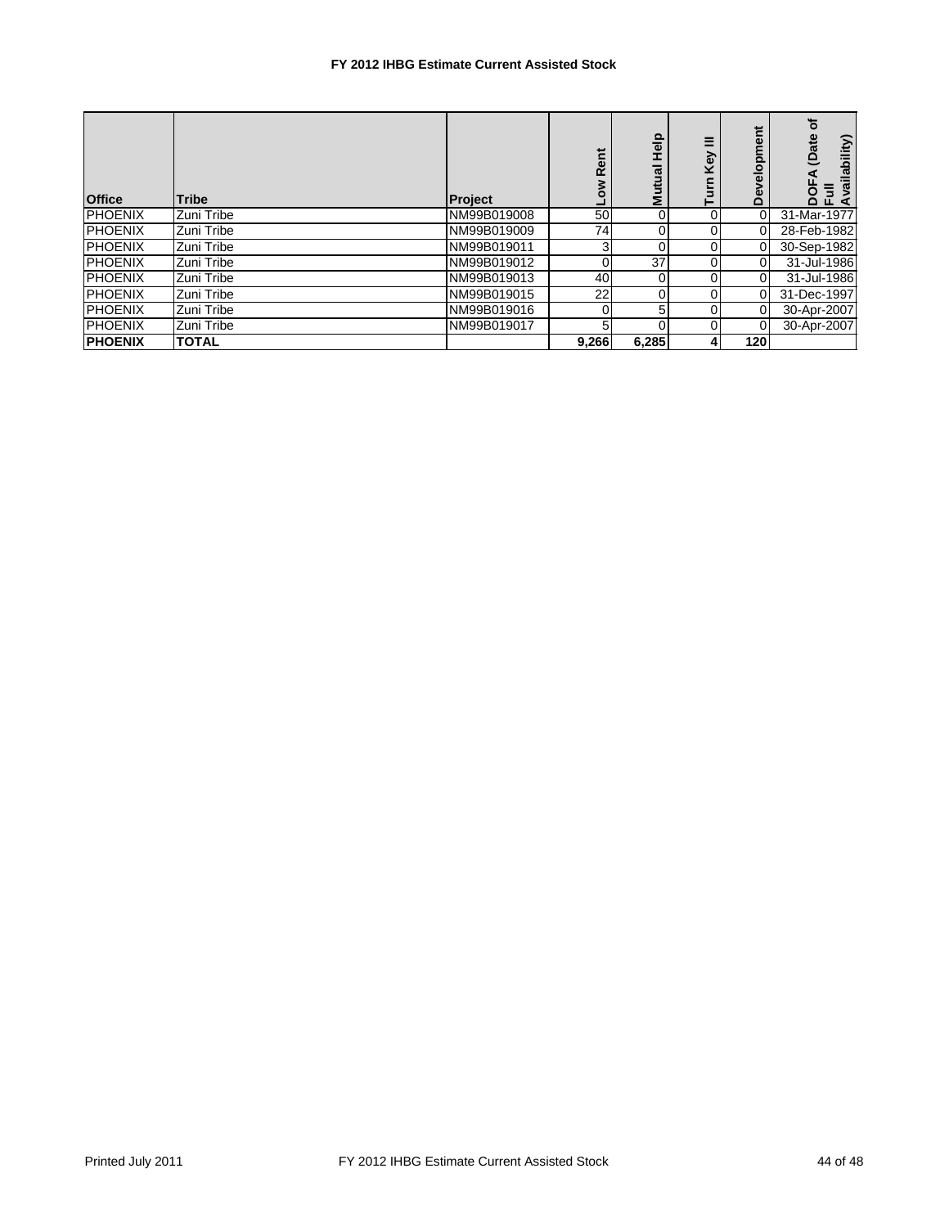## **FY 2012 IHBG Estimate Current Assisted Stock**

| <b>Office</b>  | <b>Tribe</b> | <b>Project</b> | Rent<br>No⊓    | Help<br>Ξ<br>ปีแt<br>≥ | Ξ<br>Key<br>Turn | elopment<br>Φ<br>Ă | ৳<br>(Date<br>vailability)<br>⋖<br>DOF<br>Ful<br>Avail |
|----------------|--------------|----------------|----------------|------------------------|------------------|--------------------|--------------------------------------------------------|
| <b>PHOENIX</b> | Zuni Tribe   | NM99B019008    | 50             | 0                      |                  | 0                  | 31-Mar-1977                                            |
| <b>PHOENIX</b> | IZuni Tribe  | NM99B019009    | 74             | 0                      |                  |                    | 28-Feb-1982                                            |
| <b>PHOENIX</b> | IZuni Tribe  | NM99B019011    | 3 <sub>l</sub> | 0                      |                  |                    | 30-Sep-1982                                            |
| <b>PHOENIX</b> | IZuni Tribe  | NM99B019012    | 0              | 37                     |                  |                    | 31-Jul-1986                                            |
| <b>PHOENIX</b> | IZuni Tribe  | NM99B019013    | 40             | 0                      |                  | 0                  | 31-Jul-1986                                            |
| <b>PHOENIX</b> | IZuni Tribe  | NM99B019015    | 22             | 0                      |                  | 0                  | 31-Dec-1997                                            |
| <b>PHOENIX</b> | IZuni Tribe  | NM99B019016    | 0              | 5                      | 0                | 0                  | 30-Apr-2007                                            |
| <b>PHOENIX</b> | IZuni Tribe  | NM99B019017    | 5              | 0                      |                  | ŋ                  | 30-Apr-2007                                            |
| <b>PHOENIX</b> | <b>TOTAL</b> |                | 9,266          | 6,285                  |                  | 120                |                                                        |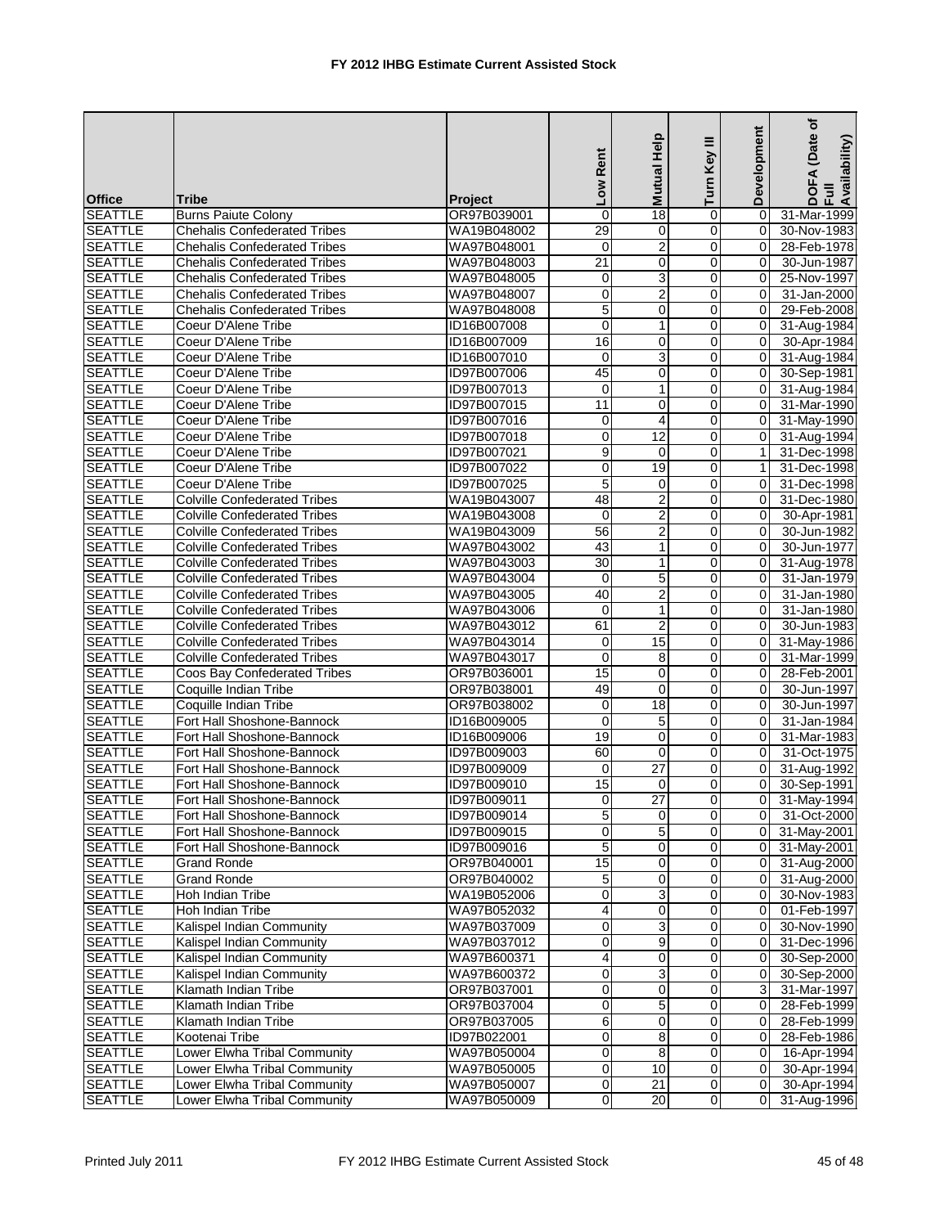|                                  |                                                              |                            | Low Rent        | Help<br><b>Mutual</b> | Turn Key III   | Development    | (Date of<br>DOFA (Date<br>Full<br>Availability) |
|----------------------------------|--------------------------------------------------------------|----------------------------|-----------------|-----------------------|----------------|----------------|-------------------------------------------------|
| <b>Office</b>                    | Tribe                                                        | <b>Project</b>             |                 |                       |                |                |                                                 |
| <b>SEATTLE</b>                   | <b>Burns Paiute Colony</b>                                   | OR97B039001                | $\mathbf 0$     | 18                    | 0              | $\Omega$       | 31-Mar-1999                                     |
| <b>SEATTLE</b>                   | <b>Chehalis Confederated Tribes</b>                          | WA19B048002                | 29              | 0                     | 0              | 0              | 30-Nov-1983                                     |
| <b>SEATTLE</b>                   | <b>Chehalis Confederated Tribes</b>                          | WA97B048001                | $\mathbf 0$     | $\overline{c}$        | 0              | 0              | 28-Feb-1978                                     |
| <b>SEATTLE</b>                   | <b>Chehalis Confederated Tribes</b>                          | WA97B048003                | $\overline{21}$ | 0                     | 0              | 0              | 30-Jun-1987                                     |
| <b>SEATTLE</b>                   | <b>Chehalis Confederated Tribes</b>                          | WA97B048005                | 0               | 3                     | 0              | 0              | 25-Nov-1997                                     |
| <b>SEATTLE</b>                   | <b>Chehalis Confederated Tribes</b>                          | WA97B048007                | $\pmb{0}$       | $\overline{2}$        | $\mathbf 0$    | $\mathbf 0$    | 31-Jan-2000                                     |
| <b>SEATTLE</b>                   | <b>Chehalis Confederated Tribes</b>                          | WA97B048008                | 5               | $\mathbf 0$           | $\mathbf 0$    | $\Omega$       | 29-Feb-2008                                     |
| <b>SEATTLE</b>                   | Coeur D'Alene Tribe                                          | ID16B007008                | $\mathbf 0$     | $\mathbf{1}$          | $\mathbf 0$    | $\Omega$       | 31-Aug-1984                                     |
| <b>SEATTLE</b>                   | Coeur D'Alene Tribe                                          | ID16B007009                | 16              | 0                     | 0              | 0              | 30-Apr-1984                                     |
| <b>SEATTLE</b>                   | Coeur D'Alene Tribe                                          | ID16B007010                | $\mathbf 0$     | 3                     | 0              | $\mathbf 0$    | 31-Aug-1984                                     |
| <b>SEATTLE</b>                   | Coeur D'Alene Tribe                                          | ID97B007006                | 45              | 0                     | 0              | $\Omega$       | 30-Sep-1981                                     |
| <b>SEATTLE</b>                   | Coeur D'Alene Tribe                                          | ID97B007013                | $\mathbf 0$     | $\mathbf{1}$          | 0              | $\mathbf 0$    | 31-Aug-1984                                     |
| <b>SEATTLE</b>                   | Coeur D'Alene Tribe                                          | ID97B007015                | 11              | 0                     | 0              | $\Omega$       | 31-Mar-1990                                     |
| <b>SEATTLE</b>                   | Coeur D'Alene Tribe                                          | ID97B007016                | 0               | $\overline{4}$        | 0              | $\Omega$       | 31-May-1990                                     |
| <b>SEATTLE</b>                   | Coeur D'Alene Tribe                                          | ID97B007018                | $\mathbf 0$     | 12                    | 0              | $\mathbf 0$    | 31-Aug-1994                                     |
| <b>SEATTLE</b>                   | Coeur D'Alene Tribe                                          | ID97B007021                | $\overline{9}$  | $\mathbf 0$           | $\mathbf 0$    | $\mathbf{1}$   | 31-Dec-1998                                     |
| <b>SEATTLE</b>                   | Coeur D'Alene Tribe                                          | ID97B007022                | $\mathbf 0$     | 19                    | $\mathbf 0$    | $\mathbf{1}$   | 31-Dec-1998                                     |
| <b>SEATTLE</b>                   | Coeur D'Alene Tribe                                          | ID97B007025                | 5               | 0                     | 0              | $\mathbf 0$    | 31-Dec-1998                                     |
| <b>SEATTLE</b>                   | <b>Colville Confederated Tribes</b>                          | WA19B043007                | 48              | $\overline{2}$        | 0              | 0              | 31-Dec-1980                                     |
| <b>SEATTLE</b>                   | <b>Colville Confederated Tribes</b>                          | WA19B043008                | $\mathbf 0$     | $\overline{2}$        | 0              | 0              | 30-Apr-1981                                     |
| <b>SEATTLE</b>                   | <b>Colville Confederated Tribes</b>                          | WA19B043009                | 56              | $\overline{2}$        | 0              | $\Omega$       | 30-Jun-1982                                     |
| <b>SEATTLE</b>                   | <b>Colville Confederated Tribes</b>                          | WA97B043002                | 43              | 1                     | 0              | 0              | 30-Jun-1977                                     |
| <b>SEATTLE</b>                   | <b>Colville Confederated Tribes</b>                          | WA97B043003                | 30              | $\mathbf{1}$          | $\mathbf 0$    | $\mathbf 0$    | 31-Aug-1978                                     |
| <b>SEATTLE</b>                   | <b>Colville Confederated Tribes</b>                          | WA97B043004                | 0               | 5                     | 0              | 0              | 31-Jan-1979                                     |
| <b>SEATTLE</b>                   | <b>Colville Confederated Tribes</b>                          | WA97B043005                | 40              | $\boldsymbol{2}$      | 0              | 0              | 31-Jan-1980                                     |
| <b>SEATTLE</b>                   | <b>Colville Confederated Tribes</b>                          | WA97B043006                | $\mathbf 0$     | $\mathbf{1}$          | $\mathbf 0$    | 0              | 31-Jan-1980                                     |
| <b>SEATTLE</b>                   | <b>Colville Confederated Tribes</b>                          | WA97B043012                | 61              | $\overline{2}$        | $\mathbf 0$    | $\Omega$       | 30-Jun-1983                                     |
| <b>SEATTLE</b>                   | <b>Colville Confederated Tribes</b>                          | WA97B043014                | 0               | 15                    | 0              | $\Omega$       | 31-May-1986                                     |
| <b>SEATTLE</b>                   | <b>Colville Confederated Tribes</b>                          | WA97B043017                | $\mathbf 0$     | 8                     | 0              | 0              | 31-Mar-1999                                     |
| <b>SEATTLE</b>                   | Coos Bay Confederated Tribes                                 | OR97B036001                | 15              | $\mathbf 0$           | 0              | 0              | 28-Feb-2001                                     |
| <b>SEATTLE</b>                   | Coquille Indian Tribe                                        | OR97B038001                | 49              | 0                     | 0              | 0              | 30-Jun-1997                                     |
| <b>SEATTLE</b>                   | Coquille Indian Tribe                                        | OR97B038002                | $\mathbf 0$     | 18                    | $\mathbf 0$    | 0              | 30-Jun-1997                                     |
| <b>SEATTLE</b>                   | Fort Hall Shoshone-Bannock                                   | ID16B009005                | $\mathbf 0$     | 5                     | $\mathbf 0$    | $\Omega$       | 31-Jan-1984                                     |
| <b>SEATTLE</b>                   | Fort Hall Shoshone-Bannock                                   | ID16B009006                | 19              | $\mathbf 0$           | $\mathbf 0$    | $\Omega$       | 31-Mar-1983                                     |
| <b>SEATTLE</b>                   | Fort Hall Shoshone-Bannock                                   | ID97B009003                | 60              | 0                     | 0              | 0              | 31-Oct-1975                                     |
| <b>SEATTLE</b>                   | Fort Hall Shoshone-Bannock                                   | ID97B009009                | $\mathbf 0$     | $\overline{27}$       | 0              | $\mathbf 0$    | 31-Aug-1992                                     |
| <b>SEATTLE</b>                   | Fort Hall Shoshone-Bannock                                   | ID97B009010                | 15              | 0                     | 0              | $\Omega$       | 30-Sep-1991                                     |
| <b>SEATTLE</b>                   | Fort Hall Shoshone-Bannock                                   | ID97B009011                | $\overline{0}$  | $\overline{27}$       | $\Omega$       | 0              | 31-May-1994                                     |
| <b>SEATTLE</b>                   | Fort Hall Shoshone-Bannock                                   | ID97B009014                | $\overline{5}$  | $\overline{0}$        | $\overline{0}$ | $\overline{0}$ | 31-Oct-2000                                     |
| <b>SEATTLE</b>                   | Fort Hall Shoshone-Bannock                                   | ID97B009015                | 0               | 5                     | 0              | 0              | 31-May-2001                                     |
| <b>SEATTLE</b>                   | Fort Hall Shoshone-Bannock                                   | ID97B009016                | 5               | 0                     | 0              | 0              | 31-May-2001                                     |
| <b>SEATTLE</b>                   | <b>Grand Ronde</b>                                           | OR97B040001                | 15              | 0                     | $\mathbf 0$    | 0              | 31-Aug-2000                                     |
| <b>SEATTLE</b>                   | <b>Grand Ronde</b>                                           | OR97B040002                | 5               | 0                     | 0              | 0              | 31-Aug-2000                                     |
| <b>SEATTLE</b>                   | Hoh Indian Tribe                                             | WA19B052006                | $\mathbf 0$     | 3                     | 0              | $\mathbf 0$    | 30-Nov-1983                                     |
| <b>SEATTLE</b>                   | Hoh Indian Tribe                                             | WA97B052032                | $\overline{4}$  | 0                     | 0              | $\mathbf 0$    | 01-Feb-1997                                     |
| <b>SEATTLE</b>                   | Kalispel Indian Community                                    | WA97B037009                | 0               | 3                     | 0              | 0              | 30-Nov-1990                                     |
| <b>SEATTLE</b>                   | Kalispel Indian Community                                    | WA97B037012                | 0               | 9                     | $\mathbf 0$    | 0              | 31-Dec-1996                                     |
| <b>SEATTLE</b>                   | Kalispel Indian Community                                    | WA97B600371                | 4               | 0                     | 0              | 0              | 30-Sep-2000                                     |
| <b>SEATTLE</b>                   | Kalispel Indian Community                                    | WA97B600372                | $\pmb{0}$       | 3                     | 0              | 0              | 30-Sep-2000                                     |
| <b>SEATTLE</b>                   | Klamath Indian Tribe                                         | OR97B037001                | $\mathbf 0$     | $\mathbf 0$           | 0              | 3              | 31-Mar-1997                                     |
| <b>SEATTLE</b>                   | Klamath Indian Tribe                                         | OR97B037004                | $\pmb{0}$       | $\mathbf 5$           | 0              | 0              | 28-Feb-1999                                     |
| <b>SEATTLE</b>                   | Klamath Indian Tribe                                         | OR97B037005                | 6               | 0                     | 0              | 0              | 28-Feb-1999                                     |
| <b>SEATTLE</b>                   | Kootenai Tribe                                               | ID97B022001                | $\mathbf 0$     | 8                     | 0              | 0              | 28-Feb-1986                                     |
| <b>SEATTLE</b>                   | Lower Elwha Tribal Community                                 | WA97B050004                | 0               | 8                     | 0              | $\mathbf 0$    | 16-Apr-1994                                     |
| <b>SEATTLE</b>                   | Lower Elwha Tribal Community                                 | WA97B050005                | $\overline{0}$  | 10                    | 0              | $\mathbf 0$    | 30-Apr-1994                                     |
|                                  |                                                              |                            | $\pmb{0}$       | 21                    | $\mathbf 0$    | 0              |                                                 |
| <b>SEATTLE</b><br><b>SEATTLE</b> | Lower Elwha Tribal Community<br>Lower Elwha Tribal Community | WA97B050007<br>WA97B050009 | $\overline{0}$  | 20                    | $\overline{0}$ | $\Omega$       | 30-Apr-1994                                     |
|                                  |                                                              |                            |                 |                       |                |                | 31-Aug-1996                                     |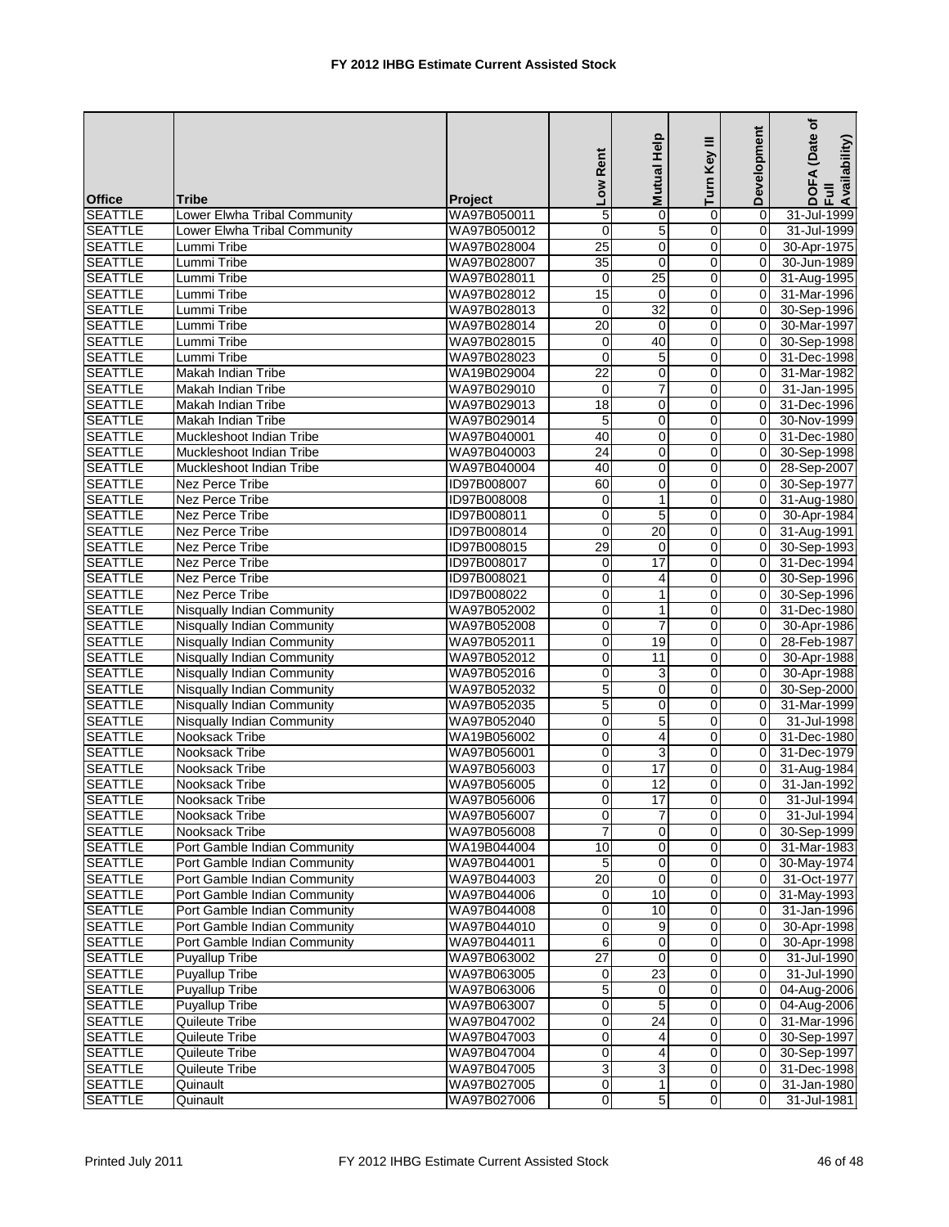| Mutual Help<br>Turn Key III<br>Low Rent                                                                        | Development                        | (Date of<br>DOFA (Date<br>Full<br>Availability) |
|----------------------------------------------------------------------------------------------------------------|------------------------------------|-------------------------------------------------|
| <b>Office</b><br>Tribe<br><b>Project</b>                                                                       |                                    |                                                 |
| 5<br><b>SEATTLE</b><br>WA97B050011<br>Lower Elwha Tribal Community<br>$\mathbf 0$<br>0                         | $\Omega$                           | 31-Jul-1999                                     |
| <b>SEATTLE</b><br>$\overline{0}$<br>5<br>$\mathbf 0$<br>Lower Elwha Tribal Community<br>WA97B050012            | $\mathbf 0$                        | 31-Jul-1999                                     |
| <b>SEATTLE</b><br>25<br>0<br>Lummi Tribe<br>WA97B028004<br>0                                                   | 0                                  | 30-Apr-1975                                     |
| <b>SEATTLE</b><br>WA97B028007<br>35<br>$\mathbf 0$<br>0<br>Lummi Tribe                                         | $\Omega$                           | 30-Jun-1989                                     |
| <b>SEATTLE</b><br>25<br>Lummi Tribe<br>0<br>WA97B028011<br>0                                                   | 0                                  | 31-Aug-1995                                     |
| 15<br>$\pmb{0}$<br><b>SEATTLE</b><br>$\mathbf 0$<br>Lummi Tribe<br>WA97B028012                                 | 0                                  | 31-Mar-1996                                     |
| <b>SEATTLE</b><br>32<br>Lummi Tribe<br>WA97B028013<br>$\overline{0}$<br>$\mathbf 0$                            | $\Omega$                           | 30-Sep-1996                                     |
| <b>SEATTLE</b><br>Lummi Tribe<br>WA97B028014<br>20<br>$\mathbf 0$<br>0                                         | $\Omega$                           | 30-Mar-1997                                     |
| <b>SEATTLE</b><br>40<br>0<br>Lummi Tribe<br>WA97B028015<br>$\mathbf 0$                                         | $\mathbf 0$                        | 30-Sep-1998                                     |
| <b>SEATTLE</b><br>$\mathbf 0$<br>5<br>0<br>Lummi Tribe<br>WA97B028023                                          | $\mathbf 0$                        | 31-Dec-1998                                     |
| $\overline{22}$<br><b>SEATTLE</b><br>$\mathbf 0$<br>Makah Indian Tribe<br>WA19B029004<br>0                     | $\Omega$                           | 31-Mar-1982                                     |
| <b>SEATTLE</b><br>$\overline{7}$<br>$\mathbf 0$<br>WA97B029010<br>$\mathbf 0$<br>Makah Indian Tribe            | $\mathbf 0$                        | 31-Jan-1995                                     |
| 18<br><b>SEATTLE</b><br>0<br>0<br>Makah Indian Tribe<br>WA97B029013                                            | 0                                  | 31-Dec-1996                                     |
| <b>SEATTLE</b><br>5<br>0<br>0<br>Makah Indian Tribe<br>WA97B029014                                             | $\Omega$                           | 30-Nov-1999                                     |
| <b>SEATTLE</b><br>Muckleshoot Indian Tribe<br>WA97B040001<br>40<br>0<br>0                                      | $\mathbf 0$                        | 31-Dec-1980                                     |
| $\overline{24}$<br>$\pmb{0}$<br><b>SEATTLE</b><br>WA97B040003<br>0<br>Muckleshoot Indian Tribe                 | $\mathbf 0$                        | 30-Sep-1998                                     |
| <b>SEATTLE</b><br>40<br>0<br>$\mathbf 0$<br>Muckleshoot Indian Tribe<br>WA97B040004                            | $\Omega$                           | 28-Sep-2007                                     |
| <b>SEATTLE</b><br>Nez Perce Tribe<br>ID97B008007<br>60<br>0<br>0                                               | $\mathbf 0$                        | 30-Sep-1977                                     |
| <b>SEATTLE</b><br>$\mathbf{1}$<br>0<br>Nez Perce Tribe<br>ID97B008008<br>0                                     | 0                                  | 31-Aug-1980                                     |
| 5<br>0<br><b>SEATTLE</b><br>$\mathbf 0$<br>Nez Perce Tribe<br>ID97B008011                                      | $\mathbf 0$                        | 30-Apr-1984                                     |
| <b>SEATTLE</b><br>ID97B008014<br>$\mathbf 0$<br>20<br>Nez Perce Tribe<br>0                                     | $\mathbf 0$                        | 31-Aug-1991                                     |
| <b>SEATTLE</b><br>$\overline{29}$<br><b>Nez Perce Tribe</b><br>ID97B008015<br>$\mathbf 0$<br>0                 | $\mathbf 0$                        | 30-Sep-1993                                     |
| 17<br><b>SEATTLE</b><br>$\mathbf 0$<br>$\mathbf 0$<br><b>Nez Perce Tribe</b><br>ID97B008017                    | $\mathbf 0$                        | 31-Dec-1994                                     |
| <b>SEATTLE</b><br>ID97B008021<br>$\mathbf 0$<br>0<br>Nez Perce Tribe<br>$\overline{4}$                         | $\Omega$                           | 30-Sep-1996                                     |
| <b>SEATTLE</b><br><b>Nez Perce Tribe</b><br>0<br>0<br>ID97B008022<br>1                                         | $\mathbf 0$                        | 30-Sep-1996                                     |
| $\overline{0}$<br>WA97B052002<br>$\mathbf{1}$<br>$\mathbf 0$<br><b>SEATTLE</b><br>Nisqually Indian Community   | $\mathbf 0$                        | 31-Dec-1980                                     |
| <b>SEATTLE</b><br>$\overline{0}$<br>$\overline{7}$<br>$\mathbf 0$<br>Nisqually Indian Community<br>WA97B052008 | $\Omega$                           | 30-Apr-1986                                     |
| <b>SEATTLE</b><br><b>Nisqually Indian Community</b><br>WA97B052011<br>0<br>19<br>0                             | $\Omega$                           | 28-Feb-1987                                     |
| <b>SEATTLE</b><br>0<br>11<br>0<br><b>Nisqually Indian Community</b><br>WA97B052012                             | $\mathbf 0$                        | 30-Apr-1988                                     |
| <b>SEATTLE</b><br>0<br>0<br>Nisqually Indian Community<br>WA97B052016<br>3                                     | 0                                  | 30-Apr-1988                                     |
| $\overline{5}$<br><b>SEATTLE</b><br>Nisqually Indian Community<br>WA97B052032<br>0                             | 0<br>0                             | 30-Sep-2000                                     |
| $\overline{5}$<br><b>SEATTLE</b><br>0<br>$\mathbf 0$<br>Nisqually Indian Community<br>WA97B052035              | 0                                  | 31-Mar-1999                                     |
| 5<br><b>Nisqually Indian Community</b><br>$\mathbf 0$<br>0<br><b>SEATTLE</b><br>WA97B052040                    | $\Omega$                           | 31-Jul-1998                                     |
| <b>SEATTLE</b><br>$\mathbf 0$<br>$\overline{4}$<br>0<br>Nooksack Tribe<br>WA19B056002                          | $\Omega$                           | 31-Dec-1980                                     |
| <b>SEATTLE</b><br>Nooksack Tribe<br>WA97B056001<br>0<br>3<br>0                                                 | 0                                  | 31-Dec-1979                                     |
| 17<br><b>SEATTLE</b><br>WA97B056003<br>$\mathbf 0$<br>0<br>Nooksack Tribe                                      | 0                                  | 31-Aug-1984                                     |
| <b>SEATTLE</b><br>$\mathbf 0$<br>12<br>0<br>Nooksack Tribe<br>WA97B056005                                      | $\Omega$                           | 31-Jan-1992                                     |
| $\Omega$<br>$\overline{17}$<br><b>SEATTLE</b><br>WA97B056006<br>Nooksack Tribe                                 | $\Omega$<br>0                      | 31-Jul-1994                                     |
| $\overline{7}$<br>$\overline{0}$<br>$\overline{0}$<br><b>SEATTLE</b><br>Nooksack Tribe<br>WA97B056007          | $\mathbf 0$                        | 31-Jul-1994                                     |
| $\overline{7}$<br>$\mathbf 0$<br>0<br><b>SEATTLE</b><br>Nooksack Tribe<br>WA97B056008                          | $\mathbf 0$                        | 30-Sep-1999                                     |
| <b>SEATTLE</b><br>Port Gamble Indian Community<br>10<br>0<br>WA19B044004<br>0                                  | 0                                  | 31-Mar-1983                                     |
| <b>SEATTLE</b><br>WA97B044001<br>$\,$ 5 $\,$<br>0<br>$\mathbf 0$<br>Port Gamble Indian Community               | 0                                  | 30-May-1974                                     |
| Port Gamble Indian Community<br>20<br><b>SEATTLE</b><br>WA97B044003<br>$\mathbf 0$<br>0                        | 0                                  | 31-Oct-1977                                     |
| <b>SEATTLE</b><br>10<br>0<br>Port Gamble Indian Community<br>WA97B044006<br>$\pmb{0}$                          | 0                                  | 31-May-1993                                     |
| <b>SEATTLE</b><br>Port Gamble Indian Community<br>WA97B044008<br>0<br>10<br>0                                  | 0                                  | 31-Jan-1996                                     |
| Port Gamble Indian Community<br>WA97B044010<br>$\mathbf 0$<br>9<br><b>SEATTLE</b>                              | $\mathsf 0$<br>0                   | 30-Apr-1998                                     |
| 6<br><b>SEATTLE</b><br>WA97B044011<br>$\mathbf 0$<br>Port Gamble Indian Community                              | $\mathsf{O}\xspace$<br>$\mathbf 0$ | 30-Apr-1998                                     |
| Puyallup Tribe<br><b>SEATTLE</b><br>WA97B063002<br>27<br>0<br>0                                                | 0                                  | 31-Jul-1990                                     |
| 23<br><b>Puyallup Tribe</b><br>0<br><b>SEATTLE</b><br>WA97B063005<br>$\pmb{0}$                                 | $\mathbf 0$                        | 31-Jul-1990                                     |
| <b>Puyallup Tribe</b><br>5<br>0<br><b>SEATTLE</b><br>WA97B063006<br>0                                          | $\mathbf 0$                        | 04-Aug-2006                                     |
| <b>Puyallup Tribe</b><br>WA97B063007<br>$\pmb{0}$<br>5<br>0<br><b>SEATTLE</b>                                  | 0                                  | 04-Aug-2006                                     |
| $\overline{0}$<br>$\overline{24}$<br>0<br><b>SEATTLE</b><br>Quileute Tribe<br>WA97B047002                      | 0                                  | 31-Mar-1996                                     |
| <b>SEATTLE</b><br>WA97B047003<br>$\mathbf 0$<br>0<br>Quileute Tribe<br>4                                       | 0                                  | 30-Sep-1997                                     |
| $\overline{0}$<br>0<br><b>SEATTLE</b><br>Quileute Tribe<br>WA97B047004<br>$\overline{4}$                       | 0                                  | 30-Sep-1997                                     |
| $\overline{3}$<br><b>SEATTLE</b><br>Quileute Tribe<br>WA97B047005<br>0<br>3                                    | 0                                  | 31-Dec-1998                                     |
| $\pmb{0}$<br>$\mathbf{1}$<br>0<br><b>SEATTLE</b><br>Quinault<br>WA97B027005                                    | 0                                  | 31-Jan-1980                                     |
| $\overline{5}$<br>$\overline{0}$<br><b>SEATTLE</b><br>WA97B027006<br>Quinault                                  | $\mathbf 0$<br>0                   | 31-Jul-1981                                     |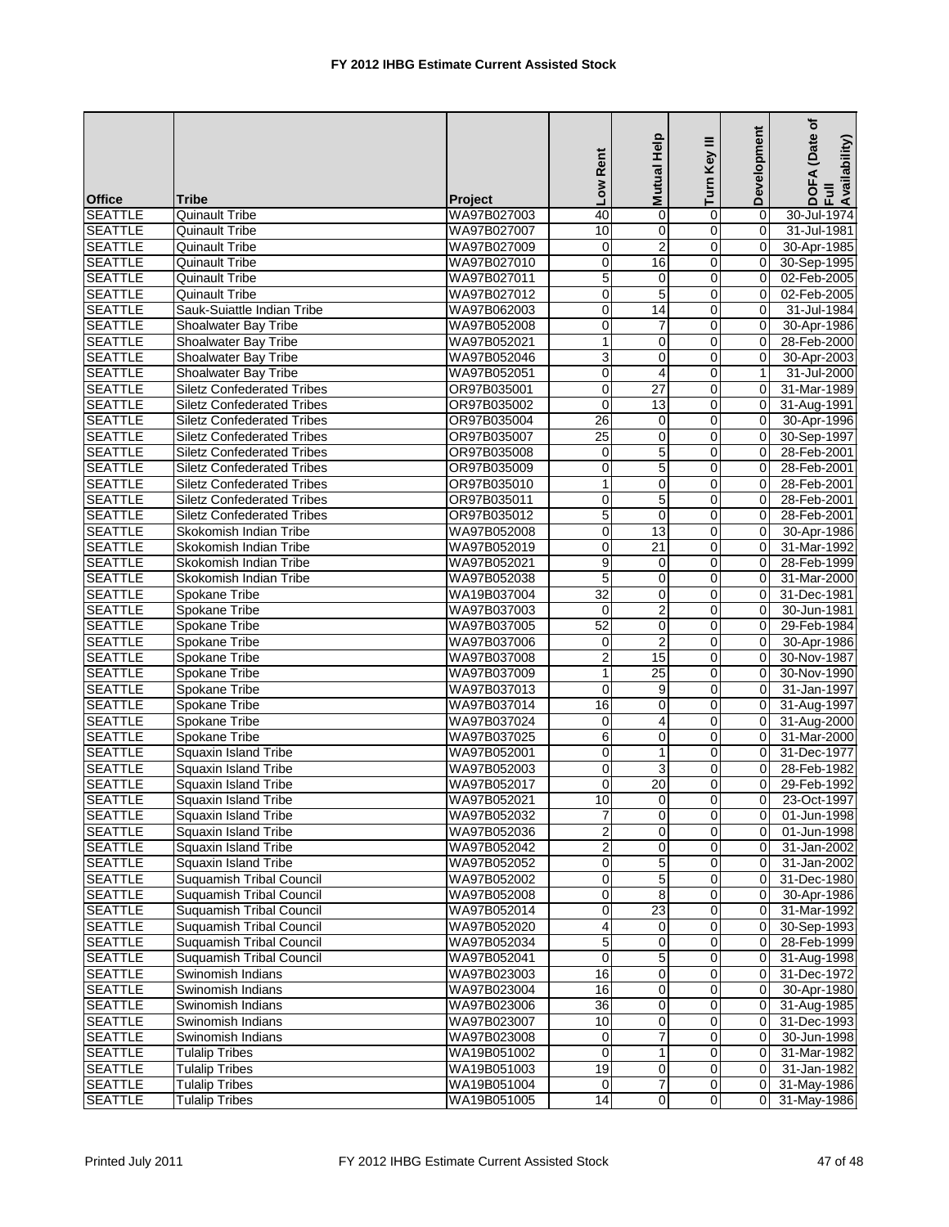|                |                                   |                | Low Rent        | Mutual Help     | Turn Key III            | Development    | (Date of<br>DOFA (Date<br>Full<br>Availability) |
|----------------|-----------------------------------|----------------|-----------------|-----------------|-------------------------|----------------|-------------------------------------------------|
| <b>Office</b>  | Tribe                             | <b>Project</b> |                 |                 |                         |                |                                                 |
| <b>SEATTLE</b> | <b>Quinault Tribe</b>             | WA97B027003    | 40              | $\mathbf 0$     | 0                       | $\Omega$       | 30-Jul-1974                                     |
| <b>SEATTLE</b> | <b>Quinault Tribe</b>             | WA97B027007    | 10              | 0               | $\overline{\mathbf{0}}$ | $\overline{0}$ | 31-Jul-1981                                     |
| <b>SEATTLE</b> | <b>Quinault Tribe</b>             | WA97B027009    | $\mathbf 0$     | $\overline{2}$  | 0                       | 0              | 30-Apr-1985                                     |
| <b>SEATTLE</b> | Quinault Tribe                    | WA97B027010    | $\mathbf 0$     | 16              | 0                       | $\Omega$       | 30-Sep-1995                                     |
| <b>SEATTLE</b> | <b>Quinault Tribe</b>             | WA97B027011    | 5               | 0               | 0                       | $\mathbf 0$    | $\overline{02}$ -Feb-2005                       |
| <b>SEATTLE</b> | <b>Quinault Tribe</b>             | WA97B027012    | $\pmb{0}$       | $\overline{5}$  | $\pmb{0}$               | $\mathbf 0$    | 02-Feb-2005                                     |
| <b>SEATTLE</b> | Sauk-Suiattle Indian Tribe        | WA97B062003    | $\mathbf 0$     | $\overline{14}$ | $\mathbf 0$             | $\Omega$       | 31-Jul-1984                                     |
| <b>SEATTLE</b> | Shoalwater Bay Tribe              | WA97B052008    | $\mathbf 0$     | 7               | 0                       | $\Omega$       | 30-Apr-1986                                     |
| <b>SEATTLE</b> | Shoalwater Bay Tribe              | WA97B052021    | $\mathbf{1}$    | 0               | 0                       | 0              | 28-Feb-2000                                     |
| <b>SEATTLE</b> | Shoalwater Bay Tribe              | WA97B052046    | $\overline{3}$  | 0               | $\mathbf 0$             | 0              | 30-Apr-2003                                     |
| <b>SEATTLE</b> | Shoalwater Bay Tribe              | WA97B052051    | $\mathbf 0$     | $\overline{4}$  | $\mathbf 0$             | $\mathbf{1}$   | 31-Jul-2000                                     |
| <b>SEATTLE</b> | <b>Siletz Confederated Tribes</b> | OR97B035001    | $\overline{0}$  | $\overline{27}$ | $\mathbf 0$             | $\mathbf 0$    | 31-Mar-1989                                     |
| <b>SEATTLE</b> | <b>Siletz Confederated Tribes</b> | OR97B035002    | $\mathbf 0$     | 13              | 0                       | 0              | 31-Aug-1991                                     |
| <b>SEATTLE</b> | <b>Siletz Confederated Tribes</b> | OR97B035004    | 26              | $\mathbf 0$     | 0                       | $\Omega$       | 30-Apr-1996                                     |
| <b>SEATTLE</b> | <b>Siletz Confederated Tribes</b> | OR97B035007    | 25              | 0               | 0                       | $\mathbf 0$    | 30-Sep-1997                                     |
| <b>SEATTLE</b> | <b>Siletz Confederated Tribes</b> | OR97B035008    | $\mathbf 0$     | $\overline{5}$  | $\mathbf 0$             | $\mathbf 0$    | 28-Feb-2001                                     |
| <b>SEATTLE</b> | <b>Siletz Confederated Tribes</b> | OR97B035009    | $\overline{0}$  | $\overline{5}$  | $\mathbf 0$             | $\Omega$       | 28-Feb-2001                                     |
| <b>SEATTLE</b> | <b>Siletz Confederated Tribes</b> | OR97B035010    | $\mathbf{1}$    | 0               | 0                       | $\Omega$       | 28-Feb-2001                                     |
| <b>SEATTLE</b> | <b>Siletz Confederated Tribes</b> | OR97B035011    | $\pmb{0}$       | 5               | 0                       | 0              | 28-Feb-2001                                     |
| <b>SEATTLE</b> | <b>Siletz Confederated Tribes</b> | OR97B035012    | 5               | $\mathbf 0$     | 0                       | 0              | 28-Feb-2001                                     |
| <b>SEATTLE</b> | Skokomish Indian Tribe            | WA97B052008    | $\mathbf 0$     | 13              | $\mathbf 0$             | $\Omega$       | 30-Apr-1986                                     |
| <b>SEATTLE</b> | Skokomish Indian Tribe            | WA97B052019    | $\overline{0}$  | $\overline{21}$ | 0                       | $\mathbf 0$    | 31-Mar-1992                                     |
| <b>SEATTLE</b> | Skokomish Indian Tribe            | WA97B052021    | 9               | 0               | $\mathbf 0$             | 0              | 28-Feb-1999                                     |
| <b>SEATTLE</b> | Skokomish Indian Tribe            | WA97B052038    | 5               | $\mathbf 0$     | 0                       | 0              | 31-Mar-2000                                     |
| <b>SEATTLE</b> | Spokane Tribe                     | WA19B037004    | $\overline{32}$ | 0               | 0                       | 0              | 31-Dec-1981                                     |
| <b>SEATTLE</b> | Spokane Tribe                     | WA97B037003    | $\mathbf 0$     | $\overline{2}$  | $\pmb{0}$               | $\mathbf 0$    | 30-Jun-1981                                     |
| <b>SEATTLE</b> | Spokane Tribe                     | WA97B037005    | 52              | $\mathbf 0$     | $\mathbf 0$             | $\Omega$       | 29-Feb-1984                                     |
| <b>SEATTLE</b> | Spokane Tribe                     | WA97B037006    | 0               | $\overline{2}$  | 0                       | $\Omega$       | 30-Apr-1986                                     |
| <b>SEATTLE</b> | Spokane Tribe                     | WA97B037008    | $\overline{2}$  | $\overline{15}$ | 0                       | 0              | 30-Nov-1987                                     |
| <b>SEATTLE</b> | Spokane Tribe                     | WA97B037009    | $\mathbf{1}$    | 25              | 0                       | 0              | 30-Nov-1990                                     |
| <b>SEATTLE</b> | Spokane Tribe                     | WA97B037013    | $\overline{0}$  | 9               | 0                       | 0              | 31-Jan-1997                                     |
| <b>SEATTLE</b> | Spokane Tribe                     | WA97B037014    | 16              | 0               | $\mathbf 0$             | 0              | 31-Aug-1997                                     |
| <b>SEATTLE</b> | Spokane Tribe                     | WA97B037024    | $\mathbf 0$     | $\overline{4}$  | 0                       | 0              | 31-Aug-2000                                     |
| <b>SEATTLE</b> | Spokane Tribe                     | WA97B037025    | 6               | 0               | 0                       | $\Omega$       | 31-Mar-2000                                     |
| <b>SEATTLE</b> | Squaxin Island Tribe              | WA97B052001    | 0               | 1               | 0                       | $\mathbf 0$    | 31-Dec-1977                                     |
| <b>SEATTLE</b> |                                   | WA97B052003    |                 |                 |                         |                |                                                 |
|                | Squaxin Island Tribe              | WA97B052017    | $\mathbf 0$     | 3               | 0                       | 0              | 28-Feb-1982                                     |
| <b>SEATTLE</b> | Squaxin Island Tribe              |                | $\mathbf 0$     | 20              | 0                       | $\Omega$       | 29-Feb-1992                                     |
| <b>SEATTLE</b> | Squaxin Island Tribe              | WA97B052021    | 10              | $\Omega$        | $\Omega$                | 0              | 23-Oct-1997                                     |
| <b>SEATTLE</b> | Squaxin Island Tribe              | WA97B052032    | $\overline{7}$  | $\overline{0}$  | $\overline{0}$          | 0              | 01-Jun-1998                                     |
| <b>SEATTLE</b> | Squaxin Island Tribe              | WA97B052036    | $\overline{2}$  | $\mathbf 0$     | 0                       | 0              | 01-Jun-1998                                     |
| <b>SEATTLE</b> | Squaxin Island Tribe              | WA97B052042    | $\overline{c}$  | 0               | 0                       | $\mathbf 0$    | 31-Jan-2002                                     |
| <b>SEATTLE</b> | Squaxin Island Tribe              | WA97B052052    | $\overline{0}$  | $\overline{5}$  | $\overline{\mathbf{0}}$ | 0              | 31-Jan-2002                                     |
| <b>SEATTLE</b> | <b>Suquamish Tribal Council</b>   | WA97B052002    | $\mathbf 0$     | 5               | 0                       | 0              | 31-Dec-1980                                     |
| <b>SEATTLE</b> | Suquamish Tribal Council          | WA97B052008    | $\pmb{0}$       | 8               | 0                       | 0              | 30-Apr-1986                                     |
| <b>SEATTLE</b> | Suquamish Tribal Council          | WA97B052014    | 0               | 23              | 0                       | $\mathbf 0$    | 31-Mar-1992                                     |
| <b>SEATTLE</b> | <b>Suquamish Tribal Council</b>   | WA97B052020    | $\overline{4}$  | 0               | 0                       | 0              | 30-Sep-1993                                     |
| <b>SEATTLE</b> | <b>Suquamish Tribal Council</b>   | WA97B052034    | $\overline{5}$  | $\mathbf 0$     | $\mathbf 0$             | 0              | 28-Feb-1999                                     |
| <b>SEATTLE</b> | <b>Suquamish Tribal Council</b>   | WA97B052041    | 0               | 5               | 0                       | 0              | 31-Aug-1998                                     |
| <b>SEATTLE</b> | Swinomish Indians                 | WA97B023003    | 16              | 0               | 0                       | 0              | 31-Dec-1972                                     |
| <b>SEATTLE</b> | Swinomish Indians                 | WA97B023004    | 16              | $\mathbf 0$     | 0                       | $\mathbf 0$    | 30-Apr-1980                                     |
| <b>SEATTLE</b> | Swinomish Indians                 | WA97B023006    | 36              | $\mathbf 0$     | 0                       | 0              | 31-Aug-1985                                     |
| <b>SEATTLE</b> | Swinomish Indians                 | WA97B023007    | 10              | 0               | $\overline{\mathbf{0}}$ | $\mathbf 0$    | 31-Dec-1993                                     |
| <b>SEATTLE</b> | Swinomish Indians                 | WA97B023008    | 0               | $\overline{7}$  | 0                       | 0              | 30-Jun-1998                                     |
| <b>SEATTLE</b> | <b>Tulalip Tribes</b>             | WA19B051002    | $\mathbf 0$     | $\mathbf{1}$    | 0                       | 0              | 31-Mar-1982                                     |
| <b>SEATTLE</b> | <b>Tulalip Tribes</b>             | WA19B051003    | 19              | 0               | $\mathbf 0$             | $\mathbf 0$    | 31-Jan-1982                                     |
| <b>SEATTLE</b> | <b>Tulalip Tribes</b>             | WA19B051004    | $\mathbf 0$     | $\overline{7}$  | $\pmb{0}$               | 0              | 31-May-1986                                     |
| <b>SEATTLE</b> | <b>Tulalip Tribes</b>             | WA19B051005    | 14              | $\overline{0}$  | $\overline{0}$          | $\Omega$       | 31-May-1986                                     |